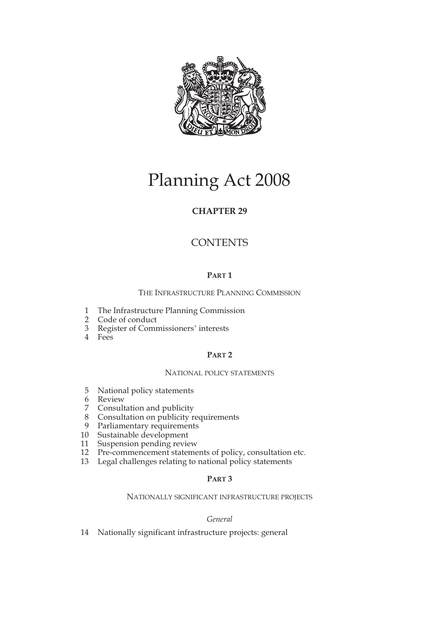

# Planning Act 2008

## **CHAPTER 29**

## **CONTENTS**

## **PART 1**

THE INFRASTRUCTURE PLANNING COMMISSION

- 1 The Infrastructure Planning Commission
- 2 Code of conduct
- 3 Register of Commissioners' interests
- 4 Fees

## **PART 2**

## NATIONAL POLICY STATEMENTS

- 5 National policy statements
- 6 Review
- 7 Consultation and publicity
- 8 Consultation on publicity requirements
- 9 Parliamentary requirements
- 10 Sustainable development
- 11 Suspension pending review
- 12 Pre-commencement statements of policy, consultation etc.
- 13 Legal challenges relating to national policy statements

## **PART 3**

## NATIONALLY SIGNIFICANT INFRASTRUCTURE PROJECTS

## *General*

14 Nationally significant infrastructure projects: general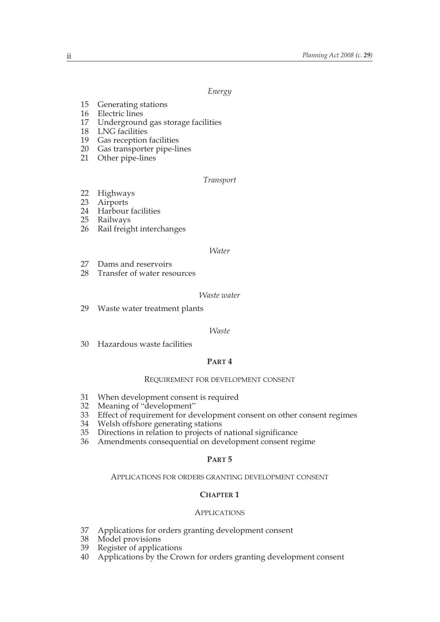*Energy*

- 15 Generating stations
- 16 Electric lines
- 17 Underground gas storage facilities
- 18 LNG facilities
- 19 Gas reception facilities
- 20 Gas transporter pipe-lines
- 21 Other pipe-lines

#### *Transport*

- 22 Highways
- 23 Airports<br>24 Harbour
- Harbour facilities
- 25 Railways
- 26 Rail freight interchanges

#### *Water*

- 27 Dams and reservoirs
- 28 Transfer of water resources

#### *Waste water*

29 Waste water treatment plants

#### *Waste*

30 Hazardous waste facilities

## **PART 4**

#### REQUIREMENT FOR DEVELOPMENT CONSENT

- 31 When development consent is required<br>32 Meaning of "development"
- 32 Meaning of "development"<br>33 Effect of requirement for de
- 33 Effect of requirement for development consent on other consent regimes<br>34 Welsh offshore generating stations
- 34 Welsh offshore generating stations<br>35 Directions in relation to projects of
- Directions in relation to projects of national significance
- 36 Amendments consequential on development consent regime

#### **PART 5**

#### APPLICATIONS FOR ORDERS GRANTING DEVELOPMENT CONSENT

#### **CHAPTER 1**

#### APPLICATIONS

- 37 Applications for orders granting development consent
- 38 Model provisions<br>39 Register of applica
- 39 Register of applications<br>40 Applications by the Cro
- Applications by the Crown for orders granting development consent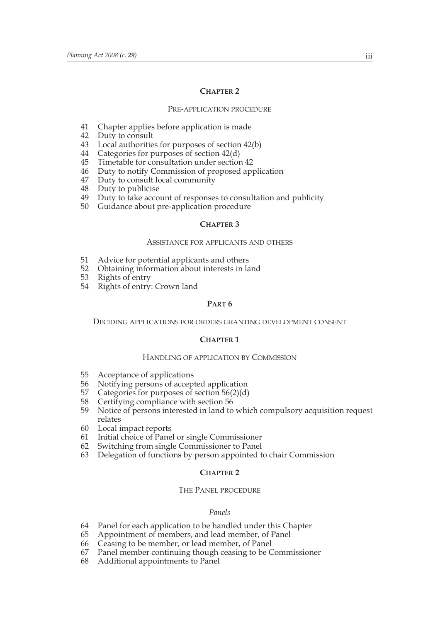#### **CHAPTER 2**

#### PRE-APPLICATION PROCEDURE

- 41 Chapter applies before application is made
- 42 Duty to consult<br>43 Local authoritie
- Local authorities for purposes of section 42(b)
- 44 Categories for purposes of section 42(d)<br>45 Timetable for consultation under section
- Timetable for consultation under section 42
- 46 Duty to notify Commission of proposed application
- 47 Duty to consult local community
- 48 Duty to publicise
- 49 Duty to take account of responses to consultation and publicity
- 50 Guidance about pre-application procedure

#### **CHAPTER 3**

#### ASSISTANCE FOR APPLICANTS AND OTHERS

- 51 Advice for potential applicants and others<br>52 Obtaining information about interests in la
- 52 Obtaining information about interests in land<br>53 Rights of entry
- Rights of entry
- 54 Rights of entry: Crown land

### **PART 6**

DECIDING APPLICATIONS FOR ORDERS GRANTING DEVELOPMENT CONSENT

#### **CHAPTER 1**

#### HANDLING OF APPLICATION BY COMMISSION

- 55 Acceptance of applications
- 56 Notifying persons of accepted application<br>57 Categories for purposes of section 56(2)(d)
- 57 Categories for purposes of section 56(2)(d)<br>58 Certifying compliance with section 56
- 58 Certifying compliance with section 56<br>59 Notice of persons interested in land to
- Notice of persons interested in land to which compulsory acquisition request relates
- 60 Local impact reports
- 61 Initial choice of Panel or single Commissioner
- 62 Switching from single Commissioner to Panel
- 63 Delegation of functions by person appointed to chair Commission

#### **CHAPTER 2**

#### THE PANEL PROCEDURE

#### *Panels*

- 64 Panel for each application to be handled under this Chapter
- 65 Appointment of members, and lead member, of Panel
- 66 Ceasing to be member, or lead member, of Panel
- 67 Panel member continuing though ceasing to be Commissioner
- Additional appointments to Panel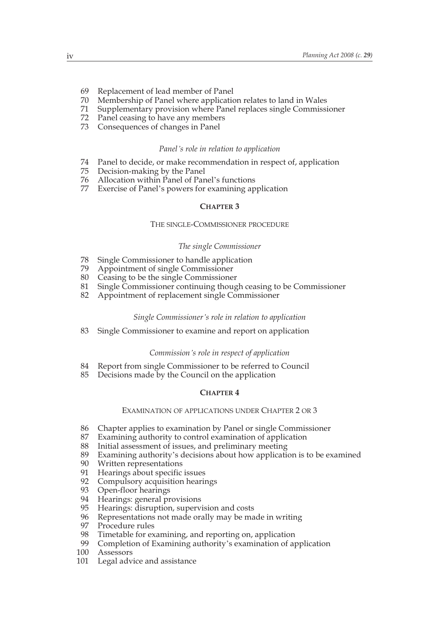- 69 Replacement of lead member of Panel
- 70 Membership of Panel where application relates to land in Wales
- 71 Supplementary provision where Panel replaces single Commissioner
- 72 Panel ceasing to have any members
- 73 Consequences of changes in Panel

#### *Panel's role in relation to application*

- 74 Panel to decide, or make recommendation in respect of, application
- 75 Decision-making by the Panel
- 76 Allocation within Panel of Panel's functions
- 77 Exercise of Panel's powers for examining application

#### **CHAPTER 3**

#### THE SINGLE-COMMISSIONER PROCEDURE

#### *The single Commissioner*

- 78 Single Commissioner to handle application
- 79 Appointment of single Commissioner
- 80 Ceasing to be the single Commissioner<br>81 Single Commissioner continuing thoug
- 81 Single Commissioner continuing though ceasing to be Commissioner<br>82 Appointment of replacement single Commissioner
- Appointment of replacement single Commissioner

#### *Single Commissioner's role in relation to application*

83 Single Commissioner to examine and report on application

#### *Commission's role in respect of application*

- 84 Report from single Commissioner to be referred to Council 85 Decisions made by the Council on the application
- Decisions made by the Council on the application

## **CHAPTER 4**

#### EXAMINATION OF APPLICATIONS UNDER CHAPTER 2 OR 3

- 86 Chapter applies to examination by Panel or single Commissioner
- 87 Examining authority to control examination of application
- 88 Initial assessment of issues, and preliminary meeting
- 89 Examining authority's decisions about how application is to be examined
- 90 Written representations
- 91 Hearings about specific issues
- 92 Compulsory acquisition hearings
- 93 Open-floor hearings<br>94 Hearings: general pr
- 94 Hearings: general provisions<br>95 Hearings: disruption, superv
- 95 Hearings: disruption, supervision and costs<br>96 Representations not made orally may be ma
- 96 Representations not made orally may be made in writing<br>97 Procedure rules
- 97 Procedure rules<br>98 Timetable for ex
- 98 Timetable for examining, and reporting on, application<br>99 Completion of Examining authority's examination of a
- 99 Completion of Examining authority's examination of application 100 Assessors
- Assessors
- 101 Legal advice and assistance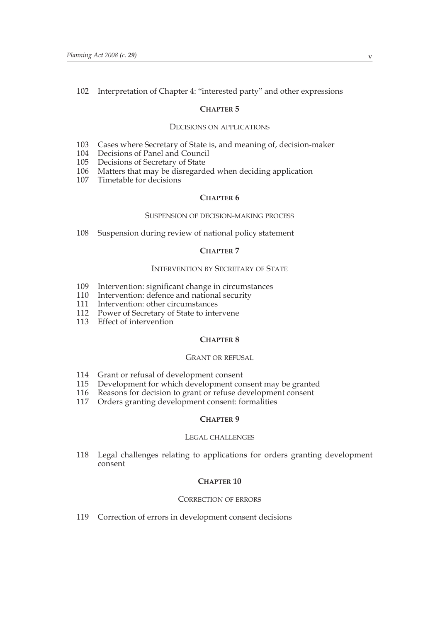## 102 Interpretation of Chapter 4: "interested party" and other expressions

### **CHAPTER 5**

#### DECISIONS ON APPLICATIONS

- 103 Cases where Secretary of State is, and meaning of, decision-maker
- 104 Decisions of Panel and Council
- 105 Decisions of Secretary of State
- 106 Matters that may be disregarded when deciding application
- 107 Timetable for decisions

## **CHAPTER 6**

#### SUSPENSION OF DECISION-MAKING PROCESS

108 Suspension during review of national policy statement

#### **CHAPTER 7**

#### INTERVENTION BY SECRETARY OF STATE

- 109 Intervention: significant change in circumstances
- 110 Intervention: defence and national security
- 111 Intervention: other circumstances
- 112 Power of Secretary of State to intervene
- 113 Effect of intervention

#### **CHAPTER 8**

#### GRANT OR REFUSAL

- 114 Grant or refusal of development consent
- 115 Development for which development consent may be granted<br>116 Reasons for decision to grant or refuse development consent
- 116 Reasons for decision to grant or refuse development consent<br>117 Orders granting development consent: formalities
- Orders granting development consent: formalities

## **CHAPTER 9**

#### LEGAL CHALLENGES

118 Legal challenges relating to applications for orders granting development consent

## **CHAPTER 10**

#### CORRECTION OF ERRORS

119 Correction of errors in development consent decisions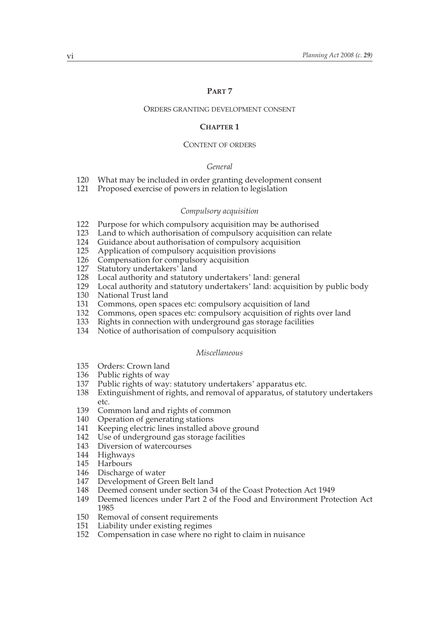## **PART 7**

#### ORDERS GRANTING DEVELOPMENT CONSENT

#### **CHAPTER 1**

#### CONTENT OF ORDERS

#### *General*

- 120 What may be included in order granting development consent<br>121 Proposed exercise of powers in relation to legislation
- Proposed exercise of powers in relation to legislation

#### *Compulsory acquisition*

- 122 Purpose for which compulsory acquisition may be authorised
- 123 Land to which authorisation of compulsory acquisition can relate<br>124 Guidance about authorisation of compulsory acquisition
- Guidance about authorisation of compulsory acquisition
- 125 Application of compulsory acquisition provisions
- 126 Compensation for compulsory acquisition<br>127 Statutory undertakers' land
- Statutory undertakers' land
- 128 Local authority and statutory undertakers' land: general
- 129 Local authority and statutory undertakers' land: acquisition by public body
- 130 National Trust land
- 131 Commons, open spaces etc: compulsory acquisition of land
- 132 Commons, open spaces etc: compulsory acquisition of rights over land
- 133 Rights in connection with underground gas storage facilities
- 134 Notice of authorisation of compulsory acquisition

## *Miscellaneous*

- 135 Orders: Crown land
- 136 Public rights of way<br>137 Public rights of way
- Public rights of way: statutory undertakers' apparatus etc.
- 138 Extinguishment of rights, and removal of apparatus, of statutory undertakers etc.
- 139 Common land and rights of common
- 140 Operation of generating stations<br>141 Keeping electric lines installed al
- Keeping electric lines installed above ground
- 142 Use of underground gas storage facilities
- 143 Diversion of watercourses
- 144 Highways
- 145 Harbours
- 
- 146 Discharge of water<br>147 Development of Gr Development of Green Belt land
- 148 Deemed consent under section 34 of the Coast Protection Act 1949
- 149 Deemed licences under Part 2 of the Food and Environment Protection Act 1985
- 150 Removal of consent requirements<br>151 Liability under existing regimes
- 151 Liability under existing regimes<br>152 Compensation in case where no
- Compensation in case where no right to claim in nuisance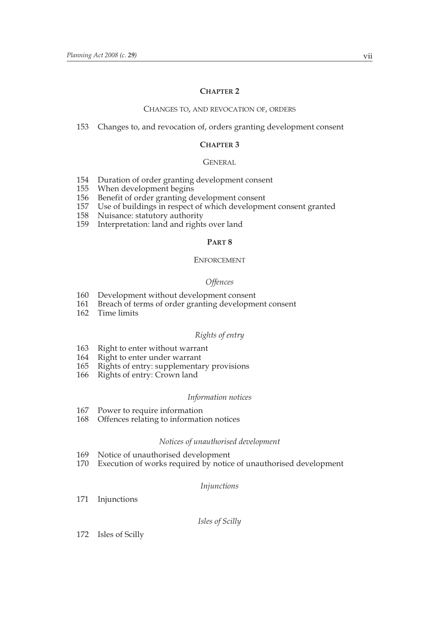## **CHAPTER 2**

#### CHANGES TO, AND REVOCATION OF, ORDERS

## 153 Changes to, and revocation of, orders granting development consent

### **CHAPTER 3**

#### GENERAL

- 154 Duration of order granting development consent<br>155 When development begins
- 155 When development begins<br>156 Benefit of order granting de
- 156 Benefit of order granting development consent<br>157 Use of buildings in respect of which developme
- 157 Use of buildings in respect of which development consent granted
- Nuisance: statutory authority
- 159 Interpretation: land and rights over land

#### **PART 8**

#### ENFORCEMENT

#### *Offences*

- 160 Development without development consent<br>161 Breach of terms of order granting development
- Breach of terms of order granting development consent
- 162 Time limits

#### *Rights of entry*

- 163 Right to enter without warrant<br>164 Right to enter under warrant
- Right to enter under warrant
- 165 Rights of entry: supplementary provisions<br>166 Rights of entry: Crown land
- Rights of entry: Crown land

#### *Information notices*

- 167 Power to require information<br>168 Offences relating to informati
- Offences relating to information notices

#### *Notices of unauthorised development*

- 169 Notice of unauthorised development<br>170 Execution of works required by notice
- Execution of works required by notice of unauthorised development

#### *Injunctions*

171 Injunctions

*Isles of Scilly*

172 Isles of Scilly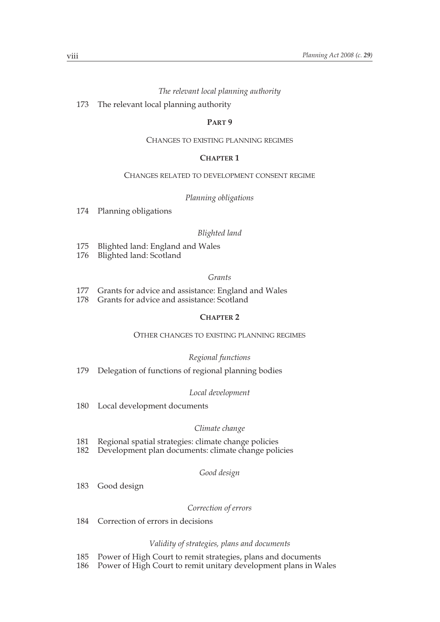### *The relevant local planning authority*

173 The relevant local planning authority

#### **PART 9**

#### CHANGES TO EXISTING PLANNING REGIMES

## **CHAPTER 1**

#### CHANGES RELATED TO DEVELOPMENT CONSENT REGIME

### *Planning obligations*

174 Planning obligations

#### *Blighted land*

- 175 Blighted land: England and Wales<br>176 Blighted land: Scotland
- Blighted land: Scotland

#### *Grants*

- 177 Grants for advice and assistance: England and Wales
- 178 Grants for advice and assistance: Scotland

## **CHAPTER 2**

## OTHER CHANGES TO EXISTING PLANNING REGIMES

#### *Regional functions*

179 Delegation of functions of regional planning bodies

#### *Local development*

180 Local development documents

#### *Climate change*

- 181 Regional spatial strategies: climate change policies<br>182 Development plan documents: climate change poli
- Development plan documents: climate change policies

#### *Good design*

183 Good design

#### *Correction of errors*

184 Correction of errors in decisions

#### *Validity of strategies, plans and documents*

- 185 Power of High Court to remit strategies, plans and documents
- 186 Power of High Court to remit unitary development plans in Wales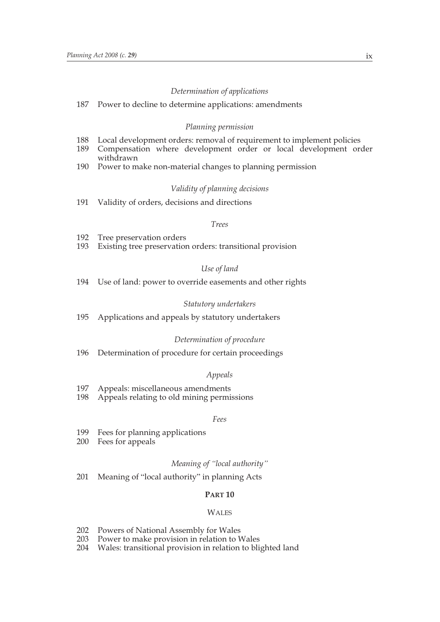#### *Determination of applications*

#### 187 Power to decline to determine applications: amendments

#### *Planning permission*

- 188 Local development orders: removal of requirement to implement policies<br>189 Compensation where development order or local development or
- Compensation where development order or local development order withdrawn
- 190 Power to make non-material changes to planning permission

#### *Validity of planning decisions*

191 Validity of orders, decisions and directions

#### *Trees*

- 192 Tree preservation orders<br>193 Existing tree preservation
- Existing tree preservation orders: transitional provision

#### *Use of land*

194 Use of land: power to override easements and other rights

#### *Statutory undertakers*

195 Applications and appeals by statutory undertakers

#### *Determination of procedure*

196 Determination of procedure for certain proceedings

#### *Appeals*

- 197 Appeals: miscellaneous amendments
- 198 Appeals relating to old mining permissions

#### *Fees*

- 199 Fees for planning applications<br>200 Fees for appeals
- Fees for appeals

#### *Meaning of "local authority"*

201 Meaning of "local authority" in planning Acts

#### **PART 10**

#### **WALES**

- 202 Powers of National Assembly for Wales<br>203 Power to make provision in relation to V
- Power to make provision in relation to Wales
- 204 Wales: transitional provision in relation to blighted land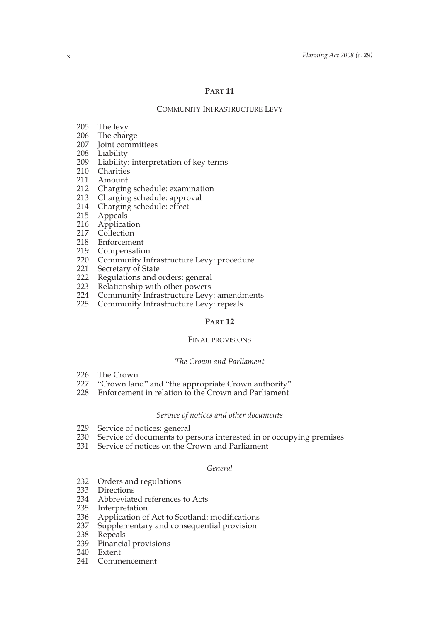#### **PART 11**

COMMUNITY INFRASTRUCTURE LEVY

- 205 The levy
- 
- 206 The charge<br>207 Joint committees 207 Joint committees
- 208 Liability
- 209 Liability: interpretation of key terms
- 210 Charities
- 211 Amount
- 212 Charging schedule: examination
- 213 Charging schedule: approval
- 214 Charging schedule: effect
- 215 Appeals
- 216 Application
- 217 Collection
- 218 Enforcement
- 219 Compensation
- 220 Community Infrastructure Levy: procedure
- 221 Secretary of State
- 222 Regulations and orders: general
- 223 Relationship with other powers
- 224 Community Infrastructure Levy: amendments<br>225 Community Infrastructure Levy: repeals
- Community Infrastructure Levy: repeals

## **PART 12**

#### FINAL PROVISIONS

## *The Crown and Parliament*

- 226 The Crown<br>227 "Crown lan
- "Crown land" and "the appropriate Crown authority"
- 228 Enforcement in relation to the Crown and Parliament

#### *Service of notices and other documents*

- 229 Service of notices: general
- 230 Service of documents to persons interested in or occupying premises
- 231 Service of notices on the Crown and Parliament

#### *General*

- 232 Orders and regulations
- 233 Directions
- 234 Abbreviated references to Acts<br>235 Interpretation
- 235 Interpretation<br>236 Application of
- 236 Application of Act to Scotland: modifications<br>237 Supplementary and consequential provision
- 237 Supplementary and consequential provision<br>238 Repeals
- 238 Repeals<br>239 Financia
- Financial provisions
- 240 Extent
- 241 Commencement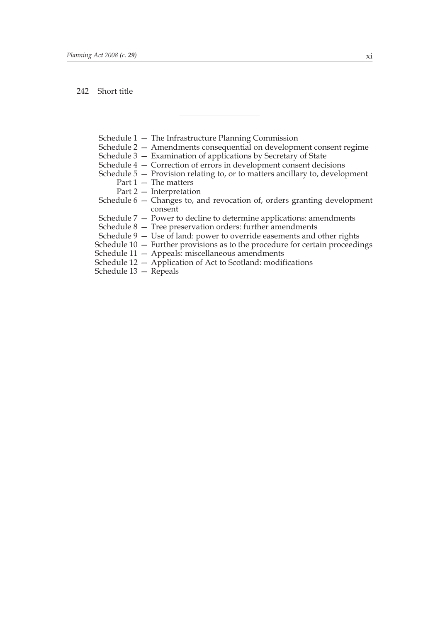#### 242 Short title

- Schedule 1 The Infrastructure Planning Commission
- Schedule 2 Amendments consequential on development consent regime
- Schedule 3 Examination of applications by Secretary of State
- Schedule 4 Correction of errors in development consent decisions
- Schedule  $5$  Provision relating to, or to matters ancillary to, development
	- Part  $1 -$  The matters
	- Part 2 Interpretation
- Schedule 6 Changes to, and revocation of, orders granting development consent
- Schedule 7 Power to decline to determine applications: amendments
- Schedule 8 Tree preservation orders: further amendments
- Schedule 9 Use of land: power to override easements and other rights
- Schedule 10 Further provisions as to the procedure for certain proceedings
- Schedule 11 Appeals: miscellaneous amendments
- Schedule 12 Application of Act to Scotland: modifications
- Schedule 13 Repeals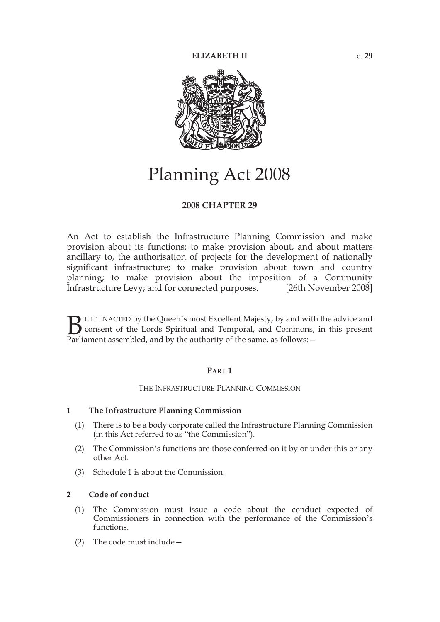

## Planning Act 2008

## **2008 CHAPTER 29**

An Act to establish the Infrastructure Planning Commission and make provision about its functions; to make provision about, and about matters ancillary to, the authorisation of projects for the development of nationally significant infrastructure; to make provision about town and country planning; to make provision about the imposition of a Community Infrastructure Levy; and for connected purposes. [26th November 2008]

E IT ENACTED by the Queen's most Excellent Majesty, by and with the advice and consent of the Lords Spiritual and Temporal, and Commons, in this present **B** E IT ENACTED by the Queen's most Excellent Majesty, by and with consent of the Lords Spiritual and Temporal, and Commons, Parliament assembled, and by the authority of the same, as follows:  $-$ 

## **PART 1**

#### THE INFRASTRUCTURE PLANNING COMMISSION

#### **1 The Infrastructure Planning Commission**

- (1) There is to be a body corporate called the Infrastructure Planning Commission (in this Act referred to as "the Commission").
- (2) The Commission's functions are those conferred on it by or under this or any other Act.
- (3) Schedule 1 is about the Commission.

## **2 Code of conduct**

- (1) The Commission must issue a code about the conduct expected of Commissioners in connection with the performance of the Commission's functions.
- (2) The code must include—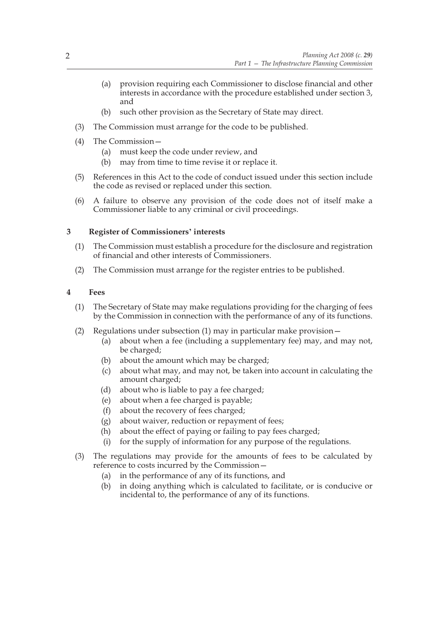- (a) provision requiring each Commissioner to disclose financial and other interests in accordance with the procedure established under section 3, and
- (b) such other provision as the Secretary of State may direct.
- (3) The Commission must arrange for the code to be published.
- (4) The Commission—
	- (a) must keep the code under review, and
	- (b) may from time to time revise it or replace it.
- (5) References in this Act to the code of conduct issued under this section include the code as revised or replaced under this section.
- (6) A failure to observe any provision of the code does not of itself make a Commissioner liable to any criminal or civil proceedings.

## **3 Register of Commissioners' interests**

- (1) The Commission must establish a procedure for the disclosure and registration of financial and other interests of Commissioners.
- (2) The Commission must arrange for the register entries to be published.

## **4 Fees**

- (1) The Secretary of State may make regulations providing for the charging of fees by the Commission in connection with the performance of any of its functions.
- (2) Regulations under subsection (1) may in particular make provision—
	- (a) about when a fee (including a supplementary fee) may, and may not, be charged;
	- (b) about the amount which may be charged;
	- (c) about what may, and may not, be taken into account in calculating the amount charged;
	- (d) about who is liable to pay a fee charged;
	- (e) about when a fee charged is payable;
	- (f) about the recovery of fees charged;
	- (g) about waiver, reduction or repayment of fees;
	- (h) about the effect of paying or failing to pay fees charged;
	- (i) for the supply of information for any purpose of the regulations.
- (3) The regulations may provide for the amounts of fees to be calculated by reference to costs incurred by the Commission—
	- (a) in the performance of any of its functions, and
	- (b) in doing anything which is calculated to facilitate, or is conducive or incidental to, the performance of any of its functions.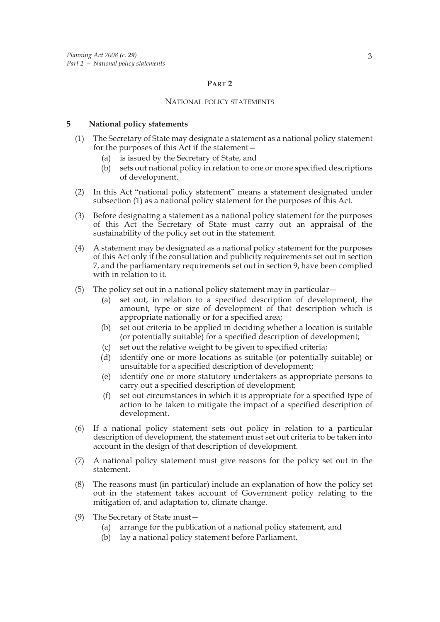## **PART 2**

#### NATIONAL POLICY STATEMENTS

### **5 National policy statements**

- (1) The Secretary of State may designate a statement as a national policy statement for the purposes of this Act if the statement—
	- (a) is issued by the Secretary of State, and
	- (b) sets out national policy in relation to one or more specified descriptions of development.
- (2) In this Act "national policy statement" means a statement designated under subsection (1) as a national policy statement for the purposes of this Act.
- (3) Before designating a statement as a national policy statement for the purposes of this Act the Secretary of State must carry out an appraisal of the sustainability of the policy set out in the statement.
- (4) A statement may be designated as a national policy statement for the purposes of this Act only if the consultation and publicity requirements set out in section 7, and the parliamentary requirements set out in section 9, have been complied with in relation to it.
- (5) The policy set out in a national policy statement may in particular—
	- (a) set out, in relation to a specified description of development, the amount, type or size of development of that description which is appropriate nationally or for a specified area;
	- (b) set out criteria to be applied in deciding whether a location is suitable (or potentially suitable) for a specified description of development;
	- (c) set out the relative weight to be given to specified criteria;
	- (d) identify one or more locations as suitable (or potentially suitable) or unsuitable for a specified description of development;
	- (e) identify one or more statutory undertakers as appropriate persons to carry out a specified description of development;
	- (f) set out circumstances in which it is appropriate for a specified type of action to be taken to mitigate the impact of a specified description of development.
- (6) If a national policy statement sets out policy in relation to a particular description of development, the statement must set out criteria to be taken into account in the design of that description of development.
- (7) A national policy statement must give reasons for the policy set out in the statement.
- (8) The reasons must (in particular) include an explanation of how the policy set out in the statement takes account of Government policy relating to the mitigation of, and adaptation to, climate change.
- (9) The Secretary of State must—
	- (a) arrange for the publication of a national policy statement, and
	- (b) lay a national policy statement before Parliament.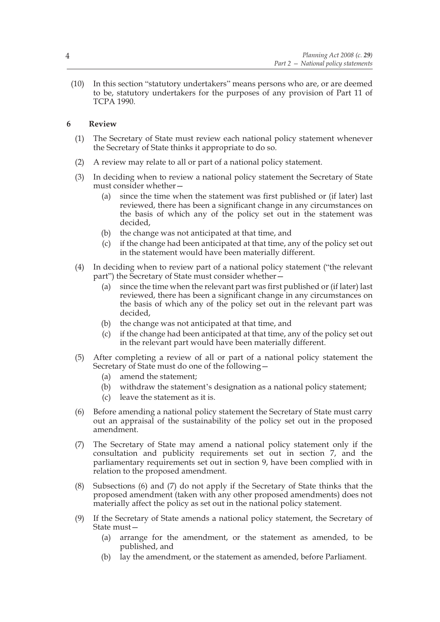(10) In this section "statutory undertakers" means persons who are, or are deemed to be, statutory undertakers for the purposes of any provision of Part 11 of TCPA 1990.

## **6 Review**

- (1) The Secretary of State must review each national policy statement whenever the Secretary of State thinks it appropriate to do so.
- (2) A review may relate to all or part of a national policy statement.
- (3) In deciding when to review a national policy statement the Secretary of State must consider whether—
	- (a) since the time when the statement was first published or (if later) last reviewed, there has been a significant change in any circumstances on the basis of which any of the policy set out in the statement was decided,
	- (b) the change was not anticipated at that time, and
	- (c) if the change had been anticipated at that time, any of the policy set out in the statement would have been materially different.
- (4) In deciding when to review part of a national policy statement ("the relevant part") the Secretary of State must consider whether—
	- (a) since the time when the relevant part was first published or (if later) last reviewed, there has been a significant change in any circumstances on the basis of which any of the policy set out in the relevant part was decided,
	- (b) the change was not anticipated at that time, and
	- (c) if the change had been anticipated at that time, any of the policy set out in the relevant part would have been materially different.
- (5) After completing a review of all or part of a national policy statement the Secretary of State must do one of the following—
	- (a) amend the statement;
	- (b) withdraw the statement's designation as a national policy statement;
	- (c) leave the statement as it is.
- (6) Before amending a national policy statement the Secretary of State must carry out an appraisal of the sustainability of the policy set out in the proposed amendment.
- (7) The Secretary of State may amend a national policy statement only if the consultation and publicity requirements set out in section 7, and the parliamentary requirements set out in section 9, have been complied with in relation to the proposed amendment.
- (8) Subsections (6) and (7) do not apply if the Secretary of State thinks that the proposed amendment (taken with any other proposed amendments) does not materially affect the policy as set out in the national policy statement.
- (9) If the Secretary of State amends a national policy statement, the Secretary of State must—
	- (a) arrange for the amendment, or the statement as amended, to be published, and
	- (b) lay the amendment, or the statement as amended, before Parliament.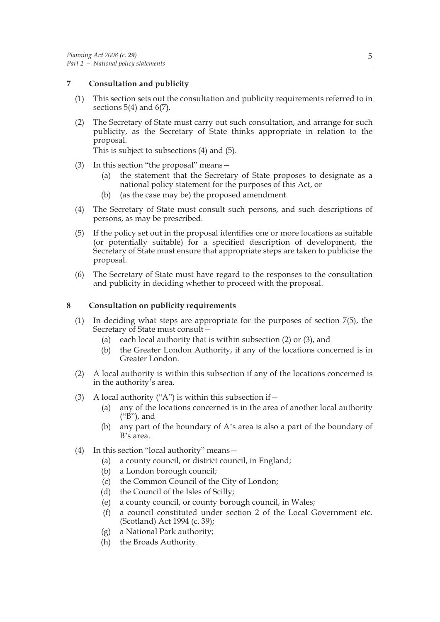## **7 Consultation and publicity**

- (1) This section sets out the consultation and publicity requirements referred to in sections  $5(4)$  and  $6(7)$ .
- (2) The Secretary of State must carry out such consultation, and arrange for such publicity, as the Secretary of State thinks appropriate in relation to the proposal.

This is subject to subsections (4) and (5).

- (3) In this section "the proposal" means—
	- (a) the statement that the Secretary of State proposes to designate as a national policy statement for the purposes of this Act, or
	- (b) (as the case may be) the proposed amendment.
- (4) The Secretary of State must consult such persons, and such descriptions of persons, as may be prescribed.
- (5) If the policy set out in the proposal identifies one or more locations as suitable (or potentially suitable) for a specified description of development, the Secretary of State must ensure that appropriate steps are taken to publicise the proposal.
- (6) The Secretary of State must have regard to the responses to the consultation and publicity in deciding whether to proceed with the proposal.

## **8 Consultation on publicity requirements**

- (1) In deciding what steps are appropriate for the purposes of section 7(5), the Secretary of State must consult—
	- (a) each local authority that is within subsection (2) or (3), and
	- (b) the Greater London Authority, if any of the locations concerned is in Greater London.
- (2) A local authority is within this subsection if any of the locations concerned is in the authority's area.
- (3) A local authority ("A") is within this subsection if  $-$ 
	- (a) any of the locations concerned is in the area of another local authority ("B"), and
	- (b) any part of the boundary of A's area is also a part of the boundary of B's area.
- (4) In this section "local authority" means—
	- (a) a county council, or district council, in England;
	- (b) a London borough council;
	- (c) the Common Council of the City of London;
	- (d) the Council of the Isles of Scilly;
	- (e) a county council, or county borough council, in Wales;
	- (f) a council constituted under section 2 of the Local Government etc. (Scotland) Act 1994 (c. 39);
	- (g) a National Park authority;
	- (h) the Broads Authority.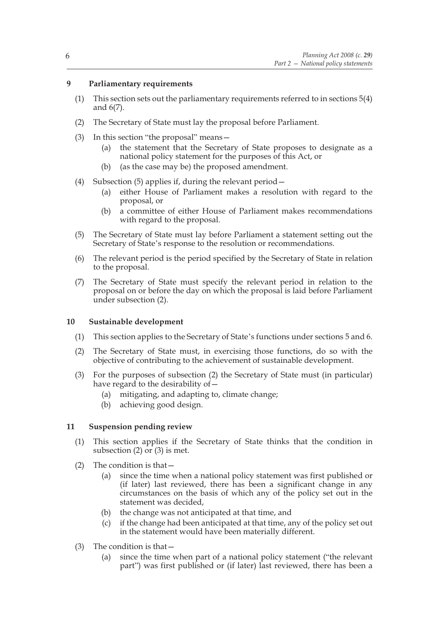## **9 Parliamentary requirements**

- (1) This section sets out the parliamentary requirements referred to in sections 5(4) and 6(7).
- (2) The Secretary of State must lay the proposal before Parliament.
- (3) In this section "the proposal" means—
	- (a) the statement that the Secretary of State proposes to designate as a national policy statement for the purposes of this Act, or
	- (b) (as the case may be) the proposed amendment.
- (4) Subsection (5) applies if, during the relevant period—
	- (a) either House of Parliament makes a resolution with regard to the proposal, or
	- (b) a committee of either House of Parliament makes recommendations with regard to the proposal.
- (5) The Secretary of State must lay before Parliament a statement setting out the Secretary of State's response to the resolution or recommendations.
- (6) The relevant period is the period specified by the Secretary of State in relation to the proposal.
- (7) The Secretary of State must specify the relevant period in relation to the proposal on or before the day on which the proposal is laid before Parliament under subsection (2).

## **10 Sustainable development**

- (1) This section applies to the Secretary of State's functions under sections 5 and 6.
- (2) The Secretary of State must, in exercising those functions, do so with the objective of contributing to the achievement of sustainable development.
- (3) For the purposes of subsection (2) the Secretary of State must (in particular) have regard to the desirability of  $-$ 
	- (a) mitigating, and adapting to, climate change;
	- (b) achieving good design.

## **11 Suspension pending review**

- (1) This section applies if the Secretary of State thinks that the condition in subsection (2) or (3) is met.
- (2) The condition is that—
	- (a) since the time when a national policy statement was first published or (if later) last reviewed, there has been a significant change in any circumstances on the basis of which any of the policy set out in the statement was decided,
	- (b) the change was not anticipated at that time, and
	- (c) if the change had been anticipated at that time, any of the policy set out in the statement would have been materially different.
- (3) The condition is that—
	- (a) since the time when part of a national policy statement ("the relevant part") was first published or (if later) last reviewed, there has been a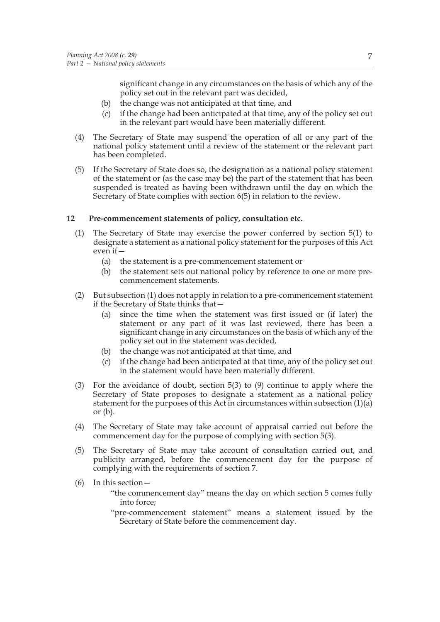significant change in any circumstances on the basis of which any of the policy set out in the relevant part was decided,

- (b) the change was not anticipated at that time, and
- (c) if the change had been anticipated at that time, any of the policy set out in the relevant part would have been materially different.
- (4) The Secretary of State may suspend the operation of all or any part of the national policy statement until a review of the statement or the relevant part has been completed.
- (5) If the Secretary of State does so, the designation as a national policy statement of the statement or (as the case may be) the part of the statement that has been suspended is treated as having been withdrawn until the day on which the Secretary of State complies with section 6(5) in relation to the review.

## **12 Pre-commencement statements of policy, consultation etc.**

- (1) The Secretary of State may exercise the power conferred by section 5(1) to designate a statement as a national policy statement for the purposes of this Act even if—
	- (a) the statement is a pre-commencement statement or
	- (b) the statement sets out national policy by reference to one or more precommencement statements.
- (2) But subsection (1) does not apply in relation to a pre-commencement statement if the Secretary of State thinks that—
	- (a) since the time when the statement was first issued or (if later) the statement or any part of it was last reviewed, there has been a significant change in any circumstances on the basis of which any of the policy set out in the statement was decided,
	- (b) the change was not anticipated at that time, and
	- (c) if the change had been anticipated at that time, any of the policy set out in the statement would have been materially different.
- (3) For the avoidance of doubt, section 5(3) to (9) continue to apply where the Secretary of State proposes to designate a statement as a national policy statement for the purposes of this Act in circumstances within subsection (1)(a) or  $(b)$ .
- (4) The Secretary of State may take account of appraisal carried out before the commencement day for the purpose of complying with section 5(3).
- (5) The Secretary of State may take account of consultation carried out, and publicity arranged, before the commencement day for the purpose of complying with the requirements of section 7.
- (6) In this section—

"the commencement day" means the day on which section 5 comes fully into force;

"pre-commencement statement" means a statement issued by the Secretary of State before the commencement day.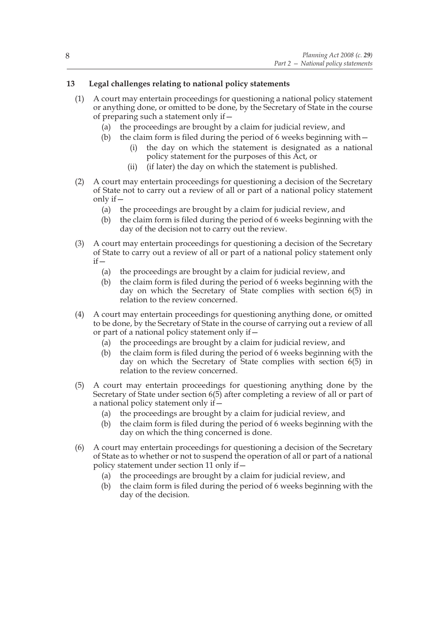## **13 Legal challenges relating to national policy statements**

- (1) A court may entertain proceedings for questioning a national policy statement or anything done, or omitted to be done, by the Secretary of State in the course of preparing such a statement only if—
	- (a) the proceedings are brought by a claim for judicial review, and
	- (b) the claim form is filed during the period of 6 weeks beginning with  $-$ 
		- (i) the day on which the statement is designated as a national policy statement for the purposes of this Act, or
		- (ii) (if later) the day on which the statement is published.
- (2) A court may entertain proceedings for questioning a decision of the Secretary of State not to carry out a review of all or part of a national policy statement only if—
	- (a) the proceedings are brought by a claim for judicial review, and
	- (b) the claim form is filed during the period of 6 weeks beginning with the day of the decision not to carry out the review.
- (3) A court may entertain proceedings for questioning a decision of the Secretary of State to carry out a review of all or part of a national policy statement only  $if -$ 
	- (a) the proceedings are brought by a claim for judicial review, and
	- (b) the claim form is filed during the period of 6 weeks beginning with the day on which the Secretary of State complies with section 6(5) in relation to the review concerned.
- (4) A court may entertain proceedings for questioning anything done, or omitted to be done, by the Secretary of State in the course of carrying out a review of all or part of a national policy statement only if—
	- (a) the proceedings are brought by a claim for judicial review, and
	- (b) the claim form is filed during the period of 6 weeks beginning with the day on which the Secretary of State complies with section 6(5) in relation to the review concerned.
- (5) A court may entertain proceedings for questioning anything done by the Secretary of State under section 6(5) after completing a review of all or part of a national policy statement only if—
	- (a) the proceedings are brought by a claim for judicial review, and
	- (b) the claim form is filed during the period of 6 weeks beginning with the day on which the thing concerned is done.
- (6) A court may entertain proceedings for questioning a decision of the Secretary of State as to whether or not to suspend the operation of all or part of a national policy statement under section 11 only if—
	- (a) the proceedings are brought by a claim for judicial review, and
	- (b) the claim form is filed during the period of 6 weeks beginning with the day of the decision.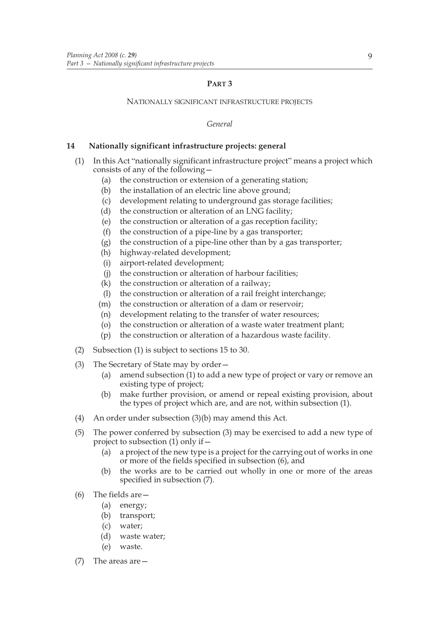## **PART 3**

### NATIONALLY SIGNIFICANT INFRASTRUCTURE PROJECTS

*General*

## **14 Nationally significant infrastructure projects: general**

- (1) In this Act "nationally significant infrastructure project" means a project which consists of any of the following—
	- (a) the construction or extension of a generating station;
	- (b) the installation of an electric line above ground;
	- (c) development relating to underground gas storage facilities;
	- (d) the construction or alteration of an LNG facility;
	- (e) the construction or alteration of a gas reception facility;
	- (f) the construction of a pipe-line by a gas transporter;
	- (g) the construction of a pipe-line other than by a gas transporter;
	- (h) highway-related development;
	- (i) airport-related development;
	- (j) the construction or alteration of harbour facilities;
	- (k) the construction or alteration of a railway;
	- (l) the construction or alteration of a rail freight interchange;
	- (m) the construction or alteration of a dam or reservoir;
	- (n) development relating to the transfer of water resources;
	- (o) the construction or alteration of a waste water treatment plant;
	- (p) the construction or alteration of a hazardous waste facility.
- (2) Subsection (1) is subject to sections 15 to 30.
- (3) The Secretary of State may by order—
	- (a) amend subsection (1) to add a new type of project or vary or remove an existing type of project;
	- (b) make further provision, or amend or repeal existing provision, about the types of project which are, and are not, within subsection (1).
- (4) An order under subsection (3)(b) may amend this Act.
- (5) The power conferred by subsection (3) may be exercised to add a new type of project to subsection  $(1)$  only if  $-$ 
	- (a) a project of the new type is a project for the carrying out of works in one or more of the fields specified in subsection (6), and
	- (b) the works are to be carried out wholly in one or more of the areas specified in subsection (7).
- (6) The fields are—
	- (a) energy;
	- (b) transport;
	- (c) water;
	- (d) waste water;
	- (e) waste.
- (7) The areas are—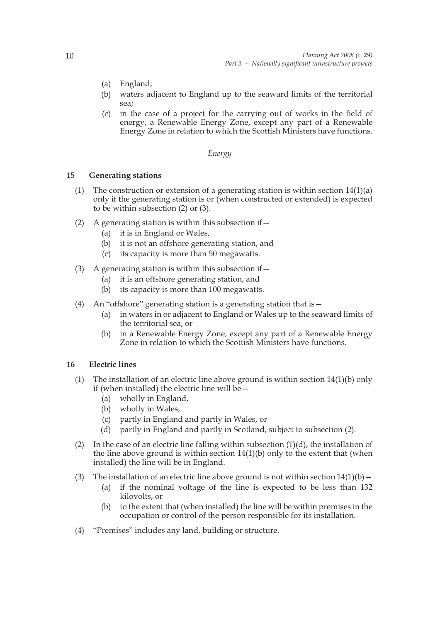- (a) England;
- (b) waters adjacent to England up to the seaward limits of the territorial sea;
- (c) in the case of a project for the carrying out of works in the field of energy, a Renewable Energy Zone, except any part of a Renewable Energy Zone in relation to which the Scottish Ministers have functions.

## *Energy*

## **15 Generating stations**

- (1) The construction or extension of a generating station is within section  $14(1)(a)$ only if the generating station is or (when constructed or extended) is expected to be within subsection (2) or (3).
- (2) A generating station is within this subsection if  $-$ 
	- (a) it is in England or Wales,
	- (b) it is not an offshore generating station, and
	- (c) its capacity is more than 50 megawatts.
- (3) A generating station is within this subsection if  $-$ 
	- (a) it is an offshore generating station, and
	- (b) its capacity is more than 100 megawatts.
- (4) An "offshore" generating station is a generating station that is—
	- (a) in waters in or adjacent to England or Wales up to the seaward limits of the territorial sea, or
	- (b) in a Renewable Energy Zone, except any part of a Renewable Energy Zone in relation to which the Scottish Ministers have functions.

#### **16 Electric lines**

- (1) The installation of an electric line above ground is within section 14(1)(b) only if (when installed) the electric line will be—
	- (a) wholly in England,
	- (b) wholly in Wales,
	- (c) partly in England and partly in Wales, or
	- (d) partly in England and partly in Scotland, subject to subsection (2).
- (2) In the case of an electric line falling within subsection  $(1)(d)$ , the installation of the line above ground is within section  $14(1)(b)$  only to the extent that (when installed) the line will be in England.
- (3) The installation of an electric line above ground is not within section  $14(1)(b)$ 
	- (a) if the nominal voltage of the line is expected to be less than 132 kilovolts, or
	- (b) to the extent that (when installed) the line will be within premises in the occupation or control of the person responsible for its installation.
- (4) "Premises" includes any land, building or structure.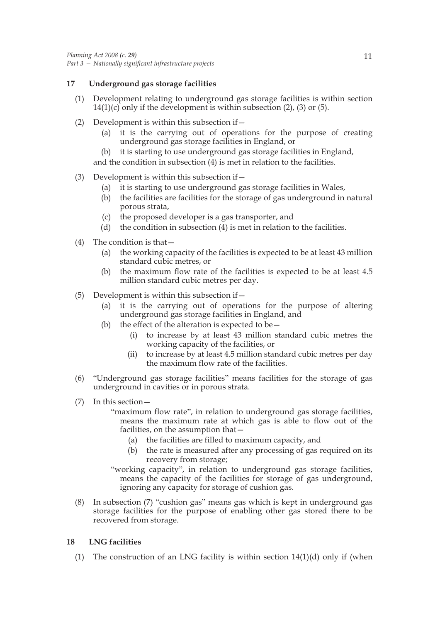## **17 Underground gas storage facilities**

- (1) Development relating to underground gas storage facilities is within section  $14(1)(c)$  only if the development is within subsection (2), (3) or (5).
- (2) Development is within this subsection if—
	- (a) it is the carrying out of operations for the purpose of creating underground gas storage facilities in England, or
	- (b) it is starting to use underground gas storage facilities in England, and the condition in subsection (4) is met in relation to the facilities.

## (3) Development is within this subsection if—

- (a) it is starting to use underground gas storage facilities in Wales,
- (b) the facilities are facilities for the storage of gas underground in natural porous strata,
- (c) the proposed developer is a gas transporter, and
- (d) the condition in subsection (4) is met in relation to the facilities.
- (4) The condition is that—
	- (a) the working capacity of the facilities is expected to be at least 43 million standard cubic metres, or
	- (b) the maximum flow rate of the facilities is expected to be at least 4.5 million standard cubic metres per day.
- (5) Development is within this subsection if—
	- (a) it is the carrying out of operations for the purpose of altering underground gas storage facilities in England, and
	- (b) the effect of the alteration is expected to be  $-$ 
		- (i) to increase by at least 43 million standard cubic metres the working capacity of the facilities, or
		- (ii) to increase by at least 4.5 million standard cubic metres per day the maximum flow rate of the facilities.
- (6) "Underground gas storage facilities" means facilities for the storage of gas underground in cavities or in porous strata.
- (7) In this section—
	- "maximum flow rate", in relation to underground gas storage facilities, means the maximum rate at which gas is able to flow out of the facilities, on the assumption that—
		- (a) the facilities are filled to maximum capacity, and
		- (b) the rate is measured after any processing of gas required on its recovery from storage;

"working capacity", in relation to underground gas storage facilities, means the capacity of the facilities for storage of gas underground, ignoring any capacity for storage of cushion gas.

(8) In subsection (7) "cushion gas" means gas which is kept in underground gas storage facilities for the purpose of enabling other gas stored there to be recovered from storage.

## **18 LNG facilities**

(1) The construction of an LNG facility is within section  $14(1)(d)$  only if (when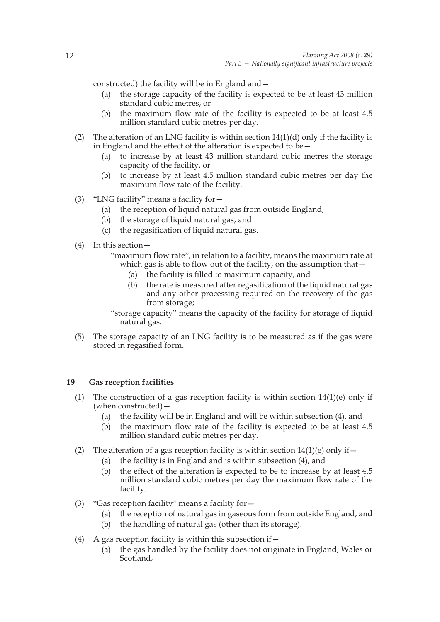constructed) the facility will be in England and—

- (a) the storage capacity of the facility is expected to be at least 43 million standard cubic metres, or
- (b) the maximum flow rate of the facility is expected to be at least 4.5 million standard cubic metres per day.
- (2) The alteration of an LNG facility is within section  $14(1)(d)$  only if the facility is in England and the effect of the alteration is expected to be—
	- (a) to increase by at least 43 million standard cubic metres the storage capacity of the facility, or
	- (b) to increase by at least 4.5 million standard cubic metres per day the maximum flow rate of the facility.
- (3) "LNG facility" means a facility for—
	- (a) the reception of liquid natural gas from outside England,
	- (b) the storage of liquid natural gas, and
	- (c) the regasification of liquid natural gas.
- (4) In this section—
	- "maximum flow rate", in relation to a facility, means the maximum rate at which gas is able to flow out of the facility, on the assumption that—
		- (a) the facility is filled to maximum capacity, and
		- (b) the rate is measured after regasification of the liquid natural gas and any other processing required on the recovery of the gas from storage;

"storage capacity" means the capacity of the facility for storage of liquid natural gas.

(5) The storage capacity of an LNG facility is to be measured as if the gas were stored in regasified form.

## **19 Gas reception facilities**

- (1) The construction of a gas reception facility is within section 14(1)(e) only if (when constructed)—
	- (a) the facility will be in England and will be within subsection (4), and
	- (b) the maximum flow rate of the facility is expected to be at least 4.5 million standard cubic metres per day.
- (2) The alteration of a gas reception facility is within section  $14(1)(e)$  only if  $-$ 
	- (a) the facility is in England and is within subsection (4), and
	- (b) the effect of the alteration is expected to be to increase by at least 4.5 million standard cubic metres per day the maximum flow rate of the facility.
- (3) "Gas reception facility" means a facility for—
	- (a) the reception of natural gas in gaseous form from outside England, and
	- (b) the handling of natural gas (other than its storage).
- (4) A gas reception facility is within this subsection if  $-$ 
	- (a) the gas handled by the facility does not originate in England, Wales or Scotland.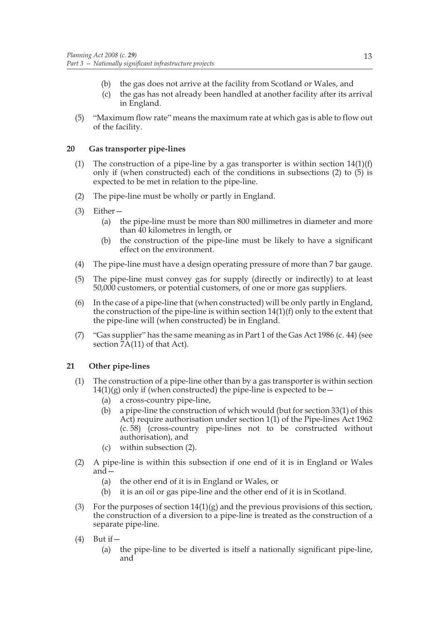- (b) the gas does not arrive at the facility from Scotland or Wales, and
- (c) the gas has not already been handled at another facility after its arrival in England.
- (5) "Maximum flow rate" means the maximum rate at which gas is able to flow out of the facility.

## **20 Gas transporter pipe-lines**

- (1) The construction of a pipe-line by a gas transporter is within section  $14(1)(f)$ only if (when constructed) each of the conditions in subsections (2) to (5) is expected to be met in relation to the pipe-line.
- (2) The pipe-line must be wholly or partly in England.
- (3) Either—
	- (a) the pipe-line must be more than 800 millimetres in diameter and more than 40 kilometres in length, or
	- (b) the construction of the pipe-line must be likely to have a significant effect on the environment.
- (4) The pipe-line must have a design operating pressure of more than 7 bar gauge.
- (5) The pipe-line must convey gas for supply (directly or indirectly) to at least 50,000 customers, or potential customers, of one or more gas suppliers.
- (6) In the case of a pipe-line that (when constructed) will be only partly in England, the construction of the pipe-line is within section  $14(1)(f)$  only to the extent that the pipe-line will (when constructed) be in England.
- (7) "Gas supplier" has the same meaning as in Part 1 of the Gas Act 1986 (c. 44) (see section  $\overline{7}A(11)$  of that Act).

## **21 Other pipe-lines**

- (1) The construction of a pipe-line other than by a gas transporter is within section  $14(1)(g)$  only if (when constructed) the pipe-line is expected to be –
	- (a) a cross-country pipe-line,
	- (b) a pipe-line the construction of which would (but for section 33(1) of this Act) require authorisation under section 1(1) of the Pipe-lines Act 1962 (c. 58) (cross-country pipe-lines not to be constructed without authorisation), and
	- (c) within subsection (2).
- (2) A pipe-line is within this subsection if one end of it is in England or Wales and—
	- (a) the other end of it is in England or Wales, or
	- (b) it is an oil or gas pipe-line and the other end of it is in Scotland.
- (3) For the purposes of section  $14(1)(g)$  and the previous provisions of this section, the construction of a diversion to a pipe-line is treated as the construction of a separate pipe-line.
- $(4)$  But if  $-$ 
	- (a) the pipe-line to be diverted is itself a nationally significant pipe-line, and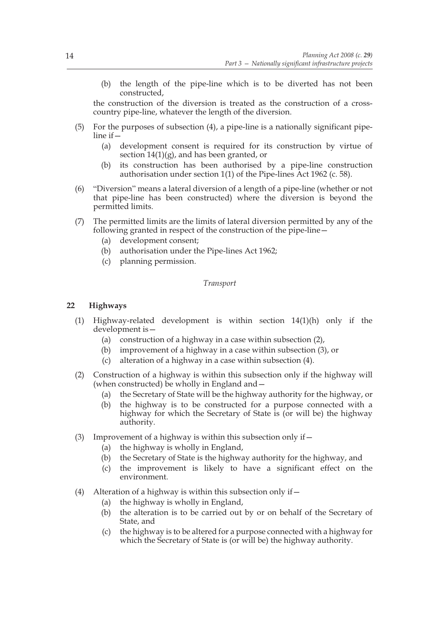(b) the length of the pipe-line which is to be diverted has not been constructed,

the construction of the diversion is treated as the construction of a crosscountry pipe-line, whatever the length of the diversion.

- (5) For the purposes of subsection (4), a pipe-line is a nationally significant pipeline if—
	- (a) development consent is required for its construction by virtue of section  $14(1)(g)$ , and has been granted, or
	- (b) its construction has been authorised by a pipe-line construction authorisation under section 1(1) of the Pipe-lines Act 1962 (c. 58).
- (6) "Diversion" means a lateral diversion of a length of a pipe-line (whether or not that pipe-line has been constructed) where the diversion is beyond the permitted limits.
- (7) The permitted limits are the limits of lateral diversion permitted by any of the following granted in respect of the construction of the pipe-line—
	- (a) development consent;
	- (b) authorisation under the Pipe-lines Act 1962;
	- (c) planning permission.

#### *Transport*

## **22 Highways**

- (1) Highway-related development is within section 14(1)(h) only if the development is—
	- (a) construction of a highway in a case within subsection (2),
	- (b) improvement of a highway in a case within subsection (3), or
	- (c) alteration of a highway in a case within subsection (4).
- (2) Construction of a highway is within this subsection only if the highway will (when constructed) be wholly in England and  $-$ 
	- (a) the Secretary of State will be the highway authority for the highway, or
	- (b) the highway is to be constructed for a purpose connected with a highway for which the Secretary of State is (or will be) the highway authority.
- (3) Improvement of a highway is within this subsection only if  $-$ 
	- (a) the highway is wholly in England,
	- (b) the Secretary of State is the highway authority for the highway, and
	- (c) the improvement is likely to have a significant effect on the environment.
- (4) Alteration of a highway is within this subsection only if  $-$ 
	- (a) the highway is wholly in England,
	- (b) the alteration is to be carried out by or on behalf of the Secretary of State, and
	- (c) the highway is to be altered for a purpose connected with a highway for which the Secretary of State is (or will be) the highway authority.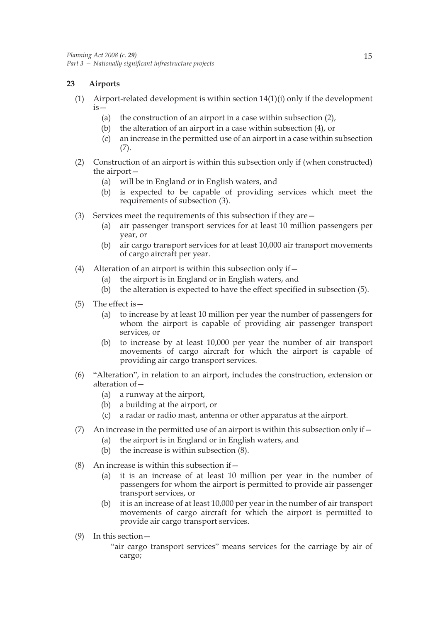## **23 Airports**

- (1) Airport-related development is within section  $14(1)(i)$  only if the development is—
	- (a) the construction of an airport in a case within subsection (2),
	- (b) the alteration of an airport in a case within subsection (4), or
	- (c) an increase in the permitted use of an airport in a case within subsection (7).
- (2) Construction of an airport is within this subsection only if (when constructed) the airport—
	- (a) will be in England or in English waters, and
	- (b) is expected to be capable of providing services which meet the requirements of subsection (3).
- (3) Services meet the requirements of this subsection if they are—
	- (a) air passenger transport services for at least 10 million passengers per year, or
	- (b) air cargo transport services for at least 10,000 air transport movements of cargo aircraft per year.
- (4) Alteration of an airport is within this subsection only if—
	- (a) the airport is in England or in English waters, and
	- (b) the alteration is expected to have the effect specified in subsection (5).
- (5) The effect is—
	- (a) to increase by at least 10 million per year the number of passengers for whom the airport is capable of providing air passenger transport services, or
	- (b) to increase by at least 10,000 per year the number of air transport movements of cargo aircraft for which the airport is capable of providing air cargo transport services.
- (6) "Alteration", in relation to an airport, includes the construction, extension or alteration of—
	- (a) a runway at the airport,
	- (b) a building at the airport, or
	- (c) a radar or radio mast, antenna or other apparatus at the airport.
- (7) An increase in the permitted use of an airport is within this subsection only if  $-$ 
	- (a) the airport is in England or in English waters, and
	- (b) the increase is within subsection (8).
- (8) An increase is within this subsection if  $-$ 
	- (a) it is an increase of at least 10 million per year in the number of passengers for whom the airport is permitted to provide air passenger transport services, or
	- (b) it is an increase of at least 10,000 per year in the number of air transport movements of cargo aircraft for which the airport is permitted to provide air cargo transport services.
- (9) In this section—
	- "air cargo transport services" means services for the carriage by air of cargo;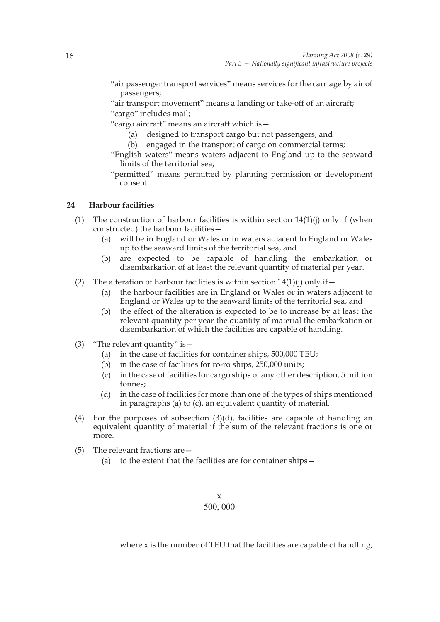"air passenger transport services" means services for the carriage by air of passengers;

"air transport movement" means a landing or take-off of an aircraft; "cargo" includes mail;

"cargo aircraft" means an aircraft which is—

- (a) designed to transport cargo but not passengers, and
- (b) engaged in the transport of cargo on commercial terms;
- "English waters" means waters adjacent to England up to the seaward limits of the territorial sea;

"permitted" means permitted by planning permission or development consent.

## **24 Harbour facilities**

- (1) The construction of harbour facilities is within section  $14(1)(i)$  only if (when constructed) the harbour facilities—
	- (a) will be in England or Wales or in waters adjacent to England or Wales up to the seaward limits of the territorial sea, and
	- (b) are expected to be capable of handling the embarkation or disembarkation of at least the relevant quantity of material per year.
- (2) The alteration of harbour facilities is within section  $14(1)(i)$  only if  $-$ 
	- (a) the harbour facilities are in England or Wales or in waters adjacent to England or Wales up to the seaward limits of the territorial sea, and
	- (b) the effect of the alteration is expected to be to increase by at least the relevant quantity per year the quantity of material the embarkation or disembarkation of which the facilities are capable of handling.
- (3) "The relevant quantity" is—
	- (a) in the case of facilities for container ships, 500,000 TEU;
	- (b) in the case of facilities for ro-ro ships, 250,000 units;
	- (c) in the case of facilities for cargo ships of any other description, 5 million tonnes;
	- (d) in the case of facilities for more than one of the types of ships mentioned in paragraphs (a) to (c), an equivalent quantity of material.
- (4) For the purposes of subsection (3)(d), facilities are capable of handling an equivalent quantity of material if the sum of the relevant fractions is one or more.
- (5) The relevant fractions are—
	- (a) to the extent that the facilities are for container ships—

# $\frac{x}{500,000}$

where x is the number of TEU that the facilities are capable of handling;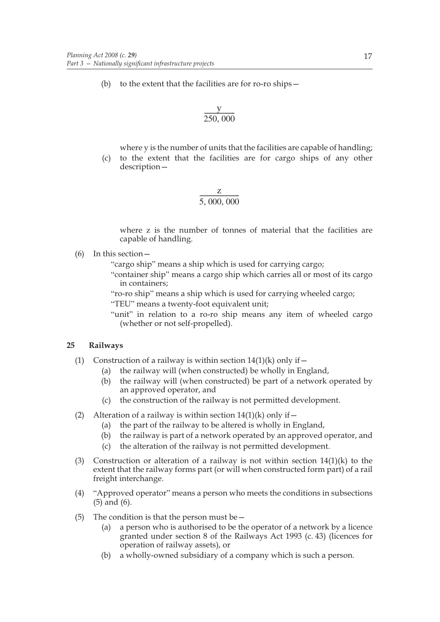(b) to the extent that the facilities are for ro-ro ships—

$$
\frac{y}{250,000}
$$

where y is the number of units that the facilities are capable of handling;

(c) to the extent that the facilities are for cargo ships of any other description—

$$
\frac{z}{5,000,000}
$$

where z is the number of tonnes of material that the facilities are capable of handling.

(6) In this section—

"cargo ship" means a ship which is used for carrying cargo;

- "container ship" means a cargo ship which carries all or most of its cargo in containers;
- "ro-ro ship" means a ship which is used for carrying wheeled cargo;
- "TEU" means a twenty-foot equivalent unit;
- "unit" in relation to a ro-ro ship means any item of wheeled cargo (whether or not self-propelled).

## **25 Railways**

- (1) Construction of a railway is within section  $14(1)(k)$  only if  $$ 
	- the railway will (when constructed) be wholly in England,
	- (b) the railway will (when constructed) be part of a network operated by an approved operator, and
	- (c) the construction of the railway is not permitted development.
- (2) Alteration of a railway is within section  $14(1)(k)$  only if  $-$ 
	- (a) the part of the railway to be altered is wholly in England,
	- (b) the railway is part of a network operated by an approved operator, and
	- (c) the alteration of the railway is not permitted development.
- (3) Construction or alteration of a railway is not within section  $14(1)(k)$  to the extent that the railway forms part (or will when constructed form part) of a rail freight interchange.
- (4) "Approved operator" means a person who meets the conditions in subsections (5) and (6).
- (5) The condition is that the person must be  $-$ 
	- (a) a person who is authorised to be the operator of a network by a licence granted under section 8 of the Railways Act 1993 (c. 43) (licences for operation of railway assets), or
	- (b) a wholly-owned subsidiary of a company which is such a person.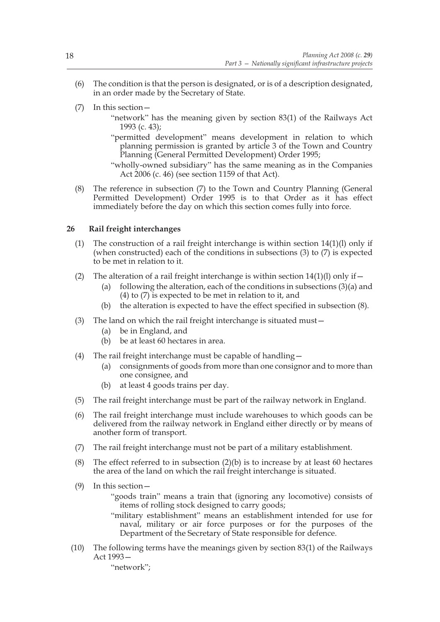- (6) The condition is that the person is designated, or is of a description designated, in an order made by the Secretary of State.
- (7) In this section—
	- "network" has the meaning given by section 83(1) of the Railways Act 1993 (c. 43);
	- "permitted development" means development in relation to which planning permission is granted by article 3 of the Town and Country Planning (General Permitted Development) Order 1995;

(8) The reference in subsection (7) to the Town and Country Planning (General Permitted Development) Order 1995 is to that Order as it has effect immediately before the day on which this section comes fully into force.

## **26 Rail freight interchanges**

- (1) The construction of a rail freight interchange is within section  $14(1)(l)$  only if (when constructed) each of the conditions in subsections (3) to (7) is expected to be met in relation to it.
- (2) The alteration of a rail freight interchange is within section  $14(1)(l)$  only if  $-$ 
	- (a) following the alteration, each of the conditions in subsections  $(3)(a)$  and (4) to  $(7)$  is expected to be met in relation to it, and
	- (b) the alteration is expected to have the effect specified in subsection (8).
- (3) The land on which the rail freight interchange is situated must—
	- (a) be in England, and
	- (b) be at least 60 hectares in area.
- (4) The rail freight interchange must be capable of handling—
	- (a) consignments of goods from more than one consignor and to more than one consignee, and
	- (b) at least 4 goods trains per day.
- (5) The rail freight interchange must be part of the railway network in England.
- (6) The rail freight interchange must include warehouses to which goods can be delivered from the railway network in England either directly or by means of another form of transport.
- (7) The rail freight interchange must not be part of a military establishment.
- (8) The effect referred to in subsection  $(2)(b)$  is to increase by at least 60 hectares the area of the land on which the rail freight interchange is situated.
- (9) In this section—

"goods train" means a train that (ignoring any locomotive) consists of items of rolling stock designed to carry goods;

- "military establishment" means an establishment intended for use for naval, military or air force purposes or for the purposes of the Department of the Secretary of State responsible for defence.
- (10) The following terms have the meanings given by section 83(1) of the Railways Act 1993—

"network";

<sup>&</sup>quot;wholly-owned subsidiary" has the same meaning as in the Companies Act 2006 (c. 46) (see section 1159 of that Act).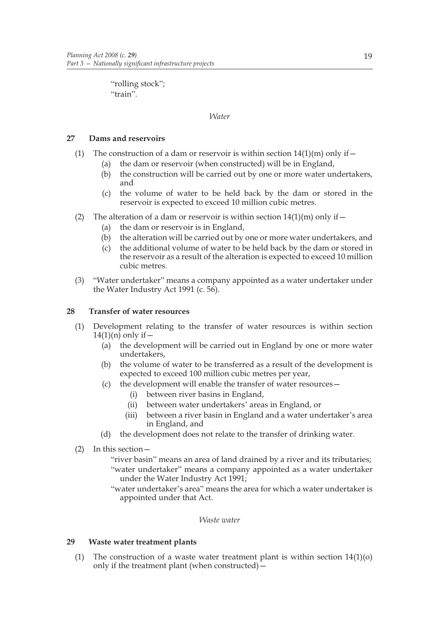"rolling stock"; "train".

## *Water*

## **27 Dams and reservoirs**

- (1) The construction of a dam or reservoir is within section  $14(1)(m)$  only if  $-$ 
	- (a) the dam or reservoir (when constructed) will be in England,
	- (b) the construction will be carried out by one or more water undertakers, and
	- (c) the volume of water to be held back by the dam or stored in the reservoir is expected to exceed 10 million cubic metres.
- (2) The alteration of a dam or reservoir is within section  $14(1)(m)$  only if  $-$ 
	- (a) the dam or reservoir is in England,
	- (b) the alteration will be carried out by one or more water undertakers, and
	- (c) the additional volume of water to be held back by the dam or stored in the reservoir as a result of the alteration is expected to exceed 10 million cubic metres.
- (3) "Water undertaker" means a company appointed as a water undertaker under the Water Industry Act 1991 (c.  $5\overline{6}$ ).

## **28 Transfer of water resources**

- (1) Development relating to the transfer of water resources is within section  $14(1)(n)$  only if  $-$ 
	- (a) the development will be carried out in England by one or more water undertakers,
	- (b) the volume of water to be transferred as a result of the development is expected to exceed 100 million cubic metres per year,
	- (c) the development will enable the transfer of water resources—
		- (i) between river basins in England,
		- (ii) between water undertakers' areas in England, or
		- (iii) between a river basin in England and a water undertaker's area in England, and
	- (d) the development does not relate to the transfer of drinking water.
- (2) In this section—

"river basin" means an area of land drained by a river and its tributaries; "water undertaker" means a company appointed as a water undertaker under the Water Industry Act 1991;

"water undertaker's area" means the area for which a water undertaker is appointed under that Act.

#### *Waste water*

## **29 Waste water treatment plants**

(1) The construction of a waste water treatment plant is within section  $14(1)(o)$ only if the treatment plant (when constructed)—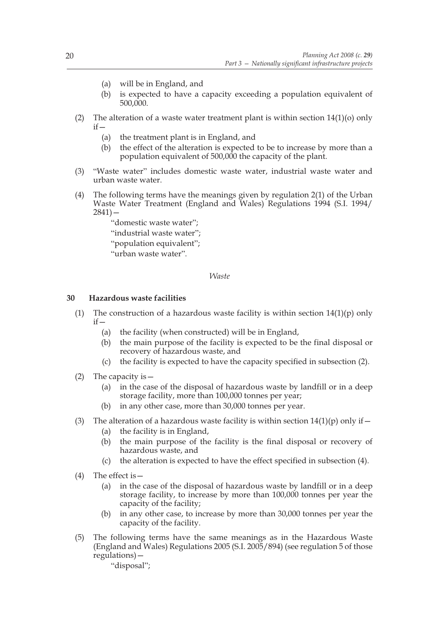- (a) will be in England, and
- (b) is expected to have a capacity exceeding a population equivalent of 500,000.
- (2) The alteration of a waste water treatment plant is within section  $14(1)(o)$  only  $if$ 
	- (a) the treatment plant is in England, and
	- (b) the effect of the alteration is expected to be to increase by more than a population equivalent of 500,000 the capacity of the plant.
- (3) "Waste water" includes domestic waste water, industrial waste water and urban waste water.
- (4) The following terms have the meanings given by regulation 2(1) of the Urban Waste Water Treatment (England and Wales) Regulations 1994 (S.I. 1994/  $2841$ ) –

"domestic waste water"; "industrial waste water"; "population equivalent"; "urban waste water".

## *Waste*

## **30 Hazardous waste facilities**

- (1) The construction of a hazardous waste facility is within section  $14(1)(p)$  only  $if$ 
	- (a) the facility (when constructed) will be in England,
	- (b) the main purpose of the facility is expected to be the final disposal or recovery of hazardous waste, and
	- (c) the facility is expected to have the capacity specified in subsection (2).
- (2) The capacity is—
	- (a) in the case of the disposal of hazardous waste by landfill or in a deep storage facility, more than 100,000 tonnes per year;
	- (b) in any other case, more than 30,000 tonnes per year.
- (3) The alteration of a hazardous waste facility is within section  $14(1)(p)$  only if  $-$ 
	- (a) the facility is in England,
	- (b) the main purpose of the facility is the final disposal or recovery of hazardous waste, and
	- (c) the alteration is expected to have the effect specified in subsection (4).
- (4) The effect is—
	- (a) in the case of the disposal of hazardous waste by landfill or in a deep storage facility, to increase by more than 100,000 tonnes per year the capacity of the facility;
	- (b) in any other case, to increase by more than 30,000 tonnes per year the capacity of the facility.
- (5) The following terms have the same meanings as in the Hazardous Waste (England and Wales) Regulations 2005 (S.I. 2005/894) (see regulation 5 of those regulations)—

"disposal";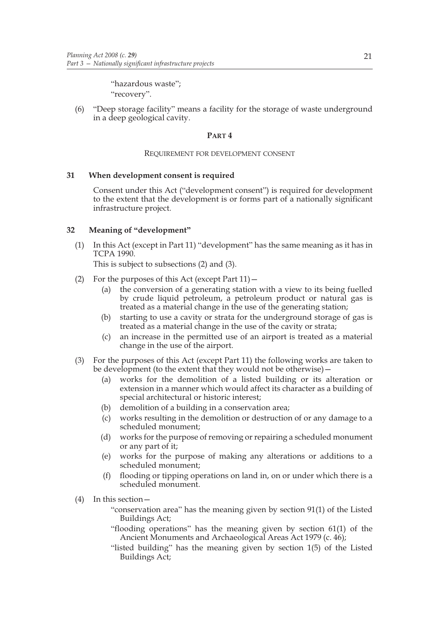"hazardous waste"; "recovery".

(6) "Deep storage facility" means a facility for the storage of waste underground in a deep geological cavity.

## **PART 4**

## REQUIREMENT FOR DEVELOPMENT CONSENT

## **31 When development consent is required**

Consent under this Act ("development consent") is required for development to the extent that the development is or forms part of a nationally significant infrastructure project.

## **32 Meaning of "development"**

(1) In this Act (except in Part 11) "development" has the same meaning as it has in TCPA 1990.

This is subject to subsections (2) and (3).

- (2) For the purposes of this Act (except Part  $11$ )  $-$ 
	- (a) the conversion of a generating station with a view to its being fuelled by crude liquid petroleum, a petroleum product or natural gas is treated as a material change in the use of the generating station;
	- (b) starting to use a cavity or strata for the underground storage of gas is treated as a material change in the use of the cavity or strata;
	- (c) an increase in the permitted use of an airport is treated as a material change in the use of the airport.
- (3) For the purposes of this Act (except Part 11) the following works are taken to be development (to the extent that they would not be otherwise)—
	- (a) works for the demolition of a listed building or its alteration or extension in a manner which would affect its character as a building of special architectural or historic interest;
	- (b) demolition of a building in a conservation area;
	- (c) works resulting in the demolition or destruction of or any damage to a scheduled monument;
	- (d) works for the purpose of removing or repairing a scheduled monument or any part of it;
	- (e) works for the purpose of making any alterations or additions to a scheduled monument;
	- (f) flooding or tipping operations on land in, on or under which there is a scheduled monument.
- (4) In this section—

"conservation area" has the meaning given by section 91(1) of the Listed Buildings Act;

- "flooding operations" has the meaning given by section 61(1) of the Ancient Monuments and Archaeological Areas Act 1979 (c. 46);
- "listed building" has the meaning given by section 1(5) of the Listed Buildings Act;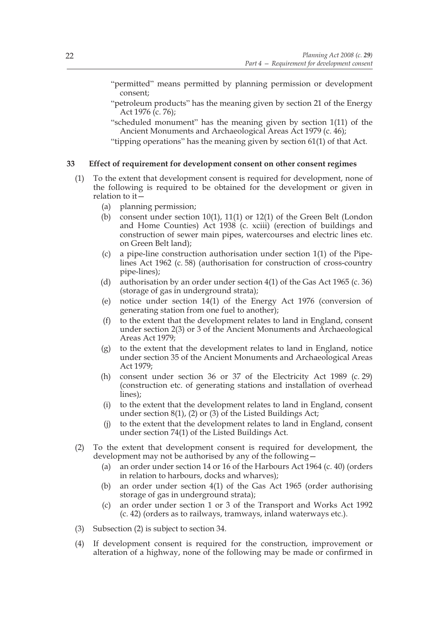"permitted" means permitted by planning permission or development consent;

- "petroleum products" has the meaning given by section 21 of the Energy Act 1976 (c. 76);
- "scheduled monument" has the meaning given by section 1(11) of the Ancient Monuments and Archaeological Areas Act 1979 (c. 46);

"tipping operations" has the meaning given by section 61(1) of that Act.

## **33 Effect of requirement for development consent on other consent regimes**

- (1) To the extent that development consent is required for development, none of the following is required to be obtained for the development or given in relation to it—
	- (a) planning permission;
	- (b) consent under section 10(1), 11(1) or 12(1) of the Green Belt (London and Home Counties) Act 1938 (c. xciii) (erection of buildings and construction of sewer main pipes, watercourses and electric lines etc. on Green Belt land);
	- (c) a pipe-line construction authorisation under section 1(1) of the Pipelines Act 1962 (c. 58) (authorisation for construction of cross-country pipe-lines);
	- (d) authorisation by an order under section 4(1) of the Gas Act 1965 (c. 36) (storage of gas in underground strata);
	- (e) notice under section 14(1) of the Energy Act 1976 (conversion of generating station from one fuel to another);
	- (f) to the extent that the development relates to land in England, consent under section 2(3) or 3 of the Ancient Monuments and Archaeological Areas Act 1979;
	- (g) to the extent that the development relates to land in England, notice under section 35 of the Ancient Monuments and Archaeological Areas Act 1979;
	- (h) consent under section 36 or 37 of the Electricity Act 1989 (c. 29) (construction etc. of generating stations and installation of overhead lines);
	- (i) to the extent that the development relates to land in England, consent under section  $8(1)$ ,  $(2)$  or  $(3)$  of the Listed Buildings Act;
	- (j) to the extent that the development relates to land in England, consent under section 74(1) of the Listed Buildings Act.
- (2) To the extent that development consent is required for development, the development may not be authorised by any of the following—
	- (a) an order under section 14 or 16 of the Harbours Act 1964 (c. 40) (orders in relation to harbours, docks and wharves);
	- (b) an order under section 4(1) of the Gas Act 1965 (order authorising storage of gas in underground strata);
	- (c) an order under section 1 or 3 of the Transport and Works Act 1992 (c. 42) (orders as to railways, tramways, inland waterways etc.).
- (3) Subsection (2) is subject to section 34.
- (4) If development consent is required for the construction, improvement or alteration of a highway, none of the following may be made or confirmed in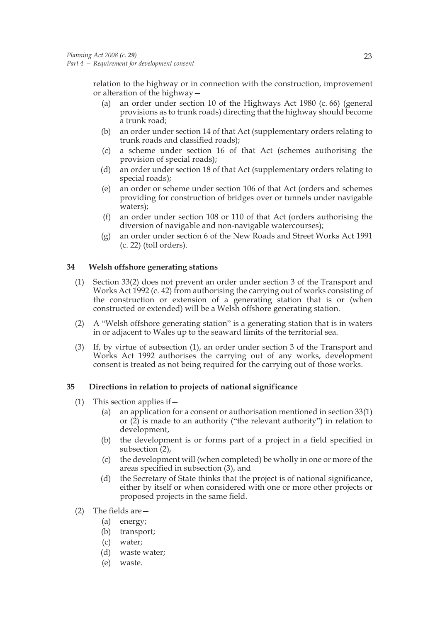relation to the highway or in connection with the construction, improvement or alteration of the highway—

- (a) an order under section 10 of the Highways Act 1980 (c. 66) (general provisions as to trunk roads) directing that the highway should become a trunk road;
- (b) an order under section 14 of that Act (supplementary orders relating to trunk roads and classified roads);
- (c) a scheme under section 16 of that Act (schemes authorising the provision of special roads);
- (d) an order under section 18 of that Act (supplementary orders relating to special roads);
- (e) an order or scheme under section 106 of that Act (orders and schemes providing for construction of bridges over or tunnels under navigable waters);
- (f) an order under section 108 or 110 of that Act (orders authorising the diversion of navigable and non-navigable watercourses);
- (g) an order under section 6 of the New Roads and Street Works Act 1991 (c. 22) (toll orders).

## **34 Welsh offshore generating stations**

- (1) Section 33(2) does not prevent an order under section 3 of the Transport and Works Act 1992 (c. 42) from authorising the carrying out of works consisting of the construction or extension of a generating station that is or (when constructed or extended) will be a Welsh offshore generating station.
- (2) A "Welsh offshore generating station" is a generating station that is in waters in or adjacent to Wales up to the seaward limits of the territorial sea.
- (3) If, by virtue of subsection (1), an order under section 3 of the Transport and Works Act 1992 authorises the carrying out of any works, development consent is treated as not being required for the carrying out of those works.

## **35 Directions in relation to projects of national significance**

- (1) This section applies if—
	- (a) an application for a consent or authorisation mentioned in section 33(1) or (2) is made to an authority ("the relevant authority") in relation to development,
	- (b) the development is or forms part of a project in a field specified in subsection (2),
	- (c) the development will (when completed) be wholly in one or more of the areas specified in subsection (3), and
	- (d) the Secretary of State thinks that the project is of national significance, either by itself or when considered with one or more other projects or proposed projects in the same field.
- (2) The fields are—
	- (a) energy;
	- (b) transport;
	- (c) water;
	- (d) waste water;
	- (e) waste.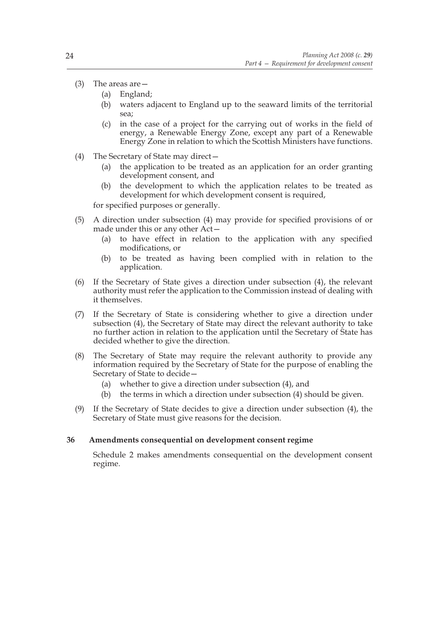- (3) The areas are—
	- (a) England;
	- (b) waters adjacent to England up to the seaward limits of the territorial sea;
	- (c) in the case of a project for the carrying out of works in the field of energy, a Renewable Energy Zone, except any part of a Renewable Energy Zone in relation to which the Scottish Ministers have functions.
- (4) The Secretary of State may direct—
	- (a) the application to be treated as an application for an order granting development consent, and
	- (b) the development to which the application relates to be treated as development for which development consent is required,

for specified purposes or generally.

- (5) A direction under subsection (4) may provide for specified provisions of or made under this or any other Act—
	- (a) to have effect in relation to the application with any specified modifications, or
	- (b) to be treated as having been complied with in relation to the application.
- (6) If the Secretary of State gives a direction under subsection (4), the relevant authority must refer the application to the Commission instead of dealing with it themselves.
- (7) If the Secretary of State is considering whether to give a direction under subsection (4), the Secretary of State may direct the relevant authority to take no further action in relation to the application until the Secretary of State has decided whether to give the direction.
- (8) The Secretary of State may require the relevant authority to provide any information required by the Secretary of State for the purpose of enabling the Secretary of State to decide—
	- (a) whether to give a direction under subsection (4), and
	- (b) the terms in which a direction under subsection (4) should be given.
- (9) If the Secretary of State decides to give a direction under subsection (4), the Secretary of State must give reasons for the decision.

## **36 Amendments consequential on development consent regime**

Schedule 2 makes amendments consequential on the development consent regime.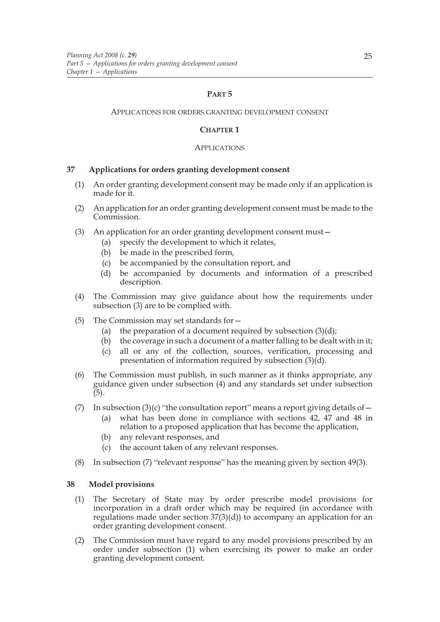## **PART 5**

## APPLICATIONS FOR ORDERS GRANTING DEVELOPMENT CONSENT

## **CHAPTER 1**

## APPLICATIONS

## **37 Applications for orders granting development consent**

- (1) An order granting development consent may be made only if an application is made for it.
- (2) An application for an order granting development consent must be made to the Commission.
- (3) An application for an order granting development consent must—
	- (a) specify the development to which it relates,
		- (b) be made in the prescribed form,
		- (c) be accompanied by the consultation report, and
		- (d) be accompanied by documents and information of a prescribed description.
- (4) The Commission may give guidance about how the requirements under subsection (3) are to be complied with.
- (5) The Commission may set standards for—
	- (a) the preparation of a document required by subsection  $(3)(d)$ ;
	- (b) the coverage in such a document of a matter falling to be dealt with in it;
	- (c) all or any of the collection, sources, verification, processing and presentation of information required by subsection (3)(d).
- (6) The Commission must publish, in such manner as it thinks appropriate, any guidance given under subsection (4) and any standards set under subsection (5).
- (7) In subsection (3)(c) "the consultation report" means a report giving details of  $-$ 
	- (a) what has been done in compliance with sections 42, 47 and 48 in relation to a proposed application that has become the application,
	- (b) any relevant responses, and
	- (c) the account taken of any relevant responses.
- (8) In subsection (7) "relevant response" has the meaning given by section 49(3).

## **38 Model provisions**

- (1) The Secretary of State may by order prescribe model provisions for incorporation in a draft order which may be required (in accordance with regulations made under section  $37(3)(d)$  to accompany an application for an order granting development consent.
- (2) The Commission must have regard to any model provisions prescribed by an order under subsection (1) when exercising its power to make an order granting development consent.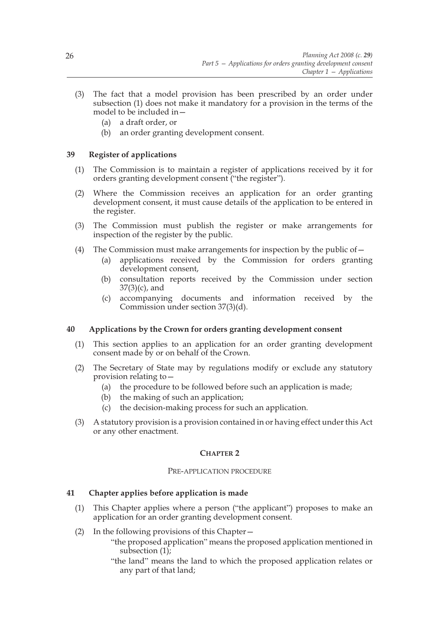- (3) The fact that a model provision has been prescribed by an order under subsection (1) does not make it mandatory for a provision in the terms of the model to be included in—
	- (a) a draft order, or
	- (b) an order granting development consent.

## **39 Register of applications**

- (1) The Commission is to maintain a register of applications received by it for orders granting development consent ("the register").
- (2) Where the Commission receives an application for an order granting development consent, it must cause details of the application to be entered in the register.
- (3) The Commission must publish the register or make arrangements for inspection of the register by the public.
- (4) The Commission must make arrangements for inspection by the public of  $-$ 
	- (a) applications received by the Commission for orders granting development consent,
	- (b) consultation reports received by the Commission under section 37(3)(c), and
	- (c) accompanying documents and information received by the Commission under section 37(3)(d).

## **40 Applications by the Crown for orders granting development consent**

- (1) This section applies to an application for an order granting development consent made by or on behalf of the Crown.
- (2) The Secretary of State may by regulations modify or exclude any statutory provision relating to—
	- (a) the procedure to be followed before such an application is made;
	- (b) the making of such an application;
	- (c) the decision-making process for such an application.
- (3) A statutory provision is a provision contained in or having effect under this Act or any other enactment.

## **CHAPTER 2**

## PRE-APPLICATION PROCEDURE

## **41 Chapter applies before application is made**

- (1) This Chapter applies where a person ("the applicant") proposes to make an application for an order granting development consent.
- (2) In the following provisions of this Chapter—
	- "the proposed application" means the proposed application mentioned in subsection (1);
	- "the land" means the land to which the proposed application relates or any part of that land;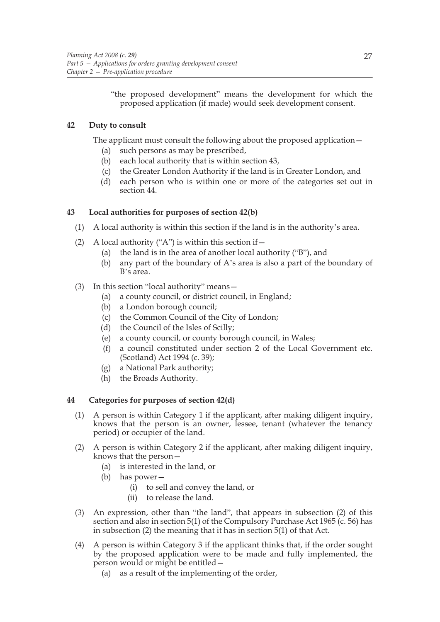"the proposed development" means the development for which the proposed application (if made) would seek development consent.

# **42 Duty to consult**

The applicant must consult the following about the proposed application—

- (a) such persons as may be prescribed,
- (b) each local authority that is within section 43,
- (c) the Greater London Authority if the land is in Greater London, and
- (d) each person who is within one or more of the categories set out in section 44.

# **43 Local authorities for purposes of section 42(b)**

- (1) A local authority is within this section if the land is in the authority's area.
- (2) A local authority ("A") is within this section if  $-$ 
	- (a) the land is in the area of another local authority ("B"), and
	- (b) any part of the boundary of A's area is also a part of the boundary of B's area.
- (3) In this section "local authority" means—
	- (a) a county council, or district council, in England;
	- (b) a London borough council;
	- (c) the Common Council of the City of London;
	- (d) the Council of the Isles of Scilly;
	- (e) a county council, or county borough council, in Wales;
	- (f) a council constituted under section 2 of the Local Government etc. (Scotland) Act 1994 (c. 39);
	- (g) a National Park authority;
	- (h) the Broads Authority.

## **44 Categories for purposes of section 42(d)**

- (1) A person is within Category 1 if the applicant, after making diligent inquiry, knows that the person is an owner, lessee, tenant (whatever the tenancy period) or occupier of the land.
- (2) A person is within Category 2 if the applicant, after making diligent inquiry, knows that the person—
	- (a) is interested in the land, or
	- (b) has power—
		- (i) to sell and convey the land, or
		- (ii) to release the land.
- (3) An expression, other than "the land", that appears in subsection (2) of this section and also in section 5(1) of the Compulsory Purchase Act 1965 (c. 56) has in subsection (2) the meaning that it has in section 5(1) of that Act.
- (4) A person is within Category 3 if the applicant thinks that, if the order sought by the proposed application were to be made and fully implemented, the person would or might be entitled—
	- (a) as a result of the implementing of the order,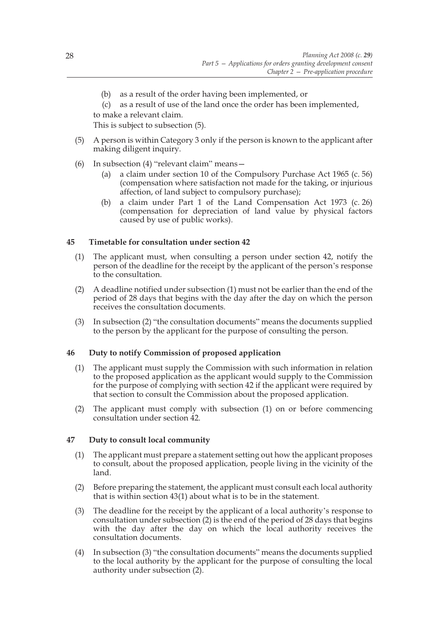- (b) as a result of the order having been implemented, or
- (c) as a result of use of the land once the order has been implemented,
- to make a relevant claim.

This is subject to subsection (5).

- (5) A person is within Category 3 only if the person is known to the applicant after making diligent inquiry.
- (6) In subsection (4) "relevant claim" means—
	- (a) a claim under section 10 of the Compulsory Purchase Act 1965 (c. 56) (compensation where satisfaction not made for the taking, or injurious affection, of land subject to compulsory purchase);
	- (b) a claim under Part 1 of the Land Compensation Act 1973 (c. 26) (compensation for depreciation of land value by physical factors caused by use of public works).

# **45 Timetable for consultation under section 42**

- (1) The applicant must, when consulting a person under section 42, notify the person of the deadline for the receipt by the applicant of the person's response to the consultation.
- (2) A deadline notified under subsection (1) must not be earlier than the end of the period of 28 days that begins with the day after the day on which the person receives the consultation documents.
- (3) In subsection (2) "the consultation documents" means the documents supplied to the person by the applicant for the purpose of consulting the person.

## **46 Duty to notify Commission of proposed application**

- (1) The applicant must supply the Commission with such information in relation to the proposed application as the applicant would supply to the Commission for the purpose of complying with section 42 if the applicant were required by that section to consult the Commission about the proposed application.
- (2) The applicant must comply with subsection (1) on or before commencing consultation under section 42.

## **47 Duty to consult local community**

- (1) The applicant must prepare a statement setting out how the applicant proposes to consult, about the proposed application, people living in the vicinity of the land.
- (2) Before preparing the statement, the applicant must consult each local authority that is within section 43(1) about what is to be in the statement.
- (3) The deadline for the receipt by the applicant of a local authority's response to consultation under subsection (2) is the end of the period of 28 days that begins with the day after the day on which the local authority receives the consultation documents.
- (4) In subsection (3) "the consultation documents" means the documents supplied to the local authority by the applicant for the purpose of consulting the local authority under subsection (2).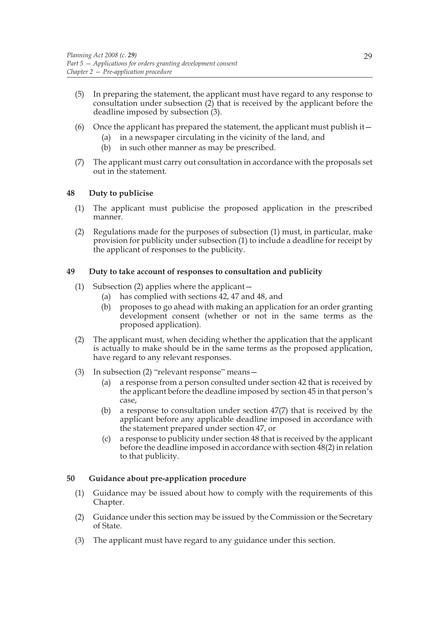- (5) In preparing the statement, the applicant must have regard to any response to consultation under subsection (2) that is received by the applicant before the deadline imposed by subsection (3).
- (6) Once the applicant has prepared the statement, the applicant must publish it—
	- (a) in a newspaper circulating in the vicinity of the land, and
	- (b) in such other manner as may be prescribed.
- (7) The applicant must carry out consultation in accordance with the proposals set out in the statement.

# **48 Duty to publicise**

- (1) The applicant must publicise the proposed application in the prescribed manner.
- (2) Regulations made for the purposes of subsection (1) must, in particular, make provision for publicity under subsection (1) to include a deadline for receipt by the applicant of responses to the publicity.

# **49 Duty to take account of responses to consultation and publicity**

- (1) Subsection (2) applies where the applicant—
	- (a) has complied with sections 42, 47 and 48, and
	- (b) proposes to go ahead with making an application for an order granting development consent (whether or not in the same terms as the proposed application).
- (2) The applicant must, when deciding whether the application that the applicant is actually to make should be in the same terms as the proposed application, have regard to any relevant responses.
- (3) In subsection (2) "relevant response" means—
	- (a) a response from a person consulted under section 42 that is received by the applicant before the deadline imposed by section 45 in that person's case,
	- (b) a response to consultation under section 47(7) that is received by the applicant before any applicable deadline imposed in accordance with the statement prepared under section 47, or
	- (c) a response to publicity under section 48 that is received by the applicant before the deadline imposed in accordance with section 48(2) in relation to that publicity.

## **50 Guidance about pre-application procedure**

- (1) Guidance may be issued about how to comply with the requirements of this Chapter.
- (2) Guidance under this section may be issued by the Commission or the Secretary of State.
- (3) The applicant must have regard to any guidance under this section.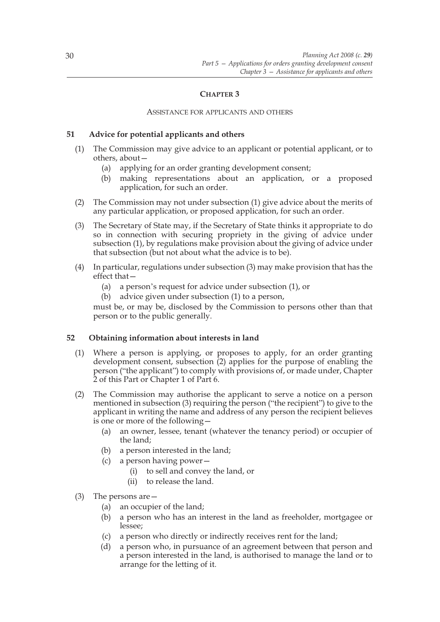# **CHAPTER 3**

#### ASSISTANCE FOR APPLICANTS AND OTHERS

## **51 Advice for potential applicants and others**

- (1) The Commission may give advice to an applicant or potential applicant, or to others, about—
	- (a) applying for an order granting development consent;
	- (b) making representations about an application, or a proposed application, for such an order.
- (2) The Commission may not under subsection (1) give advice about the merits of any particular application, or proposed application, for such an order.
- (3) The Secretary of State may, if the Secretary of State thinks it appropriate to do so in connection with securing propriety in the giving of advice under subsection (1), by regulations make provision about the giving of advice under that subsection (but not about what the advice is to be).
- (4) In particular, regulations under subsection (3) may make provision that has the effect that—
	- (a) a person's request for advice under subsection (1), or
	- (b) advice given under subsection (1) to a person,

must be, or may be, disclosed by the Commission to persons other than that person or to the public generally.

## **52 Obtaining information about interests in land**

- (1) Where a person is applying, or proposes to apply, for an order granting development consent, subsection (2) applies for the purpose of enabling the person ("the applicant") to comply with provisions of, or made under, Chapter 2 of this Part or Chapter 1 of Part 6.
- (2) The Commission may authorise the applicant to serve a notice on a person mentioned in subsection (3) requiring the person ("the recipient") to give to the applicant in writing the name and address of any person the recipient believes is one or more of the following—
	- (a) an owner, lessee, tenant (whatever the tenancy period) or occupier of the land;
	- (b) a person interested in the land;
	- (c) a person having power—
		- (i) to sell and convey the land, or
		- (ii) to release the land.
- (3) The persons are—
	- (a) an occupier of the land;
	- (b) a person who has an interest in the land as freeholder, mortgagee or lessee;
	- (c) a person who directly or indirectly receives rent for the land;
	- (d) a person who, in pursuance of an agreement between that person and a person interested in the land, is authorised to manage the land or to arrange for the letting of it.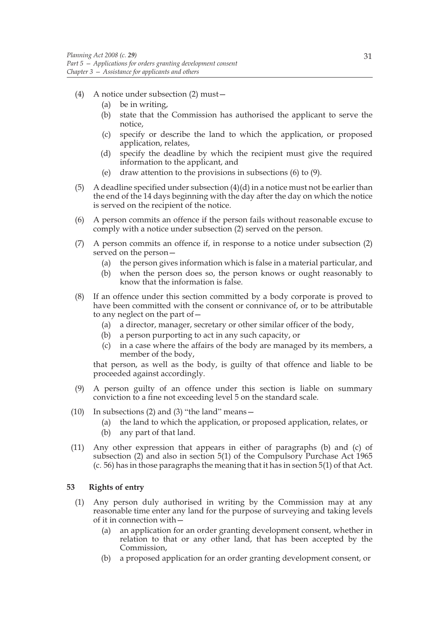- (4) A notice under subsection (2) must—
	- (a) be in writing,
	- (b) state that the Commission has authorised the applicant to serve the notice,
	- (c) specify or describe the land to which the application, or proposed application, relates,
	- (d) specify the deadline by which the recipient must give the required information to the applicant, and
	- (e) draw attention to the provisions in subsections (6) to (9).
- (5) A deadline specified under subsection  $(4)(d)$  in a notice must not be earlier than the end of the 14 days beginning with the day after the day on which the notice is served on the recipient of the notice.
- (6) A person commits an offence if the person fails without reasonable excuse to comply with a notice under subsection (2) served on the person.
- (7) A person commits an offence if, in response to a notice under subsection (2) served on the person—
	- (a) the person gives information which is false in a material particular, and
	- (b) when the person does so, the person knows or ought reasonably to know that the information is false.
- (8) If an offence under this section committed by a body corporate is proved to have been committed with the consent or connivance of, or to be attributable to any neglect on the part of—
	- (a) a director, manager, secretary or other similar officer of the body,
	- (b) a person purporting to act in any such capacity, or
	- (c) in a case where the affairs of the body are managed by its members, a member of the body,

that person, as well as the body, is guilty of that offence and liable to be proceeded against accordingly.

- (9) A person guilty of an offence under this section is liable on summary conviction to a fine not exceeding level 5 on the standard scale.
- (10) In subsections (2) and (3) "the land" means—
	- (a) the land to which the application, or proposed application, relates, or
	- (b) any part of that land.
- (11) Any other expression that appears in either of paragraphs (b) and (c) of subsection (2) and also in section 5(1) of the Compulsory Purchase Act 1965 (c. 56) has in those paragraphs the meaning that it has in section 5(1) of that Act.

#### **53 Rights of entry**

- (1) Any person duly authorised in writing by the Commission may at any reasonable time enter any land for the purpose of surveying and taking levels of it in connection with
	- an application for an order granting development consent, whether in relation to that or any other land, that has been accepted by the Commission,
	- (b) a proposed application for an order granting development consent, or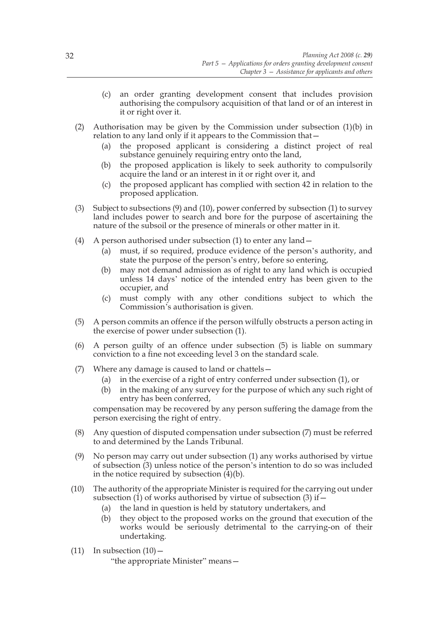- (c) an order granting development consent that includes provision authorising the compulsory acquisition of that land or of an interest in it or right over it.
- (2) Authorisation may be given by the Commission under subsection  $(1)(b)$  in relation to any land only if it appears to the Commission that—
	- (a) the proposed applicant is considering a distinct project of real substance genuinely requiring entry onto the land,
	- (b) the proposed application is likely to seek authority to compulsorily acquire the land or an interest in it or right over it, and
	- (c) the proposed applicant has complied with section 42 in relation to the proposed application.
- (3) Subject to subsections (9) and (10), power conferred by subsection (1) to survey land includes power to search and bore for the purpose of ascertaining the nature of the subsoil or the presence of minerals or other matter in it.
- (4) A person authorised under subsection (1) to enter any land  $-$ 
	- (a) must, if so required, produce evidence of the person's authority, and state the purpose of the person's entry, before so entering,
	- (b) may not demand admission as of right to any land which is occupied unless 14 days' notice of the intended entry has been given to the occupier, and
	- (c) must comply with any other conditions subject to which the Commission's authorisation is given.
- (5) A person commits an offence if the person wilfully obstructs a person acting in the exercise of power under subsection (1).
- (6) A person guilty of an offence under subsection (5) is liable on summary conviction to a fine not exceeding level 3 on the standard scale.
- (7) Where any damage is caused to land or chattels—
	- (a) in the exercise of a right of entry conferred under subsection (1), or
	- (b) in the making of any survey for the purpose of which any such right of entry has been conferred,

compensation may be recovered by any person suffering the damage from the person exercising the right of entry.

- (8) Any question of disputed compensation under subsection (7) must be referred to and determined by the Lands Tribunal.
- (9) No person may carry out under subsection (1) any works authorised by virtue of subsection (3) unless notice of the person's intention to do so was included in the notice required by subsection (4)(b).
- (10) The authority of the appropriate Minister is required for the carrying out under subsection (1) of works authorised by virtue of subsection (3) if  $-$ 
	- (a) the land in question is held by statutory undertakers, and
	- (b) they object to the proposed works on the ground that execution of the works would be seriously detrimental to the carrying-on of their undertaking.
- (11) In subsection  $(10)$  -

"the appropriate Minister" means—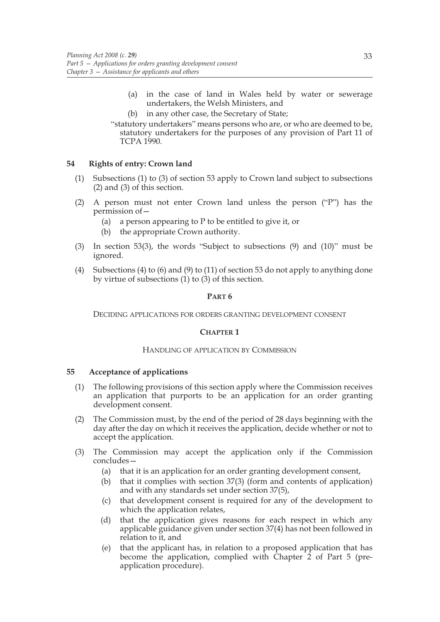- (a) in the case of land in Wales held by water or sewerage undertakers, the Welsh Ministers, and
- (b) in any other case, the Secretary of State;

"statutory undertakers" means persons who are, or who are deemed to be, statutory undertakers for the purposes of any provision of Part 11 of TCPA 1990.

## **54 Rights of entry: Crown land**

- (1) Subsections (1) to (3) of section 53 apply to Crown land subject to subsections (2) and (3) of this section.
- (2) A person must not enter Crown land unless the person ("P") has the permission of—
	- (a) a person appearing to P to be entitled to give it, or
	- (b) the appropriate Crown authority.
- (3) In section 53(3), the words "Subject to subsections (9) and (10)" must be ignored.
- (4) Subsections (4) to (6) and (9) to (11) of section 53 do not apply to anything done by virtue of subsections  $(1)$  to  $(3)$  of this section.

#### **PART 6**

DECIDING APPLICATIONS FOR ORDERS GRANTING DEVELOPMENT CONSENT

#### **CHAPTER 1**

#### HANDLING OF APPLICATION BY COMMISSION

#### **55 Acceptance of applications**

- (1) The following provisions of this section apply where the Commission receives an application that purports to be an application for an order granting development consent.
- (2) The Commission must, by the end of the period of 28 days beginning with the day after the day on which it receives the application, decide whether or not to accept the application.
- (3) The Commission may accept the application only if the Commission concludes—
	- (a) that it is an application for an order granting development consent,
	- (b) that it complies with section 37(3) (form and contents of application) and with any standards set under section 37(5),
	- (c) that development consent is required for any of the development to which the application relates,
	- (d) that the application gives reasons for each respect in which any applicable guidance given under section 37(4) has not been followed in relation to it, and
	- (e) that the applicant has, in relation to a proposed application that has become the application, complied with Chapter 2 of Part 5 (preapplication procedure).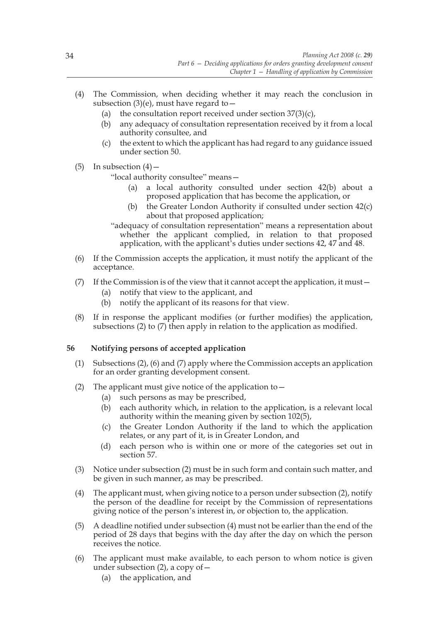- (4) The Commission, when deciding whether it may reach the conclusion in subsection (3)(e), must have regard to  $-$ 
	- (a) the consultation report received under section  $37(3)(c)$ ,
	- (b) any adequacy of consultation representation received by it from a local authority consultee, and
	- (c) the extent to which the applicant has had regard to any guidance issued under section 50.
- (5) In subsection  $(4)$  –

"local authority consultee" means—

- (a) a local authority consulted under section 42(b) about a proposed application that has become the application, or
- (b) the Greater London Authority if consulted under section 42(c) about that proposed application;

"adequacy of consultation representation" means a representation about whether the applicant complied, in relation to that proposed application, with the applicant's duties under sections 42, 47 and 48.

- (6) If the Commission accepts the application, it must notify the applicant of the acceptance.
- (7) If the Commission is of the view that it cannot accept the application, it must—
	- (a) notify that view to the applicant, and
	- (b) notify the applicant of its reasons for that view.
- (8) If in response the applicant modifies (or further modifies) the application, subsections (2) to (7) then apply in relation to the application as modified.

## **56 Notifying persons of accepted application**

- (1) Subsections (2), (6) and (7) apply where the Commission accepts an application for an order granting development consent.
- (2) The applicant must give notice of the application to  $-$ 
	- (a) such persons as may be prescribed,
	- (b) each authority which, in relation to the application, is a relevant local authority within the meaning given by section 102(5),
	- (c) the Greater London Authority if the land to which the application relates, or any part of it, is in Greater London, and
	- (d) each person who is within one or more of the categories set out in section 57.
- (3) Notice under subsection (2) must be in such form and contain such matter, and be given in such manner, as may be prescribed.
- (4) The applicant must, when giving notice to a person under subsection (2), notify the person of the deadline for receipt by the Commission of representations giving notice of the person's interest in, or objection to, the application.
- (5) A deadline notified under subsection (4) must not be earlier than the end of the period of 28 days that begins with the day after the day on which the person receives the notice.
- (6) The applicant must make available, to each person to whom notice is given under subsection  $(2)$ , a copy of  $-$ 
	- (a) the application, and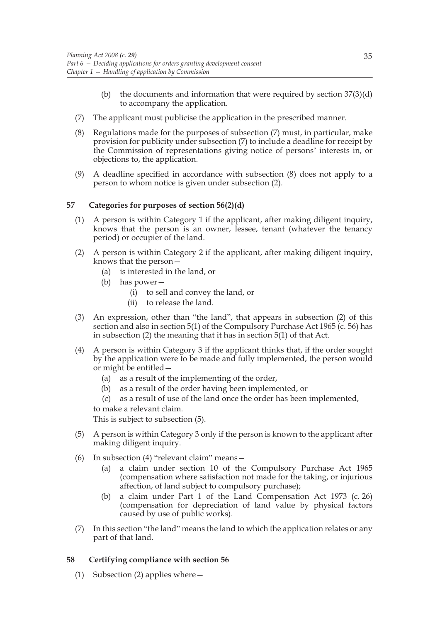- (b) the documents and information that were required by section 37(3)(d) to accompany the application.
- (7) The applicant must publicise the application in the prescribed manner.
- (8) Regulations made for the purposes of subsection (7) must, in particular, make provision for publicity under subsection (7) to include a deadline for receipt by the Commission of representations giving notice of persons' interests in, or objections to, the application.
- (9) A deadline specified in accordance with subsection (8) does not apply to a person to whom notice is given under subsection (2).

## **57 Categories for purposes of section 56(2)(d)**

- (1) A person is within Category 1 if the applicant, after making diligent inquiry, knows that the person is an owner, lessee, tenant (whatever the tenancy period) or occupier of the land.
- (2) A person is within Category 2 if the applicant, after making diligent inquiry, knows that the person—
	- (a) is interested in the land, or
	- (b) has power—
		- (i) to sell and convey the land, or
		- (ii) to release the land.
- (3) An expression, other than "the land", that appears in subsection (2) of this section and also in section 5(1) of the Compulsory Purchase Act 1965 (c. 56) has in subsection (2) the meaning that it has in section 5(1) of that Act.
- (4) A person is within Category 3 if the applicant thinks that, if the order sought by the application were to be made and fully implemented, the person would or might be entitled—
	- (a) as a result of the implementing of the order,
	- (b) as a result of the order having been implemented, or
	- (c) as a result of use of the land once the order has been implemented, to make a relevant claim.

This is subject to subsection (5).

- (5) A person is within Category 3 only if the person is known to the applicant after making diligent inquiry.
- (6) In subsection (4) "relevant claim" means—
	- (a) a claim under section 10 of the Compulsory Purchase Act 1965 (compensation where satisfaction not made for the taking, or injurious affection, of land subject to compulsory purchase);
	- (b) a claim under Part 1 of the Land Compensation Act 1973 (c. 26) (compensation for depreciation of land value by physical factors caused by use of public works).
- (7) In this section "the land" means the land to which the application relates or any part of that land.

# **58 Certifying compliance with section 56**

(1) Subsection (2) applies where—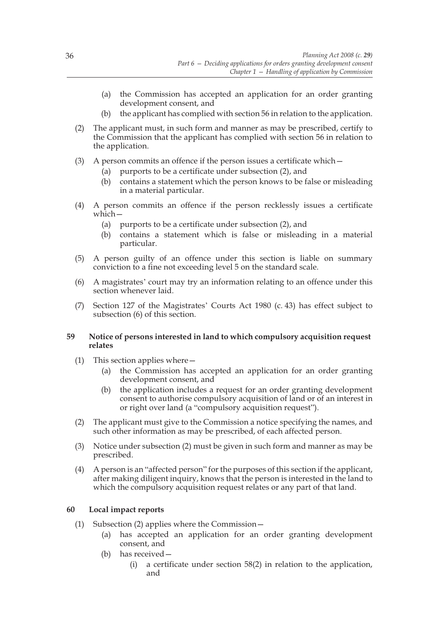- (a) the Commission has accepted an application for an order granting development consent, and
- (b) the applicant has complied with section 56 in relation to the application.
- (2) The applicant must, in such form and manner as may be prescribed, certify to the Commission that the applicant has complied with section 56 in relation to the application.
- (3) A person commits an offence if the person issues a certificate which—
	- (a) purports to be a certificate under subsection (2), and
	- (b) contains a statement which the person knows to be false or misleading in a material particular.
- (4) A person commits an offence if the person recklessly issues a certificate which—
	- (a) purports to be a certificate under subsection (2), and
	- (b) contains a statement which is false or misleading in a material particular.
- (5) A person guilty of an offence under this section is liable on summary conviction to a fine not exceeding level 5 on the standard scale.
- (6) A magistrates' court may try an information relating to an offence under this section whenever laid.
- (7) Section 127 of the Magistrates' Courts Act 1980 (c. 43) has effect subject to subsection (6) of this section.

## **59 Notice of persons interested in land to which compulsory acquisition request relates**

- (1) This section applies where
	- the Commission has accepted an application for an order granting development consent, and
	- (b) the application includes a request for an order granting development consent to authorise compulsory acquisition of land or of an interest in or right over land (a "compulsory acquisition request").
- (2) The applicant must give to the Commission a notice specifying the names, and such other information as may be prescribed, of each affected person.
- (3) Notice under subsection (2) must be given in such form and manner as may be prescribed.
- (4) A person is an "affected person" for the purposes of this section if the applicant, after making diligent inquiry, knows that the person is interested in the land to which the compulsory acquisition request relates or any part of that land.

# **60 Local impact reports**

- (1) Subsection (2) applies where the Commission—
	- (a) has accepted an application for an order granting development consent, and
	- (b) has received—
		- (i) a certificate under section 58(2) in relation to the application, and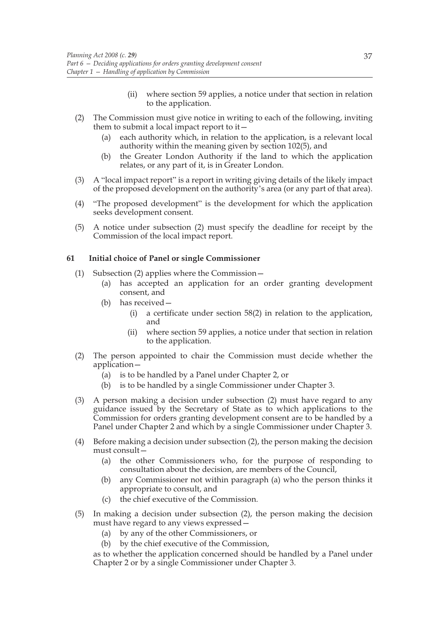- (ii) where section 59 applies, a notice under that section in relation to the application.
- (2) The Commission must give notice in writing to each of the following, inviting them to submit a local impact report to it—
	- (a) each authority which, in relation to the application, is a relevant local authority within the meaning given by section 102(5), and
	- (b) the Greater London Authority if the land to which the application relates, or any part of it, is in Greater London.
- (3) A "local impact report" is a report in writing giving details of the likely impact of the proposed development on the authority's area (or any part of that area).
- (4) "The proposed development" is the development for which the application seeks development consent.
- (5) A notice under subsection (2) must specify the deadline for receipt by the Commission of the local impact report.

## **61 Initial choice of Panel or single Commissioner**

- (1) Subsection (2) applies where the Commission—
	- (a) has accepted an application for an order granting development consent, and
	- (b) has received—
		- (i) a certificate under section 58(2) in relation to the application, and
		- (ii) where section 59 applies, a notice under that section in relation to the application.
- (2) The person appointed to chair the Commission must decide whether the application—
	- (a) is to be handled by a Panel under Chapter 2, or
	- (b) is to be handled by a single Commissioner under Chapter 3.
- (3) A person making a decision under subsection (2) must have regard to any guidance issued by the Secretary of State as to which applications to the Commission for orders granting development consent are to be handled by a Panel under Chapter 2 and which by a single Commissioner under Chapter 3.
- (4) Before making a decision under subsection (2), the person making the decision must consult—
	- (a) the other Commissioners who, for the purpose of responding to consultation about the decision, are members of the Council,
	- (b) any Commissioner not within paragraph (a) who the person thinks it appropriate to consult, and
	- (c) the chief executive of the Commission.
- (5) In making a decision under subsection (2), the person making the decision must have regard to any views expressed—
	- (a) by any of the other Commissioners, or
	- (b) by the chief executive of the Commission,

as to whether the application concerned should be handled by a Panel under Chapter 2 or by a single Commissioner under Chapter 3.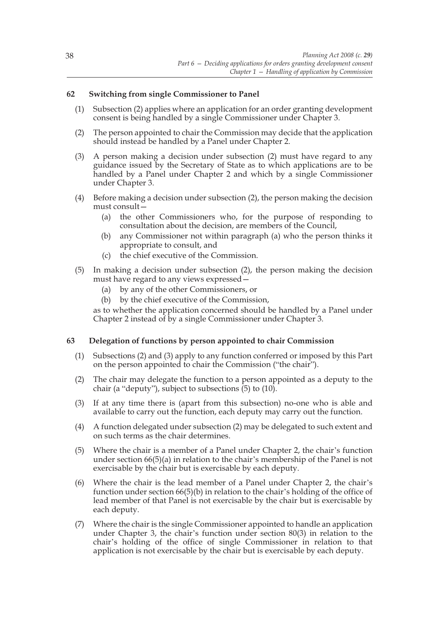## **62 Switching from single Commissioner to Panel**

- (1) Subsection (2) applies where an application for an order granting development consent is being handled by a single Commissioner under Chapter 3.
- (2) The person appointed to chair the Commission may decide that the application should instead be handled by a Panel under Chapter 2.
- (3) A person making a decision under subsection (2) must have regard to any guidance issued by the Secretary of State as to which applications are to be handled by a Panel under Chapter 2 and which by a single Commissioner under Chapter 3.
- (4) Before making a decision under subsection (2), the person making the decision must consult—
	- (a) the other Commissioners who, for the purpose of responding to consultation about the decision, are members of the Council,
	- (b) any Commissioner not within paragraph (a) who the person thinks it appropriate to consult, and
	- (c) the chief executive of the Commission.
- (5) In making a decision under subsection (2), the person making the decision must have regard to any views expressed—
	- (a) by any of the other Commissioners, or
	- (b) by the chief executive of the Commission,

as to whether the application concerned should be handled by a Panel under Chapter 2 instead of by a single Commissioner under Chapter 3.

## **63 Delegation of functions by person appointed to chair Commission**

- (1) Subsections (2) and (3) apply to any function conferred or imposed by this Part on the person appointed to chair the Commission ("the chair").
- (2) The chair may delegate the function to a person appointed as a deputy to the chair (a "deputy"), subject to subsections  $(5)$  to  $(10)$ .
- (3) If at any time there is (apart from this subsection) no-one who is able and available to carry out the function, each deputy may carry out the function.
- (4) A function delegated under subsection (2) may be delegated to such extent and on such terms as the chair determines.
- (5) Where the chair is a member of a Panel under Chapter 2, the chair's function under section  $66(5)(a)$  in relation to the chair's membership of the Panel is not exercisable by the chair but is exercisable by each deputy.
- (6) Where the chair is the lead member of a Panel under Chapter 2, the chair's function under section 66(5)(b) in relation to the chair's holding of the office of lead member of that Panel is not exercisable by the chair but is exercisable by each deputy.
- (7) Where the chair is the single Commissioner appointed to handle an application under Chapter 3, the chair's function under section 80(3) in relation to the chair's holding of the office of single Commissioner in relation to that application is not exercisable by the chair but is exercisable by each deputy.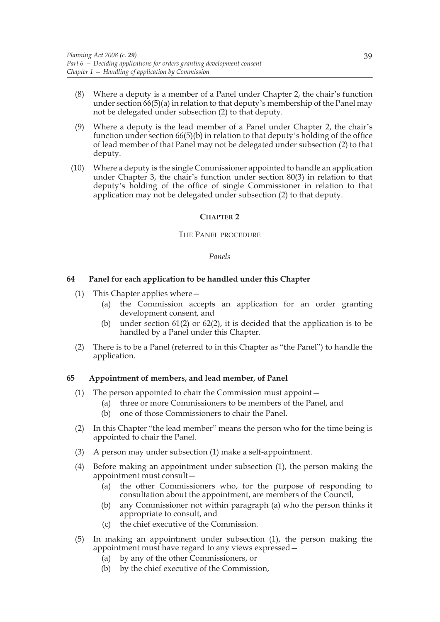- (8) Where a deputy is a member of a Panel under Chapter 2, the chair's function under section 66(5)(a) in relation to that deputy's membership of the Panel may not be delegated under subsection (2) to that deputy.
- (9) Where a deputy is the lead member of a Panel under Chapter 2, the chair's function under section 66(5)(b) in relation to that deputy's holding of the office of lead member of that Panel may not be delegated under subsection (2) to that deputy.
- (10) Where a deputy is the single Commissioner appointed to handle an application under Chapter 3, the chair's function under section 80(3) in relation to that deputy's holding of the office of single Commissioner in relation to that application may not be delegated under subsection (2) to that deputy.

#### **CHAPTER 2**

#### THE PANEL PROCEDURE

#### *Panels*

## **64 Panel for each application to be handled under this Chapter**

- (1) This Chapter applies where—
	- (a) the Commission accepts an application for an order granting development consent, and
	- (b) under section 61(2) or 62(2), it is decided that the application is to be handled by a Panel under this Chapter.
- (2) There is to be a Panel (referred to in this Chapter as "the Panel") to handle the application.

## **65 Appointment of members, and lead member, of Panel**

- (1) The person appointed to chair the Commission must appoint—
	- (a) three or more Commissioners to be members of the Panel, and
	- (b) one of those Commissioners to chair the Panel.
- (2) In this Chapter "the lead member" means the person who for the time being is appointed to chair the Panel.
- (3) A person may under subsection (1) make a self-appointment.
- (4) Before making an appointment under subsection (1), the person making the appointment must consult—
	- (a) the other Commissioners who, for the purpose of responding to consultation about the appointment, are members of the Council,
	- (b) any Commissioner not within paragraph (a) who the person thinks it appropriate to consult, and
	- (c) the chief executive of the Commission.
- (5) In making an appointment under subsection (1), the person making the appointment must have regard to any views expressed—
	- (a) by any of the other Commissioners, or
	- (b) by the chief executive of the Commission,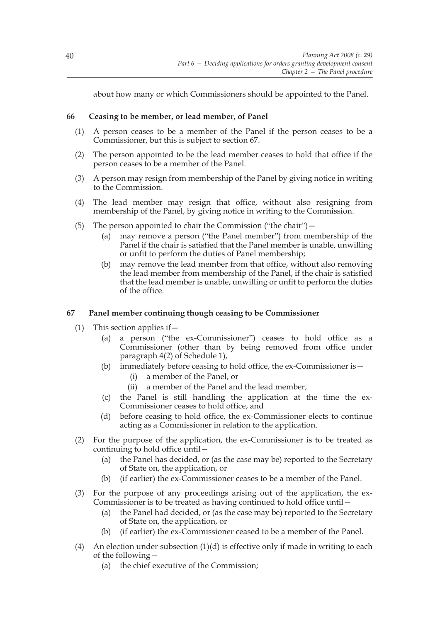about how many or which Commissioners should be appointed to the Panel.

## **66 Ceasing to be member, or lead member, of Panel**

- (1) A person ceases to be a member of the Panel if the person ceases to be a Commissioner, but this is subject to section 67.
- (2) The person appointed to be the lead member ceases to hold that office if the person ceases to be a member of the Panel.
- (3) A person may resign from membership of the Panel by giving notice in writing to the Commission.
- (4) The lead member may resign that office, without also resigning from membership of the Panel, by giving notice in writing to the Commission.
- (5) The person appointed to chair the Commission ("the chair")  $$ 
	- may remove a person ("the Panel member") from membership of the Panel if the chair is satisfied that the Panel member is unable, unwilling or unfit to perform the duties of Panel membership;
	- (b) may remove the lead member from that office, without also removing the lead member from membership of the Panel, if the chair is satisfied that the lead member is unable, unwilling or unfit to perform the duties of the office.

## **67 Panel member continuing though ceasing to be Commissioner**

- (1) This section applies if—
	- (a) a person ("the ex-Commissioner") ceases to hold office as a Commissioner (other than by being removed from office under paragraph 4(2) of Schedule 1),
	- (b) immediately before ceasing to hold office, the ex-Commissioner is—
		- (i) a member of the Panel, or
		- (ii) a member of the Panel and the lead member,
	- (c) the Panel is still handling the application at the time the ex-Commissioner ceases to hold office, and
	- (d) before ceasing to hold office, the ex-Commissioner elects to continue acting as a Commissioner in relation to the application.
- (2) For the purpose of the application, the ex-Commissioner is to be treated as continuing to hold office until—
	- (a) the Panel has decided, or (as the case may be) reported to the Secretary of State on, the application, or
	- (b) (if earlier) the ex-Commissioner ceases to be a member of the Panel.
- (3) For the purpose of any proceedings arising out of the application, the ex-Commissioner is to be treated as having continued to hold office until—
	- (a) the Panel had decided, or (as the case may be) reported to the Secretary of State on, the application, or
	- (b) (if earlier) the ex-Commissioner ceased to be a member of the Panel.
- (4) An election under subsection  $(1)(d)$  is effective only if made in writing to each of the following—
	- (a) the chief executive of the Commission;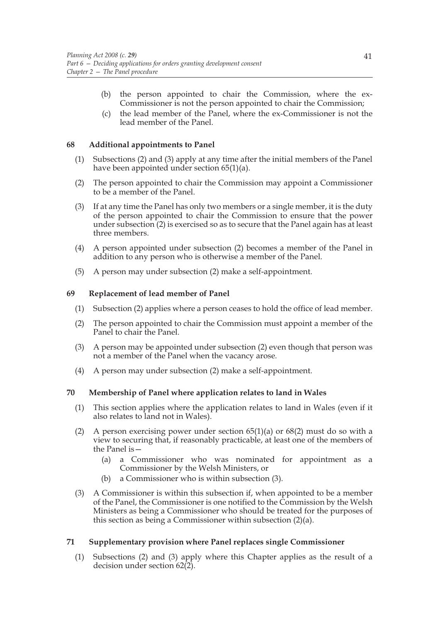- (b) the person appointed to chair the Commission, where the ex-Commissioner is not the person appointed to chair the Commission;
- (c) the lead member of the Panel, where the ex-Commissioner is not the lead member of the Panel.

## **68 Additional appointments to Panel**

- (1) Subsections (2) and (3) apply at any time after the initial members of the Panel have been appointed under section 65(1)(a).
- (2) The person appointed to chair the Commission may appoint a Commissioner to be a member of the Panel.
- (3) If at any time the Panel has only two members or a single member, it is the duty of the person appointed to chair the Commission to ensure that the power under subsection (2) is exercised so as to secure that the Panel again has at least three members.
- (4) A person appointed under subsection (2) becomes a member of the Panel in addition to any person who is otherwise a member of the Panel.
- (5) A person may under subsection (2) make a self-appointment.

# **69 Replacement of lead member of Panel**

- (1) Subsection (2) applies where a person ceases to hold the office of lead member.
- (2) The person appointed to chair the Commission must appoint a member of the Panel to chair the Panel.
- (3) A person may be appointed under subsection (2) even though that person was not a member of the Panel when the vacancy arose.
- (4) A person may under subsection (2) make a self-appointment.

# **70 Membership of Panel where application relates to land in Wales**

- (1) This section applies where the application relates to land in Wales (even if it also relates to land not in Wales).
- (2) A person exercising power under section  $65(1)(a)$  or  $68(2)$  must do so with a view to securing that, if reasonably practicable, at least one of the members of the Panel is—
	- (a) a Commissioner who was nominated for appointment as a Commissioner by the Welsh Ministers, or
	- (b) a Commissioner who is within subsection (3).
- (3) A Commissioner is within this subsection if, when appointed to be a member of the Panel, the Commissioner is one notified to the Commission by the Welsh Ministers as being a Commissioner who should be treated for the purposes of this section as being a Commissioner within subsection (2)(a).

## **71 Supplementary provision where Panel replaces single Commissioner**

(1) Subsections (2) and (3) apply where this Chapter applies as the result of a decision under section 62(2).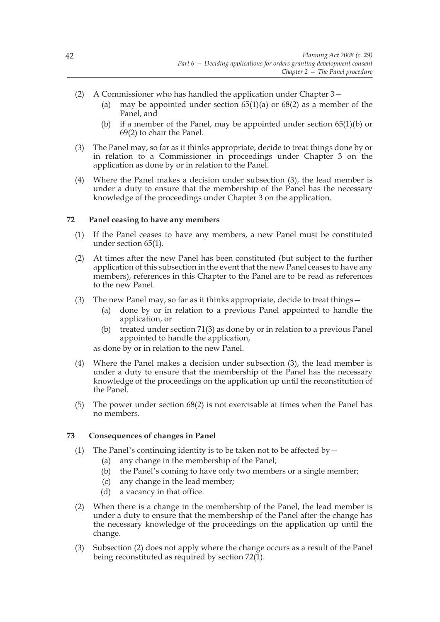- (2) A Commissioner who has handled the application under Chapter 3—
	- (a) may be appointed under section  $65(1)(a)$  or  $68(2)$  as a member of the Panel, and
	- (b) if a member of the Panel, may be appointed under section 65(1)(b) or 69(2) to chair the Panel.
- (3) The Panel may, so far as it thinks appropriate, decide to treat things done by or in relation to a Commissioner in proceedings under Chapter 3 on the application as done by or in relation to the Panel.
- (4) Where the Panel makes a decision under subsection (3), the lead member is under a duty to ensure that the membership of the Panel has the necessary knowledge of the proceedings under Chapter 3 on the application.

#### **72 Panel ceasing to have any members**

- (1) If the Panel ceases to have any members, a new Panel must be constituted under section 65(1).
- (2) At times after the new Panel has been constituted (but subject to the further application of this subsection in the event that the new Panel ceases to have any members), references in this Chapter to the Panel are to be read as references to the new Panel.
- (3) The new Panel may, so far as it thinks appropriate, decide to treat things  $-$ 
	- (a) done by or in relation to a previous Panel appointed to handle the application, or
	- (b) treated under section 71(3) as done by or in relation to a previous Panel appointed to handle the application,

as done by or in relation to the new Panel.

- (4) Where the Panel makes a decision under subsection (3), the lead member is under a duty to ensure that the membership of the Panel has the necessary knowledge of the proceedings on the application up until the reconstitution of the Panel.
- (5) The power under section 68(2) is not exercisable at times when the Panel has no members.

## **73 Consequences of changes in Panel**

- (1) The Panel's continuing identity is to be taken not to be affected by  $-$ 
	- (a) any change in the membership of the Panel;
	- (b) the Panel's coming to have only two members or a single member;
	- (c) any change in the lead member;
	- (d) a vacancy in that office.
- (2) When there is a change in the membership of the Panel, the lead member is under a duty to ensure that the membership of the Panel after the change has the necessary knowledge of the proceedings on the application up until the change.
- (3) Subsection (2) does not apply where the change occurs as a result of the Panel being reconstituted as required by section  $72(1)$ .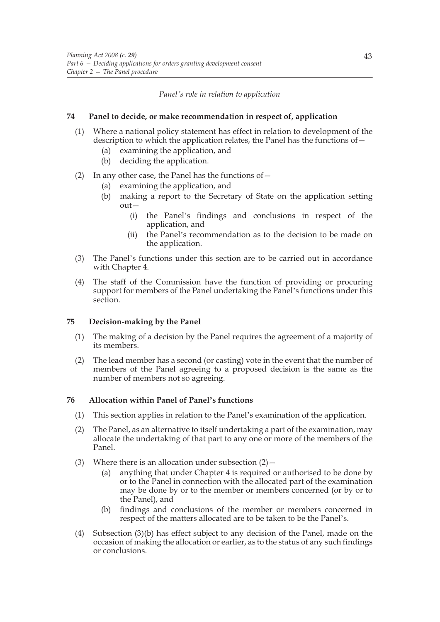#### *Panel's role in relation to application*

#### **74 Panel to decide, or make recommendation in respect of, application**

- (1) Where a national policy statement has effect in relation to development of the description to which the application relates, the Panel has the functions of—
	- (a) examining the application, and
	- (b) deciding the application.
- (2) In any other case, the Panel has the functions of  $-$ 
	- (a) examining the application, and
	- (b) making a report to the Secretary of State on the application setting out—
		- (i) the Panel's findings and conclusions in respect of the application, and
		- (ii) the Panel's recommendation as to the decision to be made on the application.
- (3) The Panel's functions under this section are to be carried out in accordance with Chapter 4.
- (4) The staff of the Commission have the function of providing or procuring support for members of the Panel undertaking the Panel's functions under this section.

## **75 Decision-making by the Panel**

- (1) The making of a decision by the Panel requires the agreement of a majority of its members.
- (2) The lead member has a second (or casting) vote in the event that the number of members of the Panel agreeing to a proposed decision is the same as the number of members not so agreeing.

## **76 Allocation within Panel of Panel's functions**

- (1) This section applies in relation to the Panel's examination of the application.
- (2) The Panel, as an alternative to itself undertaking a part of the examination, may allocate the undertaking of that part to any one or more of the members of the Panel.
- (3) Where there is an allocation under subsection  $(2)$  -
	- (a) anything that under Chapter 4 is required or authorised to be done by or to the Panel in connection with the allocated part of the examination may be done by or to the member or members concerned (or by or to the Panel), and
	- (b) findings and conclusions of the member or members concerned in respect of the matters allocated are to be taken to be the Panel's.
- (4) Subsection (3)(b) has effect subject to any decision of the Panel, made on the occasion of making the allocation or earlier, as to the status of any such findings or conclusions.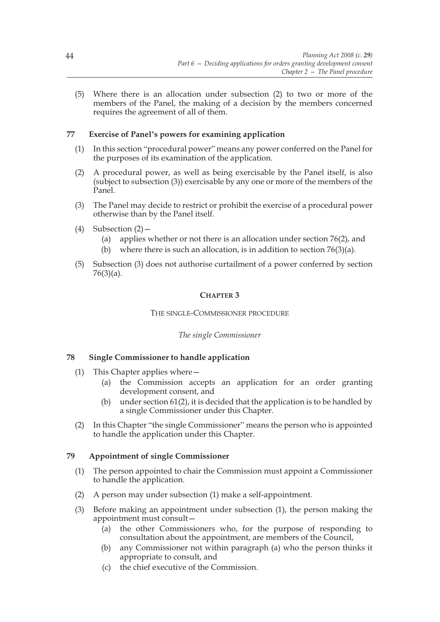(5) Where there is an allocation under subsection (2) to two or more of the members of the Panel, the making of a decision by the members concerned requires the agreement of all of them.

# **77 Exercise of Panel's powers for examining application**

- (1) In this section "procedural power" means any power conferred on the Panel for the purposes of its examination of the application.
- (2) A procedural power, as well as being exercisable by the Panel itself, is also (subject to subsection (3)) exercisable by any one or more of the members of the Panel.
- (3) The Panel may decide to restrict or prohibit the exercise of a procedural power otherwise than by the Panel itself.
- (4) Subsection  $(2)$ 
	- (a) applies whether or not there is an allocation under section 76(2), and
	- (b) where there is such an allocation, is in addition to section 76(3)(a).
- (5) Subsection (3) does not authorise curtailment of a power conferred by section 76(3)(a).

## **CHAPTER 3**

## THE SINGLE-COMMISSIONER PROCEDURE

## *The single Commissioner*

## **78 Single Commissioner to handle application**

- (1) This Chapter applies where—
	- (a) the Commission accepts an application for an order granting development consent, and
	- (b) under section 61(2), it is decided that the application is to be handled by a single Commissioner under this Chapter.
- (2) In this Chapter "the single Commissioner" means the person who is appointed to handle the application under this Chapter.

## **79 Appointment of single Commissioner**

- (1) The person appointed to chair the Commission must appoint a Commissioner to handle the application.
- (2) A person may under subsection (1) make a self-appointment.
- (3) Before making an appointment under subsection (1), the person making the appointment must consult—
	- (a) the other Commissioners who, for the purpose of responding to consultation about the appointment, are members of the Council,
	- (b) any Commissioner not within paragraph (a) who the person thinks it appropriate to consult, and
	- (c) the chief executive of the Commission.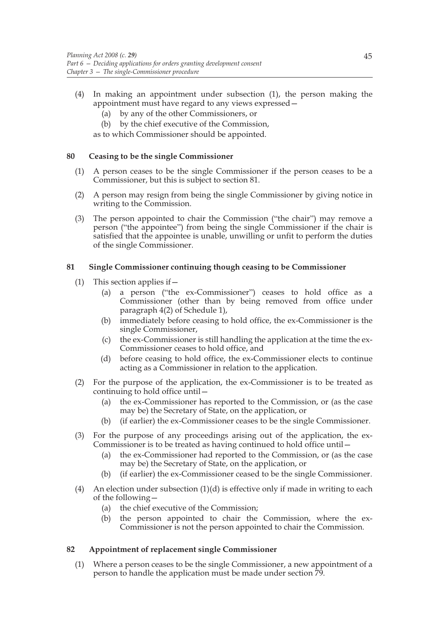- (4) In making an appointment under subsection (1), the person making the appointment must have regard to any views expressed—
	- (a) by any of the other Commissioners, or
	- (b) by the chief executive of the Commission,

as to which Commissioner should be appointed.

## **80 Ceasing to be the single Commissioner**

- (1) A person ceases to be the single Commissioner if the person ceases to be a Commissioner, but this is subject to section 81.
- (2) A person may resign from being the single Commissioner by giving notice in writing to the Commission.
- (3) The person appointed to chair the Commission ("the chair") may remove a person ("the appointee") from being the single Commissioner if the chair is satisfied that the appointee is unable, unwilling or unfit to perform the duties of the single Commissioner.

## **81 Single Commissioner continuing though ceasing to be Commissioner**

- (1) This section applies if—
	- (a) a person ("the ex-Commissioner") ceases to hold office as a Commissioner (other than by being removed from office under paragraph 4(2) of Schedule 1),
	- (b) immediately before ceasing to hold office, the ex-Commissioner is the single Commissioner,
	- (c) the ex-Commissioner is still handling the application at the time the ex-Commissioner ceases to hold office, and
	- (d) before ceasing to hold office, the ex-Commissioner elects to continue acting as a Commissioner in relation to the application.
- (2) For the purpose of the application, the ex-Commissioner is to be treated as continuing to hold office until—
	- (a) the ex-Commissioner has reported to the Commission, or (as the case may be) the Secretary of State, on the application, or
	- (b) (if earlier) the ex-Commissioner ceases to be the single Commissioner.
- (3) For the purpose of any proceedings arising out of the application, the ex-Commissioner is to be treated as having continued to hold office until—
	- (a) the ex-Commissioner had reported to the Commission, or (as the case may be) the Secretary of State, on the application, or
	- (b) (if earlier) the ex-Commissioner ceased to be the single Commissioner.
- (4) An election under subsection  $(1)(d)$  is effective only if made in writing to each of the following—
	- (a) the chief executive of the Commission;
	- (b) the person appointed to chair the Commission, where the ex-Commissioner is not the person appointed to chair the Commission.

## **82 Appointment of replacement single Commissioner**

(1) Where a person ceases to be the single Commissioner, a new appointment of a person to handle the application must be made under section 79.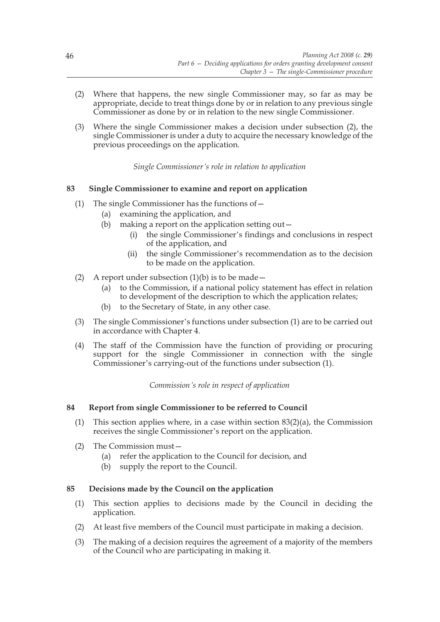- (2) Where that happens, the new single Commissioner may, so far as may be appropriate, decide to treat things done by or in relation to any previous single Commissioner as done by or in relation to the new single Commissioner.
- (3) Where the single Commissioner makes a decision under subsection (2), the single Commissioner is under a duty to acquire the necessary knowledge of the previous proceedings on the application.

*Single Commissioner's role in relation to application*

# **83 Single Commissioner to examine and report on application**

- (1) The single Commissioner has the functions of—
	- (a) examining the application, and
	- (b) making a report on the application setting out $-$ 
		- (i) the single Commissioner's findings and conclusions in respect of the application, and
		- (ii) the single Commissioner's recommendation as to the decision to be made on the application.
- (2) A report under subsection  $(1)(b)$  is to be made
	- (a) to the Commission, if a national policy statement has effect in relation to development of the description to which the application relates;
	- (b) to the Secretary of State, in any other case.
- (3) The single Commissioner's functions under subsection (1) are to be carried out in accordance with Chapter 4.
- (4) The staff of the Commission have the function of providing or procuring support for the single Commissioner in connection with the single Commissioner's carrying-out of the functions under subsection (1).

*Commission's role in respect of application*

## **84 Report from single Commissioner to be referred to Council**

- (1) This section applies where, in a case within section  $83(2)(a)$ , the Commission receives the single Commissioner's report on the application.
- (2) The Commission must—
	- (a) refer the application to the Council for decision, and
	- (b) supply the report to the Council.

## **85 Decisions made by the Council on the application**

- (1) This section applies to decisions made by the Council in deciding the application.
- (2) At least five members of the Council must participate in making a decision.
- (3) The making of a decision requires the agreement of a majority of the members of the Council who are participating in making it.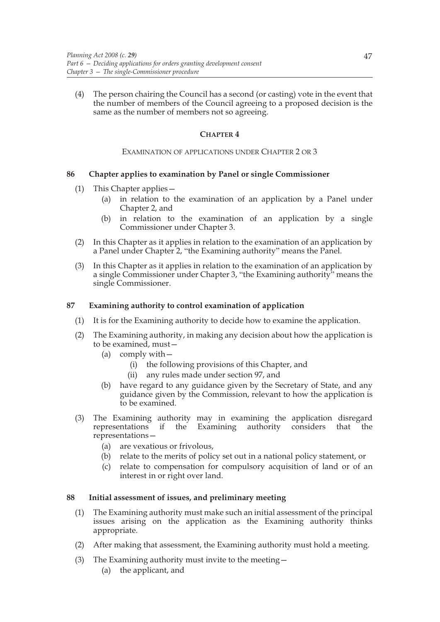(4) The person chairing the Council has a second (or casting) vote in the event that the number of members of the Council agreeing to a proposed decision is the same as the number of members not so agreeing.

# **CHAPTER 4**

#### EXAMINATION OF APPLICATIONS UNDER CHAPTER 2 OR 3

## **86 Chapter applies to examination by Panel or single Commissioner**

- (1) This Chapter applies—
	- (a) in relation to the examination of an application by a Panel under Chapter 2, and
	- (b) in relation to the examination of an application by a single Commissioner under Chapter 3.
- (2) In this Chapter as it applies in relation to the examination of an application by a Panel under Chapter 2, "the Examining authority" means the Panel.
- (3) In this Chapter as it applies in relation to the examination of an application by a single Commissioner under Chapter 3, "the Examining authority" means the single Commissioner.

## **87 Examining authority to control examination of application**

- (1) It is for the Examining authority to decide how to examine the application.
- (2) The Examining authority, in making any decision about how the application is to be examined, must—
	- (a) comply with—
		- (i) the following provisions of this Chapter, and
		- (ii) any rules made under section 97, and
	- (b) have regard to any guidance given by the Secretary of State, and any guidance given by the Commission, relevant to how the application is to be examined.
- (3) The Examining authority may in examining the application disregard representations if the Examining authority considers that the representations—
	- (a) are vexatious or frivolous,
	- (b) relate to the merits of policy set out in a national policy statement, or
	- (c) relate to compensation for compulsory acquisition of land or of an interest in or right over land.

# **88 Initial assessment of issues, and preliminary meeting**

- (1) The Examining authority must make such an initial assessment of the principal issues arising on the application as the Examining authority thinks appropriate.
- (2) After making that assessment, the Examining authority must hold a meeting.
- (3) The Examining authority must invite to the meeting—
	- (a) the applicant, and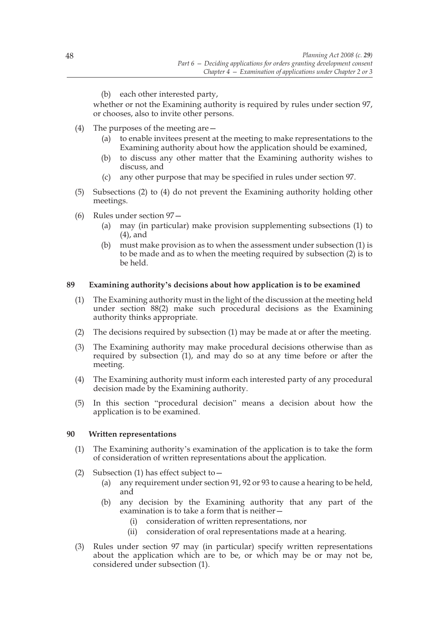(b) each other interested party,

whether or not the Examining authority is required by rules under section 97, or chooses, also to invite other persons.

- (4) The purposes of the meeting are—
	- (a) to enable invitees present at the meeting to make representations to the Examining authority about how the application should be examined,
	- (b) to discuss any other matter that the Examining authority wishes to discuss, and
	- (c) any other purpose that may be specified in rules under section 97.
- (5) Subsections (2) to (4) do not prevent the Examining authority holding other meetings.
- (6) Rules under section 97—
	- (a) may (in particular) make provision supplementing subsections (1) to (4), and
	- (b) must make provision as to when the assessment under subsection (1) is to be made and as to when the meeting required by subsection (2) is to be held.

## **89 Examining authority's decisions about how application is to be examined**

- (1) The Examining authority must in the light of the discussion at the meeting held under section 88(2) make such procedural decisions as the Examining authority thinks appropriate.
- (2) The decisions required by subsection (1) may be made at or after the meeting.
- (3) The Examining authority may make procedural decisions otherwise than as required by subsection (1), and may do so at any time before or after the meeting.
- (4) The Examining authority must inform each interested party of any procedural decision made by the Examining authority.
- (5) In this section "procedural decision" means a decision about how the application is to be examined.

# **90 Written representations**

- (1) The Examining authority's examination of the application is to take the form of consideration of written representations about the application.
- (2) Subsection (1) has effect subject to  $-$ 
	- (a) any requirement under section 91, 92 or 93 to cause a hearing to be held, and
	- (b) any decision by the Examining authority that any part of the examination is to take a form that is neither—
		- (i) consideration of written representations, nor
		- (ii) consideration of oral representations made at a hearing.
- (3) Rules under section 97 may (in particular) specify written representations about the application which are to be, or which may be or may not be, considered under subsection (1).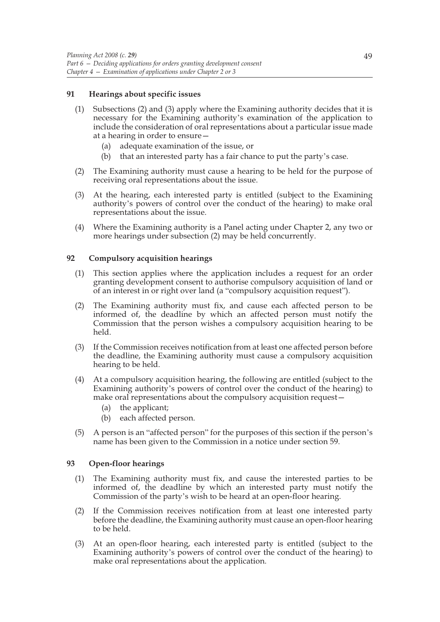## **91 Hearings about specific issues**

- (1) Subsections (2) and (3) apply where the Examining authority decides that it is necessary for the Examining authority's examination of the application to include the consideration of oral representations about a particular issue made at a hearing in order to ensure—
	- (a) adequate examination of the issue, or
	- (b) that an interested party has a fair chance to put the party's case.
- (2) The Examining authority must cause a hearing to be held for the purpose of receiving oral representations about the issue.
- (3) At the hearing, each interested party is entitled (subject to the Examining authority's powers of control over the conduct of the hearing) to make oral representations about the issue.
- (4) Where the Examining authority is a Panel acting under Chapter 2, any two or more hearings under subsection (2) may be held concurrently.

## **92 Compulsory acquisition hearings**

- (1) This section applies where the application includes a request for an order granting development consent to authorise compulsory acquisition of land or of an interest in or right over land (a "compulsory acquisition request").
- (2) The Examining authority must fix, and cause each affected person to be informed of, the deadline by which an affected person must notify the Commission that the person wishes a compulsory acquisition hearing to be held.
- (3) If the Commission receives notification from at least one affected person before the deadline, the Examining authority must cause a compulsory acquisition hearing to be held.
- (4) At a compulsory acquisition hearing, the following are entitled (subject to the Examining authority's powers of control over the conduct of the hearing) to make oral representations about the compulsory acquisition request—
	- (a) the applicant;
	- (b) each affected person.
- (5) A person is an "affected person" for the purposes of this section if the person's name has been given to the Commission in a notice under section 59.

## **93 Open-floor hearings**

- (1) The Examining authority must fix, and cause the interested parties to be informed of, the deadline by which an interested party must notify the Commission of the party's wish to be heard at an open-floor hearing.
- (2) If the Commission receives notification from at least one interested party before the deadline, the Examining authority must cause an open-floor hearing to be held.
- (3) At an open-floor hearing, each interested party is entitled (subject to the Examining authority's powers of control over the conduct of the hearing) to make oral representations about the application.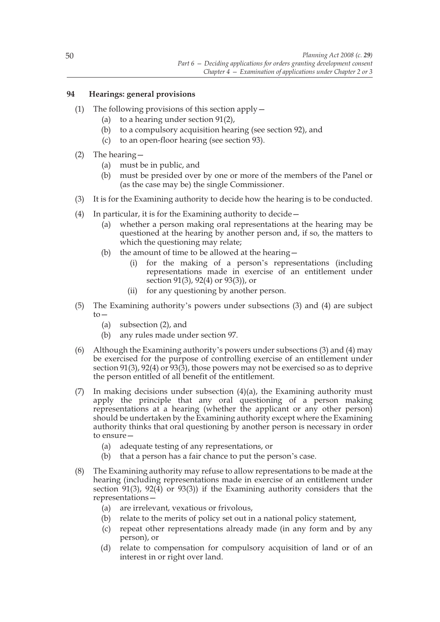# **94 Hearings: general provisions**

- (1) The following provisions of this section apply—
	- (a) to a hearing under section 91(2),
	- (b) to a compulsory acquisition hearing (see section 92), and
	- (c) to an open-floor hearing (see section 93).
- (2) The hearing—
	- (a) must be in public, and
	- (b) must be presided over by one or more of the members of the Panel or (as the case may be) the single Commissioner.
- (3) It is for the Examining authority to decide how the hearing is to be conducted.
- (4) In particular, it is for the Examining authority to decide—
	- (a) whether a person making oral representations at the hearing may be questioned at the hearing by another person and, if so, the matters to which the questioning may relate;
	- (b) the amount of time to be allowed at the hearing—
		- (i) for the making of a person's representations (including representations made in exercise of an entitlement under section 91(3), 92(4) or 93(3)), or
		- (ii) for any questioning by another person.
- (5) The Examining authority's powers under subsections (3) and (4) are subject to—
	- (a) subsection (2), and
	- (b) any rules made under section 97.
- (6) Although the Examining authority's powers under subsections (3) and (4) may be exercised for the purpose of controlling exercise of an entitlement under section 91(3), 92(4) or  $93(3)$ , those powers may not be exercised so as to deprive the person entitled of all benefit of the entitlement.
- (7) In making decisions under subsection  $(4)(a)$ , the Examining authority must apply the principle that any oral questioning of a person making representations at a hearing (whether the applicant or any other person) should be undertaken by the Examining authority except where the Examining authority thinks that oral questioning by another person is necessary in order to ensure—
	- (a) adequate testing of any representations, or
	- (b) that a person has a fair chance to put the person's case.
- (8) The Examining authority may refuse to allow representations to be made at the hearing (including representations made in exercise of an entitlement under section 91(3), 92(4) or 93(3)) if the Examining authority considers that the representations—
	- (a) are irrelevant, vexatious or frivolous,
	- (b) relate to the merits of policy set out in a national policy statement,
	- (c) repeat other representations already made (in any form and by any person), or
	- (d) relate to compensation for compulsory acquisition of land or of an interest in or right over land.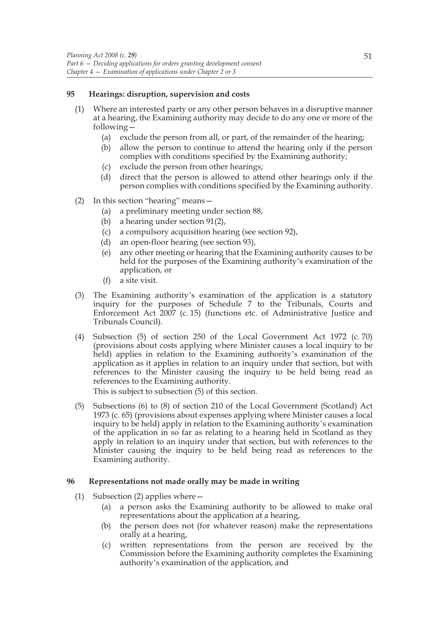## **95 Hearings: disruption, supervision and costs**

- (1) Where an interested party or any other person behaves in a disruptive manner at a hearing, the Examining authority may decide to do any one or more of the following—
	- (a) exclude the person from all, or part, of the remainder of the hearing;
	- (b) allow the person to continue to attend the hearing only if the person complies with conditions specified by the Examining authority;
	- (c) exclude the person from other hearings;
	- (d) direct that the person is allowed to attend other hearings only if the person complies with conditions specified by the Examining authority.
- (2) In this section "hearing" means—
	- (a) a preliminary meeting under section 88,
	- (b) a hearing under section 91(2),
	- (c) a compulsory acquisition hearing (see section 92),
	- (d) an open-floor hearing (see section 93),
	- (e) any other meeting or hearing that the Examining authority causes to be held for the purposes of the Examining authority's examination of the application, or
	- (f) a site visit.
- (3) The Examining authority's examination of the application is a statutory inquiry for the purposes of Schedule 7 to the Tribunals, Courts and Enforcement Act 2007 (c. 15) (functions etc. of Administrative Justice and Tribunals Council).
- (4) Subsection (5) of section 250 of the Local Government Act 1972 (c. 70) (provisions about costs applying where Minister causes a local inquiry to be held) applies in relation to the Examining authority's examination of the application as it applies in relation to an inquiry under that section, but with references to the Minister causing the inquiry to be held being read as references to the Examining authority.

This is subject to subsection (5) of this section.

(5) Subsections (6) to (8) of section 210 of the Local Government (Scotland) Act 1973 (c. 65) (provisions about expenses applying where Minister causes a local inquiry to be held) apply in relation to the Examining authority's examination of the application in so far as relating to a hearing held in Scotland as they apply in relation to an inquiry under that section, but with references to the Minister causing the inquiry to be held being read as references to the Examining authority.

## **96 Representations not made orally may be made in writing**

- (1) Subsection (2) applies where—
	- (a) a person asks the Examining authority to be allowed to make oral representations about the application at a hearing,
	- (b) the person does not (for whatever reason) make the representations orally at a hearing,
	- (c) written representations from the person are received by the Commission before the Examining authority completes the Examining authority's examination of the application, and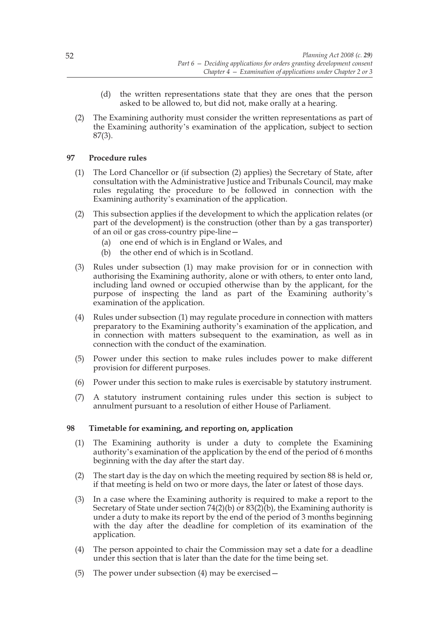- (d) the written representations state that they are ones that the person asked to be allowed to, but did not, make orally at a hearing.
- (2) The Examining authority must consider the written representations as part of the Examining authority's examination of the application, subject to section 87(3).

## **97 Procedure rules**

- (1) The Lord Chancellor or (if subsection (2) applies) the Secretary of State, after consultation with the Administrative Justice and Tribunals Council, may make rules regulating the procedure to be followed in connection with the Examining authority's examination of the application.
- (2) This subsection applies if the development to which the application relates (or part of the development) is the construction (other than by a gas transporter) of an oil or gas cross-country pipe-line—
	- (a) one end of which is in England or Wales, and
	- (b) the other end of which is in Scotland.
- (3) Rules under subsection (1) may make provision for or in connection with authorising the Examining authority, alone or with others, to enter onto land, including land owned or occupied otherwise than by the applicant, for the purpose of inspecting the land as part of the Examining authority's examination of the application.
- (4) Rules under subsection (1) may regulate procedure in connection with matters preparatory to the Examining authority's examination of the application, and in connection with matters subsequent to the examination, as well as in connection with the conduct of the examination.
- (5) Power under this section to make rules includes power to make different provision for different purposes.
- (6) Power under this section to make rules is exercisable by statutory instrument.
- (7) A statutory instrument containing rules under this section is subject to annulment pursuant to a resolution of either House of Parliament.

## **98 Timetable for examining, and reporting on, application**

- (1) The Examining authority is under a duty to complete the Examining authority's examination of the application by the end of the period of 6 months beginning with the day after the start day.
- (2) The start day is the day on which the meeting required by section 88 is held or, if that meeting is held on two or more days, the later or latest of those days.
- (3) In a case where the Examining authority is required to make a report to the Secretary of State under section  $74(2)(b)$  or  $83(2)(b)$ , the Examining authority is under a duty to make its report by the end of the period of 3 months beginning with the day after the deadline for completion of its examination of the application.
- (4) The person appointed to chair the Commission may set a date for a deadline under this section that is later than the date for the time being set.
- (5) The power under subsection (4) may be exercised—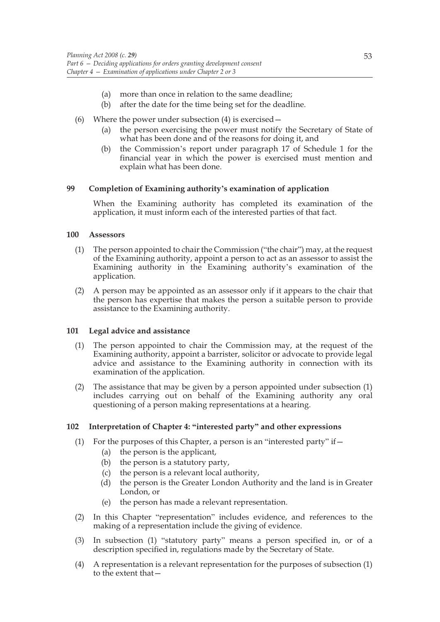- (a) more than once in relation to the same deadline;
- (b) after the date for the time being set for the deadline.
- (6) Where the power under subsection  $(4)$  is exercised  $-$ 
	- (a) the person exercising the power must notify the Secretary of State of what has been done and of the reasons for doing it, and
	- (b) the Commission's report under paragraph 17 of Schedule 1 for the financial year in which the power is exercised must mention and explain what has been done.

## **99 Completion of Examining authority's examination of application**

When the Examining authority has completed its examination of the application, it must inform each of the interested parties of that fact.

## **100 Assessors**

- (1) The person appointed to chair the Commission ("the chair") may, at the request of the Examining authority, appoint a person to act as an assessor to assist the Examining authority in the Examining authority's examination of the application.
- (2) A person may be appointed as an assessor only if it appears to the chair that the person has expertise that makes the person a suitable person to provide assistance to the Examining authority.

## **101 Legal advice and assistance**

- (1) The person appointed to chair the Commission may, at the request of the Examining authority, appoint a barrister, solicitor or advocate to provide legal advice and assistance to the Examining authority in connection with its examination of the application.
- (2) The assistance that may be given by a person appointed under subsection (1) includes carrying out on behalf of the Examining authority any oral questioning of a person making representations at a hearing.

## **102 Interpretation of Chapter 4: "interested party" and other expressions**

- (1) For the purposes of this Chapter, a person is an "interested party" if  $-$ 
	- (a) the person is the applicant,
	- (b) the person is a statutory party,
	- (c) the person is a relevant local authority,
	- (d) the person is the Greater London Authority and the land is in Greater London, or
	- (e) the person has made a relevant representation.
- (2) In this Chapter "representation" includes evidence, and references to the making of a representation include the giving of evidence.
- (3) In subsection (1) "statutory party" means a person specified in, or of a description specified in, regulations made by the Secretary of State.
- (4) A representation is a relevant representation for the purposes of subsection (1) to the extent that—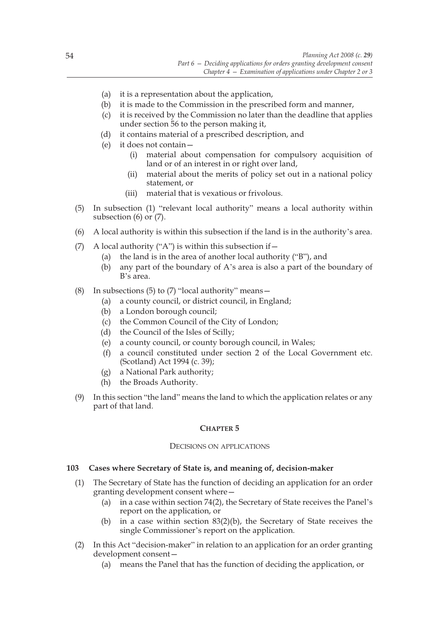- (a) it is a representation about the application,
- (b) it is made to the Commission in the prescribed form and manner,
- (c) it is received by the Commission no later than the deadline that applies under section 56 to the person making it,
- (d) it contains material of a prescribed description, and
- (e) it does not contain—
	- (i) material about compensation for compulsory acquisition of land or of an interest in or right over land,
	- (ii) material about the merits of policy set out in a national policy statement, or
	- (iii) material that is vexatious or frivolous.
- (5) In subsection (1) "relevant local authority" means a local authority within subsection (6) or (7).
- (6) A local authority is within this subsection if the land is in the authority's area.
- (7) A local authority ("A") is within this subsection if  $-$ 
	- (a) the land is in the area of another local authority ("B"), and
	- (b) any part of the boundary of A's area is also a part of the boundary of B's area.
- (8) In subsections (5) to (7) "local authority" means  $-$ 
	- (a) a county council, or district council, in England;
	- (b) a London borough council;
	- (c) the Common Council of the City of London;
	- (d) the Council of the Isles of Scilly;
	- (e) a county council, or county borough council, in Wales;
	- (f) a council constituted under section 2 of the Local Government etc. (Scotland) Act 1994 (c. 39);
	- (g) a National Park authority;
	- (h) the Broads Authority.
- (9) In this section "the land" means the land to which the application relates or any part of that land.

## **CHAPTER 5**

#### DECISIONS ON APPLICATIONS

# **103 Cases where Secretary of State is, and meaning of, decision-maker**

- (1) The Secretary of State has the function of deciding an application for an order granting development consent where—
	- (a) in a case within section 74(2), the Secretary of State receives the Panel's report on the application, or
	- (b) in a case within section 83(2)(b), the Secretary of State receives the single Commissioner's report on the application.
- (2) In this Act "decision-maker" in relation to an application for an order granting development consent—
	- (a) means the Panel that has the function of deciding the application, or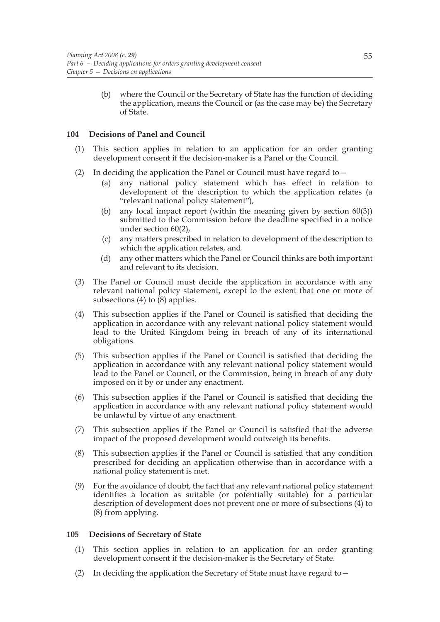(b) where the Council or the Secretary of State has the function of deciding the application, means the Council or (as the case may be) the Secretary of State.

# **104 Decisions of Panel and Council**

- (1) This section applies in relation to an application for an order granting development consent if the decision-maker is a Panel or the Council.
- (2) In deciding the application the Panel or Council must have regard to—
	- (a) any national policy statement which has effect in relation to development of the description to which the application relates (a "relevant national policy statement"),
	- (b) any local impact report (within the meaning given by section 60(3)) submitted to the Commission before the deadline specified in a notice under section 60(2),
	- (c) any matters prescribed in relation to development of the description to which the application relates, and
	- (d) any other matters which the Panel or Council thinks are both important and relevant to its decision.
- (3) The Panel or Council must decide the application in accordance with any relevant national policy statement, except to the extent that one or more of subsections (4) to (8) applies.
- (4) This subsection applies if the Panel or Council is satisfied that deciding the application in accordance with any relevant national policy statement would lead to the United Kingdom being in breach of any of its international obligations.
- (5) This subsection applies if the Panel or Council is satisfied that deciding the application in accordance with any relevant national policy statement would lead to the Panel or Council, or the Commission, being in breach of any duty imposed on it by or under any enactment.
- (6) This subsection applies if the Panel or Council is satisfied that deciding the application in accordance with any relevant national policy statement would be unlawful by virtue of any enactment.
- (7) This subsection applies if the Panel or Council is satisfied that the adverse impact of the proposed development would outweigh its benefits.
- (8) This subsection applies if the Panel or Council is satisfied that any condition prescribed for deciding an application otherwise than in accordance with a national policy statement is met.
- (9) For the avoidance of doubt, the fact that any relevant national policy statement identifies a location as suitable (or potentially suitable) for a particular description of development does not prevent one or more of subsections (4) to (8) from applying.

## **105 Decisions of Secretary of State**

- (1) This section applies in relation to an application for an order granting development consent if the decision-maker is the Secretary of State.
- (2) In deciding the application the Secretary of State must have regard to  $-$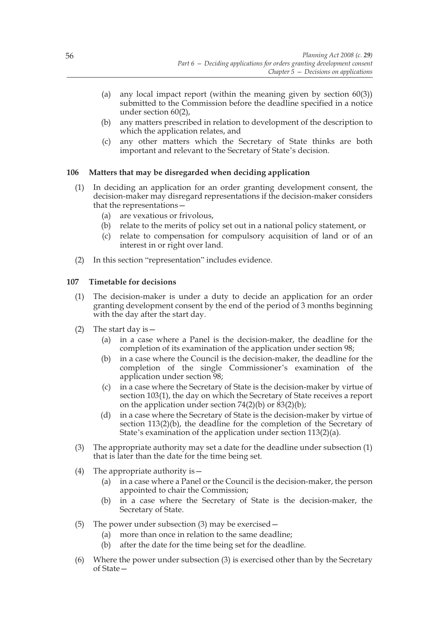- (a) any local impact report (within the meaning given by section 60(3)) submitted to the Commission before the deadline specified in a notice under section 60(2),
- (b) any matters prescribed in relation to development of the description to which the application relates, and
- (c) any other matters which the Secretary of State thinks are both important and relevant to the Secretary of State's decision.

## **106 Matters that may be disregarded when deciding application**

- (1) In deciding an application for an order granting development consent, the decision-maker may disregard representations if the decision-maker considers that the representations—
	- (a) are vexatious or frivolous,
	- (b) relate to the merits of policy set out in a national policy statement, or
	- (c) relate to compensation for compulsory acquisition of land or of an interest in or right over land.
- (2) In this section "representation" includes evidence.

## **107 Timetable for decisions**

- (1) The decision-maker is under a duty to decide an application for an order granting development consent by the end of the period of 3 months beginning with the day after the start day.
- (2) The start day is  $-$ 
	- (a) in a case where a Panel is the decision-maker, the deadline for the completion of its examination of the application under section 98;
	- (b) in a case where the Council is the decision-maker, the deadline for the completion of the single Commissioner's examination of the application under section 98;
	- (c) in a case where the Secretary of State is the decision-maker by virtue of section 103(1), the day on which the Secretary of State receives a report on the application under section  $74(2)(b)$  or  $83(2)(b)$ ;
	- (d) in a case where the Secretary of State is the decision-maker by virtue of section 113(2)(b), the deadline for the completion of the Secretary of State's examination of the application under section 113(2)(a).
- (3) The appropriate authority may set a date for the deadline under subsection (1) that is later than the date for the time being set.
- (4) The appropriate authority is—
	- (a) in a case where a Panel or the Council is the decision-maker, the person appointed to chair the Commission;
	- (b) in a case where the Secretary of State is the decision-maker, the Secretary of State.
- (5) The power under subsection (3) may be exercised—
	- (a) more than once in relation to the same deadline;
	- (b) after the date for the time being set for the deadline.
- (6) Where the power under subsection (3) is exercised other than by the Secretary of State—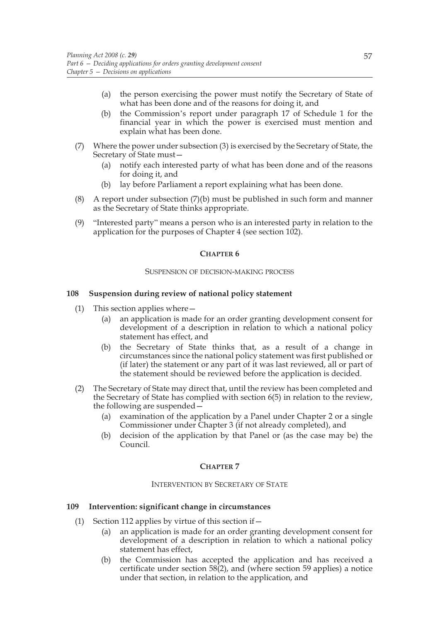- (a) the person exercising the power must notify the Secretary of State of what has been done and of the reasons for doing it, and
- (b) the Commission's report under paragraph 17 of Schedule 1 for the financial year in which the power is exercised must mention and explain what has been done.
- (7) Where the power under subsection (3) is exercised by the Secretary of State, the Secretary of State must—
	- (a) notify each interested party of what has been done and of the reasons for doing it, and
	- (b) lay before Parliament a report explaining what has been done.
- (8) A report under subsection (7)(b) must be published in such form and manner as the Secretary of State thinks appropriate.
- (9) "Interested party" means a person who is an interested party in relation to the application for the purposes of Chapter 4 (see section 102).

#### **CHAPTER 6**

#### SUSPENSION OF DECISION-MAKING PROCESS

#### **108 Suspension during review of national policy statement**

- (1) This section applies where  $-$ 
	- (a) an application is made for an order granting development consent for development of a description in relation to which a national policy statement has effect, and
	- (b) the Secretary of State thinks that, as a result of a change in circumstances since the national policy statement was first published or (if later) the statement or any part of it was last reviewed, all or part of the statement should be reviewed before the application is decided.
- (2) The Secretary of State may direct that, until the review has been completed and the Secretary of State has complied with section 6(5) in relation to the review, the following are suspended—
	- (a) examination of the application by a Panel under Chapter 2 or a single Commissioner under Chapter 3 (if not already completed), and
	- (b) decision of the application by that Panel or (as the case may be) the Council.

#### **CHAPTER 7**

#### INTERVENTION BY SECRETARY OF STATE

## **109 Intervention: significant change in circumstances**

- (1) Section 112 applies by virtue of this section if  $-$ 
	- (a) an application is made for an order granting development consent for development of a description in relation to which a national policy statement has effect,
	- (b) the Commission has accepted the application and has received a certificate under section  $58(2)$ , and (where section 59 applies) a notice under that section, in relation to the application, and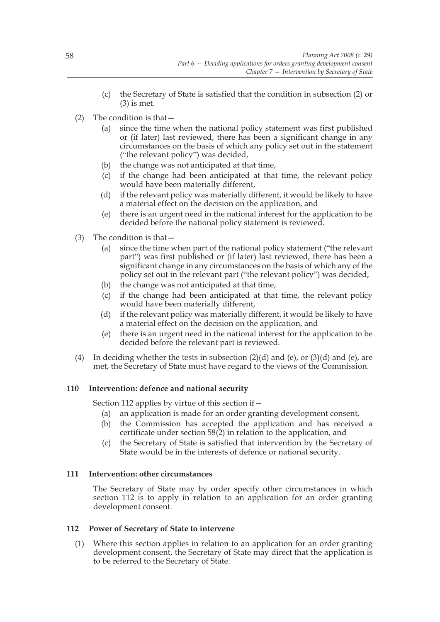- (c) the Secretary of State is satisfied that the condition in subsection (2) or (3) is met.
- (2) The condition is that—
	- (a) since the time when the national policy statement was first published or (if later) last reviewed, there has been a significant change in any circumstances on the basis of which any policy set out in the statement ("the relevant policy") was decided,
	- (b) the change was not anticipated at that time,
	- (c) if the change had been anticipated at that time, the relevant policy would have been materially different,
	- (d) if the relevant policy was materially different, it would be likely to have a material effect on the decision on the application, and
	- (e) there is an urgent need in the national interest for the application to be decided before the national policy statement is reviewed.
- (3) The condition is that—
	- (a) since the time when part of the national policy statement ("the relevant part") was first published or (if later) last reviewed, there has been a significant change in any circumstances on the basis of which any of the policy set out in the relevant part ("the relevant policy") was decided,
	- (b) the change was not anticipated at that time,
	- (c) if the change had been anticipated at that time, the relevant policy would have been materially different,
	- (d) if the relevant policy was materially different, it would be likely to have a material effect on the decision on the application, and
	- (e) there is an urgent need in the national interest for the application to be decided before the relevant part is reviewed.
- (4) In deciding whether the tests in subsection  $(2)(d)$  and  $(e)$ , or  $(3)(d)$  and  $(e)$ , are met, the Secretary of State must have regard to the views of the Commission.

# **110 Intervention: defence and national security**

Section 112 applies by virtue of this section if—

- (a) an application is made for an order granting development consent,
- (b) the Commission has accepted the application and has received a certificate under section 58(2) in relation to the application, and
- (c) the Secretary of State is satisfied that intervention by the Secretary of State would be in the interests of defence or national security.

# **111 Intervention: other circumstances**

The Secretary of State may by order specify other circumstances in which section 112 is to apply in relation to an application for an order granting development consent.

# **112 Power of Secretary of State to intervene**

(1) Where this section applies in relation to an application for an order granting development consent, the Secretary of State may direct that the application is to be referred to the Secretary of State.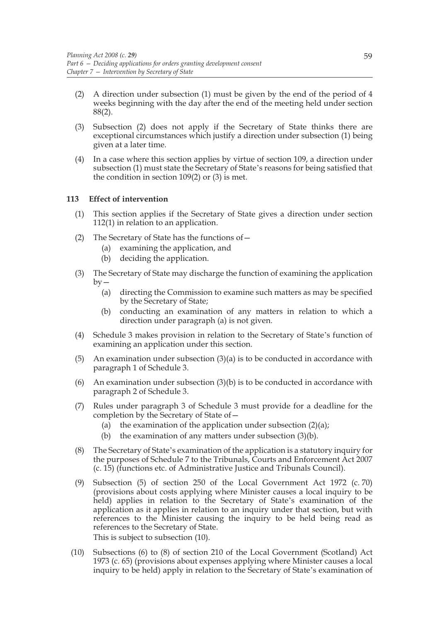- (2) A direction under subsection (1) must be given by the end of the period of 4 weeks beginning with the day after the end of the meeting held under section 88(2).
- (3) Subsection (2) does not apply if the Secretary of State thinks there are exceptional circumstances which justify a direction under subsection (1) being given at a later time.
- (4) In a case where this section applies by virtue of section 109, a direction under subsection (1) must state the Secretary of State's reasons for being satisfied that the condition in section 109(2) or (3) is met.

# **113 Effect of intervention**

- (1) This section applies if the Secretary of State gives a direction under section 112(1) in relation to an application.
- (2) The Secretary of State has the functions of—
	- (a) examining the application, and
	- (b) deciding the application.
- (3) The Secretary of State may discharge the function of examining the application  $by -$ 
	- (a) directing the Commission to examine such matters as may be specified by the Secretary of State;
	- (b) conducting an examination of any matters in relation to which a direction under paragraph (a) is not given.
- (4) Schedule 3 makes provision in relation to the Secretary of State's function of examining an application under this section.
- (5) An examination under subsection  $(3)(a)$  is to be conducted in accordance with paragraph 1 of Schedule 3.
- (6) An examination under subsection  $(3)(b)$  is to be conducted in accordance with paragraph 2 of Schedule 3.
- (7) Rules under paragraph 3 of Schedule 3 must provide for a deadline for the completion by the Secretary of State of—
	- (a) the examination of the application under subsection  $(2)(a)$ ;
	- (b) the examination of any matters under subsection  $(3)(b)$ .
- (8) The Secretary of State's examination of the application is a statutory inquiry for the purposes of Schedule 7 to the Tribunals, Courts and Enforcement Act 2007 (c. 15) (functions etc. of Administrative Justice and Tribunals Council).
- (9) Subsection (5) of section 250 of the Local Government Act 1972 (c. 70) (provisions about costs applying where Minister causes a local inquiry to be held) applies in relation to the Secretary of State's examination of the application as it applies in relation to an inquiry under that section, but with references to the Minister causing the inquiry to be held being read as references to the Secretary of State. This is subject to subsection (10).
- (10) Subsections (6) to (8) of section 210 of the Local Government (Scotland) Act 1973 (c. 65) (provisions about expenses applying where Minister causes a local inquiry to be held) apply in relation to the Secretary of State's examination of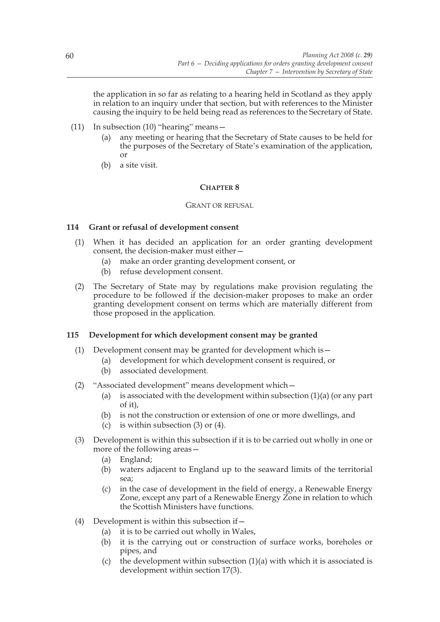the application in so far as relating to a hearing held in Scotland as they apply in relation to an inquiry under that section, but with references to the Minister causing the inquiry to be held being read as references to the Secretary of State.

- (11) In subsection (10) "hearing" means—
	- (a) any meeting or hearing that the Secretary of State causes to be held for the purposes of the Secretary of State's examination of the application, or
	- (b) a site visit.

## **CHAPTER 8**

#### GRANT OR REFUSAL

# **114 Grant or refusal of development consent**

- (1) When it has decided an application for an order granting development consent, the decision-maker must either—
	- (a) make an order granting development consent, or
	- (b) refuse development consent.
- (2) The Secretary of State may by regulations make provision regulating the procedure to be followed if the decision-maker proposes to make an order granting development consent on terms which are materially different from those proposed in the application.

## **115 Development for which development consent may be granted**

- (1) Development consent may be granted for development which is  $-$ 
	- (a) development for which development consent is required, or
		- (b) associated development.
- (2) "Associated development" means development which—
	- (a) is associated with the development within subsection  $(1)(a)$  (or any part of it),
	- (b) is not the construction or extension of one or more dwellings, and
	- (c) is within subsection  $(3)$  or  $(4)$ .
- (3) Development is within this subsection if it is to be carried out wholly in one or more of the following areas—
	- (a) England;
	- (b) waters adjacent to England up to the seaward limits of the territorial sea;
	- (c) in the case of development in the field of energy, a Renewable Energy Zone, except any part of a Renewable Energy Zone in relation to which the Scottish Ministers have functions.
- (4) Development is within this subsection if—
	- (a) it is to be carried out wholly in Wales,
	- (b) it is the carrying out or construction of surface works, boreholes or pipes, and
	- (c) the development within subsection  $(1)(a)$  with which it is associated is development within section 17(3).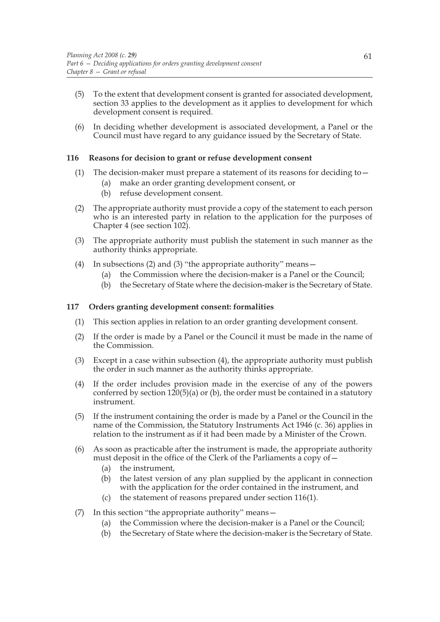- (5) To the extent that development consent is granted for associated development, section 33 applies to the development as it applies to development for which development consent is required.
- (6) In deciding whether development is associated development, a Panel or the Council must have regard to any guidance issued by the Secretary of State.

# **116 Reasons for decision to grant or refuse development consent**

- (1) The decision-maker must prepare a statement of its reasons for deciding to—
	- (a) make an order granting development consent, or
	- (b) refuse development consent.
- (2) The appropriate authority must provide a copy of the statement to each person who is an interested party in relation to the application for the purposes of Chapter 4 (see section 102).
- (3) The appropriate authority must publish the statement in such manner as the authority thinks appropriate.
- (4) In subsections (2) and (3) "the appropriate authority" means—
	- (a) the Commission where the decision-maker is a Panel or the Council;
	- (b) the Secretary of State where the decision-maker is the Secretary of State.

## **117 Orders granting development consent: formalities**

- (1) This section applies in relation to an order granting development consent.
- (2) If the order is made by a Panel or the Council it must be made in the name of the Commission.
- (3) Except in a case within subsection (4), the appropriate authority must publish the order in such manner as the authority thinks appropriate.
- (4) If the order includes provision made in the exercise of any of the powers conferred by section  $120(5)(a)$  or (b), the order must be contained in a statutory instrument.
- (5) If the instrument containing the order is made by a Panel or the Council in the name of the Commission, the Statutory Instruments Act 1946 (c. 36) applies in relation to the instrument as if it had been made by a Minister of the Crown.
- (6) As soon as practicable after the instrument is made, the appropriate authority must deposit in the office of the Clerk of the Parliaments a copy of—
	- (a) the instrument,
	- (b) the latest version of any plan supplied by the applicant in connection with the application for the order contained in the instrument, and
	- (c) the statement of reasons prepared under section 116(1).
- (7) In this section "the appropriate authority" means—
	- (a) the Commission where the decision-maker is a Panel or the Council;
	- (b) the Secretary of State where the decision-maker is the Secretary of State.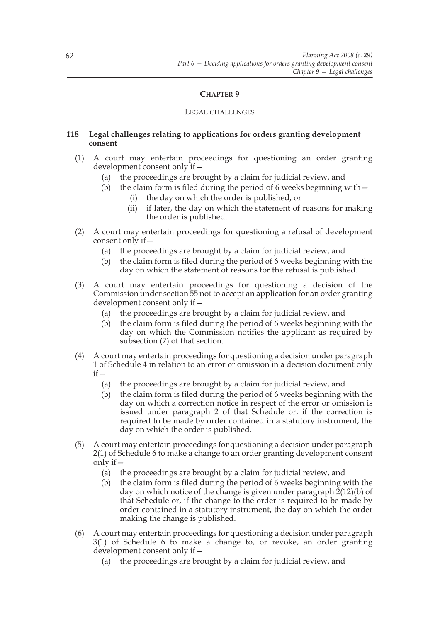# **CHAPTER 9**

### LEGAL CHALLENGES

# **118 Legal challenges relating to applications for orders granting development consent**

- (1) A court may entertain proceedings for questioning an order granting development consent only if—
	- (a) the proceedings are brought by a claim for judicial review, and
	- (b) the claim form is filed during the period of 6 weeks beginning with  $-$ 
		- (i) the day on which the order is published, or
		- (ii) if later, the day on which the statement of reasons for making the order is published.
- (2) A court may entertain proceedings for questioning a refusal of development consent only if—
	- (a) the proceedings are brought by a claim for judicial review, and
	- (b) the claim form is filed during the period of 6 weeks beginning with the day on which the statement of reasons for the refusal is published.
- (3) A court may entertain proceedings for questioning a decision of the Commission under section 55 not to accept an application for an order granting development consent only if—
	- (a) the proceedings are brought by a claim for judicial review, and
	- (b) the claim form is filed during the period of 6 weeks beginning with the day on which the Commission notifies the applicant as required by subsection (7) of that section.
- (4) A court may entertain proceedings for questioning a decision under paragraph 1 of Schedule 4 in relation to an error or omission in a decision document only  $if -$ 
	- (a) the proceedings are brought by a claim for judicial review, and
	- (b) the claim form is filed during the period of 6 weeks beginning with the day on which a correction notice in respect of the error or omission is issued under paragraph 2 of that Schedule or, if the correction is required to be made by order contained in a statutory instrument, the day on which the order is published.
- (5) A court may entertain proceedings for questioning a decision under paragraph 2(1) of Schedule 6 to make a change to an order granting development consent only if—
	- (a) the proceedings are brought by a claim for judicial review, and
	- (b) the claim form is filed during the period of 6 weeks beginning with the day on which notice of the change is given under paragraph 2(12)(b) of that Schedule or, if the change to the order is required to be made by order contained in a statutory instrument, the day on which the order making the change is published.
- (6) A court may entertain proceedings for questioning a decision under paragraph 3(1) of Schedule 6 to make a change to, or revoke, an order granting development consent only if—
	- (a) the proceedings are brought by a claim for judicial review, and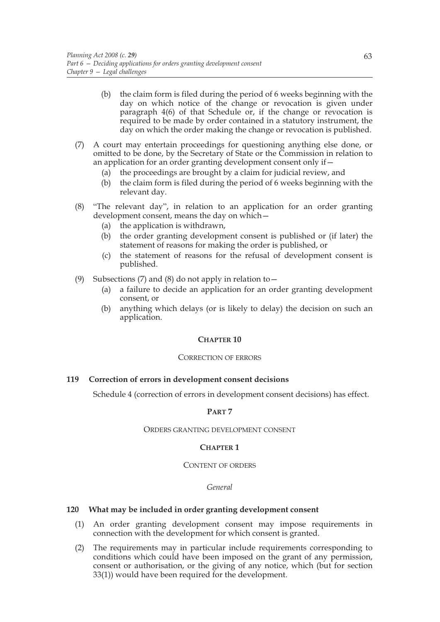- (b) the claim form is filed during the period of 6 weeks beginning with the day on which notice of the change or revocation is given under paragraph  $4(6)$  of that Schedule or, if the change or revocation is required to be made by order contained in a statutory instrument, the day on which the order making the change or revocation is published.
- (7) A court may entertain proceedings for questioning anything else done, or omitted to be done, by the Secretary of State or the Commission in relation to an application for an order granting development consent only if—
	- (a) the proceedings are brought by a claim for judicial review, and
	- (b) the claim form is filed during the period of 6 weeks beginning with the relevant day.
- (8) "The relevant day", in relation to an application for an order granting development consent, means the day on which—
	- (a) the application is withdrawn,
	- (b) the order granting development consent is published or (if later) the statement of reasons for making the order is published, or
	- (c) the statement of reasons for the refusal of development consent is published.
- (9) Subsections (7) and (8) do not apply in relation to  $-$ 
	- (a) a failure to decide an application for an order granting development consent, or
	- (b) anything which delays (or is likely to delay) the decision on such an application.

# **CHAPTER 10**

#### CORRECTION OF ERRORS

# **119 Correction of errors in development consent decisions**

Schedule 4 (correction of errors in development consent decisions) has effect.

#### **PART 7**

#### ORDERS GRANTING DEVELOPMENT CONSENT

# **CHAPTER 1**

#### CONTENT OF ORDERS

#### *General*

# **120 What may be included in order granting development consent**

- (1) An order granting development consent may impose requirements in connection with the development for which consent is granted.
- (2) The requirements may in particular include requirements corresponding to conditions which could have been imposed on the grant of any permission, consent or authorisation, or the giving of any notice, which (but for section 33(1)) would have been required for the development.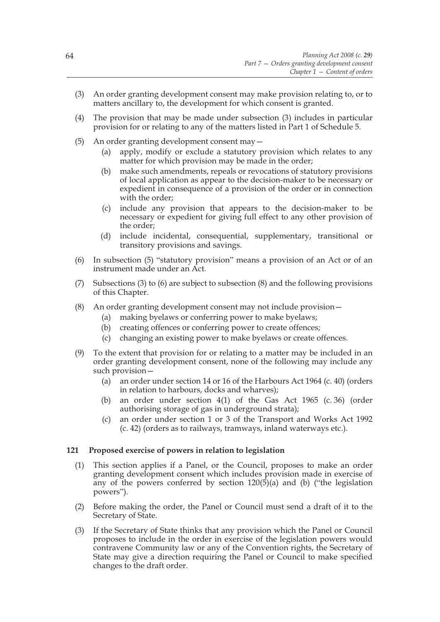- (3) An order granting development consent may make provision relating to, or to matters ancillary to, the development for which consent is granted.
- (4) The provision that may be made under subsection (3) includes in particular provision for or relating to any of the matters listed in Part 1 of Schedule 5.
- (5) An order granting development consent may—
	- (a) apply, modify or exclude a statutory provision which relates to any matter for which provision may be made in the order;
	- (b) make such amendments, repeals or revocations of statutory provisions of local application as appear to the decision-maker to be necessary or expedient in consequence of a provision of the order or in connection with the order;
	- (c) include any provision that appears to the decision-maker to be necessary or expedient for giving full effect to any other provision of the order;
	- (d) include incidental, consequential, supplementary, transitional or transitory provisions and savings.
- (6) In subsection (5) "statutory provision" means a provision of an Act or of an instrument made under an Act.
- (7) Subsections (3) to (6) are subject to subsection (8) and the following provisions of this Chapter.
- (8) An order granting development consent may not include provision—
	- (a) making byelaws or conferring power to make byelaws;
	- (b) creating offences or conferring power to create offences;
	- (c) changing an existing power to make byelaws or create offences.
- (9) To the extent that provision for or relating to a matter may be included in an order granting development consent, none of the following may include any such provision—
	- (a) an order under section 14 or 16 of the Harbours Act 1964 (c. 40) (orders in relation to harbours, docks and wharves);
	- (b) an order under section 4(1) of the Gas Act 1965 (c. 36) (order authorising storage of gas in underground strata);
	- (c) an order under section 1 or 3 of the Transport and Works Act 1992 (c. 42) (orders as to railways, tramways, inland waterways etc.).

### **121 Proposed exercise of powers in relation to legislation**

- (1) This section applies if a Panel, or the Council, proposes to make an order granting development consent which includes provision made in exercise of any of the powers conferred by section  $120(5)(a)$  and (b) ("the legislation powers").
- (2) Before making the order, the Panel or Council must send a draft of it to the Secretary of State.
- (3) If the Secretary of State thinks that any provision which the Panel or Council proposes to include in the order in exercise of the legislation powers would contravene Community law or any of the Convention rights, the Secretary of State may give a direction requiring the Panel or Council to make specified changes to the draft order.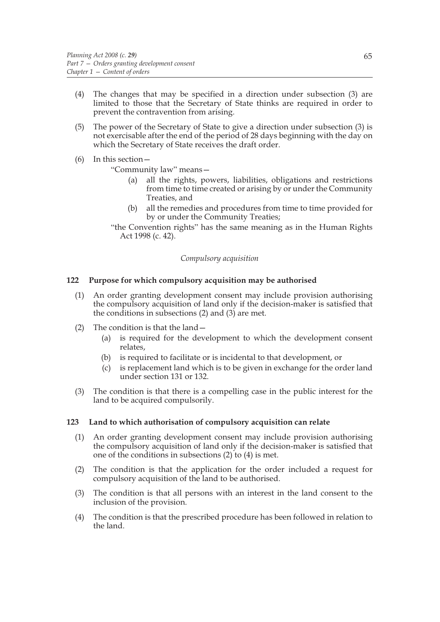- (4) The changes that may be specified in a direction under subsection (3) are limited to those that the Secretary of State thinks are required in order to prevent the contravention from arising.
- (5) The power of the Secretary of State to give a direction under subsection (3) is not exercisable after the end of the period of 28 days beginning with the day on which the Secretary of State receives the draft order.

# (6) In this section—

"Community law" means—

- (a) all the rights, powers, liabilities, obligations and restrictions from time to time created or arising by or under the Community Treaties, and
- (b) all the remedies and procedures from time to time provided for by or under the Community Treaties;
- "the Convention rights" has the same meaning as in the Human Rights Act 1998 (c. 42).

# *Compulsory acquisition*

# **122 Purpose for which compulsory acquisition may be authorised**

- (1) An order granting development consent may include provision authorising the compulsory acquisition of land only if the decision-maker is satisfied that the conditions in subsections (2) and (3) are met.
- (2) The condition is that the land—
	- (a) is required for the development to which the development consent relates,
	- (b) is required to facilitate or is incidental to that development, or
	- (c) is replacement land which is to be given in exchange for the order land under section 131 or 132.
- (3) The condition is that there is a compelling case in the public interest for the land to be acquired compulsorily.

# **123 Land to which authorisation of compulsory acquisition can relate**

- (1) An order granting development consent may include provision authorising the compulsory acquisition of land only if the decision-maker is satisfied that one of the conditions in subsections (2) to (4) is met.
- (2) The condition is that the application for the order included a request for compulsory acquisition of the land to be authorised.
- (3) The condition is that all persons with an interest in the land consent to the inclusion of the provision.
- (4) The condition is that the prescribed procedure has been followed in relation to the land.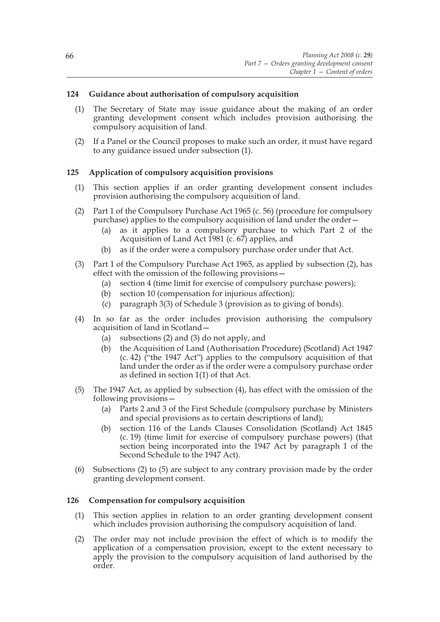# **124 Guidance about authorisation of compulsory acquisition**

- (1) The Secretary of State may issue guidance about the making of an order granting development consent which includes provision authorising the compulsory acquisition of land.
- (2) If a Panel or the Council proposes to make such an order, it must have regard to any guidance issued under subsection (1).

# **125 Application of compulsory acquisition provisions**

- (1) This section applies if an order granting development consent includes provision authorising the compulsory acquisition of land.
- (2) Part 1 of the Compulsory Purchase Act 1965 (c. 56) (procedure for compulsory purchase) applies to the compulsory acquisition of land under the order—
	- (a) as it applies to a compulsory purchase to which Part 2 of the Acquisition of Land Act 1981 (c. 67) applies, and
	- (b) as if the order were a compulsory purchase order under that Act.
- (3) Part 1 of the Compulsory Purchase Act 1965, as applied by subsection (2), has effect with the omission of the following provisions—
	- (a) section 4 (time limit for exercise of compulsory purchase powers);
	- (b) section 10 (compensation for injurious affection);
	- (c) paragraph 3(3) of Schedule 3 (provision as to giving of bonds).
- (4) In so far as the order includes provision authorising the compulsory acquisition of land in Scotland—
	- (a) subsections (2) and (3) do not apply, and
	- (b) the Acquisition of Land (Authorisation Procedure) (Scotland) Act 1947  $(c. 42)$  ("the 1947 Act") applies to the compulsory acquisition of that land under the order as if the order were a compulsory purchase order as defined in section 1(1) of that Act.
- (5) The 1947 Act, as applied by subsection (4), has effect with the omission of the following provisions—
	- (a) Parts 2 and 3 of the First Schedule (compulsory purchase by Ministers and special provisions as to certain descriptions of land);
	- (b) section 116 of the Lands Clauses Consolidation (Scotland) Act 1845 (c. 19) (time limit for exercise of compulsory purchase powers) (that section being incorporated into the 1947 Act by paragraph 1 of the Second Schedule to the 1947 Act).
- (6) Subsections (2) to (5) are subject to any contrary provision made by the order granting development consent.

# **126 Compensation for compulsory acquisition**

- (1) This section applies in relation to an order granting development consent which includes provision authorising the compulsory acquisition of land.
- (2) The order may not include provision the effect of which is to modify the application of a compensation provision, except to the extent necessary to apply the provision to the compulsory acquisition of land authorised by the order.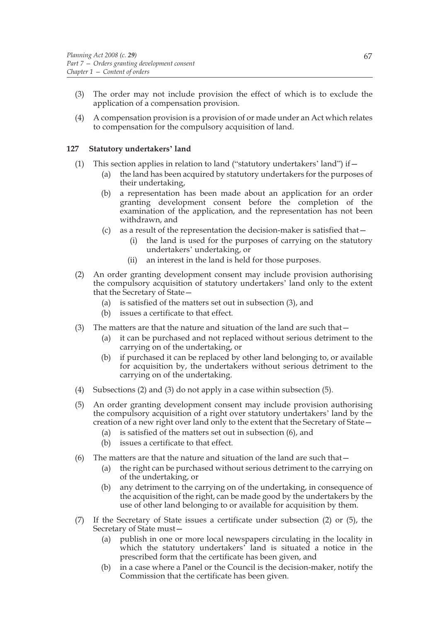- (3) The order may not include provision the effect of which is to exclude the application of a compensation provision.
- (4) A compensation provision is a provision of or made under an Act which relates to compensation for the compulsory acquisition of land.

### **127 Statutory undertakers' land**

- (1) This section applies in relation to land ("statutory undertakers' land") if  $-$ 
	- (a) the land has been acquired by statutory undertakers for the purposes of their undertaking,
	- (b) a representation has been made about an application for an order granting development consent before the completion of the examination of the application, and the representation has not been withdrawn, and
	- (c) as a result of the representation the decision-maker is satisfied that—
		- (i) the land is used for the purposes of carrying on the statutory undertakers' undertaking, or
		- (ii) an interest in the land is held for those purposes.
- (2) An order granting development consent may include provision authorising the compulsory acquisition of statutory undertakers' land only to the extent that the Secretary of State—
	- (a) is satisfied of the matters set out in subsection (3), and
	- (b) issues a certificate to that effect.
- (3) The matters are that the nature and situation of the land are such that—
	- (a) it can be purchased and not replaced without serious detriment to the carrying on of the undertaking, or
	- (b) if purchased it can be replaced by other land belonging to, or available for acquisition by, the undertakers without serious detriment to the carrying on of the undertaking.
- (4) Subsections (2) and (3) do not apply in a case within subsection (5).
- (5) An order granting development consent may include provision authorising the compulsory acquisition of a right over statutory undertakers' land by the creation of a new right over land only to the extent that the Secretary of State—
	- (a) is satisfied of the matters set out in subsection (6), and
	- (b) issues a certificate to that effect.
- (6) The matters are that the nature and situation of the land are such that  $-$ 
	- (a) the right can be purchased without serious detriment to the carrying on of the undertaking, or
	- (b) any detriment to the carrying on of the undertaking, in consequence of the acquisition of the right, can be made good by the undertakers by the use of other land belonging to or available for acquisition by them.
- (7) If the Secretary of State issues a certificate under subsection (2) or (5), the Secretary of State must—
	- (a) publish in one or more local newspapers circulating in the locality in which the statutory undertakers' land is situated a notice in the prescribed form that the certificate has been given, and
	- (b) in a case where a Panel or the Council is the decision-maker, notify the Commission that the certificate has been given.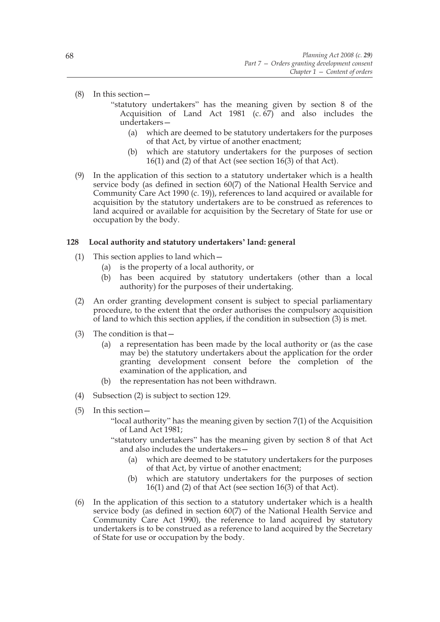(8) In this section—

- "statutory undertakers" has the meaning given by section 8 of the Acquisition of Land Act 1981  $(c, 67)$  and also includes the undertakers—
	- (a) which are deemed to be statutory undertakers for the purposes of that Act, by virtue of another enactment;
	- (b) which are statutory undertakers for the purposes of section 16(1) and (2) of that Act (see section 16(3) of that Act).
- (9) In the application of this section to a statutory undertaker which is a health service body (as defined in section 60(7) of the National Health Service and Community Care Act 1990 (c. 19)), references to land acquired or available for acquisition by the statutory undertakers are to be construed as references to land acquired or available for acquisition by the Secretary of State for use or occupation by the body.

# **128 Local authority and statutory undertakers' land: general**

- (1) This section applies to land which—
	- (a) is the property of a local authority, or
	- (b) has been acquired by statutory undertakers (other than a local authority) for the purposes of their undertaking.
- (2) An order granting development consent is subject to special parliamentary procedure, to the extent that the order authorises the compulsory acquisition of land to which this section applies, if the condition in subsection (3) is met.
- (3) The condition is that—
	- (a) a representation has been made by the local authority or (as the case may be) the statutory undertakers about the application for the order granting development consent before the completion of the examination of the application, and
	- (b) the representation has not been withdrawn.
- (4) Subsection (2) is subject to section 129.
- (5) In this section—
	- "local authority" has the meaning given by section 7(1) of the Acquisition of Land Act 1981;
	- "statutory undertakers" has the meaning given by section 8 of that Act and also includes the undertakers—
		- (a) which are deemed to be statutory undertakers for the purposes of that Act, by virtue of another enactment;
		- (b) which are statutory undertakers for the purposes of section 16(1) and (2) of that Act (see section 16(3) of that Act).
- (6) In the application of this section to a statutory undertaker which is a health service body (as defined in section 60(7) of the National Health Service and Community Care Act 1990), the reference to land acquired by statutory undertakers is to be construed as a reference to land acquired by the Secretary of State for use or occupation by the body.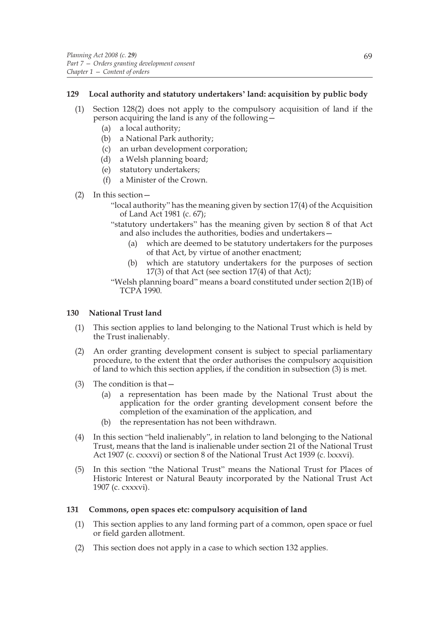# **129 Local authority and statutory undertakers' land: acquisition by public body**

- (1) Section 128(2) does not apply to the compulsory acquisition of land if the person acquiring the land is any of the following—
	- (a) a local authority;
	- (b) a National Park authority;
	- (c) an urban development corporation;
	- (d) a Welsh planning board;
	- (e) statutory undertakers;
	- (f) a Minister of the Crown.
- (2) In this section—
	- "local authority" has the meaning given by section 17(4) of the Acquisition of Land Act 1981 (c. 67);
	- "statutory undertakers" has the meaning given by section 8 of that Act and also includes the authorities, bodies and undertakers—
		- (a) which are deemed to be statutory undertakers for the purposes of that Act, by virtue of another enactment;
		- (b) which are statutory undertakers for the purposes of section 17(3) of that Act (see section 17(4) of that Act);
	- "Welsh planning board" means a board constituted under section 2(1B) of TCPA 1990.

# **130 National Trust land**

- (1) This section applies to land belonging to the National Trust which is held by the Trust inalienably.
- (2) An order granting development consent is subject to special parliamentary procedure, to the extent that the order authorises the compulsory acquisition of land to which this section applies, if the condition in subsection (3) is met.
- (3) The condition is that—
	- (a) a representation has been made by the National Trust about the application for the order granting development consent before the completion of the examination of the application, and
	- (b) the representation has not been withdrawn.
- (4) In this section "held inalienably", in relation to land belonging to the National Trust, means that the land is inalienable under section 21 of the National Trust Act 1907 (c. cxxxvi) or section 8 of the National Trust Act 1939 (c. lxxxvi).
- (5) In this section "the National Trust" means the National Trust for Places of Historic Interest or Natural Beauty incorporated by the National Trust Act 1907 (c. cxxxvi).

# **131 Commons, open spaces etc: compulsory acquisition of land**

- (1) This section applies to any land forming part of a common, open space or fuel or field garden allotment.
- (2) This section does not apply in a case to which section 132 applies.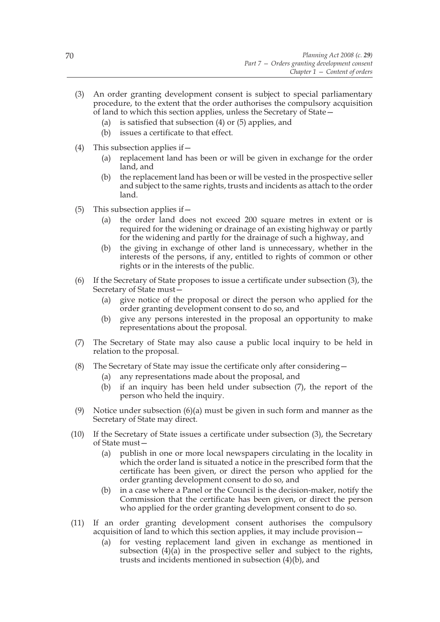- (3) An order granting development consent is subject to special parliamentary procedure, to the extent that the order authorises the compulsory acquisition of land to which this section applies, unless the Secretary of State—
	- (a) is satisfied that subsection (4) or (5) applies, and
	- (b) issues a certificate to that effect.
- (4) This subsection applies if  $-$ 
	- (a) replacement land has been or will be given in exchange for the order land, and
	- (b) the replacement land has been or will be vested in the prospective seller and subject to the same rights, trusts and incidents as attach to the order land.
- (5) This subsection applies if  $-$ 
	- (a) the order land does not exceed 200 square metres in extent or is required for the widening or drainage of an existing highway or partly for the widening and partly for the drainage of such a highway, and
	- (b) the giving in exchange of other land is unnecessary, whether in the interests of the persons, if any, entitled to rights of common or other rights or in the interests of the public.
- (6) If the Secretary of State proposes to issue a certificate under subsection (3), the Secretary of State must—
	- (a) give notice of the proposal or direct the person who applied for the order granting development consent to do so, and
	- (b) give any persons interested in the proposal an opportunity to make representations about the proposal.
- (7) The Secretary of State may also cause a public local inquiry to be held in relation to the proposal.
- (8) The Secretary of State may issue the certificate only after considering—
	- (a) any representations made about the proposal, and
	- (b) if an inquiry has been held under subsection (7), the report of the person who held the inquiry.
- (9) Notice under subsection (6)(a) must be given in such form and manner as the Secretary of State may direct.
- (10) If the Secretary of State issues a certificate under subsection (3), the Secretary of State must—
	- (a) publish in one or more local newspapers circulating in the locality in which the order land is situated a notice in the prescribed form that the certificate has been given, or direct the person who applied for the order granting development consent to do so, and
	- (b) in a case where a Panel or the Council is the decision-maker, notify the Commission that the certificate has been given, or direct the person who applied for the order granting development consent to do so.
- (11) If an order granting development consent authorises the compulsory acquisition of land to which this section applies, it may include provision—
	- (a) for vesting replacement land given in exchange as mentioned in subsection  $(4)(a)$  in the prospective seller and subject to the rights, trusts and incidents mentioned in subsection (4)(b), and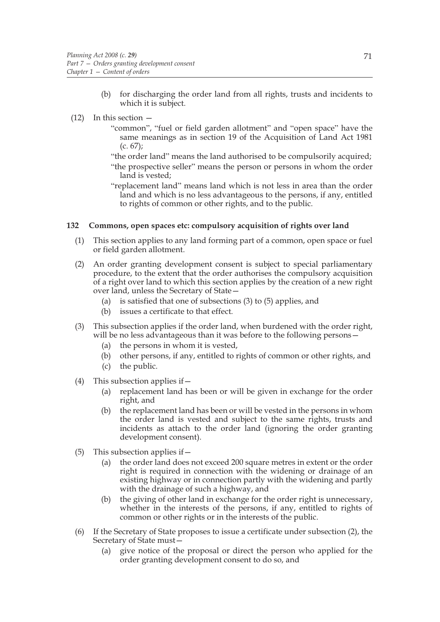(b) for discharging the order land from all rights, trusts and incidents to which it is subject.

### (12) In this section —

- "common", "fuel or field garden allotment" and "open space" have the same meanings as in section 19 of the Acquisition of Land Act 1981  $(c. 67)$ ;
- "the order land" means the land authorised to be compulsorily acquired;
- "the prospective seller" means the person or persons in whom the order land is vested;
- "replacement land" means land which is not less in area than the order land and which is no less advantageous to the persons, if any, entitled to rights of common or other rights, and to the public.

# **132 Commons, open spaces etc: compulsory acquisition of rights over land**

- (1) This section applies to any land forming part of a common, open space or fuel or field garden allotment.
- (2) An order granting development consent is subject to special parliamentary procedure, to the extent that the order authorises the compulsory acquisition of a right over land to which this section applies by the creation of a new right over land, unless the Secretary of State—
	- (a) is satisfied that one of subsections (3) to (5) applies, and
	- (b) issues a certificate to that effect.
- (3) This subsection applies if the order land, when burdened with the order right, will be no less advantageous than it was before to the following persons—
	- (a) the persons in whom it is vested,
	- (b) other persons, if any, entitled to rights of common or other rights, and
	- (c) the public.
- (4) This subsection applies if—
	- (a) replacement land has been or will be given in exchange for the order right, and
	- (b) the replacement land has been or will be vested in the persons in whom the order land is vested and subject to the same rights, trusts and incidents as attach to the order land (ignoring the order granting development consent).
- (5) This subsection applies if—
	- (a) the order land does not exceed 200 square metres in extent or the order right is required in connection with the widening or drainage of an existing highway or in connection partly with the widening and partly with the drainage of such a highway, and
	- (b) the giving of other land in exchange for the order right is unnecessary, whether in the interests of the persons, if any, entitled to rights of common or other rights or in the interests of the public.
- (6) If the Secretary of State proposes to issue a certificate under subsection (2), the Secretary of State must—
	- (a) give notice of the proposal or direct the person who applied for the order granting development consent to do so, and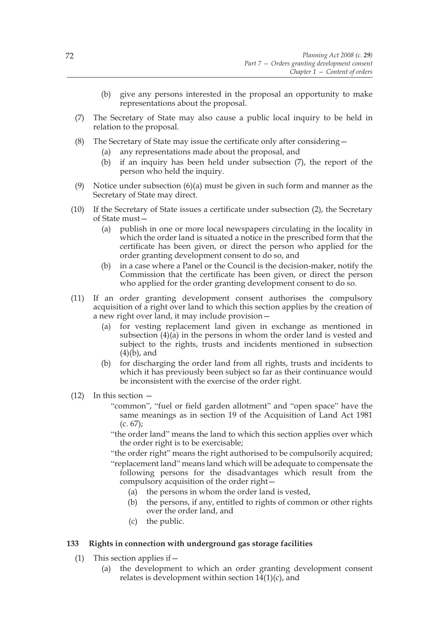- (b) give any persons interested in the proposal an opportunity to make representations about the proposal.
- (7) The Secretary of State may also cause a public local inquiry to be held in relation to the proposal.
- (8) The Secretary of State may issue the certificate only after considering—
	- (a) any representations made about the proposal, and
	- (b) if an inquiry has been held under subsection (7), the report of the person who held the inquiry.
- (9) Notice under subsection (6)(a) must be given in such form and manner as the Secretary of State may direct.
- (10) If the Secretary of State issues a certificate under subsection (2), the Secretary of State must—
	- (a) publish in one or more local newspapers circulating in the locality in which the order land is situated a notice in the prescribed form that the certificate has been given, or direct the person who applied for the order granting development consent to do so, and
	- (b) in a case where a Panel or the Council is the decision-maker, notify the Commission that the certificate has been given, or direct the person who applied for the order granting development consent to do so.
- (11) If an order granting development consent authorises the compulsory acquisition of a right over land to which this section applies by the creation of a new right over land, it may include provision—
	- (a) for vesting replacement land given in exchange as mentioned in subsection  $(4)(\overline{a})$  in the persons in whom the order land is vested and subject to the rights, trusts and incidents mentioned in subsection  $(4)(b)$ , and
	- (b) for discharging the order land from all rights, trusts and incidents to which it has previously been subject so far as their continuance would be inconsistent with the exercise of the order right.
- (12) In this section
	- "common", "fuel or field garden allotment" and "open space" have the same meanings as in section 19 of the Acquisition of Land Act 1981  $(c. 67);$
	- "the order land" means the land to which this section applies over which the order right is to be exercisable;
	- "the order right" means the right authorised to be compulsorily acquired;

"replacement land" means land which will be adequate to compensate the following persons for the disadvantages which result from the compulsory acquisition of the order right—

- (a) the persons in whom the order land is vested,
- (b) the persons, if any, entitled to rights of common or other rights over the order land, and
- (c) the public.

# **133 Rights in connection with underground gas storage facilities**

- (1) This section applies if—
	- (a) the development to which an order granting development consent relates is development within section  $14(1)(c)$ , and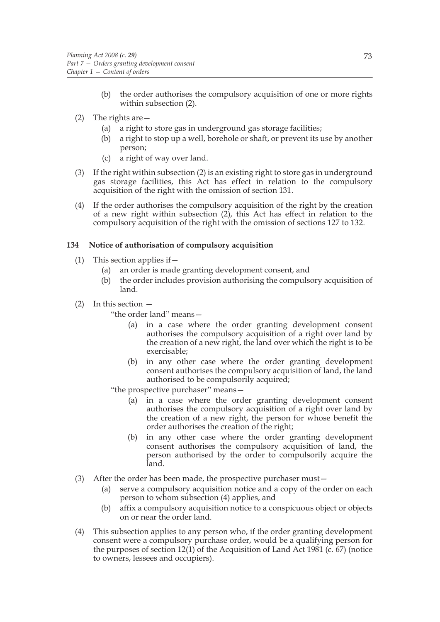- (b) the order authorises the compulsory acquisition of one or more rights within subsection (2).
- (2) The rights are—
	- (a) a right to store gas in underground gas storage facilities;
	- (b) a right to stop up a well, borehole or shaft, or prevent its use by another person;
	- (c) a right of way over land.
- (3) If the right within subsection (2) is an existing right to store gas in underground gas storage facilities, this Act has effect in relation to the compulsory acquisition of the right with the omission of section 131.
- (4) If the order authorises the compulsory acquisition of the right by the creation of a new right within subsection (2), this Act has effect in relation to the compulsory acquisition of the right with the omission of sections 127 to 132.

# **134 Notice of authorisation of compulsory acquisition**

- (1) This section applies if  $-$ 
	- (a) an order is made granting development consent, and
	- (b) the order includes provision authorising the compulsory acquisition of land.
- (2) In this section —

"the order land" means—

- (a) in a case where the order granting development consent authorises the compulsory acquisition of a right over land by the creation of a new right, the land over which the right is to be exercisable;
- (b) in any other case where the order granting development consent authorises the compulsory acquisition of land, the land authorised to be compulsorily acquired;

"the prospective purchaser" means—

- (a) in a case where the order granting development consent authorises the compulsory acquisition of a right over land by the creation of a new right, the person for whose benefit the order authorises the creation of the right;
- (b) in any other case where the order granting development consent authorises the compulsory acquisition of land, the person authorised by the order to compulsorily acquire the land.
- (3) After the order has been made, the prospective purchaser must—
	- (a) serve a compulsory acquisition notice and a copy of the order on each person to whom subsection (4) applies, and
	- (b) affix a compulsory acquisition notice to a conspicuous object or objects on or near the order land.
- (4) This subsection applies to any person who, if the order granting development consent were a compulsory purchase order, would be a qualifying person for the purposes of section 12(1) of the Acquisition of Land Act 1981 (c. 67) (notice to owners, lessees and occupiers).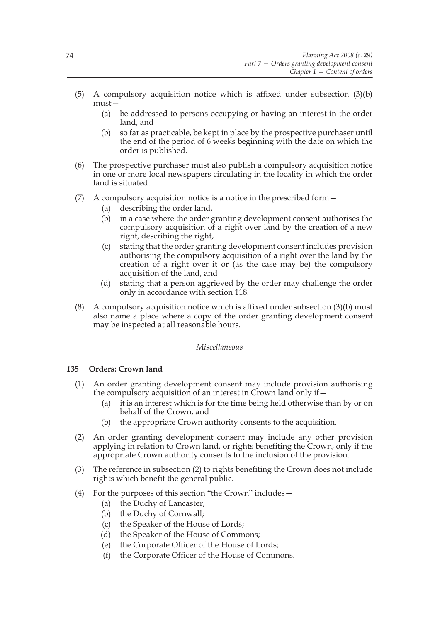- (5) A compulsory acquisition notice which is affixed under subsection (3)(b) must—
	- (a) be addressed to persons occupying or having an interest in the order land, and
	- (b) so far as practicable, be kept in place by the prospective purchaser until the end of the period of 6 weeks beginning with the date on which the order is published.
- (6) The prospective purchaser must also publish a compulsory acquisition notice in one or more local newspapers circulating in the locality in which the order land is situated.
- (7) A compulsory acquisition notice is a notice in the prescribed form—
	- (a) describing the order land,
	- (b) in a case where the order granting development consent authorises the compulsory acquisition of a right over land by the creation of a new right, describing the right,
	- (c) stating that the order granting development consent includes provision authorising the compulsory acquisition of a right over the land by the creation of a right over it or (as the case may be) the compulsory acquisition of the land, and
	- (d) stating that a person aggrieved by the order may challenge the order only in accordance with section 118.
- (8) A compulsory acquisition notice which is affixed under subsection (3)(b) must also name a place where a copy of the order granting development consent may be inspected at all reasonable hours.

#### *Miscellaneous*

# **135 Orders: Crown land**

- (1) An order granting development consent may include provision authorising the compulsory acquisition of an interest in Crown land only if—
	- (a) it is an interest which is for the time being held otherwise than by or on behalf of the Crown, and
	- (b) the appropriate Crown authority consents to the acquisition.
- (2) An order granting development consent may include any other provision applying in relation to Crown land, or rights benefiting the Crown, only if the appropriate Crown authority consents to the inclusion of the provision.
- (3) The reference in subsection (2) to rights benefiting the Crown does not include rights which benefit the general public.
- (4) For the purposes of this section "the Crown" includes—
	- (a) the Duchy of Lancaster;
	- (b) the Duchy of Cornwall;
	- (c) the Speaker of the House of Lords;
	- (d) the Speaker of the House of Commons;
	- (e) the Corporate Officer of the House of Lords;
	- (f) the Corporate Officer of the House of Commons.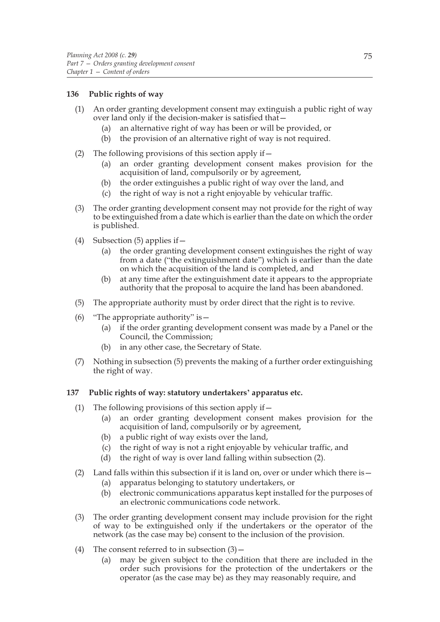# **136 Public rights of way**

- (1) An order granting development consent may extinguish a public right of way over land only if the decision-maker is satisfied that—
	- (a) an alternative right of way has been or will be provided, or
	- (b) the provision of an alternative right of way is not required.
- (2) The following provisions of this section apply if—
	- (a) an order granting development consent makes provision for the acquisition of land, compulsorily or by agreement,
	- (b) the order extinguishes a public right of way over the land, and
	- (c) the right of way is not a right enjoyable by vehicular traffic.
- (3) The order granting development consent may not provide for the right of way to be extinguished from a date which is earlier than the date on which the order is published.
- (4) Subsection  $(5)$  applies if  $-$ 
	- (a) the order granting development consent extinguishes the right of way from a date ("the extinguishment date") which is earlier than the date on which the acquisition of the land is completed, and
	- (b) at any time after the extinguishment date it appears to the appropriate authority that the proposal to acquire the land has been abandoned.
- (5) The appropriate authority must by order direct that the right is to revive.
- (6) "The appropriate authority" is  $-$ 
	- (a) if the order granting development consent was made by a Panel or the Council, the Commission;
	- (b) in any other case, the Secretary of State.
- (7) Nothing in subsection (5) prevents the making of a further order extinguishing the right of way.

# **137 Public rights of way: statutory undertakers' apparatus etc.**

- (1) The following provisions of this section apply if  $-$ 
	- (a) an order granting development consent makes provision for the acquisition of land, compulsorily or by agreement,
	- (b) a public right of way exists over the land,
	- (c) the right of way is not a right enjoyable by vehicular traffic, and
	- (d) the right of way is over land falling within subsection (2).
- (2) Land falls within this subsection if it is land on, over or under which there is—
	- (a) apparatus belonging to statutory undertakers, or
	- (b) electronic communications apparatus kept installed for the purposes of an electronic communications code network.
- (3) The order granting development consent may include provision for the right of way to be extinguished only if the undertakers or the operator of the network (as the case may be) consent to the inclusion of the provision.
- (4) The consent referred to in subsection  $(3)$ 
	- (a) may be given subject to the condition that there are included in the order such provisions for the protection of the undertakers or the operator (as the case may be) as they may reasonably require, and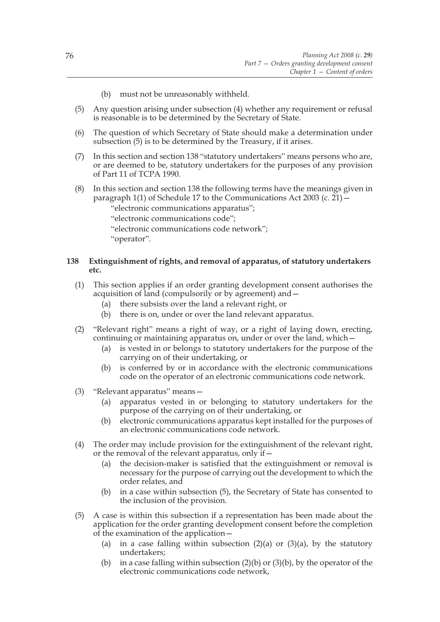- (b) must not be unreasonably withheld.
- (5) Any question arising under subsection (4) whether any requirement or refusal is reasonable is to be determined by the Secretary of State.
- (6) The question of which Secretary of State should make a determination under subsection (5) is to be determined by the Treasury, if it arises.
- (7) In this section and section 138 "statutory undertakers" means persons who are, or are deemed to be, statutory undertakers for the purposes of any provision of Part 11 of TCPA 1990.
- (8) In this section and section 138 the following terms have the meanings given in paragraph 1(1) of Schedule 17 to the Communications Act 2003 (c.  $21$ ) –
	- "electronic communications apparatus";
	- "electronic communications code";
	- "electronic communications code network";

"operator".

### **138 Extinguishment of rights, and removal of apparatus, of statutory undertakers etc.**

- (1) This section applies if an order granting development consent authorises the acquisition of land (compulsorily or by agreement) and—
	- (a) there subsists over the land a relevant right, or
	- (b) there is on, under or over the land relevant apparatus.
- (2) "Relevant right" means a right of way, or a right of laying down, erecting, continuing or maintaining apparatus on, under or over the land, which—
	- (a) is vested in or belongs to statutory undertakers for the purpose of the carrying on of their undertaking, or
	- (b) is conferred by or in accordance with the electronic communications code on the operator of an electronic communications code network.
- (3) "Relevant apparatus" means—
	- (a) apparatus vested in or belonging to statutory undertakers for the purpose of the carrying on of their undertaking, or
	- (b) electronic communications apparatus kept installed for the purposes of an electronic communications code network.
- (4) The order may include provision for the extinguishment of the relevant right, or the removal of the relevant apparatus, only if—
	- (a) the decision-maker is satisfied that the extinguishment or removal is necessary for the purpose of carrying out the development to which the order relates, and
	- (b) in a case within subsection (5), the Secretary of State has consented to the inclusion of the provision.
- (5) A case is within this subsection if a representation has been made about the application for the order granting development consent before the completion of the examination of the application—
	- (a) in a case falling within subsection  $(2)(a)$  or  $(3)(a)$ , by the statutory undertakers;
	- (b) in a case falling within subsection  $(2)(b)$  or  $(3)(b)$ , by the operator of the electronic communications code network,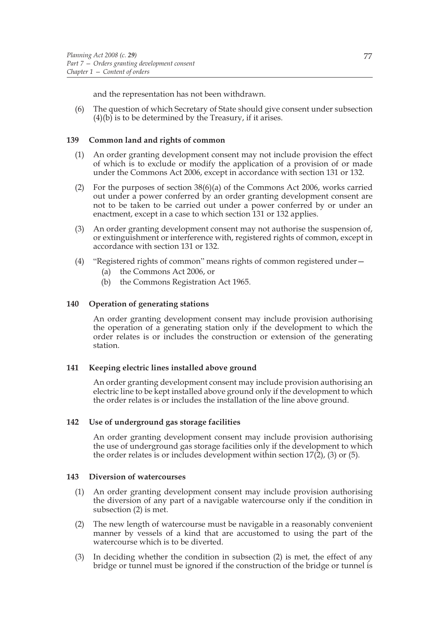and the representation has not been withdrawn.

(6) The question of which Secretary of State should give consent under subsection  $(4)(b)$  is to be determined by the Treasury, if it arises.

### **139 Common land and rights of common**

- (1) An order granting development consent may not include provision the effect of which is to exclude or modify the application of a provision of or made under the Commons Act 2006, except in accordance with section 131 or 132.
- (2) For the purposes of section  $38(6)$ (a) of the Commons Act 2006, works carried out under a power conferred by an order granting development consent are not to be taken to be carried out under a power conferred by or under an enactment, except in a case to which section 131 or 132 applies.
- (3) An order granting development consent may not authorise the suspension of, or extinguishment or interference with, registered rights of common, except in accordance with section 131 or 132.
- (4) "Registered rights of common" means rights of common registered under—
	- (a) the Commons Act 2006, or
	- (b) the Commons Registration Act 1965.

### **140 Operation of generating stations**

An order granting development consent may include provision authorising the operation of a generating station only if the development to which the order relates is or includes the construction or extension of the generating station.

### **141 Keeping electric lines installed above ground**

An order granting development consent may include provision authorising an electric line to be kept installed above ground only if the development to which the order relates is or includes the installation of the line above ground.

#### **142 Use of underground gas storage facilities**

An order granting development consent may include provision authorising the use of underground gas storage facilities only if the development to which the order relates is or includes development within section  $17(2)$ , (3) or (5).

#### **143 Diversion of watercourses**

- (1) An order granting development consent may include provision authorising the diversion of any part of a navigable watercourse only if the condition in subsection (2) is met.
- (2) The new length of watercourse must be navigable in a reasonably convenient manner by vessels of a kind that are accustomed to using the part of the watercourse which is to be diverted.
- (3) In deciding whether the condition in subsection (2) is met, the effect of any bridge or tunnel must be ignored if the construction of the bridge or tunnel is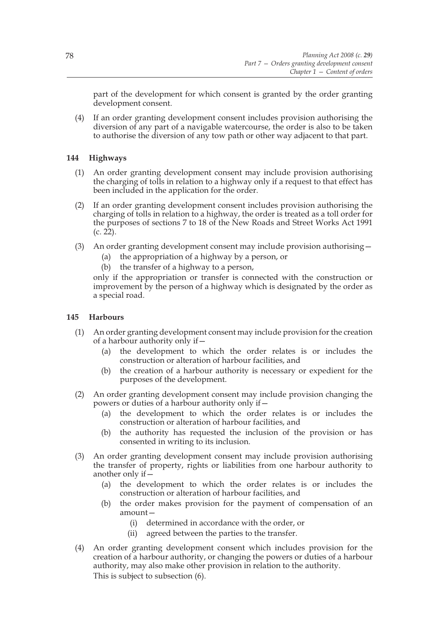part of the development for which consent is granted by the order granting development consent.

(4) If an order granting development consent includes provision authorising the diversion of any part of a navigable watercourse, the order is also to be taken to authorise the diversion of any tow path or other way adjacent to that part.

# **144 Highways**

- (1) An order granting development consent may include provision authorising the charging of tolls in relation to a highway only if a request to that effect has been included in the application for the order.
- (2) If an order granting development consent includes provision authorising the charging of tolls in relation to a highway, the order is treated as a toll order for the purposes of sections 7 to 18 of the New Roads and Street Works Act 1991 (c. 22).
- (3) An order granting development consent may include provision authorising— (a) the appropriation of a highway by a person, or
	- (b) the transfer of a highway to a person,

only if the appropriation or transfer is connected with the construction or improvement by the person of a highway which is designated by the order as a special road.

# **145 Harbours**

- (1) An order granting development consent may include provision for the creation of a harbour authority only if—
	- (a) the development to which the order relates is or includes the construction or alteration of harbour facilities, and
	- (b) the creation of a harbour authority is necessary or expedient for the purposes of the development.
- (2) An order granting development consent may include provision changing the powers or duties of a harbour authority only if—
	- (a) the development to which the order relates is or includes the construction or alteration of harbour facilities, and
	- (b) the authority has requested the inclusion of the provision or has consented in writing to its inclusion.
- (3) An order granting development consent may include provision authorising the transfer of property, rights or liabilities from one harbour authority to another only if—
	- (a) the development to which the order relates is or includes the construction or alteration of harbour facilities, and
	- (b) the order makes provision for the payment of compensation of an amount—
		- (i) determined in accordance with the order, or
		- (ii) agreed between the parties to the transfer.
- (4) An order granting development consent which includes provision for the creation of a harbour authority, or changing the powers or duties of a harbour authority, may also make other provision in relation to the authority. This is subject to subsection (6).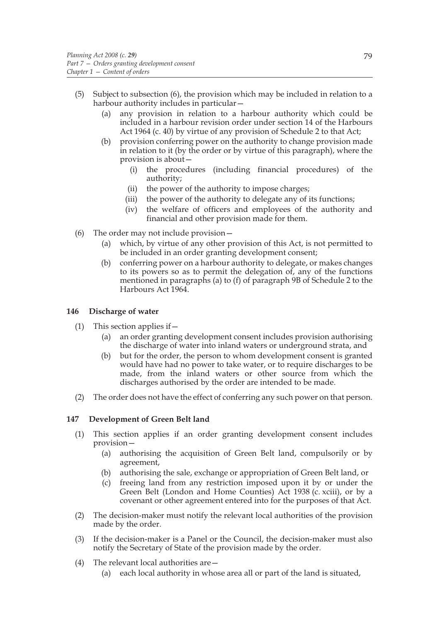- (5) Subject to subsection (6), the provision which may be included in relation to a harbour authority includes in particular—
	- (a) any provision in relation to a harbour authority which could be included in a harbour revision order under section 14 of the Harbours Act 1964 (c. 40) by virtue of any provision of Schedule 2 to that Act;
	- (b) provision conferring power on the authority to change provision made in relation to it (by the order or by virtue of this paragraph), where the provision is about—
		- (i) the procedures (including financial procedures) of the authority;
		- (ii) the power of the authority to impose charges;
		- (iii) the power of the authority to delegate any of its functions;
		- (iv) the welfare of officers and employees of the authority and financial and other provision made for them.
- (6) The order may not include provision—
	- (a) which, by virtue of any other provision of this Act, is not permitted to be included in an order granting development consent;
	- (b) conferring power on a harbour authority to delegate, or makes changes to its powers so as to permit the delegation of, any of the functions mentioned in paragraphs (a) to (f) of paragraph 9B of Schedule 2 to the Harbours Act 1964.

# **146 Discharge of water**

- (1) This section applies if—
	- (a) an order granting development consent includes provision authorising the discharge of water into inland waters or underground strata, and
	- (b) but for the order, the person to whom development consent is granted would have had no power to take water, or to require discharges to be made, from the inland waters or other source from which the discharges authorised by the order are intended to be made.
- (2) The order does not have the effect of conferring any such power on that person.

# **147 Development of Green Belt land**

- (1) This section applies if an order granting development consent includes provision—
	- (a) authorising the acquisition of Green Belt land, compulsorily or by agreement,
	- (b) authorising the sale, exchange or appropriation of Green Belt land, or
	- (c) freeing land from any restriction imposed upon it by or under the Green Belt (London and Home Counties) Act 1938 (c. xciii), or by a covenant or other agreement entered into for the purposes of that Act.
- (2) The decision-maker must notify the relevant local authorities of the provision made by the order.
- (3) If the decision-maker is a Panel or the Council, the decision-maker must also notify the Secretary of State of the provision made by the order.
- (4) The relevant local authorities are—
	- (a) each local authority in whose area all or part of the land is situated,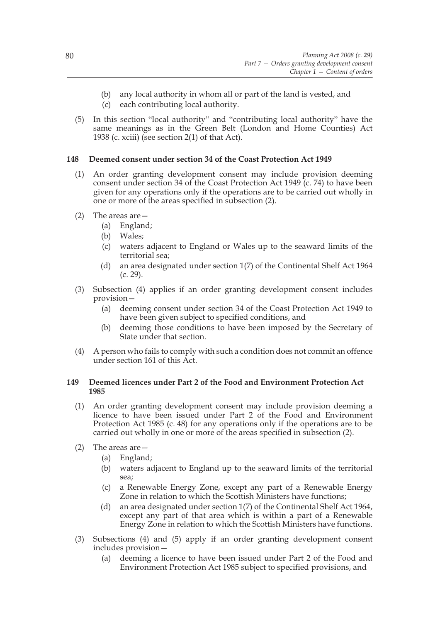- (b) any local authority in whom all or part of the land is vested, and
- (c) each contributing local authority.
- (5) In this section "local authority" and "contributing local authority" have the same meanings as in the Green Belt (London and Home Counties) Act 1938 (c. xciii) (see section 2(1) of that Act).

# **148 Deemed consent under section 34 of the Coast Protection Act 1949**

- (1) An order granting development consent may include provision deeming consent under section 34 of the Coast Protection Act 1949 (c. 74) to have been given for any operations only if the operations are to be carried out wholly in one or more of the areas specified in subsection (2).
- (2) The areas are—
	- (a) England;
	- (b) Wales;
	- (c) waters adjacent to England or Wales up to the seaward limits of the territorial sea;
	- (d) an area designated under section 1(7) of the Continental Shelf Act 1964 (c. 29).
- (3) Subsection (4) applies if an order granting development consent includes provision—
	- (a) deeming consent under section 34 of the Coast Protection Act 1949 to have been given subject to specified conditions, and
	- (b) deeming those conditions to have been imposed by the Secretary of State under that section.
- (4) A person who fails to comply with such a condition does not commit an offence under section 161 of this Act.

# **149 Deemed licences under Part 2 of the Food and Environment Protection Act 1985**

- (1) An order granting development consent may include provision deeming a licence to have been issued under Part 2 of the Food and Environment Protection Act 1985 (c. 48) for any operations only if the operations are to be carried out wholly in one or more of the areas specified in subsection (2).
- (2) The areas are—
	- (a) England;
	- (b) waters adjacent to England up to the seaward limits of the territorial sea;
	- (c) a Renewable Energy Zone, except any part of a Renewable Energy Zone in relation to which the Scottish Ministers have functions;
	- (d) an area designated under section 1(7) of the Continental Shelf Act 1964, except any part of that area which is within a part of a Renewable Energy Zone in relation to which the Scottish Ministers have functions.
- (3) Subsections (4) and (5) apply if an order granting development consent includes provision—
	- (a) deeming a licence to have been issued under Part 2 of the Food and Environment Protection Act 1985 subject to specified provisions, and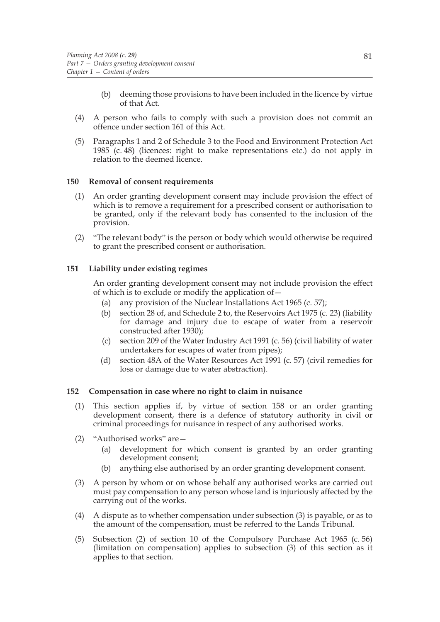- (b) deeming those provisions to have been included in the licence by virtue of that Act.
- (4) A person who fails to comply with such a provision does not commit an offence under section 161 of this Act.
- (5) Paragraphs 1 and 2 of Schedule 3 to the Food and Environment Protection Act 1985 (c. 48) (licences: right to make representations etc.) do not apply in relation to the deemed licence.

### **150 Removal of consent requirements**

- (1) An order granting development consent may include provision the effect of which is to remove a requirement for a prescribed consent or authorisation to be granted, only if the relevant body has consented to the inclusion of the provision.
- (2) "The relevant body" is the person or body which would otherwise be required to grant the prescribed consent or authorisation.

### **151 Liability under existing regimes**

An order granting development consent may not include provision the effect of which is to exclude or modify the application of—

- (a) any provision of the Nuclear Installations Act 1965 (c. 57);
- (b) section 28 of, and Schedule 2 to, the Reservoirs Act 1975 (c. 23) (liability for damage and injury due to escape of water from a reservoir constructed after 1930);
- (c) section 209 of the Water Industry Act 1991 (c. 56) (civil liability of water undertakers for escapes of water from pipes);
- (d) section 48A of the Water Resources Act 1991 (c. 57) (civil remedies for loss or damage due to water abstraction).

### **152 Compensation in case where no right to claim in nuisance**

- (1) This section applies if, by virtue of section 158 or an order granting development consent, there is a defence of statutory authority in civil or criminal proceedings for nuisance in respect of any authorised works.
- (2) "Authorised works" are—
	- (a) development for which consent is granted by an order granting development consent;
	- (b) anything else authorised by an order granting development consent.
- (3) A person by whom or on whose behalf any authorised works are carried out must pay compensation to any person whose land is injuriously affected by the carrying out of the works.
- (4) A dispute as to whether compensation under subsection (3) is payable, or as to the amount of the compensation, must be referred to the Lands Tribunal.
- (5) Subsection (2) of section 10 of the Compulsory Purchase Act 1965 (c. 56) (limitation on compensation) applies to subsection (3) of this section as it applies to that section.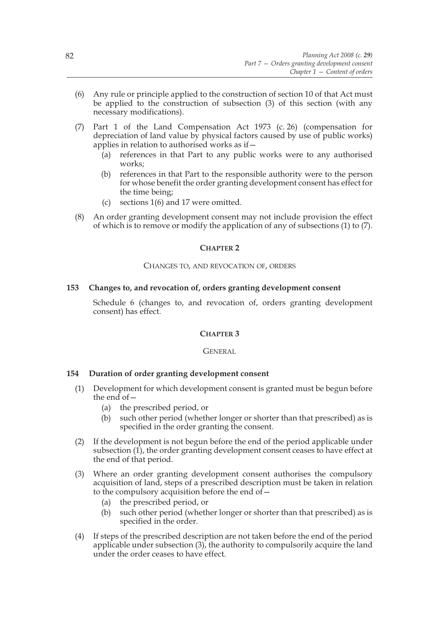- (6) Any rule or principle applied to the construction of section 10 of that Act must be applied to the construction of subsection (3) of this section (with any necessary modifications).
- (7) Part 1 of the Land Compensation Act 1973 (c. 26) (compensation for depreciation of land value by physical factors caused by use of public works) applies in relation to authorised works as if—
	- (a) references in that Part to any public works were to any authorised works;
	- (b) references in that Part to the responsible authority were to the person for whose benefit the order granting development consent has effect for the time being;
	- (c) sections 1(6) and 17 were omitted.
- (8) An order granting development consent may not include provision the effect of which is to remove or modify the application of any of subsections (1) to (7).

# **CHAPTER 2**

### CHANGES TO, AND REVOCATION OF, ORDERS

# **153 Changes to, and revocation of, orders granting development consent**

Schedule 6 (changes to, and revocation of, orders granting development consent) has effect.

# **CHAPTER 3**

#### GENERAL

# **154 Duration of order granting development consent**

- (1) Development for which development consent is granted must be begun before the end of  $-$ 
	- (a) the prescribed period, or
	- (b) such other period (whether longer or shorter than that prescribed) as is specified in the order granting the consent.
- (2) If the development is not begun before the end of the period applicable under subsection  $(1)$ , the order granting development consent ceases to have effect at the end of that period.
- (3) Where an order granting development consent authorises the compulsory acquisition of land, steps of a prescribed description must be taken in relation to the compulsory acquisition before the end of—
	- (a) the prescribed period, or
	- (b) such other period (whether longer or shorter than that prescribed) as is specified in the order.
- (4) If steps of the prescribed description are not taken before the end of the period applicable under subsection (3), the authority to compulsorily acquire the land under the order ceases to have effect.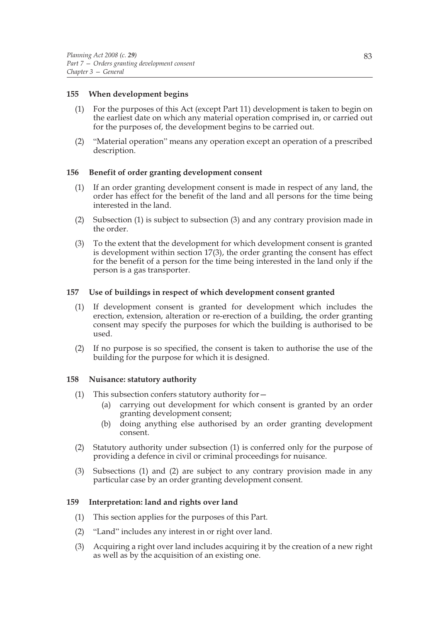# **155 When development begins**

- (1) For the purposes of this Act (except Part 11) development is taken to begin on the earliest date on which any material operation comprised in, or carried out for the purposes of, the development begins to be carried out.
- (2) "Material operation" means any operation except an operation of a prescribed description.

### **156 Benefit of order granting development consent**

- (1) If an order granting development consent is made in respect of any land, the order has effect for the benefit of the land and all persons for the time being interested in the land.
- (2) Subsection (1) is subject to subsection (3) and any contrary provision made in the order.
- (3) To the extent that the development for which development consent is granted is development within section 17(3), the order granting the consent has effect for the benefit of a person for the time being interested in the land only if the person is a gas transporter.

### **157 Use of buildings in respect of which development consent granted**

- (1) If development consent is granted for development which includes the erection, extension, alteration or re-erection of a building, the order granting consent may specify the purposes for which the building is authorised to be used.
- (2) If no purpose is so specified, the consent is taken to authorise the use of the building for the purpose for which it is designed.

# **158 Nuisance: statutory authority**

- (1) This subsection confers statutory authority for  $-$ 
	- (a) carrying out development for which consent is granted by an order granting development consent;
	- (b) doing anything else authorised by an order granting development consent.
- (2) Statutory authority under subsection (1) is conferred only for the purpose of providing a defence in civil or criminal proceedings for nuisance.
- (3) Subsections (1) and (2) are subject to any contrary provision made in any particular case by an order granting development consent.

#### **159 Interpretation: land and rights over land**

- (1) This section applies for the purposes of this Part.
- (2) "Land" includes any interest in or right over land.
- (3) Acquiring a right over land includes acquiring it by the creation of a new right as well as by the acquisition of an existing one.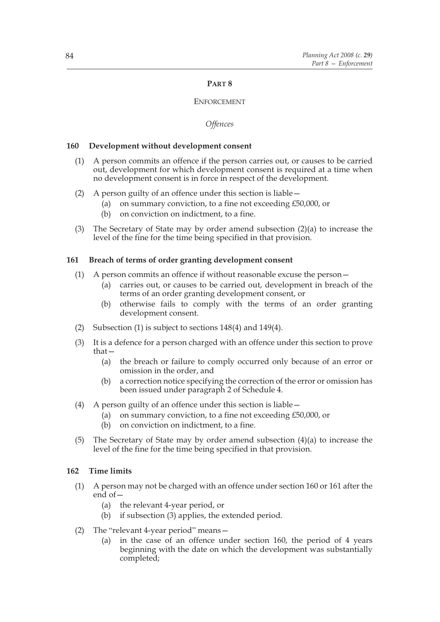# **PART 8**

# **ENFORCEMENT**

### *Offences*

### **160 Development without development consent**

- (1) A person commits an offence if the person carries out, or causes to be carried out, development for which development consent is required at a time when no development consent is in force in respect of the development.
- (2) A person guilty of an offence under this section is liable—
	- (a) on summary conviction, to a fine not exceeding £50,000, or
	- (b) on conviction on indictment, to a fine.
- (3) The Secretary of State may by order amend subsection (2)(a) to increase the level of the fine for the time being specified in that provision.

### **161 Breach of terms of order granting development consent**

- (1) A person commits an offence if without reasonable excuse the person—
	- (a) carries out, or causes to be carried out, development in breach of the terms of an order granting development consent, or
	- (b) otherwise fails to comply with the terms of an order granting development consent.
- (2) Subsection (1) is subject to sections 148(4) and 149(4).
- (3) It is a defence for a person charged with an offence under this section to prove that—
	- (a) the breach or failure to comply occurred only because of an error or omission in the order, and
	- (b) a correction notice specifying the correction of the error or omission has been issued under paragraph 2 of Schedule 4.
- (4) A person guilty of an offence under this section is liable—
	- (a) on summary conviction, to a fine not exceeding £50,000, or
	- (b) on conviction on indictment, to a fine.
- (5) The Secretary of State may by order amend subsection (4)(a) to increase the level of the fine for the time being specified in that provision.

### **162 Time limits**

- (1) A person may not be charged with an offence under section 160 or 161 after the end of—
	- (a) the relevant 4-year period, or
	- (b) if subsection (3) applies, the extended period.
- (2) The "relevant 4-year period" means—
	- (a) in the case of an offence under section 160, the period of 4 years beginning with the date on which the development was substantially completed;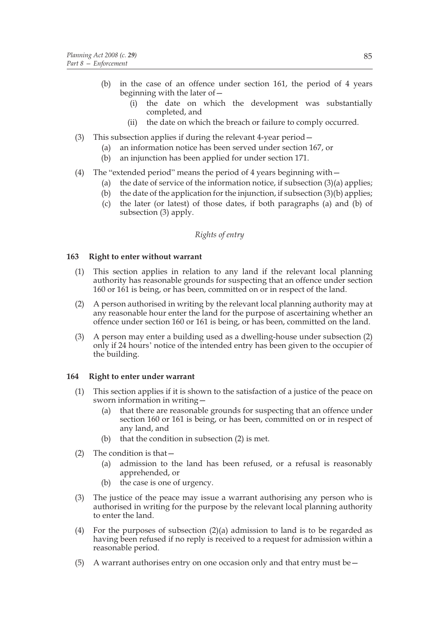- (b) in the case of an offence under section 161, the period of 4 years beginning with the later of—
	- (i) the date on which the development was substantially completed, and
	- (ii) the date on which the breach or failure to comply occurred.
- (3) This subsection applies if during the relevant 4-year period—
	- (a) an information notice has been served under section 167, or
	- (b) an injunction has been applied for under section 171.
- (4) The "extended period" means the period of 4 years beginning with—
	- (a) the date of service of the information notice, if subsection  $(3)(a)$  applies;
	- (b) the date of the application for the injunction, if subsection  $(3)(b)$  applies;
	- (c) the later (or latest) of those dates, if both paragraphs (a) and (b) of subsection (3) apply.

# *Rights of entry*

### **163 Right to enter without warrant**

- (1) This section applies in relation to any land if the relevant local planning authority has reasonable grounds for suspecting that an offence under section 160 or 161 is being, or has been, committed on or in respect of the land.
- (2) A person authorised in writing by the relevant local planning authority may at any reasonable hour enter the land for the purpose of ascertaining whether an offence under section 160 or 161 is being, or has been, committed on the land.
- (3) A person may enter a building used as a dwelling-house under subsection (2) only if 24 hours' notice of the intended entry has been given to the occupier of the building.

# **164 Right to enter under warrant**

- (1) This section applies if it is shown to the satisfaction of a justice of the peace on sworn information in writing—
	- (a) that there are reasonable grounds for suspecting that an offence under section 160 or 161 is being, or has been, committed on or in respect of any land, and
	- (b) that the condition in subsection (2) is met.
- (2) The condition is that—
	- (a) admission to the land has been refused, or a refusal is reasonably apprehended, or
	- (b) the case is one of urgency.
- (3) The justice of the peace may issue a warrant authorising any person who is authorised in writing for the purpose by the relevant local planning authority to enter the land.
- (4) For the purposes of subsection (2)(a) admission to land is to be regarded as having been refused if no reply is received to a request for admission within a reasonable period.
- (5) A warrant authorises entry on one occasion only and that entry must be—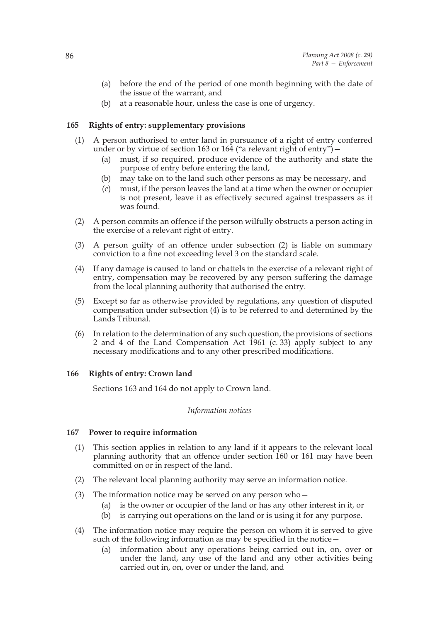- (a) before the end of the period of one month beginning with the date of the issue of the warrant, and
- (b) at a reasonable hour, unless the case is one of urgency.

# **165 Rights of entry: supplementary provisions**

- (1) A person authorised to enter land in pursuance of a right of entry conferred under or by virtue of section 163 or 164 ("a relevant right of entry")  $-$ 
	- (a) must, if so required, produce evidence of the authority and state the purpose of entry before entering the land,
	- (b) may take on to the land such other persons as may be necessary, and
	- (c) must, if the person leaves the land at a time when the owner or occupier is not present, leave it as effectively secured against trespassers as it was found.
- (2) A person commits an offence if the person wilfully obstructs a person acting in the exercise of a relevant right of entry.
- (3) A person guilty of an offence under subsection (2) is liable on summary conviction to a fine not exceeding level 3 on the standard scale.
- (4) If any damage is caused to land or chattels in the exercise of a relevant right of entry, compensation may be recovered by any person suffering the damage from the local planning authority that authorised the entry.
- (5) Except so far as otherwise provided by regulations, any question of disputed compensation under subsection (4) is to be referred to and determined by the Lands Tribunal.
- (6) In relation to the determination of any such question, the provisions of sections 2 and 4 of the Land Compensation Act 1961 (c. 33) apply subject to any necessary modifications and to any other prescribed modifications.

# **166 Rights of entry: Crown land**

Sections 163 and 164 do not apply to Crown land.

# *Information notices*

# **167 Power to require information**

- (1) This section applies in relation to any land if it appears to the relevant local planning authority that an offence under section 160 or 161 may have been committed on or in respect of the land.
- (2) The relevant local planning authority may serve an information notice.
- (3) The information notice may be served on any person who—
	- (a) is the owner or occupier of the land or has any other interest in it, or
	- (b) is carrying out operations on the land or is using it for any purpose.
- (4) The information notice may require the person on whom it is served to give such of the following information as may be specified in the notice—
	- (a) information about any operations being carried out in, on, over or under the land, any use of the land and any other activities being carried out in, on, over or under the land, and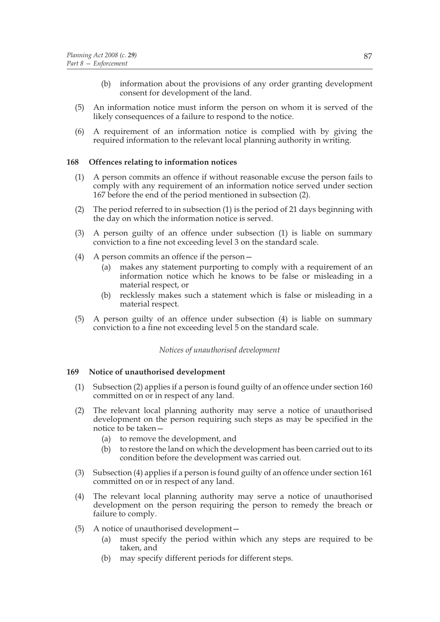- (b) information about the provisions of any order granting development consent for development of the land.
- (5) An information notice must inform the person on whom it is served of the likely consequences of a failure to respond to the notice.
- (6) A requirement of an information notice is complied with by giving the required information to the relevant local planning authority in writing.

# **168 Offences relating to information notices**

- (1) A person commits an offence if without reasonable excuse the person fails to comply with any requirement of an information notice served under section 167 before the end of the period mentioned in subsection (2).
- (2) The period referred to in subsection (1) is the period of 21 days beginning with the day on which the information notice is served.
- (3) A person guilty of an offence under subsection (1) is liable on summary conviction to a fine not exceeding level 3 on the standard scale.
- (4) A person commits an offence if the person—
	- (a) makes any statement purporting to comply with a requirement of an information notice which he knows to be false or misleading in a material respect, or
	- (b) recklessly makes such a statement which is false or misleading in a material respect.
- (5) A person guilty of an offence under subsection (4) is liable on summary conviction to a fine not exceeding level 5 on the standard scale.

#### *Notices of unauthorised development*

#### **169 Notice of unauthorised development**

- (1) Subsection (2) applies if a person is found guilty of an offence under section 160 committed on or in respect of any land.
- (2) The relevant local planning authority may serve a notice of unauthorised development on the person requiring such steps as may be specified in the notice to be taken—
	- (a) to remove the development, and
	- (b) to restore the land on which the development has been carried out to its condition before the development was carried out.
- (3) Subsection (4) applies if a person is found guilty of an offence under section 161 committed on or in respect of any land.
- (4) The relevant local planning authority may serve a notice of unauthorised development on the person requiring the person to remedy the breach or failure to comply.
- (5) A notice of unauthorised development—
	- (a) must specify the period within which any steps are required to be taken, and
	- (b) may specify different periods for different steps.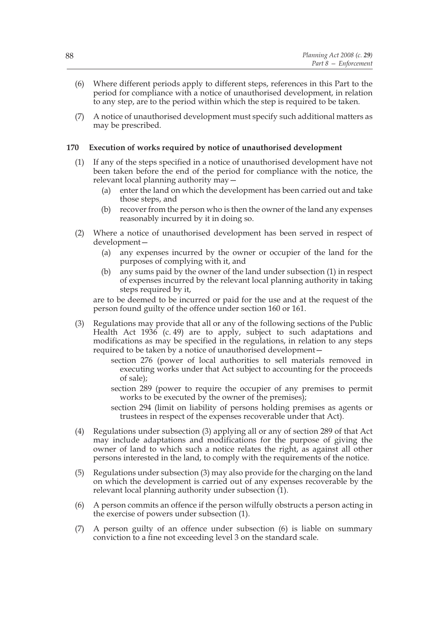- (6) Where different periods apply to different steps, references in this Part to the period for compliance with a notice of unauthorised development, in relation to any step, are to the period within which the step is required to be taken.
- (7) A notice of unauthorised development must specify such additional matters as may be prescribed.

### **170 Execution of works required by notice of unauthorised development**

- (1) If any of the steps specified in a notice of unauthorised development have not been taken before the end of the period for compliance with the notice, the relevant local planning authority may—
	- (a) enter the land on which the development has been carried out and take those steps, and
	- (b) recover from the person who is then the owner of the land any expenses reasonably incurred by it in doing so.
- (2) Where a notice of unauthorised development has been served in respect of development—
	- (a) any expenses incurred by the owner or occupier of the land for the purposes of complying with it, and
	- (b) any sums paid by the owner of the land under subsection (1) in respect of expenses incurred by the relevant local planning authority in taking steps required by it,

are to be deemed to be incurred or paid for the use and at the request of the person found guilty of the offence under section 160 or 161.

- (3) Regulations may provide that all or any of the following sections of the Public Health Act 1936 (c. 49) are to apply, subject to such adaptations and modifications as may be specified in the regulations, in relation to any steps required to be taken by a notice of unauthorised development
	- section 276 (power of local authorities to sell materials removed in executing works under that Act subject to accounting for the proceeds of sale);
	- section 289 (power to require the occupier of any premises to permit works to be executed by the owner of the premises);
	- section 294 (limit on liability of persons holding premises as agents or trustees in respect of the expenses recoverable under that Act).
- (4) Regulations under subsection (3) applying all or any of section 289 of that Act may include adaptations and modifications for the purpose of giving the owner of land to which such a notice relates the right, as against all other persons interested in the land, to comply with the requirements of the notice.
- (5) Regulations under subsection (3) may also provide for the charging on the land on which the development is carried out of any expenses recoverable by the relevant local planning authority under subsection  $(1)$ .
- (6) A person commits an offence if the person wilfully obstructs a person acting in the exercise of powers under subsection (1).
- (7) A person guilty of an offence under subsection (6) is liable on summary conviction to a fine not exceeding level 3 on the standard scale.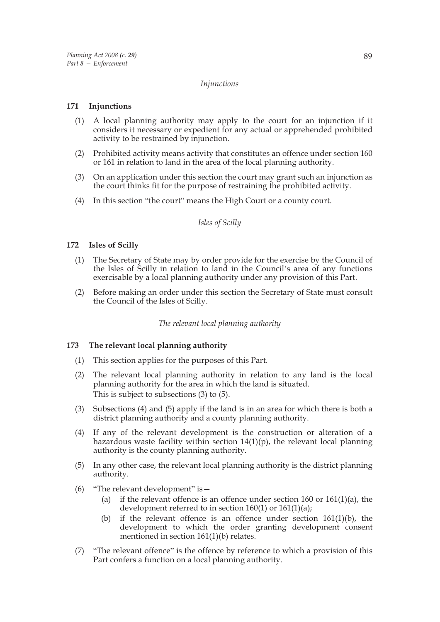# *Injunctions*

# **171 Injunctions**

- (1) A local planning authority may apply to the court for an injunction if it considers it necessary or expedient for any actual or apprehended prohibited activity to be restrained by injunction.
- (2) Prohibited activity means activity that constitutes an offence under section 160 or 161 in relation to land in the area of the local planning authority.
- (3) On an application under this section the court may grant such an injunction as the court thinks fit for the purpose of restraining the prohibited activity.
- (4) In this section "the court" means the High Court or a county court.

### *Isles of Scilly*

# **172 Isles of Scilly**

- (1) The Secretary of State may by order provide for the exercise by the Council of the Isles of Scilly in relation to land in the Council's area of any functions exercisable by a local planning authority under any provision of this Part.
- (2) Before making an order under this section the Secretary of State must consult the Council of the Isles of Scilly.

# *The relevant local planning authority*

# **173 The relevant local planning authority**

- (1) This section applies for the purposes of this Part.
- (2) The relevant local planning authority in relation to any land is the local planning authority for the area in which the land is situated. This is subject to subsections (3) to (5).
- (3) Subsections (4) and (5) apply if the land is in an area for which there is both a district planning authority and a county planning authority.
- (4) If any of the relevant development is the construction or alteration of a hazardous waste facility within section  $14(1)(p)$ , the relevant local planning authority is the county planning authority.
- (5) In any other case, the relevant local planning authority is the district planning authority.
- (6) "The relevant development" is—
	- (a) if the relevant offence is an offence under section 160 or 161(1)(a), the development referred to in section 160(1) or 161(1)(a);
	- (b) if the relevant offence is an offence under section  $161(1)(b)$ , the development to which the order granting development consent mentioned in section  $161(1)(b)$  relates.
- (7) "The relevant offence" is the offence by reference to which a provision of this Part confers a function on a local planning authority.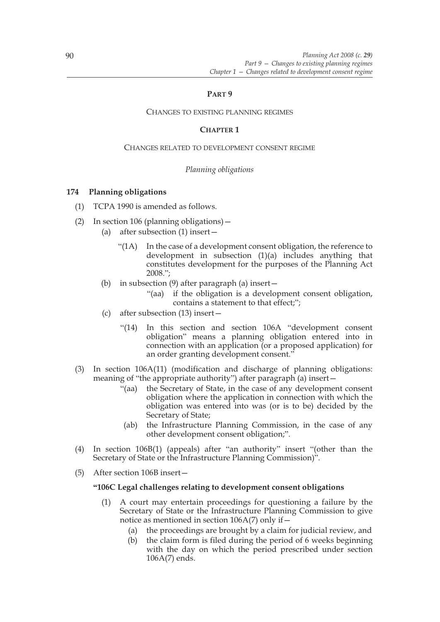# **PART 9**

### CHANGES TO EXISTING PLANNING REGIMES

# **CHAPTER 1**

#### CHANGES RELATED TO DEVELOPMENT CONSENT REGIME

### *Planning obligations*

# **174 Planning obligations**

- (1) TCPA 1990 is amended as follows.
- (2) In section 106 (planning obligations)—
	- (a) after subsection (1) insert—
		- "(1A) In the case of a development consent obligation, the reference to development in subsection (1)(a) includes anything that constitutes development for the purposes of the Planning Act 2008.";
	- (b) in subsection (9) after paragraph (a) insert—
		- "(aa) if the obligation is a development consent obligation, contains a statement to that effect;";
	- (c) after subsection (13) insert—
		- "(14) In this section and section 106A "development consent obligation" means a planning obligation entered into in connection with an application (or a proposed application) for an order granting development consent."
- (3) In section 106A(11) (modification and discharge of planning obligations: meaning of "the appropriate authority") after paragraph (a) insert—
	- "(aa) the Secretary of State, in the case of any development consent obligation where the application in connection with which the obligation was entered into was (or is to be) decided by the Secretary of State;
	- (ab) the Infrastructure Planning Commission, in the case of any other development consent obligation;".
- (4) In section 106B(1) (appeals) after "an authority" insert "(other than the Secretary of State or the Infrastructure Planning Commission)".
- (5) After section 106B insert—

#### **"106C Legal challenges relating to development consent obligations**

- (1) A court may entertain proceedings for questioning a failure by the Secretary of State or the Infrastructure Planning Commission to give notice as mentioned in section 106A(7) only if—
	- (a) the proceedings are brought by a claim for judicial review, and
	- (b) the claim form is filed during the period of 6 weeks beginning with the day on which the period prescribed under section 106A(7) ends.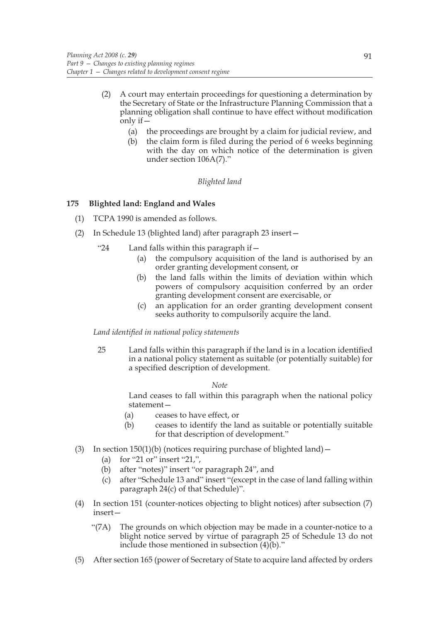- (2) A court may entertain proceedings for questioning a determination by the Secretary of State or the Infrastructure Planning Commission that a planning obligation shall continue to have effect without modification only if $-$ 
	- (a) the proceedings are brought by a claim for judicial review, and
	- (b) the claim form is filed during the period of 6 weeks beginning with the day on which notice of the determination is given under section 106A(7)."

# *Blighted land*

# **175 Blighted land: England and Wales**

- (1) TCPA 1990 is amended as follows.
- (2) In Schedule 13 (blighted land) after paragraph 23 insert—
	- "24 Land falls within this paragraph if—
		- (a) the compulsory acquisition of the land is authorised by an order granting development consent, or
		- (b) the land falls within the limits of deviation within which powers of compulsory acquisition conferred by an order granting development consent are exercisable, or
		- (c) an application for an order granting development consent seeks authority to compulsorily acquire the land.

*Land identified in national policy statements*

25 Land falls within this paragraph if the land is in a location identified in a national policy statement as suitable (or potentially suitable) for a specified description of development.

*Note*

Land ceases to fall within this paragraph when the national policy statement—

- (a) ceases to have effect, or
- (b) ceases to identify the land as suitable or potentially suitable for that description of development."
- (3) In section  $150(1)(b)$  (notices requiring purchase of blighted land)
	- (a) for "21 or" insert "21,",
	- (b) after "notes)" insert "or paragraph 24", and
	- (c) after "Schedule 13 and" insert "(except in the case of land falling within paragraph 24(c) of that Schedule)".
- (4) In section 151 (counter-notices objecting to blight notices) after subsection (7) insert—
	- "(7A) The grounds on which objection may be made in a counter-notice to a blight notice served by virtue of paragraph 25 of Schedule 13 do not include those mentioned in subsection (4)(b)."
- (5) After section 165 (power of Secretary of State to acquire land affected by orders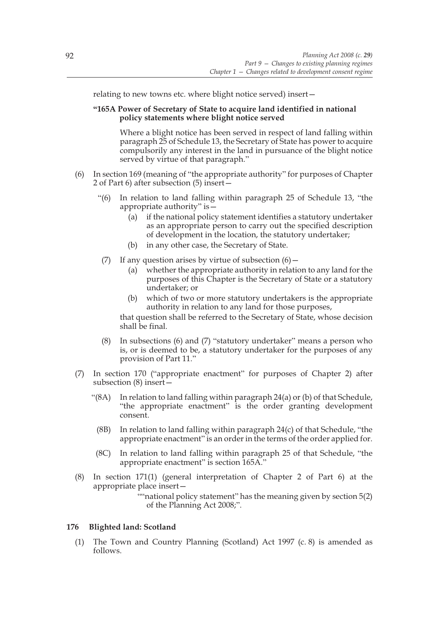relating to new towns etc. where blight notice served) insert—

# **"165A Power of Secretary of State to acquire land identified in national policy statements where blight notice served**

Where a blight notice has been served in respect of land falling within paragraph 25 of Schedule 13, the Secretary of State has power to acquire compulsorily any interest in the land in pursuance of the blight notice served by virtue of that paragraph."

- (6) In section 169 (meaning of "the appropriate authority" for purposes of Chapter 2 of Part 6) after subsection (5) insert—
	- "(6) In relation to land falling within paragraph 25 of Schedule 13, "the appropriate authority" is—
		- (a) if the national policy statement identifies a statutory undertaker as an appropriate person to carry out the specified description of development in the location, the statutory undertaker;
		- (b) in any other case, the Secretary of State.
	- (7) If any question arises by virtue of subsection  $(6)$  -
		- (a) whether the appropriate authority in relation to any land for the purposes of this Chapter is the Secretary of State or a statutory undertaker; or
		- (b) which of two or more statutory undertakers is the appropriate authority in relation to any land for those purposes,

that question shall be referred to the Secretary of State, whose decision shall be final.

- (8) In subsections (6) and (7) "statutory undertaker" means a person who is, or is deemed to be, a statutory undertaker for the purposes of any provision of Part 11."
- (7) In section 170 ("appropriate enactment" for purposes of Chapter 2) after subsection (8) insert—
	- "(8A) In relation to land falling within paragraph  $24(a)$  or (b) of that Schedule, "the appropriate enactment" is the order granting development consent.
		- (8B) In relation to land falling within paragraph 24(c) of that Schedule, "the appropriate enactment" is an order in the terms of the order applied for.
	- (8C) In relation to land falling within paragraph 25 of that Schedule, "the appropriate enactment" is section 165A."
- (8) In section 171(1) (general interpretation of Chapter 2 of Part 6) at the appropriate place insert—

""national policy statement" has the meaning given by section 5(2) of the Planning Act 2008;".

# **176 Blighted land: Scotland**

(1) The Town and Country Planning (Scotland) Act 1997 (c. 8) is amended as follows.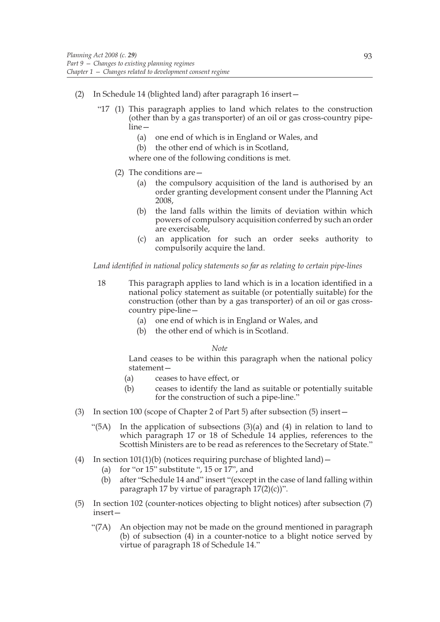- (2) In Schedule 14 (blighted land) after paragraph 16 insert—
	- "17 (1) This paragraph applies to land which relates to the construction (other than by a gas transporter) of an oil or gas cross-country pipeline—
		- (a) one end of which is in England or Wales, and
		- (b) the other end of which is in Scotland,

where one of the following conditions is met.

- (2) The conditions are—
	- (a) the compulsory acquisition of the land is authorised by an order granting development consent under the Planning Act 2008,
	- (b) the land falls within the limits of deviation within which powers of compulsory acquisition conferred by such an order are exercisable,
	- (c) an application for such an order seeks authority to compulsorily acquire the land.

#### *Land identified in national policy statements so far as relating to certain pipe-lines*

- 18 This paragraph applies to land which is in a location identified in a national policy statement as suitable (or potentially suitable) for the construction (other than by a gas transporter) of an oil or gas crosscountry pipe-line—
	- (a) one end of which is in England or Wales, and
	- (b) the other end of which is in Scotland.

#### *Note*

Land ceases to be within this paragraph when the national policy statement—

- (a) ceases to have effect, or
- (b) ceases to identify the land as suitable or potentially suitable for the construction of such a pipe-line."
- (3) In section 100 (scope of Chapter 2 of Part 5) after subsection (5) insert—
	- "(5A) In the application of subsections  $(3)(a)$  and  $(4)$  in relation to land to which paragraph 17 or 18 of Schedule 14 applies, references to the Scottish Ministers are to be read as references to the Secretary of State."
- (4) In section  $101(1)(b)$  (notices requiring purchase of blighted land)
	- (a) for "or 15" substitute ", 15 or 17", and
	- (b) after "Schedule 14 and" insert "(except in the case of land falling within paragraph 17 by virtue of paragraph  $17(2)(c)$ ".
- (5) In section 102 (counter-notices objecting to blight notices) after subsection (7) insert—
	- "(7A) An objection may not be made on the ground mentioned in paragraph (b) of subsection (4) in a counter-notice to a blight notice served by virtue of paragraph 18 of Schedule 14."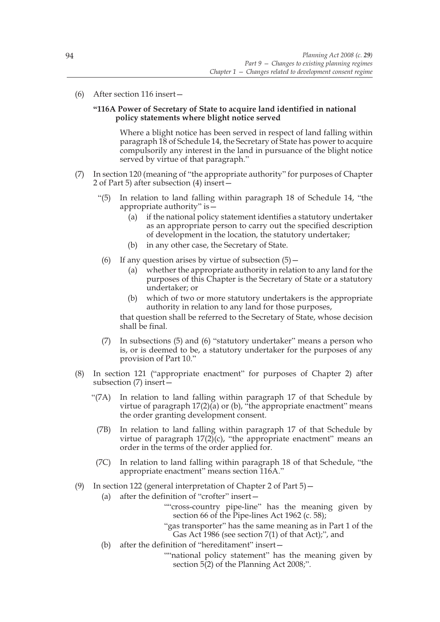(6) After section 116 insert—

# **"116A Power of Secretary of State to acquire land identified in national policy statements where blight notice served**

Where a blight notice has been served in respect of land falling within paragraph 18 of Schedule 14, the Secretary of State has power to acquire compulsorily any interest in the land in pursuance of the blight notice served by virtue of that paragraph."

- (7) In section 120 (meaning of "the appropriate authority" for purposes of Chapter 2 of Part 5) after subsection (4) insert—
	- "(5) In relation to land falling within paragraph 18 of Schedule 14, "the appropriate authority" is—
		- (a) if the national policy statement identifies a statutory undertaker as an appropriate person to carry out the specified description of development in the location, the statutory undertaker;
		- (b) in any other case, the Secretary of State.
	- (6) If any question arises by virtue of subsection  $(5)$  -
		- (a) whether the appropriate authority in relation to any land for the purposes of this Chapter is the Secretary of State or a statutory undertaker; or
		- (b) which of two or more statutory undertakers is the appropriate authority in relation to any land for those purposes,

that question shall be referred to the Secretary of State, whose decision shall be final.

- (7) In subsections (5) and (6) "statutory undertaker" means a person who is, or is deemed to be, a statutory undertaker for the purposes of any provision of Part 10."
- (8) In section 121 ("appropriate enactment" for purposes of Chapter 2) after subsection (7) insert—
	- "(7A) In relation to land falling within paragraph 17 of that Schedule by virtue of paragraph  $17(2)(a)$  or (b), "the appropriate enactment" means the order granting development consent.
		- (7B) In relation to land falling within paragraph 17 of that Schedule by virtue of paragraph  $17(2)(c)$ , "the appropriate enactment" means an order in the terms of the order applied for.
	- (7C) In relation to land falling within paragraph 18 of that Schedule, "the appropriate enactment" means section 116A."
- (9) In section 122 (general interpretation of Chapter 2 of Part 5)—
	- (a) after the definition of "crofter" insert—
		- ""cross-country pipe-line" has the meaning given by section 66 of the Pipe-lines Act 1962 (c. 58);
		- "gas transporter" has the same meaning as in Part 1 of the Gas Act 1986 (see section 7(1) of that Act);", and
	- (b) after the definition of "hereditament" insert—
		- ""national policy statement" has the meaning given by section 5(2) of the Planning Act 2008;".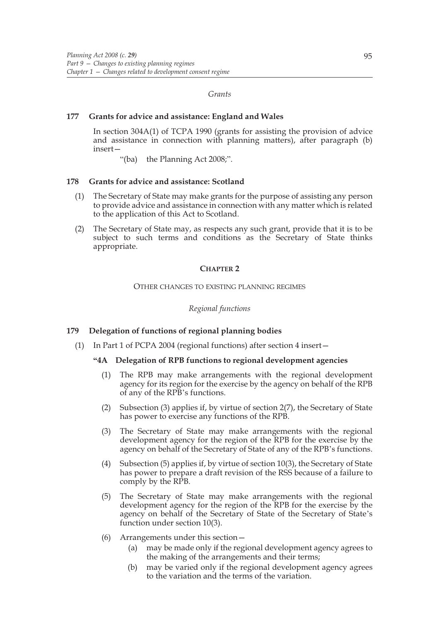#### *Grants*

### **177 Grants for advice and assistance: England and Wales**

In section 304A(1) of TCPA 1990 (grants for assisting the provision of advice and assistance in connection with planning matters), after paragraph (b) insert—

"(ba) the Planning Act 2008;".

### **178 Grants for advice and assistance: Scotland**

- (1) The Secretary of State may make grants for the purpose of assisting any person to provide advice and assistance in connection with any matter which is related to the application of this Act to Scotland.
- (2) The Secretary of State may, as respects any such grant, provide that it is to be subject to such terms and conditions as the Secretary of State thinks appropriate.

#### **CHAPTER 2**

### OTHER CHANGES TO EXISTING PLANNING REGIMES

### *Regional functions*

# **179 Delegation of functions of regional planning bodies**

(1) In Part 1 of PCPA 2004 (regional functions) after section 4 insert—

#### **"4A Delegation of RPB functions to regional development agencies**

- (1) The RPB may make arrangements with the regional development agency for its region for the exercise by the agency on behalf of the RPB of any of the RPB's functions.
- (2) Subsection (3) applies if, by virtue of section 2(7), the Secretary of State has power to exercise any functions of the RPB.
- (3) The Secretary of State may make arrangements with the regional development agency for the region of the RPB for the exercise by the agency on behalf of the Secretary of State of any of the RPB's functions.
- (4) Subsection (5) applies if, by virtue of section 10(3), the Secretary of State has power to prepare a draft revision of the RSS because of a failure to comply by the RPB.
- (5) The Secretary of State may make arrangements with the regional development agency for the region of the RPB for the exercise by the agency on behalf of the Secretary of State of the Secretary of State's function under section 10(3).
- (6) Arrangements under this section—
	- (a) may be made only if the regional development agency agrees to the making of the arrangements and their terms;
	- (b) may be varied only if the regional development agency agrees to the variation and the terms of the variation.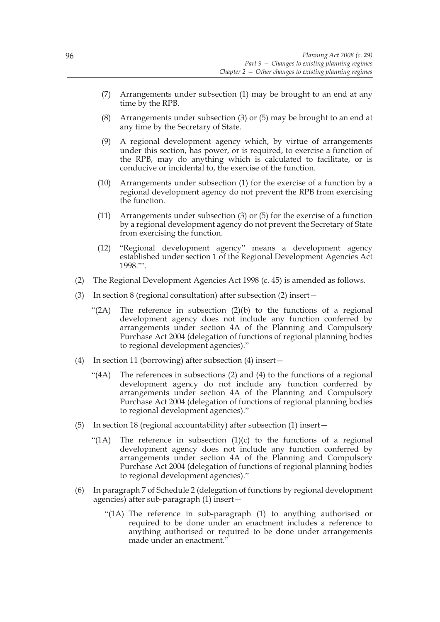- (7) Arrangements under subsection (1) may be brought to an end at any time by the RPB.
- (8) Arrangements under subsection (3) or (5) may be brought to an end at any time by the Secretary of State.
- (9) A regional development agency which, by virtue of arrangements under this section, has power, or is required, to exercise a function of the RPB, may do anything which is calculated to facilitate, or is conducive or incidental to, the exercise of the function.
- (10) Arrangements under subsection (1) for the exercise of a function by a regional development agency do not prevent the RPB from exercising the function.
- (11) Arrangements under subsection (3) or (5) for the exercise of a function by a regional development agency do not prevent the Secretary of State from exercising the function.
- (12) "Regional development agency" means a development agency established under section 1 of the Regional Development Agencies Act 1998."'.
- (2) The Regional Development Agencies Act 1998 (c. 45) is amended as follows.
- (3) In section 8 (regional consultation) after subsection (2) insert—
	- "(2A) The reference in subsection  $(2)(b)$  to the functions of a regional development agency does not include any function conferred by arrangements under section 4A of the Planning and Compulsory Purchase Act 2004 (delegation of functions of regional planning bodies to regional development agencies)."
- (4) In section 11 (borrowing) after subsection (4) insert—
	- "(4A) The references in subsections (2) and (4) to the functions of a regional development agency do not include any function conferred by arrangements under section 4A of the Planning and Compulsory Purchase Act 2004 (delegation of functions of regional planning bodies to regional development agencies)."
- (5) In section 18 (regional accountability) after subsection (1) insert—
	- "(1A) The reference in subsection  $(1)(c)$  to the functions of a regional development agency does not include any function conferred by arrangements under section 4A of the Planning and Compulsory Purchase Act 2004 (delegation of functions of regional planning bodies to regional development agencies)."
- (6) In paragraph 7 of Schedule 2 (delegation of functions by regional development agencies) after sub-paragraph (1) insert—
	- "(1A) The reference in sub-paragraph (1) to anything authorised or required to be done under an enactment includes a reference to anything authorised or required to be done under arrangements made under an enactment."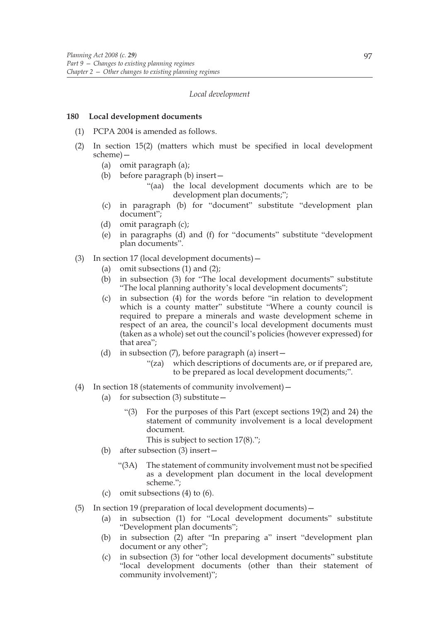#### *Local development*

#### **180 Local development documents**

- (1) PCPA 2004 is amended as follows.
- (2) In section 15(2) (matters which must be specified in local development scheme)—
	- (a) omit paragraph (a);
	- (b) before paragraph (b) insert—
		- "(aa) the local development documents which are to be development plan documents;";
	- (c) in paragraph (b) for "document" substitute "development plan document";
	- (d) omit paragraph (c);
	- (e) in paragraphs (d) and (f) for "documents" substitute "development plan documents".
- (3) In section 17 (local development documents)—
	- (a) omit subsections (1) and (2);
	- (b) in subsection (3) for "The local development documents" substitute "The local planning authority's local development documents";
	- (c) in subsection (4) for the words before "in relation to development which is a county matter" substitute "Where a county council is required to prepare a minerals and waste development scheme in respect of an area, the council's local development documents must (taken as a whole) set out the council's policies (however expressed) for that area";
	- (d) in subsection  $(7)$ , before paragraph (a) insert
		- "(za) which descriptions of documents are, or if prepared are, to be prepared as local development documents;".
- (4) In section 18 (statements of community involvement)—
	- (a) for subsection  $(3)$  substitute  $-$ 
		- "(3) For the purposes of this Part (except sections 19(2) and 24) the statement of community involvement is a local development document.
			- This is subject to section 17(8).";
	- (b) after subsection (3) insert—
		- "(3A) The statement of community involvement must not be specified as a development plan document in the local development scheme.";
	- (c) omit subsections (4) to (6).
- (5) In section 19 (preparation of local development documents)—
	- (a) in subsection (1) for "Local development documents" substitute "Development plan documents";
	- (b) in subsection (2) after "In preparing a" insert "development plan document or any other";
	- (c) in subsection (3) for "other local development documents" substitute "local development documents (other than their statement of community involvement)";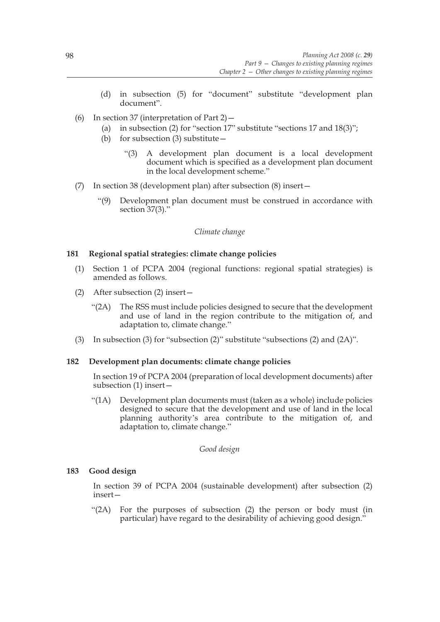- (d) in subsection (5) for "document" substitute "development plan document".
- (6) In section 37 (interpretation of Part 2)—
	- (a) in subsection (2) for "section 17" substitute "sections 17 and  $18(3)$ ";
	- (b) for subsection (3) substitute—
		- "(3) A development plan document is a local development document which is specified as a development plan document in the local development scheme."
- (7) In section 38 (development plan) after subsection (8) insert—
	- "(9) Development plan document must be construed in accordance with section 37(3)."

#### *Climate change*

### **181 Regional spatial strategies: climate change policies**

- (1) Section 1 of PCPA 2004 (regional functions: regional spatial strategies) is amended as follows.
- (2) After subsection (2) insert—
	- "(2A) The RSS must include policies designed to secure that the development and use of land in the region contribute to the mitigation of, and adaptation to, climate change."
- (3) In subsection (3) for "subsection (2)" substitute "subsections (2) and (2A)".

#### **182 Development plan documents: climate change policies**

In section 19 of PCPA 2004 (preparation of local development documents) after subsection (1) insert—

"(1A) Development plan documents must (taken as a whole) include policies designed to secure that the development and use of land in the local planning authority's area contribute to the mitigation of, and adaptation to, climate change."

*Good design*

### **183 Good design**

In section 39 of PCPA 2004 (sustainable development) after subsection (2) insert—

"(2A) For the purposes of subsection (2) the person or body must (in particular) have regard to the desirability of achieving good design."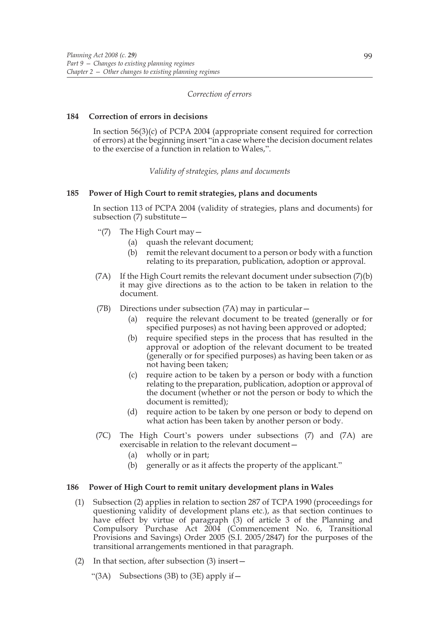### *Correction of errors*

### **184 Correction of errors in decisions**

In section 56(3)(c) of PCPA 2004 (appropriate consent required for correction of errors) at the beginning insert "in a case where the decision document relates to the exercise of a function in relation to Wales,".

*Validity of strategies, plans and documents*

### **185 Power of High Court to remit strategies, plans and documents**

In section 113 of PCPA 2004 (validity of strategies, plans and documents) for subsection (7) substitute—

- "(7) The High Court may—
	- (a) quash the relevant document;
	- (b) remit the relevant document to a person or body with a function relating to its preparation, publication, adoption or approval.
- (7A) If the High Court remits the relevant document under subsection (7)(b) it may give directions as to the action to be taken in relation to the document.
- (7B) Directions under subsection (7A) may in particular—
	- (a) require the relevant document to be treated (generally or for specified purposes) as not having been approved or adopted;
	- (b) require specified steps in the process that has resulted in the approval or adoption of the relevant document to be treated (generally or for specified purposes) as having been taken or as not having been taken;
	- (c) require action to be taken by a person or body with a function relating to the preparation, publication, adoption or approval of the document (whether or not the person or body to which the document is remitted);
	- (d) require action to be taken by one person or body to depend on what action has been taken by another person or body.
- (7C) The High Court's powers under subsections (7) and (7A) are exercisable in relation to the relevant document—
	- (a) wholly or in part;
	- (b) generally or as it affects the property of the applicant."

### **186 Power of High Court to remit unitary development plans in Wales**

- (1) Subsection (2) applies in relation to section 287 of TCPA 1990 (proceedings for questioning validity of development plans etc.), as that section continues to have effect by virtue of paragraph (3) of article 3 of the Planning and Compulsory Purchase Act 2004 (Commencement No. 6, Transitional Provisions and Savings) Order 2005 (S.I. 2005/2847) for the purposes of the transitional arrangements mentioned in that paragraph.
- (2) In that section, after subsection (3) insert—
	- "(3A) Subsections (3B) to (3E) apply if  $-$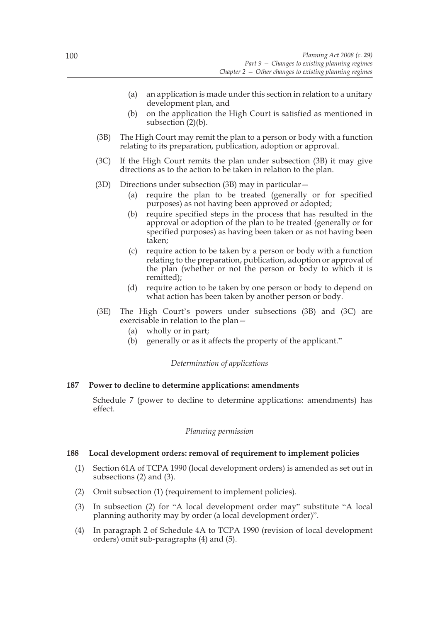- (a) an application is made under this section in relation to a unitary development plan, and
- (b) on the application the High Court is satisfied as mentioned in subsection (2)(b).
- (3B) The High Court may remit the plan to a person or body with a function relating to its preparation, publication, adoption or approval.
- (3C) If the High Court remits the plan under subsection (3B) it may give directions as to the action to be taken in relation to the plan.
- (3D) Directions under subsection (3B) may in particular—
	- (a) require the plan to be treated (generally or for specified purposes) as not having been approved or adopted;
	- (b) require specified steps in the process that has resulted in the approval or adoption of the plan to be treated (generally or for specified purposes) as having been taken or as not having been taken;
	- (c) require action to be taken by a person or body with a function relating to the preparation, publication, adoption or approval of the plan (whether or not the person or body to which it is remitted);
	- (d) require action to be taken by one person or body to depend on what action has been taken by another person or body.
- (3E) The High Court's powers under subsections (3B) and (3C) are exercisable in relation to the plan—
	- (a) wholly or in part;
	- (b) generally or as it affects the property of the applicant."

#### *Determination of applications*

#### **187 Power to decline to determine applications: amendments**

Schedule 7 (power to decline to determine applications: amendments) has effect.

#### *Planning permission*

#### **188 Local development orders: removal of requirement to implement policies**

- (1) Section 61A of TCPA 1990 (local development orders) is amended as set out in subsections (2) and (3).
- (2) Omit subsection (1) (requirement to implement policies).
- (3) In subsection (2) for "A local development order may" substitute "A local planning authority may by order (a local development order)".
- (4) In paragraph 2 of Schedule 4A to TCPA 1990 (revision of local development orders) omit sub-paragraphs (4) and (5).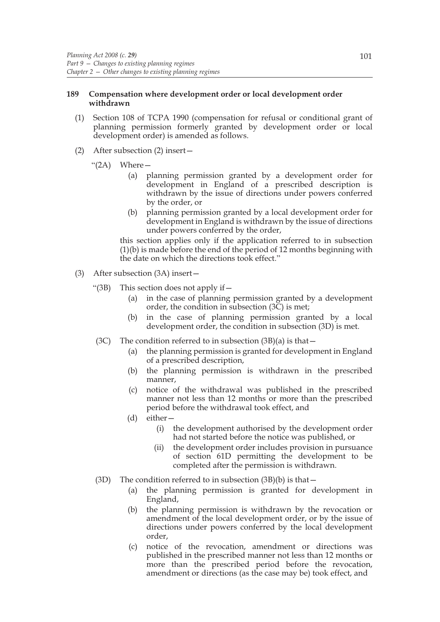# **189 Compensation where development order or local development order withdrawn**

- (1) Section 108 of TCPA 1990 (compensation for refusal or conditional grant of planning permission formerly granted by development order or local development order) is amended as follows.
- (2) After subsection (2) insert—

" $(2A)$  Where  $-$ 

- (a) planning permission granted by a development order for development in England of a prescribed description is withdrawn by the issue of directions under powers conferred by the order, or
- (b) planning permission granted by a local development order for development in England is withdrawn by the issue of directions under powers conferred by the order,

this section applies only if the application referred to in subsection (1)(b) is made before the end of the period of 12 months beginning with the date on which the directions took effect."

- (3) After subsection (3A) insert—
	- "(3B) This section does not apply if—
		- (a) in the case of planning permission granted by a development order, the condition in subsection (3C) is met;
		- (b) in the case of planning permission granted by a local development order, the condition in subsection (3D) is met.
	- (3C) The condition referred to in subsection  $(3B)(a)$  is that  $-$ 
		- (a) the planning permission is granted for development in England of a prescribed description,
		- (b) the planning permission is withdrawn in the prescribed manner,
		- (c) notice of the withdrawal was published in the prescribed manner not less than 12 months or more than the prescribed period before the withdrawal took effect, and
		- (d) either—
			- (i) the development authorised by the development order had not started before the notice was published, or
			- (ii) the development order includes provision in pursuance of section 61D permitting the development to be completed after the permission is withdrawn.
	- (3D) The condition referred to in subsection  $(3B)(b)$  is that  $-$ 
		- (a) the planning permission is granted for development in England,
		- (b) the planning permission is withdrawn by the revocation or amendment of the local development order, or by the issue of directions under powers conferred by the local development order,
		- (c) notice of the revocation, amendment or directions was published in the prescribed manner not less than 12 months or more than the prescribed period before the revocation, amendment or directions (as the case may be) took effect, and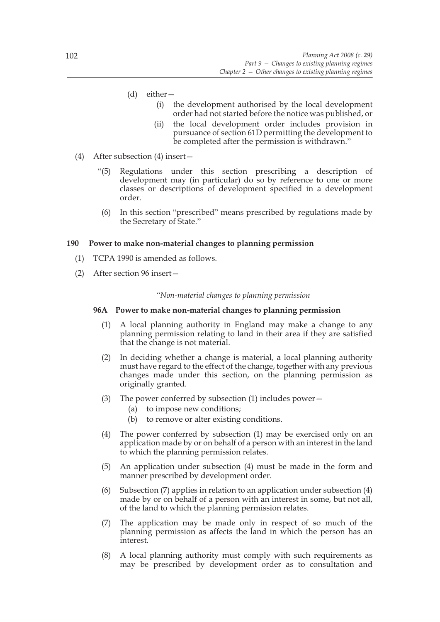- (d) either—
	- (i) the development authorised by the local development order had not started before the notice was published, or
	- (ii) the local development order includes provision in pursuance of section 61D permitting the development to be completed after the permission is withdrawn."
- (4) After subsection (4) insert—
	- "(5) Regulations under this section prescribing a description of development may (in particular) do so by reference to one or more classes or descriptions of development specified in a development order.
	- (6) In this section "prescribed" means prescribed by regulations made by the Secretary of State."

# **190 Power to make non-material changes to planning permission**

- (1) TCPA 1990 is amended as follows.
- (2) After section 96 insert—

## *"Non-material changes to planning permission*

# **96A Power to make non-material changes to planning permission**

- (1) A local planning authority in England may make a change to any planning permission relating to land in their area if they are satisfied that the change is not material.
- (2) In deciding whether a change is material, a local planning authority must have regard to the effect of the change, together with any previous changes made under this section, on the planning permission as originally granted.
- (3) The power conferred by subsection (1) includes power—
	- (a) to impose new conditions;
	- (b) to remove or alter existing conditions.
- (4) The power conferred by subsection (1) may be exercised only on an application made by or on behalf of a person with an interest in the land to which the planning permission relates.
- (5) An application under subsection (4) must be made in the form and manner prescribed by development order.
- (6) Subsection (7) applies in relation to an application under subsection (4) made by or on behalf of a person with an interest in some, but not all, of the land to which the planning permission relates.
- (7) The application may be made only in respect of so much of the planning permission as affects the land in which the person has an interest.
- (8) A local planning authority must comply with such requirements as may be prescribed by development order as to consultation and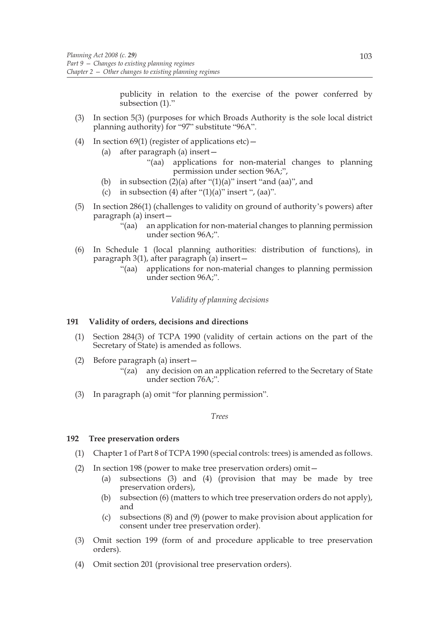publicity in relation to the exercise of the power conferred by subsection (1)."

- (3) In section 5(3) (purposes for which Broads Authority is the sole local district planning authority) for "97" substitute "96A".
- (4) In section 69(1) (register of applications etc)  $-$ 
	- (a) after paragraph (a) insert—
		- "(aa) applications for non-material changes to planning permission under section 96A;",
	- (b) in subsection  $(2)(a)$  after " $(1)(a)$ " insert "and  $(aa)$ ", and
	- (c) in subsection (4) after " $(1)(a)$ " insert ",  $(aa)$ ".
- (5) In section 286(1) (challenges to validity on ground of authority's powers) after paragraph (a) insert—
	- "(aa) an application for non-material changes to planning permission under section 96A;".
- (6) In Schedule 1 (local planning authorities: distribution of functions), in paragraph 3(1), after paragraph (a) insert—
	- "(aa) applications for non-material changes to planning permission under section 96A;".

*Validity of planning decisions*

### **191 Validity of orders, decisions and directions**

- (1) Section 284(3) of TCPA 1990 (validity of certain actions on the part of the Secretary of State) is amended as follows.
- (2) Before paragraph (a) insert—
	- "(za) any decision on an application referred to the Secretary of State under section 76A;".
- (3) In paragraph (a) omit "for planning permission".

*Trees*

### **192 Tree preservation orders**

- (1) Chapter 1 of Part 8 of TCPA 1990 (special controls: trees) is amended as follows.
- (2) In section 198 (power to make tree preservation orders) omit—
	- (a) subsections (3) and (4) (provision that may be made by tree preservation orders),
	- (b) subsection (6) (matters to which tree preservation orders do not apply), and
	- (c) subsections (8) and (9) (power to make provision about application for consent under tree preservation order).
- (3) Omit section 199 (form of and procedure applicable to tree preservation orders).
- (4) Omit section 201 (provisional tree preservation orders).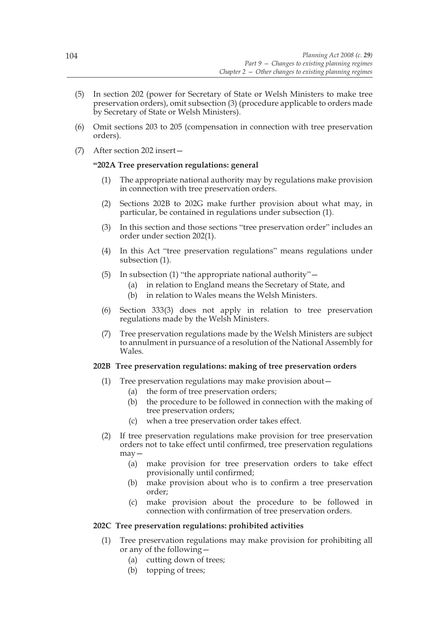- (5) In section 202 (power for Secretary of State or Welsh Ministers to make tree preservation orders), omit subsection (3) (procedure applicable to orders made by Secretary of State or Welsh Ministers).
- (6) Omit sections 203 to 205 (compensation in connection with tree preservation orders).
- (7) After section 202 insert—

## **"202A Tree preservation regulations: general**

- (1) The appropriate national authority may by regulations make provision in connection with tree preservation orders.
- (2) Sections 202B to 202G make further provision about what may, in particular, be contained in regulations under subsection (1).
- (3) In this section and those sections "tree preservation order" includes an order under section 202(1).
- (4) In this Act "tree preservation regulations" means regulations under subsection (1).
- (5) In subsection (1) "the appropriate national authority"—
	- (a) in relation to England means the Secretary of State, and
	- (b) in relation to Wales means the Welsh Ministers.
- (6) Section 333(3) does not apply in relation to tree preservation regulations made by the Welsh Ministers.
- (7) Tree preservation regulations made by the Welsh Ministers are subject to annulment in pursuance of a resolution of the National Assembly for Wales.

## **202B Tree preservation regulations: making of tree preservation orders**

- (1) Tree preservation regulations may make provision about—
	- (a) the form of tree preservation orders;
	- (b) the procedure to be followed in connection with the making of tree preservation orders;
	- (c) when a tree preservation order takes effect.
- (2) If tree preservation regulations make provision for tree preservation orders not to take effect until confirmed, tree preservation regulations may—
	- (a) make provision for tree preservation orders to take effect provisionally until confirmed;
	- (b) make provision about who is to confirm a tree preservation order;
	- (c) make provision about the procedure to be followed in connection with confirmation of tree preservation orders.

## **202C Tree preservation regulations: prohibited activities**

- (1) Tree preservation regulations may make provision for prohibiting all or any of the following—
	- (a) cutting down of trees;
	- (b) topping of trees;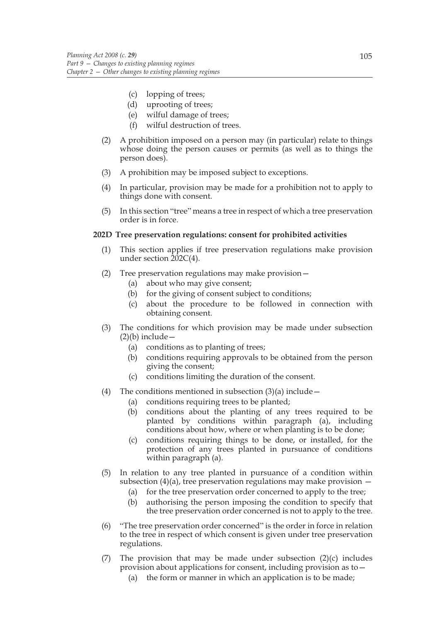- (c) lopping of trees;
- (d) uprooting of trees;
- (e) wilful damage of trees;
- (f) wilful destruction of trees.
- (2) A prohibition imposed on a person may (in particular) relate to things whose doing the person causes or permits (as well as to things the person does).
- (3) A prohibition may be imposed subject to exceptions.
- (4) In particular, provision may be made for a prohibition not to apply to things done with consent.
- (5) In this section "tree" means a tree in respect of which a tree preservation order is in force.

### **202D Tree preservation regulations: consent for prohibited activities**

- (1) This section applies if tree preservation regulations make provision under section 202C(4).
- (2) Tree preservation regulations may make provision—
	- (a) about who may give consent;
	- (b) for the giving of consent subject to conditions;
	- (c) about the procedure to be followed in connection with obtaining consent.
- (3) The conditions for which provision may be made under subsection  $(2)(b)$  include —
	- (a) conditions as to planting of trees;
	- (b) conditions requiring approvals to be obtained from the person giving the consent;
	- (c) conditions limiting the duration of the consent.
- (4) The conditions mentioned in subsection  $(3)(a)$  include
	- (a) conditions requiring trees to be planted;
	- (b) conditions about the planting of any trees required to be planted by conditions within paragraph (a), including conditions about how, where or when planting is to be done;
	- (c) conditions requiring things to be done, or installed, for the protection of any trees planted in pursuance of conditions within paragraph (a).
- (5) In relation to any tree planted in pursuance of a condition within subsection (4)(a), tree preservation regulations may make provision  $-$ 
	- (a) for the tree preservation order concerned to apply to the tree;
	- (b) authorising the person imposing the condition to specify that the tree preservation order concerned is not to apply to the tree.
- (6) "The tree preservation order concerned" is the order in force in relation to the tree in respect of which consent is given under tree preservation regulations.
- (7) The provision that may be made under subsection (2)(c) includes provision about applications for consent, including provision as to—
	- (a) the form or manner in which an application is to be made;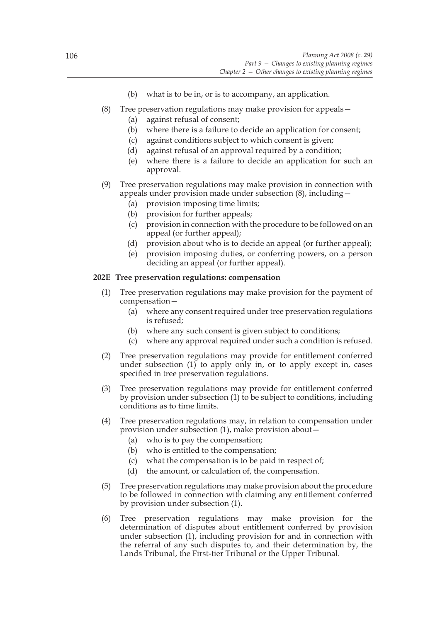- (b) what is to be in, or is to accompany, an application.
- (8) Tree preservation regulations may make provision for appeals—
	- (a) against refusal of consent;
	- (b) where there is a failure to decide an application for consent;
	- (c) against conditions subject to which consent is given;
	- (d) against refusal of an approval required by a condition;
	- (e) where there is a failure to decide an application for such an approval.
- (9) Tree preservation regulations may make provision in connection with appeals under provision made under subsection (8), including—
	- (a) provision imposing time limits;
	- (b) provision for further appeals;
	- (c) provision in connection with the procedure to be followed on an appeal (or further appeal);
	- (d) provision about who is to decide an appeal (or further appeal);
	- (e) provision imposing duties, or conferring powers, on a person deciding an appeal (or further appeal).

# **202E Tree preservation regulations: compensation**

- (1) Tree preservation regulations may make provision for the payment of compensation—
	- (a) where any consent required under tree preservation regulations is refused;
	- (b) where any such consent is given subject to conditions;
	- (c) where any approval required under such a condition is refused.
- (2) Tree preservation regulations may provide for entitlement conferred under subsection  $(1)$  to apply only in, or to apply except in, cases specified in tree preservation regulations.
- (3) Tree preservation regulations may provide for entitlement conferred by provision under subsection (1) to be subject to conditions, including conditions as to time limits.
- (4) Tree preservation regulations may, in relation to compensation under provision under subsection (1), make provision about—
	- (a) who is to pay the compensation;
	- (b) who is entitled to the compensation;
	- (c) what the compensation is to be paid in respect of;
	- (d) the amount, or calculation of, the compensation.
- (5) Tree preservation regulations may make provision about the procedure to be followed in connection with claiming any entitlement conferred by provision under subsection (1).
- (6) Tree preservation regulations may make provision for the determination of disputes about entitlement conferred by provision under subsection (1), including provision for and in connection with the referral of any such disputes to, and their determination by, the Lands Tribunal, the First-tier Tribunal or the Upper Tribunal.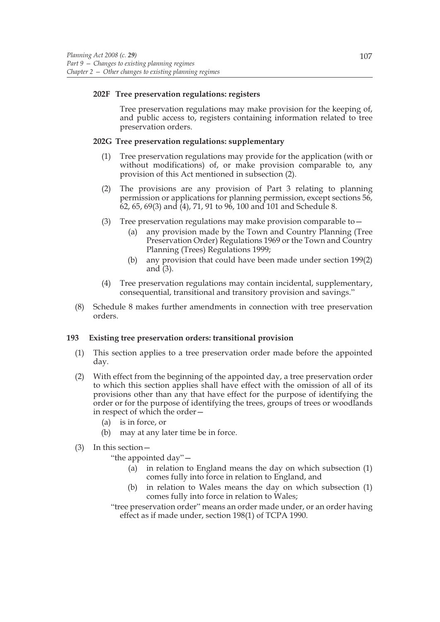### **202F Tree preservation regulations: registers**

Tree preservation regulations may make provision for the keeping of, and public access to, registers containing information related to tree preservation orders.

# **202G Tree preservation regulations: supplementary**

- (1) Tree preservation regulations may provide for the application (with or without modifications) of, or make provision comparable to, any provision of this Act mentioned in subsection (2).
- (2) The provisions are any provision of Part 3 relating to planning permission or applications for planning permission, except sections 56,  $62, 65, 69(3)$  and  $(4)$ , 71, 91 to 96, 100 and 101 and Schedule 8.
- (3) Tree preservation regulations may make provision comparable to  $-$ 
	- (a) any provision made by the Town and Country Planning (Tree Preservation Order) Regulations 1969 or the Town and Country Planning (Trees) Regulations 1999;
	- (b) any provision that could have been made under section 199(2) and (3).
- (4) Tree preservation regulations may contain incidental, supplementary, consequential, transitional and transitory provision and savings."
- (8) Schedule 8 makes further amendments in connection with tree preservation orders.

### **193 Existing tree preservation orders: transitional provision**

- (1) This section applies to a tree preservation order made before the appointed day.
- (2) With effect from the beginning of the appointed day, a tree preservation order to which this section applies shall have effect with the omission of all of its provisions other than any that have effect for the purpose of identifying the order or for the purpose of identifying the trees, groups of trees or woodlands in respect of which the order—
	- (a) is in force, or
	- (b) may at any later time be in force.
- (3) In this section—

"the appointed day"—

- (a) in relation to England means the day on which subsection (1) comes fully into force in relation to England, and
- (b) in relation to Wales means the day on which subsection (1) comes fully into force in relation to Wales;

"tree preservation order" means an order made under, or an order having effect as if made under, section 198(1) of TCPA 1990.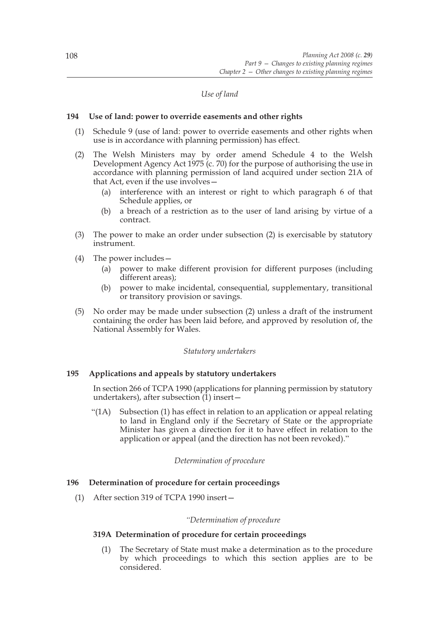# *Use of land*

### **194 Use of land: power to override easements and other rights**

- (1) Schedule 9 (use of land: power to override easements and other rights when use is in accordance with planning permission) has effect.
- (2) The Welsh Ministers may by order amend Schedule 4 to the Welsh Development Agency Act 1975 (c. 70) for the purpose of authorising the use in accordance with planning permission of land acquired under section 21A of that Act, even if the use involves—
	- (a) interference with an interest or right to which paragraph 6 of that Schedule applies, or
	- (b) a breach of a restriction as to the user of land arising by virtue of a contract.
- (3) The power to make an order under subsection (2) is exercisable by statutory instrument.
- (4) The power includes—
	- (a) power to make different provision for different purposes (including different areas);
	- (b) power to make incidental, consequential, supplementary, transitional or transitory provision or savings.
- (5) No order may be made under subsection (2) unless a draft of the instrument containing the order has been laid before, and approved by resolution of, the National Assembly for Wales.

### *Statutory undertakers*

## **195 Applications and appeals by statutory undertakers**

In section 266 of TCPA 1990 (applications for planning permission by statutory undertakers), after subsection  $(1)$  insert –

"(1A) Subsection (1) has effect in relation to an application or appeal relating to land in England only if the Secretary of State or the appropriate Minister has given a direction for it to have effect in relation to the application or appeal (and the direction has not been revoked)."

## *Determination of procedure*

## **196 Determination of procedure for certain proceedings**

(1) After section 319 of TCPA 1990 insert—

### *"Determination of procedure*

### **319A Determination of procedure for certain proceedings**

(1) The Secretary of State must make a determination as to the procedure by which proceedings to which this section applies are to be considered.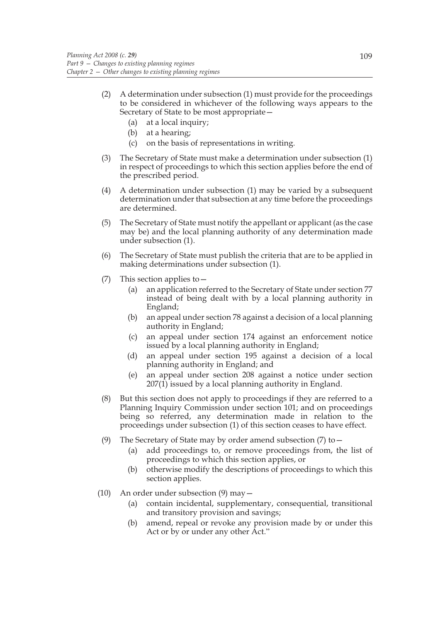- (2) A determination under subsection (1) must provide for the proceedings to be considered in whichever of the following ways appears to the Secretary of State to be most appropriate—
	- (a) at a local inquiry;
	- (b) at a hearing;
	- (c) on the basis of representations in writing.
- (3) The Secretary of State must make a determination under subsection (1) in respect of proceedings to which this section applies before the end of the prescribed period.
- (4) A determination under subsection (1) may be varied by a subsequent determination under that subsection at any time before the proceedings are determined.
- (5) The Secretary of State must notify the appellant or applicant (as the case may be) and the local planning authority of any determination made under subsection (1).
- (6) The Secretary of State must publish the criteria that are to be applied in making determinations under subsection (1).
- (7) This section applies to—
	- (a) an application referred to the Secretary of State under section 77 instead of being dealt with by a local planning authority in England;
	- (b) an appeal under section 78 against a decision of a local planning authority in England;
	- (c) an appeal under section 174 against an enforcement notice issued by a local planning authority in England;
	- (d) an appeal under section 195 against a decision of a local planning authority in England; and
	- (e) an appeal under section 208 against a notice under section  $207(1)$  issued by a local planning authority in England.
- (8) But this section does not apply to proceedings if they are referred to a Planning Inquiry Commission under section 101; and on proceedings being so referred, any determination made in relation to the proceedings under subsection (1) of this section ceases to have effect.
- (9) The Secretary of State may by order amend subsection (7) to—
	- (a) add proceedings to, or remove proceedings from, the list of proceedings to which this section applies, or
	- (b) otherwise modify the descriptions of proceedings to which this section applies.
- (10) An order under subsection (9) may—
	- (a) contain incidental, supplementary, consequential, transitional and transitory provision and savings;
	- (b) amend, repeal or revoke any provision made by or under this Act or by or under any other Act."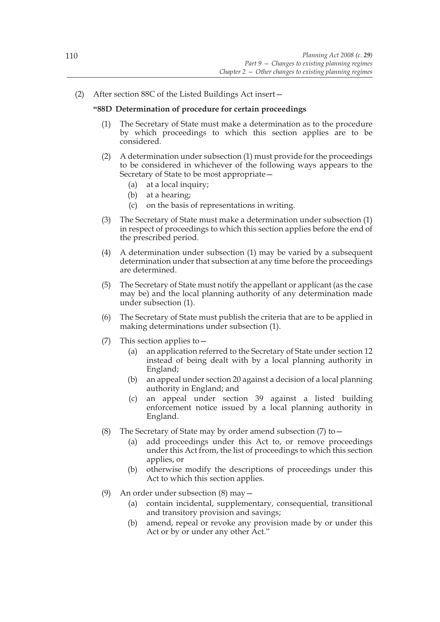(2) After section 88C of the Listed Buildings Act insert—

### **"88D Determination of procedure for certain proceedings**

- (1) The Secretary of State must make a determination as to the procedure by which proceedings to which this section applies are to be considered.
- (2) A determination under subsection (1) must provide for the proceedings to be considered in whichever of the following ways appears to the Secretary of State to be most appropriate—
	- (a) at a local inquiry;
	- (b) at a hearing;
	- (c) on the basis of representations in writing.
- (3) The Secretary of State must make a determination under subsection (1) in respect of proceedings to which this section applies before the end of the prescribed period.
- (4) A determination under subsection (1) may be varied by a subsequent determination under that subsection at any time before the proceedings are determined.
- (5) The Secretary of State must notify the appellant or applicant (as the case may be) and the local planning authority of any determination made under subsection (1).
- (6) The Secretary of State must publish the criteria that are to be applied in making determinations under subsection (1).
- (7) This section applies to—
	- (a) an application referred to the Secretary of State under section 12 instead of being dealt with by a local planning authority in England;
	- (b) an appeal under section 20 against a decision of a local planning authority in England; and
	- (c) an appeal under section 39 against a listed building enforcement notice issued by a local planning authority in England.
- (8) The Secretary of State may by order amend subsection (7) to—
	- (a) add proceedings under this Act to, or remove proceedings under this Act from, the list of proceedings to which this section applies, or
	- (b) otherwise modify the descriptions of proceedings under this Act to which this section applies.
- (9) An order under subsection (8) may—
	- (a) contain incidental, supplementary, consequential, transitional and transitory provision and savings;
	- (b) amend, repeal or revoke any provision made by or under this Act or by or under any other Act."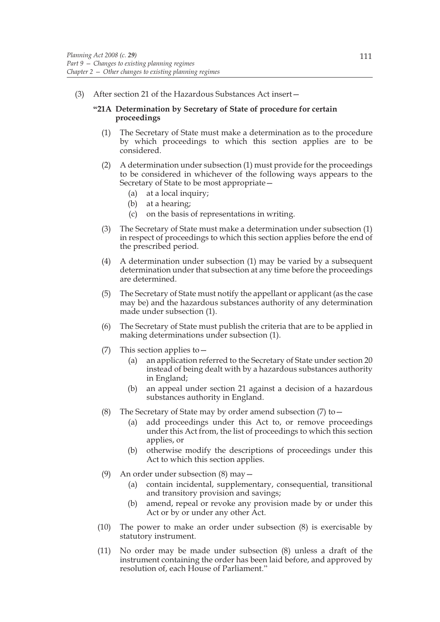(3) After section 21 of the Hazardous Substances Act insert—

## **"21A Determination by Secretary of State of procedure for certain proceedings**

- (1) The Secretary of State must make a determination as to the procedure by which proceedings to which this section applies are to be considered.
- (2) A determination under subsection (1) must provide for the proceedings to be considered in whichever of the following ways appears to the Secretary of State to be most appropriate—
	- (a) at a local inquiry;
	- (b) at a hearing;
	- (c) on the basis of representations in writing.
- (3) The Secretary of State must make a determination under subsection (1) in respect of proceedings to which this section applies before the end of the prescribed period.
- (4) A determination under subsection (1) may be varied by a subsequent determination under that subsection at any time before the proceedings are determined.
- (5) The Secretary of State must notify the appellant or applicant (as the case may be) and the hazardous substances authority of any determination made under subsection (1).
- (6) The Secretary of State must publish the criteria that are to be applied in making determinations under subsection (1).
- (7) This section applies to—
	- (a) an application referred to the Secretary of State under section 20 instead of being dealt with by a hazardous substances authority in England;
	- (b) an appeal under section 21 against a decision of a hazardous substances authority in England.
- (8) The Secretary of State may by order amend subsection  $(7)$  to  $-$ 
	- (a) add proceedings under this Act to, or remove proceedings under this Act from, the list of proceedings to which this section applies, or
	- (b) otherwise modify the descriptions of proceedings under this Act to which this section applies.
- (9) An order under subsection (8) may—
	- (a) contain incidental, supplementary, consequential, transitional and transitory provision and savings;
	- (b) amend, repeal or revoke any provision made by or under this Act or by or under any other Act.
- (10) The power to make an order under subsection (8) is exercisable by statutory instrument.
- (11) No order may be made under subsection (8) unless a draft of the instrument containing the order has been laid before, and approved by resolution of, each House of Parliament."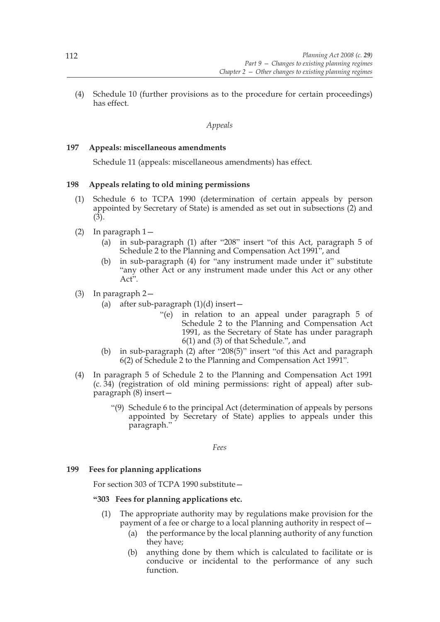(4) Schedule 10 (further provisions as to the procedure for certain proceedings) has effect.

# *Appeals*

## **197 Appeals: miscellaneous amendments**

Schedule 11 (appeals: miscellaneous amendments) has effect.

## **198 Appeals relating to old mining permissions**

- (1) Schedule 6 to TCPA 1990 (determination of certain appeals by person appointed by Secretary of State) is amended as set out in subsections (2) and (3).
- (2) In paragraph 1—
	- (a) in sub-paragraph (1) after "208" insert "of this Act, paragraph 5 of Schedule 2 to the Planning and Compensation Act 1991", and
	- (b) in sub-paragraph (4) for "any instrument made under it" substitute "any other Act or any instrument made under this Act or any other Act<sup>5</sup>.
- (3) In paragraph 2—
	- (a) after sub-paragraph  $(1)(d)$  insert -
		- "(e) in relation to an appeal under paragraph 5 of Schedule 2 to the Planning and Compensation Act 1991, as the Secretary of State has under paragraph 6(1) and (3) of that Schedule.", and
	- (b) in sub-paragraph (2) after "208(5)" insert "of this Act and paragraph 6(2) of Schedule 2 to the Planning and Compensation Act 1991".
- (4) In paragraph 5 of Schedule 2 to the Planning and Compensation Act 1991 (c. 34) (registration of old mining permissions: right of appeal) after subparagraph (8) insert—
	- "(9) Schedule 6 to the principal Act (determination of appeals by persons appointed by Secretary of State) applies to appeals under this paragraph."

*Fees*

## **199 Fees for planning applications**

For section 303 of TCPA 1990 substitute—

## **"303 Fees for planning applications etc.**

- (1) The appropriate authority may by regulations make provision for the payment of a fee or charge to a local planning authority in respect of—
	- (a) the performance by the local planning authority of any function they have;
	- (b) anything done by them which is calculated to facilitate or is conducive or incidental to the performance of any such function.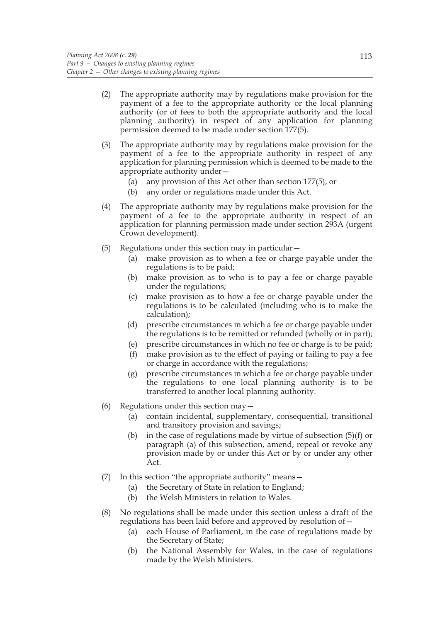- (2) The appropriate authority may by regulations make provision for the payment of a fee to the appropriate authority or the local planning authority (or of fees to both the appropriate authority and the local planning authority) in respect of any application for planning permission deemed to be made under section 177(5).
- (3) The appropriate authority may by regulations make provision for the payment of a fee to the appropriate authority in respect of any application for planning permission which is deemed to be made to the appropriate authority under—
	- (a) any provision of this Act other than section 177(5), or
	- (b) any order or regulations made under this Act.
- (4) The appropriate authority may by regulations make provision for the payment of a fee to the appropriate authority in respect of an application for planning permission made under section 293A (urgent Crown development).
- (5) Regulations under this section may in particular—
	- (a) make provision as to when a fee or charge payable under the regulations is to be paid;
	- (b) make provision as to who is to pay a fee or charge payable under the regulations;
	- (c) make provision as to how a fee or charge payable under the regulations is to be calculated (including who is to make the calculation);
	- (d) prescribe circumstances in which a fee or charge payable under the regulations is to be remitted or refunded (wholly or in part);
	- (e) prescribe circumstances in which no fee or charge is to be paid;
	- (f) make provision as to the effect of paying or failing to pay a fee or charge in accordance with the regulations;
	- (g) prescribe circumstances in which a fee or charge payable under the regulations to one local planning authority is to be transferred to another local planning authority.
- (6) Regulations under this section may—
	- (a) contain incidental, supplementary, consequential, transitional and transitory provision and savings;
	- (b) in the case of regulations made by virtue of subsection (5)(f) or paragraph (a) of this subsection, amend, repeal or revoke any provision made by or under this Act or by or under any other Act.
- (7) In this section "the appropriate authority" means—
	- (a) the Secretary of State in relation to England;
	- (b) the Welsh Ministers in relation to Wales.
- (8) No regulations shall be made under this section unless a draft of the regulations has been laid before and approved by resolution of—
	- (a) each House of Parliament, in the case of regulations made by the Secretary of State;
	- (b) the National Assembly for Wales, in the case of regulations made by the Welsh Ministers.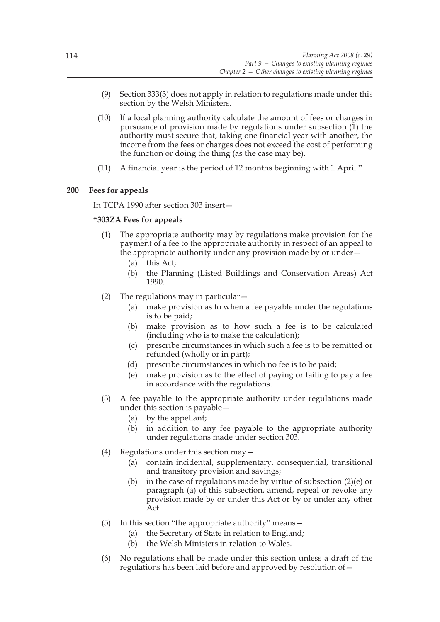- (9) Section 333(3) does not apply in relation to regulations made under this section by the Welsh Ministers.
- (10) If a local planning authority calculate the amount of fees or charges in pursuance of provision made by regulations under subsection  $(1)$  the authority must secure that, taking one financial year with another, the income from the fees or charges does not exceed the cost of performing the function or doing the thing (as the case may be).
- (11) A financial year is the period of 12 months beginning with 1 April."

# **200 Fees for appeals**

In TCPA 1990 after section 303 insert—

## **"303ZA Fees for appeals**

- (1) The appropriate authority may by regulations make provision for the payment of a fee to the appropriate authority in respect of an appeal to the appropriate authority under any provision made by or under—
	- (a) this Act;
	- (b) the Planning (Listed Buildings and Conservation Areas) Act 1990.
- (2) The regulations may in particular—
	- (a) make provision as to when a fee payable under the regulations is to be paid;
	- (b) make provision as to how such a fee is to be calculated (including who is to make the calculation);
	- (c) prescribe circumstances in which such a fee is to be remitted or refunded (wholly or in part);
	- (d) prescribe circumstances in which no fee is to be paid;
	- (e) make provision as to the effect of paying or failing to pay a fee in accordance with the regulations.
- (3) A fee payable to the appropriate authority under regulations made under this section is payable—
	- (a) by the appellant;
	- (b) in addition to any fee payable to the appropriate authority under regulations made under section 303.
- (4) Regulations under this section may—
	- (a) contain incidental, supplementary, consequential, transitional and transitory provision and savings;
	- (b) in the case of regulations made by virtue of subsection (2)(e) or paragraph (a) of this subsection, amend, repeal or revoke any provision made by or under this Act or by or under any other Act.
- (5) In this section "the appropriate authority" means—
	- (a) the Secretary of State in relation to England;
	- (b) the Welsh Ministers in relation to Wales.
- (6) No regulations shall be made under this section unless a draft of the regulations has been laid before and approved by resolution of—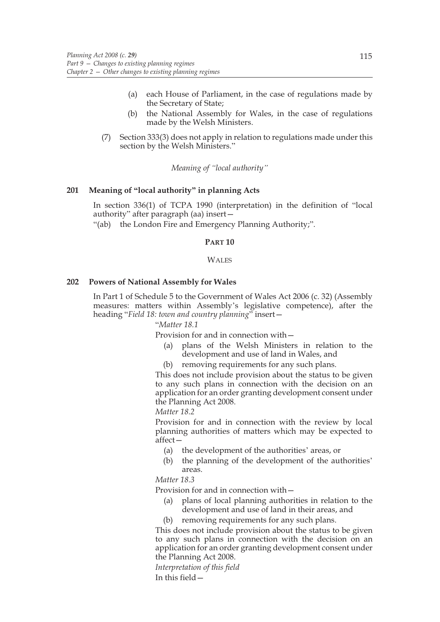- (a) each House of Parliament, in the case of regulations made by the Secretary of State;
- (b) the National Assembly for Wales, in the case of regulations made by the Welsh Ministers.
- (7) Section 333(3) does not apply in relation to regulations made under this section by the Welsh Ministers."

*Meaning of "local authority"*

# **201 Meaning of "local authority" in planning Acts**

In section 336(1) of TCPA 1990 (interpretation) in the definition of "local authority" after paragraph (aa) insert—

"(ab) the London Fire and Emergency Planning Authority;".

#### **PART 10**

#### **WALES**

#### **202 Powers of National Assembly for Wales**

In Part 1 of Schedule 5 to the Government of Wales Act 2006 (c. 32) (Assembly measures: matters within Assembly's legislative competence), after the heading "*Field 18: town and country planning*" insert—

### "*Matter 18.1*

Provision for and in connection with—

- (a) plans of the Welsh Ministers in relation to the development and use of land in Wales, and
- (b) removing requirements for any such plans.

 This does not include provision about the status to be given to any such plans in connection with the decision on an application for an order granting development consent under the Planning Act 2008.

#### *Matter 18.2*

 Provision for and in connection with the review by local planning authorities of matters which may be expected to affect—

- (a) the development of the authorities' areas, or
- (b) the planning of the development of the authorities' areas.

*Matter 18.3*

Provision for and in connection with—

- (a) plans of local planning authorities in relation to the development and use of land in their areas, and
- removing requirements for any such plans.

 This does not include provision about the status to be given to any such plans in connection with the decision on an application for an order granting development consent under the Planning Act 2008.

 *Interpretation of this field* In this field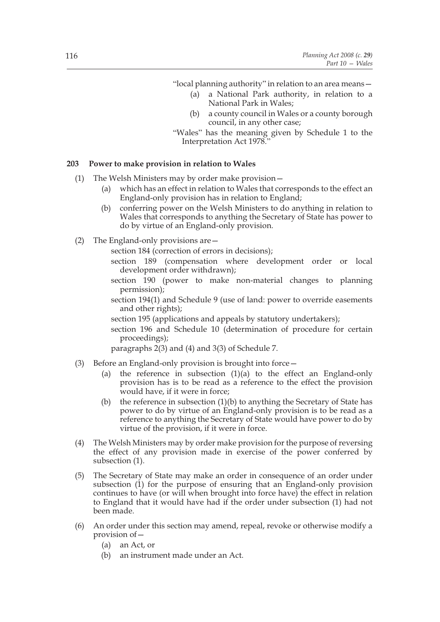"local planning authority" in relation to an area means—

- (a) a National Park authority, in relation to a National Park in Wales;
- (b) a county council in Wales or a county borough council, in any other case;
- "Wales" has the meaning given by Schedule 1 to the Interpretation Act 1978."

### **203 Power to make provision in relation to Wales**

- (1) The Welsh Ministers may by order make provision—
	- (a) which has an effect in relation to Wales that corresponds to the effect an England-only provision has in relation to England;
	- (b) conferring power on the Welsh Ministers to do anything in relation to Wales that corresponds to anything the Secretary of State has power to do by virtue of an England-only provision.
- (2) The England-only provisions are—

section 184 (correction of errors in decisions);

- section 189 (compensation where development order or local development order withdrawn);
- section 190 (power to make non-material changes to planning permission);
- section 194(1) and Schedule 9 (use of land: power to override easements and other rights);
- section 195 (applications and appeals by statutory undertakers);
- section 196 and Schedule 10 (determination of procedure for certain proceedings);
- paragraphs 2(3) and (4) and 3(3) of Schedule 7.
- (3) Before an England-only provision is brought into force—
	- (a) the reference in subsection  $(1)(a)$  to the effect an England-only provision has is to be read as a reference to the effect the provision would have, if it were in force;
	- (b) the reference in subsection  $(1)(b)$  to anything the Secretary of State has power to do by virtue of an England-only provision is to be read as a reference to anything the Secretary of State would have power to do by virtue of the provision, if it were in force.
- (4) The Welsh Ministers may by order make provision for the purpose of reversing the effect of any provision made in exercise of the power conferred by subsection (1).
- (5) The Secretary of State may make an order in consequence of an order under subsection (1) for the purpose of ensuring that an England-only provision continues to have (or will when brought into force have) the effect in relation to England that it would have had if the order under subsection (1) had not been made.
- (6) An order under this section may amend, repeal, revoke or otherwise modify a provision of—
	- (a) an Act, or
	- (b) an instrument made under an Act.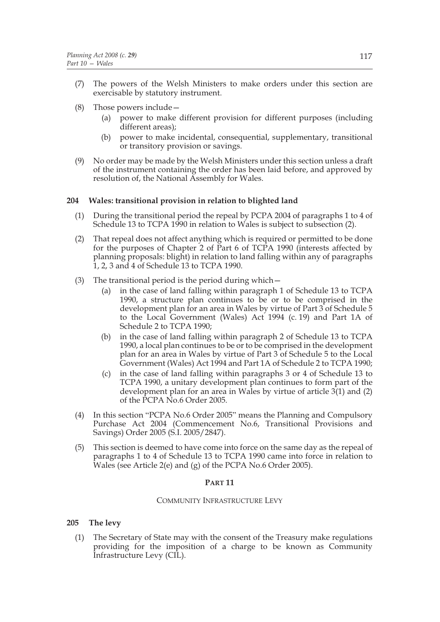- (7) The powers of the Welsh Ministers to make orders under this section are exercisable by statutory instrument.
- (8) Those powers include—
	- (a) power to make different provision for different purposes (including different areas);
	- (b) power to make incidental, consequential, supplementary, transitional or transitory provision or savings.
- (9) No order may be made by the Welsh Ministers under this section unless a draft of the instrument containing the order has been laid before, and approved by resolution of, the National Assembly for Wales.

## **204 Wales: transitional provision in relation to blighted land**

- (1) During the transitional period the repeal by PCPA 2004 of paragraphs 1 to 4 of Schedule 13 to TCPA 1990 in relation to Wales is subject to subsection (2).
- (2) That repeal does not affect anything which is required or permitted to be done for the purposes of Chapter 2 of Part 6 of TCPA 1990 (interests affected by planning proposals: blight) in relation to land falling within any of paragraphs 1, 2, 3 and 4 of Schedule 13 to TCPA 1990.
- (3) The transitional period is the period during which  $-$ 
	- (a) in the case of land falling within paragraph 1 of Schedule 13 to TCPA 1990, a structure plan continues to be or to be comprised in the development plan for an area in Wales by virtue of Part 3 of Schedule 5 to the Local Government (Wales) Act 1994 (c. 19) and Part 1A of Schedule 2 to TCPA 1990;
	- (b) in the case of land falling within paragraph 2 of Schedule 13 to TCPA 1990, a local plan continues to be or to be comprised in the development plan for an area in Wales by virtue of Part 3 of Schedule 5 to the Local Government (Wales) Act 1994 and Part 1A of Schedule 2 to TCPA 1990;
	- (c) in the case of land falling within paragraphs 3 or 4 of Schedule 13 to TCPA 1990, a unitary development plan continues to form part of the development plan for an area in Wales by virtue of article  $3(1)$  and (2) of the PCPA No.6 Order 2005.
- (4) In this section "PCPA No.6 Order 2005" means the Planning and Compulsory Purchase Act 2004 (Commencement No.6, Transitional Provisions and Savings) Order 2005 (S.I. 2005/2847).
- (5) This section is deemed to have come into force on the same day as the repeal of paragraphs 1 to 4 of Schedule 13 to TCPA 1990 came into force in relation to Wales (see Article 2(e) and (g) of the PCPA No.6 Order 2005).

## **PART 11**

## COMMUNITY INFRASTRUCTURE LEVY

## **205 The levy**

(1) The Secretary of State may with the consent of the Treasury make regulations providing for the imposition of a charge to be known as Community Infrastructure Levy (CIL).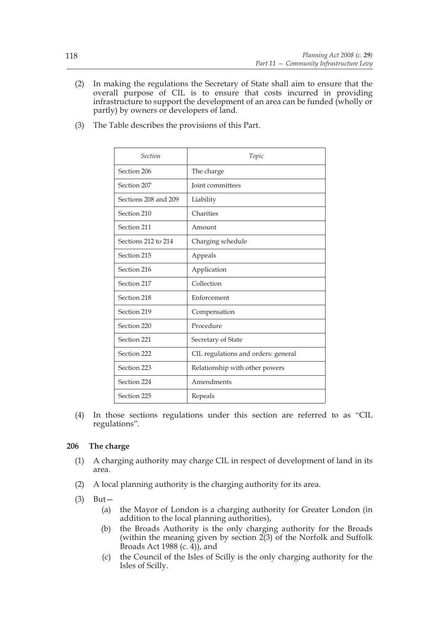(2) In making the regulations the Secretary of State shall aim to ensure that the overall purpose of CIL is to ensure that costs incurred in providing infrastructure to support the development of an area can be funded (wholly or partly) by owners or developers of land.

| Section              | Topic                               |
|----------------------|-------------------------------------|
| Section 206          | The charge                          |
| Section 207          | Joint committees                    |
| Sections 208 and 209 | Liability                           |
| Section 210          | Charities                           |
| Section 211          | Amount                              |
| Sections 212 to 214  | Charging schedule                   |
| Section 215          | Appeals                             |
| Section 216          | Application                         |
| Section 217          | Collection                          |
| Section 218          | Enforcement                         |
| Section 219          | Compensation                        |
| Section 220          | Procedure                           |
| Section 221          | Secretary of State                  |
| Section 222          | CIL regulations and orders: general |
| Section 223          | Relationship with other powers      |
| Section 224          | Amendments                          |
| Section 225          | Repeals                             |

(3) The Table describes the provisions of this Part.

(4) In those sections regulations under this section are referred to as "CIL regulations".

# **206 The charge**

- (1) A charging authority may charge CIL in respect of development of land in its area.
- (2) A local planning authority is the charging authority for its area.
- (3) But—
	- (a) the Mayor of London is a charging authority for Greater London (in addition to the local planning authorities),
	- (b) the Broads Authority is the only charging authority for the Broads (within the meaning given by section  $2(3)$  of the Norfolk and Suffolk Broads Act 1988 (c.  $\widetilde{4}$ )), and
	- (c) the Council of the Isles of Scilly is the only charging authority for the Isles of Scilly.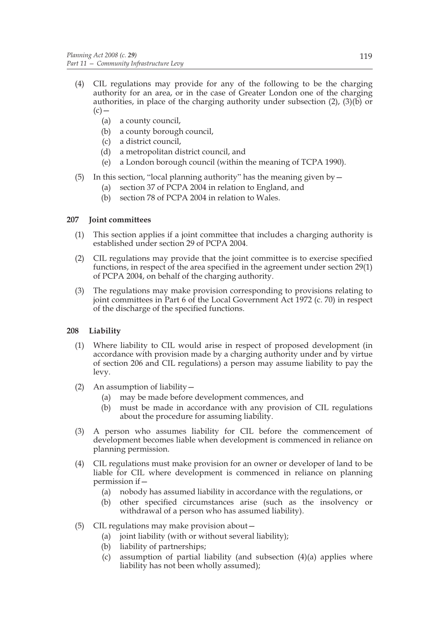- (4) CIL regulations may provide for any of the following to be the charging authority for an area, or in the case of Greater London one of the charging authorities, in place of the charging authority under subsection (2), (3)(b) or  $(c)$  —
	- (a) a county council,
	- (b) a county borough council,
	- (c) a district council,
	- (d) a metropolitan district council, and
	- (e) a London borough council (within the meaning of TCPA 1990).
- (5) In this section, "local planning authority" has the meaning given by  $-$ 
	- (a) section 37 of PCPA 2004 in relation to England, and
	- (b) section 78 of PCPA 2004 in relation to Wales.

# **207 Joint committees**

- (1) This section applies if a joint committee that includes a charging authority is established under section 29 of PCPA 2004.
- (2) CIL regulations may provide that the joint committee is to exercise specified functions, in respect of the area specified in the agreement under section 29(1) of PCPA 2004, on behalf of the charging authority.
- (3) The regulations may make provision corresponding to provisions relating to joint committees in Part 6 of the Local Government Act 1972 (c. 70) in respect of the discharge of the specified functions.

# **208 Liability**

- (1) Where liability to CIL would arise in respect of proposed development (in accordance with provision made by a charging authority under and by virtue of section 206 and CIL regulations) a person may assume liability to pay the levy.
- (2) An assumption of liability—
	- (a) may be made before development commences, and
	- (b) must be made in accordance with any provision of CIL regulations about the procedure for assuming liability.
- (3) A person who assumes liability for CIL before the commencement of development becomes liable when development is commenced in reliance on planning permission.
- (4) CIL regulations must make provision for an owner or developer of land to be liable for CIL where development is commenced in reliance on planning permission if—
	- (a) nobody has assumed liability in accordance with the regulations, or
	- (b) other specified circumstances arise (such as the insolvency or withdrawal of a person who has assumed liability).
- (5) CIL regulations may make provision about—
	- (a) joint liability (with or without several liability);
	- (b) liability of partnerships;
	- (c) assumption of partial liability (and subsection (4)(a) applies where liability has not been wholly assumed);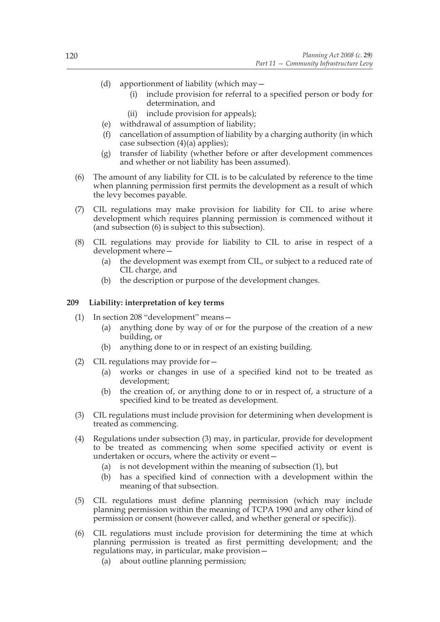- (d) apportionment of liability (which may—
	- (i) include provision for referral to a specified person or body for determination, and
	- (ii) include provision for appeals);
- (e) withdrawal of assumption of liability;
- (f) cancellation of assumption of liability by a charging authority (in which case subsection  $(4)(a)$  applies);
- (g) transfer of liability (whether before or after development commences and whether or not liability has been assumed).
- (6) The amount of any liability for CIL is to be calculated by reference to the time when planning permission first permits the development as a result of which the levy becomes payable.
- (7) CIL regulations may make provision for liability for CIL to arise where development which requires planning permission is commenced without it (and subsection (6) is subject to this subsection).
- (8) CIL regulations may provide for liability to CIL to arise in respect of a development where—
	- (a) the development was exempt from CIL, or subject to a reduced rate of CIL charge, and
	- (b) the description or purpose of the development changes.

# **209 Liability: interpretation of key terms**

- (1) In section 208 "development" means—
	- (a) anything done by way of or for the purpose of the creation of a new building, or
	- (b) anything done to or in respect of an existing building.
- (2) CIL regulations may provide for—
	- (a) works or changes in use of a specified kind not to be treated as development;
	- (b) the creation of, or anything done to or in respect of, a structure of a specified kind to be treated as development.
- (3) CIL regulations must include provision for determining when development is treated as commencing.
- (4) Regulations under subsection (3) may, in particular, provide for development to be treated as commencing when some specified activity or event is undertaken or occurs, where the activity or event—
	- (a) is not development within the meaning of subsection (1), but
	- (b) has a specified kind of connection with a development within the meaning of that subsection.
- (5) CIL regulations must define planning permission (which may include planning permission within the meaning of TCPA 1990 and any other kind of permission or consent (however called, and whether general or specific)).
- (6) CIL regulations must include provision for determining the time at which planning permission is treated as first permitting development; and the regulations may, in particular, make provision—
	- (a) about outline planning permission;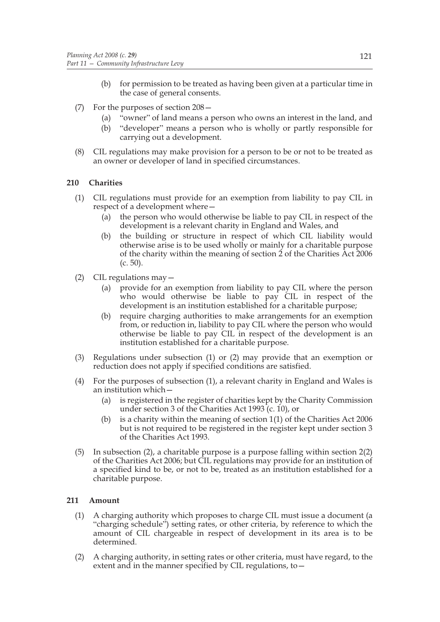- (b) for permission to be treated as having been given at a particular time in the case of general consents.
- (7) For the purposes of section 208—
	- (a) "owner" of land means a person who owns an interest in the land, and
	- (b) "developer" means a person who is wholly or partly responsible for carrying out a development.
- (8) CIL regulations may make provision for a person to be or not to be treated as an owner or developer of land in specified circumstances.

# **210 Charities**

- (1) CIL regulations must provide for an exemption from liability to pay CIL in respect of a development where—
	- (a) the person who would otherwise be liable to pay CIL in respect of the development is a relevant charity in England and Wales, and
	- (b) the building or structure in respect of which CIL liability would otherwise arise is to be used wholly or mainly for a charitable purpose of the charity within the meaning of section 2 of the Charities Act 2006 (c. 50).
- (2) CIL regulations may—
	- (a) provide for an exemption from liability to pay CIL where the person who would otherwise be liable to pay CIL in respect of the development is an institution established for a charitable purpose;
	- (b) require charging authorities to make arrangements for an exemption from, or reduction in, liability to pay CIL where the person who would otherwise be liable to pay CIL in respect of the development is an institution established for a charitable purpose.
- (3) Regulations under subsection (1) or (2) may provide that an exemption or reduction does not apply if specified conditions are satisfied.
- (4) For the purposes of subsection (1), a relevant charity in England and Wales is an institution which—
	- (a) is registered in the register of charities kept by the Charity Commission under section 3 of the Charities Act 1993 (c. 10), or
	- (b) is a charity within the meaning of section 1(1) of the Charities Act 2006 but is not required to be registered in the register kept under section 3 of the Charities Act 1993.
- (5) In subsection (2), a charitable purpose is a purpose falling within section 2(2) of the Charities Act 2006; but CIL regulations may provide for an institution of a specified kind to be, or not to be, treated as an institution established for a charitable purpose.

# **211 Amount**

- (1) A charging authority which proposes to charge CIL must issue a document (a "charging schedule") setting rates, or other criteria, by reference to which the amount of CIL chargeable in respect of development in its area is to be determined.
- (2) A charging authority, in setting rates or other criteria, must have regard, to the extent and in the manner specified by CIL regulations, to—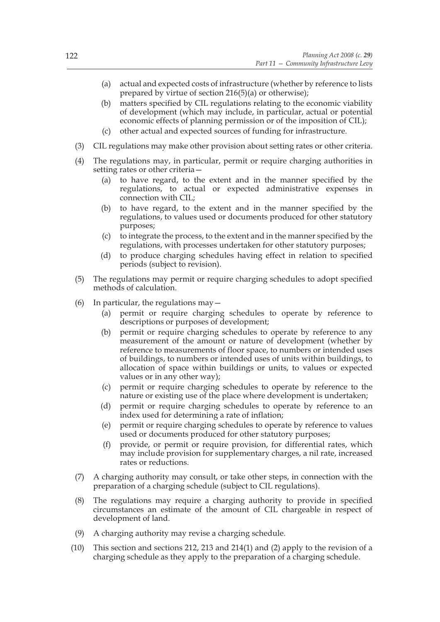- (a) actual and expected costs of infrastructure (whether by reference to lists prepared by virtue of section  $216(5)(a)$  or otherwise);
- (b) matters specified by CIL regulations relating to the economic viability of development (which may include, in particular, actual or potential economic effects of planning permission or of the imposition of CIL);
- (c) other actual and expected sources of funding for infrastructure.
- (3) CIL regulations may make other provision about setting rates or other criteria.
- (4) The regulations may, in particular, permit or require charging authorities in setting rates or other criteria—
	- (a) to have regard, to the extent and in the manner specified by the regulations, to actual or expected administrative expenses in connection with CIL;
	- (b) to have regard, to the extent and in the manner specified by the regulations, to values used or documents produced for other statutory purposes;
	- (c) to integrate the process, to the extent and in the manner specified by the regulations, with processes undertaken for other statutory purposes;
	- (d) to produce charging schedules having effect in relation to specified periods (subject to revision).
- (5) The regulations may permit or require charging schedules to adopt specified methods of calculation.
- (6) In particular, the regulations may  $-$ 
	- (a) permit or require charging schedules to operate by reference to descriptions or purposes of development;
	- (b) permit or require charging schedules to operate by reference to any measurement of the amount or nature of development (whether by reference to measurements of floor space, to numbers or intended uses of buildings, to numbers or intended uses of units within buildings, to allocation of space within buildings or units, to values or expected values or in any other way);
	- (c) permit or require charging schedules to operate by reference to the nature or existing use of the place where development is undertaken;
	- (d) permit or require charging schedules to operate by reference to an index used for determining a rate of inflation;
	- (e) permit or require charging schedules to operate by reference to values used or documents produced for other statutory purposes;
	- (f) provide, or permit or require provision, for differential rates, which may include provision for supplementary charges, a nil rate, increased rates or reductions.
- (7) A charging authority may consult, or take other steps, in connection with the preparation of a charging schedule (subject to CIL regulations).
- (8) The regulations may require a charging authority to provide in specified circumstances an estimate of the amount of CIL chargeable in respect of development of land.
- (9) A charging authority may revise a charging schedule.
- (10) This section and sections 212, 213 and 214(1) and (2) apply to the revision of a charging schedule as they apply to the preparation of a charging schedule.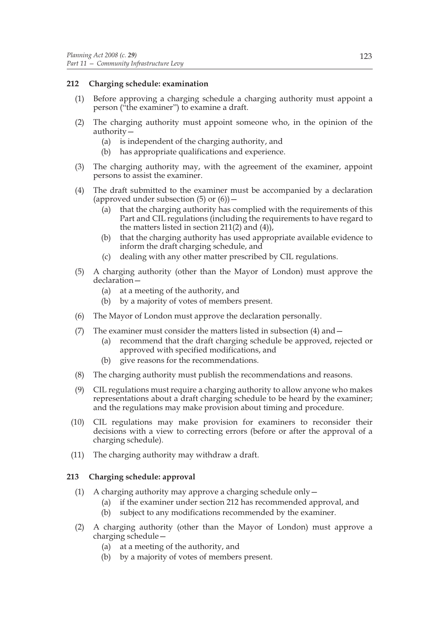# **212 Charging schedule: examination**

- (1) Before approving a charging schedule a charging authority must appoint a person ("the examiner") to examine a draft.
- (2) The charging authority must appoint someone who, in the opinion of the authority—
	- (a) is independent of the charging authority, and
	- (b) has appropriate qualifications and experience.
- (3) The charging authority may, with the agreement of the examiner, appoint persons to assist the examiner.
- (4) The draft submitted to the examiner must be accompanied by a declaration (approved under subsection  $(5)$  or  $(6)$ ) –
	- (a) that the charging authority has complied with the requirements of this Part and CIL regulations (including the requirements to have regard to the matters listed in section 211(2) and  $(4)$ ,
	- (b) that the charging authority has used appropriate available evidence to inform the draft charging schedule, and
	- (c) dealing with any other matter prescribed by CIL regulations.
- (5) A charging authority (other than the Mayor of London) must approve the declaration—
	- (a) at a meeting of the authority, and
	- (b) by a majority of votes of members present.
- (6) The Mayor of London must approve the declaration personally.
- (7) The examiner must consider the matters listed in subsection (4) and—
	- (a) recommend that the draft charging schedule be approved, rejected or approved with specified modifications, and
	- (b) give reasons for the recommendations.
- (8) The charging authority must publish the recommendations and reasons.
- (9) CIL regulations must require a charging authority to allow anyone who makes representations about a draft charging schedule to be heard by the examiner; and the regulations may make provision about timing and procedure.
- (10) CIL regulations may make provision for examiners to reconsider their decisions with a view to correcting errors (before or after the approval of a charging schedule).
- (11) The charging authority may withdraw a draft.

# **213 Charging schedule: approval**

- (1) A charging authority may approve a charging schedule only—
	- (a) if the examiner under section 212 has recommended approval, and
	- (b) subject to any modifications recommended by the examiner.
- (2) A charging authority (other than the Mayor of London) must approve a charging schedule—
	- (a) at a meeting of the authority, and
	- (b) by a majority of votes of members present.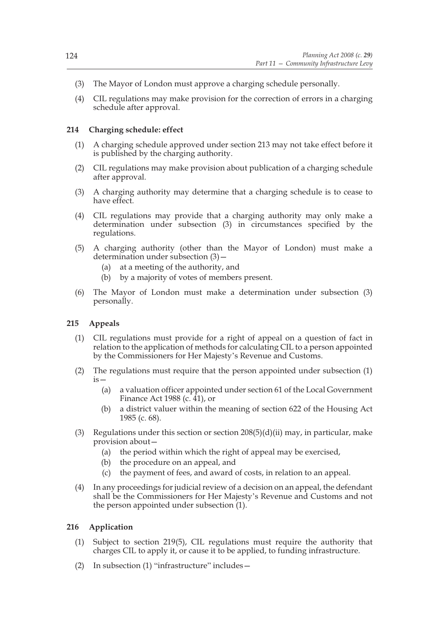- (3) The Mayor of London must approve a charging schedule personally.
- (4) CIL regulations may make provision for the correction of errors in a charging schedule after approval.

### **214 Charging schedule: effect**

- (1) A charging schedule approved under section 213 may not take effect before it is published by the charging authority.
- (2) CIL regulations may make provision about publication of a charging schedule after approval.
- (3) A charging authority may determine that a charging schedule is to cease to have effect.
- (4) CIL regulations may provide that a charging authority may only make a determination under subsection (3) in circumstances specified by the regulations.
- (5) A charging authority (other than the Mayor of London) must make a determination under subsection (3)—
	- (a) at a meeting of the authority, and
	- (b) by a majority of votes of members present.
- (6) The Mayor of London must make a determination under subsection (3) personally.

## **215 Appeals**

- (1) CIL regulations must provide for a right of appeal on a question of fact in relation to the application of methods for calculating CIL to a person appointed by the Commissioners for Her Majesty's Revenue and Customs.
- (2) The regulations must require that the person appointed under subsection (1)  $iS -$ 
	- (a) a valuation officer appointed under section 61 of the Local Government Finance Act 1988 (c.  $41$ ), or
	- (b) a district valuer within the meaning of section 622 of the Housing Act 1985 (c. 68).
- (3) Regulations under this section or section  $208(5)(d)(ii)$  may, in particular, make provision about—
	- (a) the period within which the right of appeal may be exercised,
	- (b) the procedure on an appeal, and
	- (c) the payment of fees, and award of costs, in relation to an appeal.
- (4) In any proceedings for judicial review of a decision on an appeal, the defendant shall be the Commissioners for Her Majesty's Revenue and Customs and not the person appointed under subsection (1).

### **216 Application**

- (1) Subject to section 219(5), CIL regulations must require the authority that charges CIL to apply it, or cause it to be applied, to funding infrastructure.
- (2) In subsection (1) "infrastructure" includes—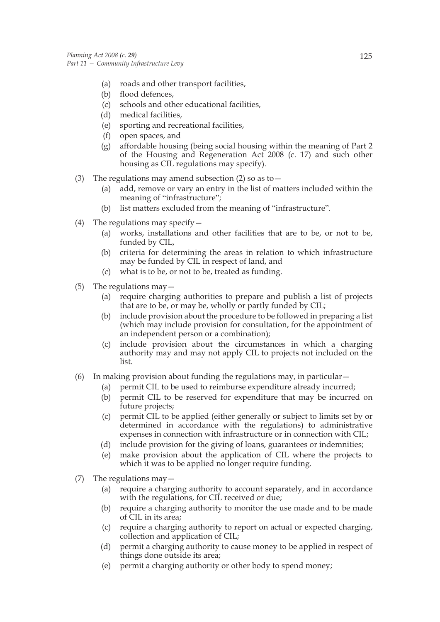- (a) roads and other transport facilities,
- (b) flood defences,
- (c) schools and other educational facilities,
- (d) medical facilities,
- (e) sporting and recreational facilities,
- (f) open spaces, and
- (g) affordable housing (being social housing within the meaning of Part 2 of the Housing and Regeneration Act 2008 (c. 17) and such other housing as CIL regulations may specify).
- (3) The regulations may amend subsection (2) so as to  $-$ 
	- (a) add, remove or vary an entry in the list of matters included within the meaning of "infrastructure";
	- (b) list matters excluded from the meaning of "infrastructure".
- (4) The regulations may specify  $-$ 
	- (a) works, installations and other facilities that are to be, or not to be, funded by CIL,
	- (b) criteria for determining the areas in relation to which infrastructure may be funded by CIL in respect of land, and
	- (c) what is to be, or not to be, treated as funding.
- (5) The regulations may—
	- (a) require charging authorities to prepare and publish a list of projects that are to be, or may be, wholly or partly funded by CIL;
	- (b) include provision about the procedure to be followed in preparing a list (which may include provision for consultation, for the appointment of an independent person or a combination);
	- (c) include provision about the circumstances in which a charging authority may and may not apply CIL to projects not included on the list.
- (6) In making provision about funding the regulations may, in particular  $-$ 
	- (a) permit CIL to be used to reimburse expenditure already incurred;
	- (b) permit CIL to be reserved for expenditure that may be incurred on future projects;
	- (c) permit CIL to be applied (either generally or subject to limits set by or determined in accordance with the regulations) to administrative expenses in connection with infrastructure or in connection with CIL;
	- (d) include provision for the giving of loans, guarantees or indemnities;
	- (e) make provision about the application of CIL where the projects to which it was to be applied no longer require funding.
- (7) The regulations may—
	- (a) require a charging authority to account separately, and in accordance with the regulations, for CIL received or due;
	- (b) require a charging authority to monitor the use made and to be made of CIL in its area;
	- (c) require a charging authority to report on actual or expected charging, collection and application of CIL;
	- (d) permit a charging authority to cause money to be applied in respect of things done outside its area;
	- (e) permit a charging authority or other body to spend money;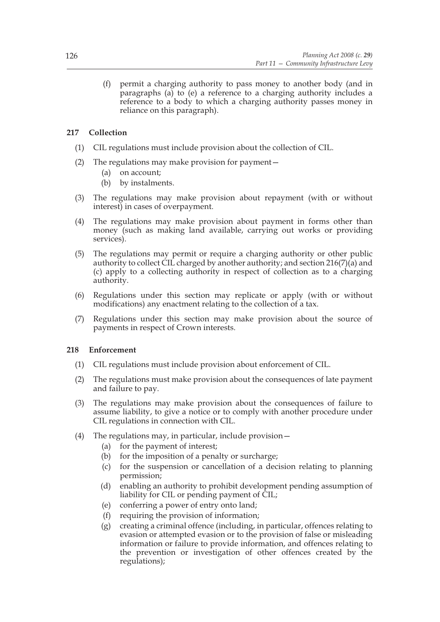(f) permit a charging authority to pass money to another body (and in paragraphs (a) to (e) a reference to a charging authority includes a reference to a body to which a charging authority passes money in reliance on this paragraph).

# **217 Collection**

- (1) CIL regulations must include provision about the collection of CIL.
- (2) The regulations may make provision for payment—
	- (a) on account;
	- (b) by instalments.
- (3) The regulations may make provision about repayment (with or without interest) in cases of overpayment.
- (4) The regulations may make provision about payment in forms other than money (such as making land available, carrying out works or providing services).
- (5) The regulations may permit or require a charging authority or other public authority to collect CIL charged by another authority; and section  $216(7)(a)$  and (c) apply to a collecting authority in respect of collection as to a charging authority.
- (6) Regulations under this section may replicate or apply (with or without modifications) any enactment relating to the collection of a tax.
- (7) Regulations under this section may make provision about the source of payments in respect of Crown interests.

## **218 Enforcement**

- (1) CIL regulations must include provision about enforcement of CIL.
- (2) The regulations must make provision about the consequences of late payment and failure to pay.
- (3) The regulations may make provision about the consequences of failure to assume liability, to give a notice or to comply with another procedure under CIL regulations in connection with CIL.
- (4) The regulations may, in particular, include provision—
	- (a) for the payment of interest;
	- (b) for the imposition of a penalty or surcharge;
	- (c) for the suspension or cancellation of a decision relating to planning permission;
	- (d) enabling an authority to prohibit development pending assumption of liability for CIL or pending payment of CIL;
	- (e) conferring a power of entry onto land;
	- (f) requiring the provision of information;
	- (g) creating a criminal offence (including, in particular, offences relating to evasion or attempted evasion or to the provision of false or misleading information or failure to provide information, and offences relating to the prevention or investigation of other offences created by the regulations);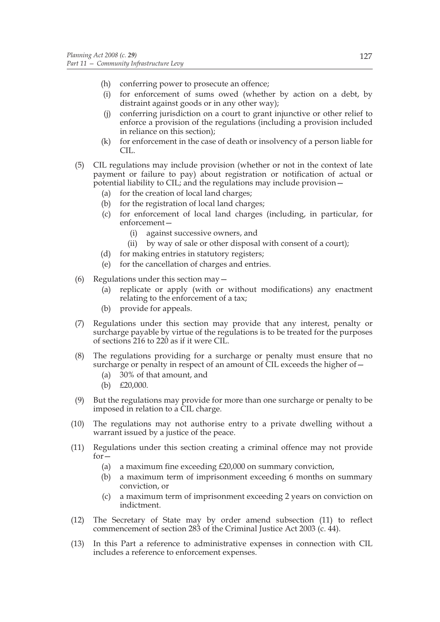- (h) conferring power to prosecute an offence;
- (i) for enforcement of sums owed (whether by action on a debt, by distraint against goods or in any other way);
- (j) conferring jurisdiction on a court to grant injunctive or other relief to enforce a provision of the regulations (including a provision included in reliance on this section);
- (k) for enforcement in the case of death or insolvency of a person liable for CIL.
- (5) CIL regulations may include provision (whether or not in the context of late payment or failure to pay) about registration or notification of actual or potential liability to CIL; and the regulations may include provision—
	- (a) for the creation of local land charges;
	- (b) for the registration of local land charges;
	- (c) for enforcement of local land charges (including, in particular, for enforcement—
		- (i) against successive owners, and
		- (ii) by way of sale or other disposal with consent of a court);
	- (d) for making entries in statutory registers;
	- (e) for the cancellation of charges and entries.
- (6) Regulations under this section may—
	- (a) replicate or apply (with or without modifications) any enactment relating to the enforcement of a tax;
	- (b) provide for appeals.
- (7) Regulations under this section may provide that any interest, penalty or surcharge payable by virtue of the regulations is to be treated for the purposes of sections 216 to 220 as if it were CIL.
- (8) The regulations providing for a surcharge or penalty must ensure that no surcharge or penalty in respect of an amount of CIL exceeds the higher of—
	- (a) 30% of that amount, and
	- (b) £20,000.
- (9) But the regulations may provide for more than one surcharge or penalty to be imposed in relation to a CIL charge.
- (10) The regulations may not authorise entry to a private dwelling without a warrant issued by a justice of the peace.
- (11) Regulations under this section creating a criminal offence may not provide for—
	- (a) a maximum fine exceeding £20,000 on summary conviction,
	- (b) a maximum term of imprisonment exceeding 6 months on summary conviction, or
	- (c) a maximum term of imprisonment exceeding 2 years on conviction on indictment.
- (12) The Secretary of State may by order amend subsection (11) to reflect commencement of section 283 of the Criminal Justice Act 2003 (c. 44).
- (13) In this Part a reference to administrative expenses in connection with CIL includes a reference to enforcement expenses.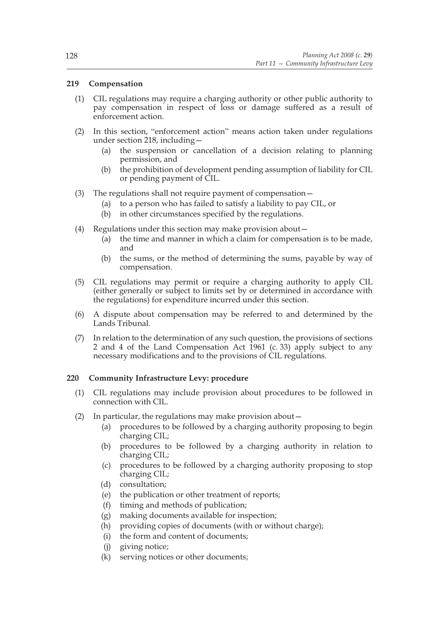# **219 Compensation**

- (1) CIL regulations may require a charging authority or other public authority to pay compensation in respect of loss or damage suffered as a result of enforcement action.
- (2) In this section, "enforcement action" means action taken under regulations under section 218, including—
	- (a) the suspension or cancellation of a decision relating to planning permission, and
	- (b) the prohibition of development pending assumption of liability for CIL or pending payment of CIL.
- (3) The regulations shall not require payment of compensation—
	- (a) to a person who has failed to satisfy a liability to pay CIL, or
	- (b) in other circumstances specified by the regulations.
- (4) Regulations under this section may make provision about—
	- (a) the time and manner in which a claim for compensation is to be made, and
	- (b) the sums, or the method of determining the sums, payable by way of compensation.
- (5) CIL regulations may permit or require a charging authority to apply CIL (either generally or subject to limits set by or determined in accordance with the regulations) for expenditure incurred under this section.
- (6) A dispute about compensation may be referred to and determined by the Lands Tribunal.
- (7) In relation to the determination of any such question, the provisions of sections 2 and 4 of the Land Compensation Act 1961 (c. 33) apply subject to any necessary modifications and to the provisions of CIL regulations.

# **220 Community Infrastructure Levy: procedure**

- (1) CIL regulations may include provision about procedures to be followed in connection with CIL.
- (2) In particular, the regulations may make provision about—
	- (a) procedures to be followed by a charging authority proposing to begin charging CIL;
	- (b) procedures to be followed by a charging authority in relation to charging CIL;
	- (c) procedures to be followed by a charging authority proposing to stop charging CIL;
	- (d) consultation;
	- (e) the publication or other treatment of reports;
	- (f) timing and methods of publication;
	- (g) making documents available for inspection;
	- (h) providing copies of documents (with or without charge);
	- (i) the form and content of documents;
	- (j) giving notice;
	- (k) serving notices or other documents;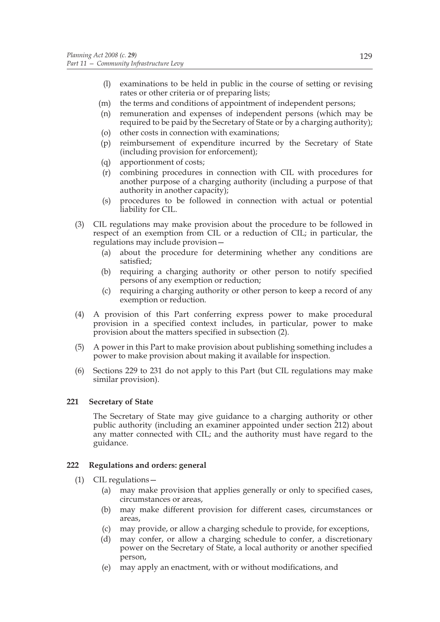- (l) examinations to be held in public in the course of setting or revising rates or other criteria or of preparing lists;
- (m) the terms and conditions of appointment of independent persons;
- (n) remuneration and expenses of independent persons (which may be required to be paid by the Secretary of State or by a charging authority);
- (o) other costs in connection with examinations;
- (p) reimbursement of expenditure incurred by the Secretary of State (including provision for enforcement);
- (q) apportionment of costs;
- (r) combining procedures in connection with CIL with procedures for another purpose of a charging authority (including a purpose of that authority in another capacity);
- (s) procedures to be followed in connection with actual or potential liability for CIL.
- (3) CIL regulations may make provision about the procedure to be followed in respect of an exemption from CIL or a reduction of CIL; in particular, the regulations may include provision—
	- (a) about the procedure for determining whether any conditions are satisfied;
	- (b) requiring a charging authority or other person to notify specified persons of any exemption or reduction;
	- (c) requiring a charging authority or other person to keep a record of any exemption or reduction.
- (4) A provision of this Part conferring express power to make procedural provision in a specified context includes, in particular, power to make provision about the matters specified in subsection (2).
- (5) A power in this Part to make provision about publishing something includes a power to make provision about making it available for inspection.
- (6) Sections 229 to 231 do not apply to this Part (but CIL regulations may make similar provision).

# **221 Secretary of State**

The Secretary of State may give guidance to a charging authority or other public authority (including an examiner appointed under section 212) about any matter connected with CIL; and the authority must have regard to the guidance.

## **222 Regulations and orders: general**

- (1) CIL regulations—
	- (a) may make provision that applies generally or only to specified cases, circumstances or areas,
	- (b) may make different provision for different cases, circumstances or areas,
	- (c) may provide, or allow a charging schedule to provide, for exceptions,
	- (d) may confer, or allow a charging schedule to confer, a discretionary power on the Secretary of State, a local authority or another specified person,
	- (e) may apply an enactment, with or without modifications, and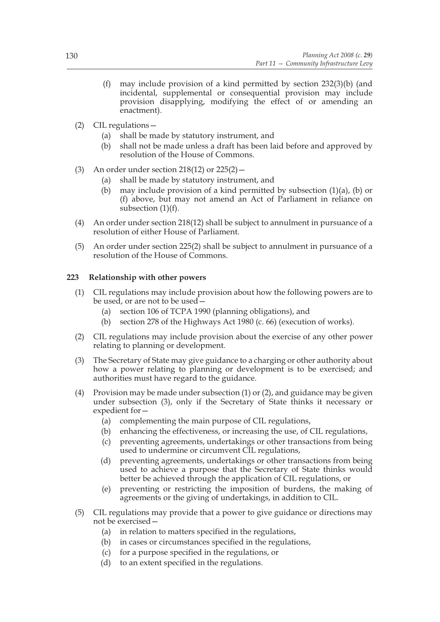- (f) may include provision of a kind permitted by section 232(3)(b) (and incidental, supplemental or consequential provision may include provision disapplying, modifying the effect of or amending an enactment).
- (2) CIL regulations—
	- (a) shall be made by statutory instrument, and
	- (b) shall not be made unless a draft has been laid before and approved by resolution of the House of Commons.
- (3) An order under section 218(12) or 225(2)—
	- (a) shall be made by statutory instrument, and
	- (b) may include provision of a kind permitted by subsection  $(1)(a)$ ,  $(b)$  or (f) above, but may not amend an Act of Parliament in reliance on subsection (1)(f).
- (4) An order under section 218(12) shall be subject to annulment in pursuance of a resolution of either House of Parliament.
- (5) An order under section 225(2) shall be subject to annulment in pursuance of a resolution of the House of Commons.

# **223 Relationship with other powers**

- (1) CIL regulations may include provision about how the following powers are to be used, or are not to be used—
	- (a) section 106 of TCPA 1990 (planning obligations), and
	- (b) section 278 of the Highways Act 1980 (c. 66) (execution of works).
- (2) CIL regulations may include provision about the exercise of any other power relating to planning or development.
- (3) The Secretary of State may give guidance to a charging or other authority about how a power relating to planning or development is to be exercised; and authorities must have regard to the guidance.
- (4) Provision may be made under subsection (1) or (2), and guidance may be given under subsection (3), only if the Secretary of State thinks it necessary or expedient for—
	- (a) complementing the main purpose of CIL regulations,
	- (b) enhancing the effectiveness, or increasing the use, of CIL regulations,
	- (c) preventing agreements, undertakings or other transactions from being used to undermine or circumvent CIL regulations,
	- (d) preventing agreements, undertakings or other transactions from being used to achieve a purpose that the Secretary of State thinks would better be achieved through the application of CIL regulations, or
	- (e) preventing or restricting the imposition of burdens, the making of agreements or the giving of undertakings, in addition to CIL.
- (5) CIL regulations may provide that a power to give guidance or directions may not be exercised—
	- (a) in relation to matters specified in the regulations,
	- (b) in cases or circumstances specified in the regulations,
	- (c) for a purpose specified in the regulations, or
	- (d) to an extent specified in the regulations.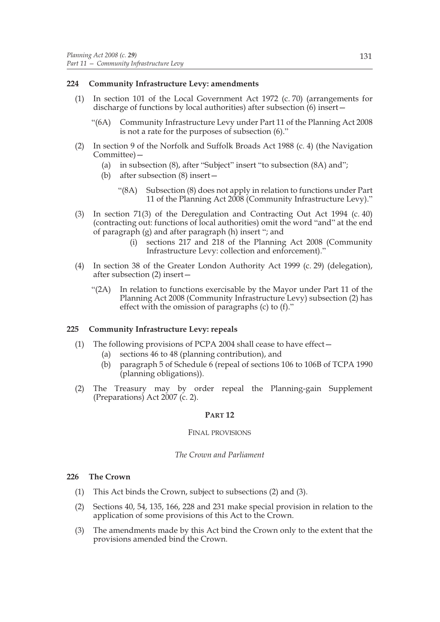# **224 Community Infrastructure Levy: amendments**

- (1) In section 101 of the Local Government Act 1972 (c. 70) (arrangements for discharge of functions by local authorities) after subsection (6) insert—
	- "(6A) Community Infrastructure Levy under Part 11 of the Planning Act 2008 is not a rate for the purposes of subsection (6)."
- (2) In section 9 of the Norfolk and Suffolk Broads Act 1988 (c. 4) (the Navigation Committee)—
	- (a) in subsection (8), after "Subject" insert "to subsection (8A) and";
	- (b) after subsection (8) insert—
		- "(8A) Subsection (8) does not apply in relation to functions under Part 11 of the Planning Act 2008 (Community Infrastructure Levy)."
- (3) In section 71(3) of the Deregulation and Contracting Out Act 1994 (c. 40) (contracting out: functions of local authorities) omit the word "and" at the end of paragraph (g) and after paragraph (h) insert "; and
	- (i) sections 217 and 218 of the Planning Act 2008 (Community Infrastructure Levy: collection and enforcement)."
- (4) In section 38 of the Greater London Authority Act 1999 (c. 29) (delegation), after subsection (2) insert—
	- "(2A) In relation to functions exercisable by the Mayor under Part 11 of the Planning Act 2008 (Community Infrastructure Levy) subsection (2) has effect with the omission of paragraphs (c) to (f)."

## **225 Community Infrastructure Levy: repeals**

- (1) The following provisions of PCPA 2004 shall cease to have effect—
	- (a) sections 46 to 48 (planning contribution), and
	- (b) paragraph 5 of Schedule 6 (repeal of sections 106 to 106B of TCPA 1990 (planning obligations)).
- (2) The Treasury may by order repeal the Planning-gain Supplement (Preparations) Act 2007 (c. 2).

## **PART 12**

## FINAL PROVISIONS

## *The Crown and Parliament*

## **226 The Crown**

- (1) This Act binds the Crown, subject to subsections (2) and (3).
- (2) Sections 40, 54, 135, 166, 228 and 231 make special provision in relation to the application of some provisions of this Act to the Crown.
- (3) The amendments made by this Act bind the Crown only to the extent that the provisions amended bind the Crown.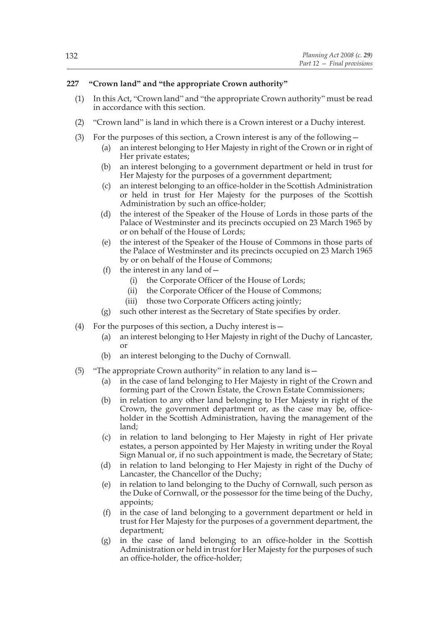# **227 "Crown land" and "the appropriate Crown authority"**

- (1) In this Act, "Crown land" and "the appropriate Crown authority" must be read in accordance with this section.
- (2) "Crown land" is land in which there is a Crown interest or a Duchy interest.
- (3) For the purposes of this section, a Crown interest is any of the following—
	- (a) an interest belonging to Her Majesty in right of the Crown or in right of Her private estates;
	- (b) an interest belonging to a government department or held in trust for Her Majesty for the purposes of a government department;
	- (c) an interest belonging to an office-holder in the Scottish Administration or held in trust for Her Majesty for the purposes of the Scottish Administration by such an office-holder;
	- (d) the interest of the Speaker of the House of Lords in those parts of the Palace of Westminster and its precincts occupied on 23 March 1965 by or on behalf of the House of Lords;
	- (e) the interest of the Speaker of the House of Commons in those parts of the Palace of Westminster and its precincts occupied on 23 March 1965 by or on behalf of the House of Commons;
	- (f) the interest in any land of  $-$ 
		- (i) the Corporate Officer of the House of Lords;
		- (ii) the Corporate Officer of the House of Commons;
		- (iii) those two Corporate Officers acting jointly;
	- (g) such other interest as the Secretary of State specifies by order.
- (4) For the purposes of this section, a Duchy interest is—
	- (a) an interest belonging to Her Majesty in right of the Duchy of Lancaster, or
	- (b) an interest belonging to the Duchy of Cornwall.
- (5) "The appropriate Crown authority" in relation to any land is  $-$ 
	- (a) in the case of land belonging to Her Majesty in right of the Crown and forming part of the Crown Estate, the Crown Estate Commissioners;
	- (b) in relation to any other land belonging to Her Majesty in right of the Crown, the government department or, as the case may be, officeholder in the Scottish Administration, having the management of the land;
	- (c) in relation to land belonging to Her Majesty in right of Her private estates, a person appointed by Her Majesty in writing under the Royal Sign Manual or, if no such appointment is made, the Secretary of State;
	- (d) in relation to land belonging to Her Majesty in right of the Duchy of Lancaster, the Chancellor of the Duchy;
	- (e) in relation to land belonging to the Duchy of Cornwall, such person as the Duke of Cornwall, or the possessor for the time being of the Duchy, appoints;
	- (f) in the case of land belonging to a government department or held in trust for Her Majesty for the purposes of a government department, the department;
	- (g) in the case of land belonging to an office-holder in the Scottish Administration or held in trust for Her Majesty for the purposes of such an office-holder, the office-holder;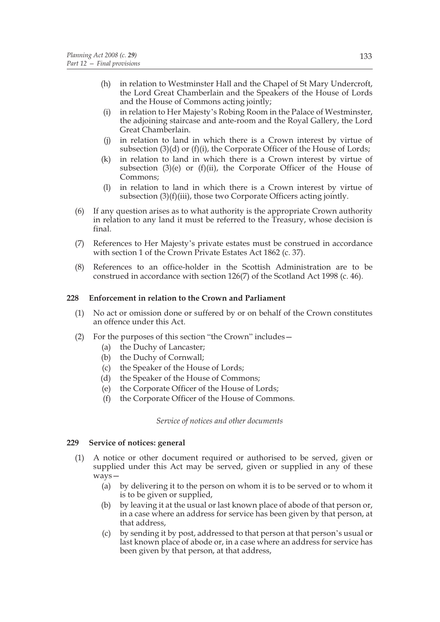- (h) in relation to Westminster Hall and the Chapel of St Mary Undercroft, the Lord Great Chamberlain and the Speakers of the House of Lords and the House of Commons acting jointly:
- (i) in relation to Her Majesty's Robing Room in the Palace of Westminster, the adjoining staircase and ante-room and the Royal Gallery, the Lord Great Chamberlain.
- (j) in relation to land in which there is a Crown interest by virtue of subsection (3)(d) or (f)(i), the Corporate Officer of the House of Lords;
- (k) in relation to land in which there is a Crown interest by virtue of subsection (3)(e) or (f)(ii), the Corporate Officer of the House of Commons;
- (l) in relation to land in which there is a Crown interest by virtue of subsection (3)(f)(iii), those two Corporate Officers acting jointly.
- (6) If any question arises as to what authority is the appropriate Crown authority in relation to any land it must be referred to the Treasury, whose decision is final.
- (7) References to Her Majesty's private estates must be construed in accordance with section 1 of the Crown Private Estates Act 1862 (c. 37).
- (8) References to an office-holder in the Scottish Administration are to be construed in accordance with section 126(7) of the Scotland Act 1998 (c. 46).

## **228 Enforcement in relation to the Crown and Parliament**

- (1) No act or omission done or suffered by or on behalf of the Crown constitutes an offence under this Act.
- (2) For the purposes of this section "the Crown" includes—
	- (a) the Duchy of Lancaster;
	- (b) the Duchy of Cornwall;
	- (c) the Speaker of the House of Lords;
	- (d) the Speaker of the House of Commons;
	- (e) the Corporate Officer of the House of Lords;
	- (f) the Corporate Officer of the House of Commons.

*Service of notices and other documents*

## **229 Service of notices: general**

- (1) A notice or other document required or authorised to be served, given or supplied under this Act may be served, given or supplied in any of these ways—
	- (a) by delivering it to the person on whom it is to be served or to whom it is to be given or supplied,
	- (b) by leaving it at the usual or last known place of abode of that person or, in a case where an address for service has been given by that person, at that address,
	- (c) by sending it by post, addressed to that person at that person's usual or last known place of abode or, in a case where an address for service has been given by that person, at that address,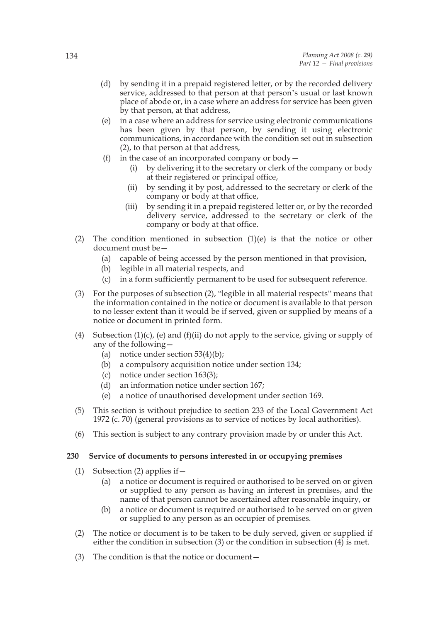- (d) by sending it in a prepaid registered letter, or by the recorded delivery service, addressed to that person at that person's usual or last known place of abode or, in a case where an address for service has been given by that person, at that address,
- (e) in a case where an address for service using electronic communications has been given by that person, by sending it using electronic communications, in accordance with the condition set out in subsection (2), to that person at that address,
- (f) in the case of an incorporated company or body  $-$ 
	- (i) by delivering it to the secretary or clerk of the company or body at their registered or principal office,
	- (ii) by sending it by post, addressed to the secretary or clerk of the company or body at that office,
	- (iii) by sending it in a prepaid registered letter or, or by the recorded delivery service, addressed to the secretary or clerk of the company or body at that office.
- (2) The condition mentioned in subsection  $(1)(e)$  is that the notice or other document must be—
	- (a) capable of being accessed by the person mentioned in that provision,
	- (b) legible in all material respects, and
	- (c) in a form sufficiently permanent to be used for subsequent reference.
- (3) For the purposes of subsection (2), "legible in all material respects" means that the information contained in the notice or document is available to that person to no lesser extent than it would be if served, given or supplied by means of a notice or document in printed form.
- (4) Subsection (1)(c), (e) and (f)(ii) do not apply to the service, giving or supply of any of the following—
	- (a) notice under section  $53(4)(b)$ ;
	- (b) a compulsory acquisition notice under section 134;
	- (c) notice under section 163(3);
	- (d) an information notice under section 167;
	- (e) a notice of unauthorised development under section 169.
- (5) This section is without prejudice to section 233 of the Local Government Act 1972 (c. 70) (general provisions as to service of notices by local authorities).
- (6) This section is subject to any contrary provision made by or under this Act.

# **230 Service of documents to persons interested in or occupying premises**

- (1) Subsection (2) applies if—
	- (a) a notice or document is required or authorised to be served on or given or supplied to any person as having an interest in premises, and the name of that person cannot be ascertained after reasonable inquiry, or
	- (b) a notice or document is required or authorised to be served on or given or supplied to any person as an occupier of premises.
- (2) The notice or document is to be taken to be duly served, given or supplied if either the condition in subsection (3) or the condition in subsection (4) is met.
- (3) The condition is that the notice or document—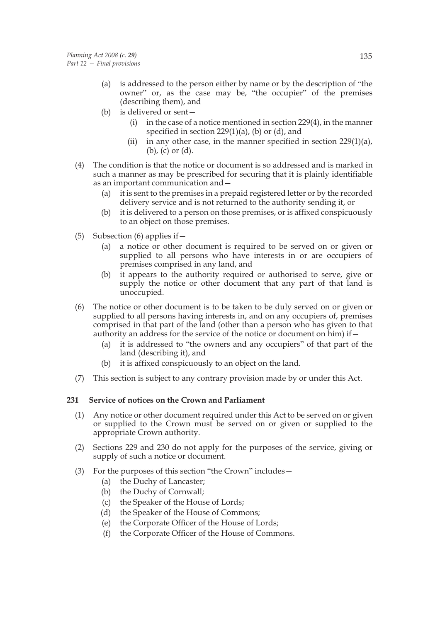- (a) is addressed to the person either by name or by the description of "the owner" or, as the case may be, "the occupier" of the premises (describing them), and
- (b) is delivered or sent—
	- (i) in the case of a notice mentioned in section 229(4), in the manner specified in section 229(1)(a), (b) or (d), and
	- (ii) in any other case, in the manner specified in section  $229(1)(a)$ , (b), (c) or (d).
- (4) The condition is that the notice or document is so addressed and is marked in such a manner as may be prescribed for securing that it is plainly identifiable as an important communication and—
	- (a) it is sent to the premises in a prepaid registered letter or by the recorded delivery service and is not returned to the authority sending it, or
	- (b) it is delivered to a person on those premises, or is affixed conspicuously to an object on those premises.
- (5) Subsection (6) applies if  $-$ 
	- (a) a notice or other document is required to be served on or given or supplied to all persons who have interests in or are occupiers of premises comprised in any land, and
	- (b) it appears to the authority required or authorised to serve, give or supply the notice or other document that any part of that land is unoccupied.
- (6) The notice or other document is to be taken to be duly served on or given or supplied to all persons having interests in, and on any occupiers of, premises comprised in that part of the land (other than a person who has given to that authority an address for the service of the notice or document on him) if  $-$ 
	- (a) it is addressed to "the owners and any occupiers" of that part of the land (describing it), and
	- (b) it is affixed conspicuously to an object on the land.
- (7) This section is subject to any contrary provision made by or under this Act.

# **231 Service of notices on the Crown and Parliament**

- (1) Any notice or other document required under this Act to be served on or given or supplied to the Crown must be served on or given or supplied to the appropriate Crown authority.
- (2) Sections 229 and 230 do not apply for the purposes of the service, giving or supply of such a notice or document.
- (3) For the purposes of this section "the Crown" includes—
	- (a) the Duchy of Lancaster;
	- (b) the Duchy of Cornwall;
	- (c) the Speaker of the House of Lords;
	- (d) the Speaker of the House of Commons;
	- (e) the Corporate Officer of the House of Lords;
	- (f) the Corporate Officer of the House of Commons.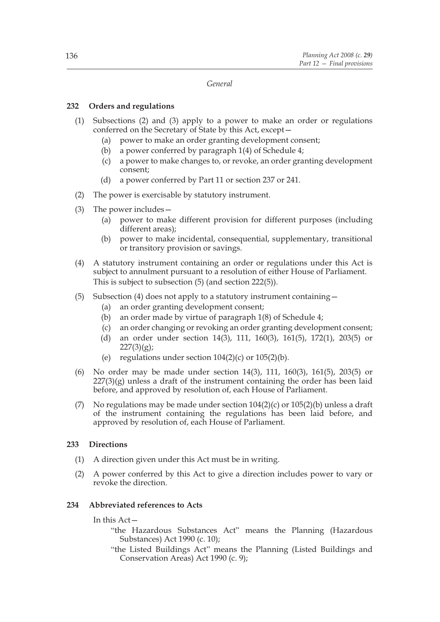### *General*

# **232 Orders and regulations**

- (1) Subsections (2) and (3) apply to a power to make an order or regulations conferred on the Secretary of State by this Act, except—
	- (a) power to make an order granting development consent;
	- (b) a power conferred by paragraph 1(4) of Schedule 4;
	- (c) a power to make changes to, or revoke, an order granting development consent;
	- (d) a power conferred by Part 11 or section 237 or 241.
- (2) The power is exercisable by statutory instrument.
- (3) The power includes—
	- (a) power to make different provision for different purposes (including different areas);
	- (b) power to make incidental, consequential, supplementary, transitional or transitory provision or savings.
- (4) A statutory instrument containing an order or regulations under this Act is subject to annulment pursuant to a resolution of either House of Parliament. This is subject to subsection (5) (and section 222(5)).
- (5) Subsection (4) does not apply to a statutory instrument containing—
	- (a) an order granting development consent;
	- (b) an order made by virtue of paragraph 1(8) of Schedule 4;
	- (c) an order changing or revoking an order granting development consent;
	- (d) an order under section 14(3), 111, 160(3), 161(5), 172(1), 203(5) or  $227(3)(g);$
	- (e) regulations under section  $104(2)(c)$  or  $105(2)(b)$ .
- (6) No order may be made under section 14(3), 111, 160(3), 161(5), 203(5) or  $227(3)(g)$  unless a draft of the instrument containing the order has been laid before, and approved by resolution of, each House of Parliament.
- (7) No regulations may be made under section  $104(2)(c)$  or  $105(2)(b)$  unless a draft of the instrument containing the regulations has been laid before, and approved by resolution of, each House of Parliament.

# **233 Directions**

- (1) A direction given under this Act must be in writing.
- (2) A power conferred by this Act to give a direction includes power to vary or revoke the direction.

# **234 Abbreviated references to Acts**

In this Act—

- "the Hazardous Substances Act" means the Planning (Hazardous Substances) Act 1990 (c. 10);
- "the Listed Buildings Act" means the Planning (Listed Buildings and Conservation Areas) Act 1990 (c. 9);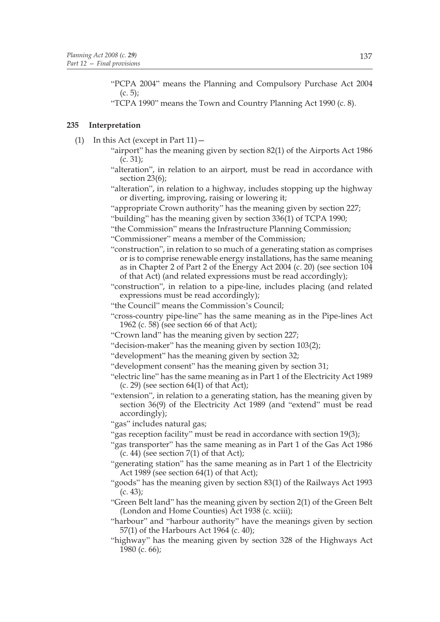"PCPA 2004" means the Planning and Compulsory Purchase Act 2004  $(c. 5)$ ;

"TCPA 1990" means the Town and Country Planning Act 1990 (c. 8).

# **235 Interpretation**

- (1) In this Act (except in Part  $11$ )  $-$ 
	- "airport" has the meaning given by section 82(1) of the Airports Act 1986 (c. 31);
	- "alteration", in relation to an airport, must be read in accordance with section 23(6);
	- "alteration", in relation to a highway, includes stopping up the highway or diverting, improving, raising or lowering it;
	- "appropriate Crown authority" has the meaning given by section 227;
	- "building" has the meaning given by section 336(1) of TCPA 1990;
	- "the Commission" means the Infrastructure Planning Commission;

"Commissioner" means a member of the Commission;

- "construction", in relation to so much of a generating station as comprises or is to comprise renewable energy installations, has the same meaning as in Chapter 2 of Part 2 of the Energy Act 2004 (c. 20) (see section 104 of that Act) (and related expressions must be read accordingly);
- "construction", in relation to a pipe-line, includes placing (and related expressions must be read accordingly);
- "the Council" means the Commission's Council;
- "cross-country pipe-line" has the same meaning as in the Pipe-lines Act 1962 (c. 58) (see section 66 of that Act);
- "Crown land" has the meaning given by section 227;
- "decision-maker" has the meaning given by section 103(2);
- "development" has the meaning given by section 32;
- "development consent" has the meaning given by section 31;
- "electric line" has the same meaning as in Part 1 of the Electricity Act 1989  $(c. 29)$  (see section  $64(1)$  of that Act);
- "extension", in relation to a generating station, has the meaning given by section 36(9) of the Electricity Act 1989 (and "extend" must be read accordingly);

"gas" includes natural gas;

- "gas reception facility" must be read in accordance with section 19(3);
- "gas transporter" has the same meaning as in Part 1 of the Gas Act 1986  $(c. 44)$  (see section  $7(1)$  of that Act);
- "generating station" has the same meaning as in Part 1 of the Electricity Act 1989 (see section 64(1) of that Act);
- "goods" has the meaning given by section 83(1) of the Railways Act 1993  $(c. 43);$
- "Green Belt land" has the meaning given by section 2(1) of the Green Belt (London and Home Counties) Act 1938 (c. xciii);
- "harbour" and "harbour authority" have the meanings given by section 57(1) of the Harbours Act 1964 (c. 40);
- "highway" has the meaning given by section 328 of the Highways Act 1980 (c. 66);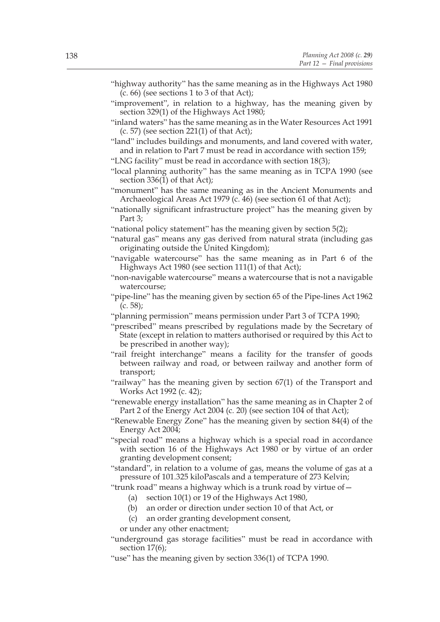- "highway authority" has the same meaning as in the Highways Act 1980 (c. 66) (see sections 1 to 3 of that Act);
- "improvement", in relation to a highway, has the meaning given by section 329(1) of the Highways Act 1980;
- "inland waters" has the same meaning as in the Water Resources Act 1991  $(c. 57)$  (see section 221(1) of that Act);
- "land" includes buildings and monuments, and land covered with water, and in relation to Part 7 must be read in accordance with section 159;
- "LNG facility" must be read in accordance with section 18(3);
- "local planning authority" has the same meaning as in TCPA 1990 (see section 336(1) of that Act);
- "monument" has the same meaning as in the Ancient Monuments and Archaeological Areas Act 1979 (c. 46) (see section 61 of that Act);
- "nationally significant infrastructure project" has the meaning given by Part 3;
- "national policy statement" has the meaning given by section 5(2);
- "natural gas" means any gas derived from natural strata (including gas originating outside the United Kingdom);
- "navigable watercourse" has the same meaning as in Part 6 of the Highways Act 1980 (see section 111(1) of that Act);
- "non-navigable watercourse" means a watercourse that is not a navigable watercourse;
- "pipe-line" has the meaning given by section 65 of the Pipe-lines Act 1962  $(c. 58);$
- "planning permission" means permission under Part 3 of TCPA 1990;
- "prescribed" means prescribed by regulations made by the Secretary of State (except in relation to matters authorised or required by this Act to be prescribed in another way);
- "rail freight interchange" means a facility for the transfer of goods between railway and road, or between railway and another form of transport;
- "railway" has the meaning given by section 67(1) of the Transport and Works Act 1992 (c. 42);
- "renewable energy installation" has the same meaning as in Chapter 2 of Part 2 of the Energy Act 2004 (c. 20) (see section 104 of that Act);
- "Renewable Energy Zone" has the meaning given by section 84(4) of the Energy Act 2004;
- "special road" means a highway which is a special road in accordance with section 16 of the Highways Act 1980 or by virtue of an order granting development consent;
- "standard", in relation to a volume of gas, means the volume of gas at a pressure of 101.325 kiloPascals and a temperature of 273 Kelvin;
- "trunk road" means a highway which is a trunk road by virtue of—
	- (a) section 10(1) or 19 of the Highways Act 1980,
	- (b) an order or direction under section 10 of that Act, or
	- (c) an order granting development consent,
	- or under any other enactment;
- "underground gas storage facilities" must be read in accordance with section 17(6);
- "use" has the meaning given by section 336(1) of TCPA 1990.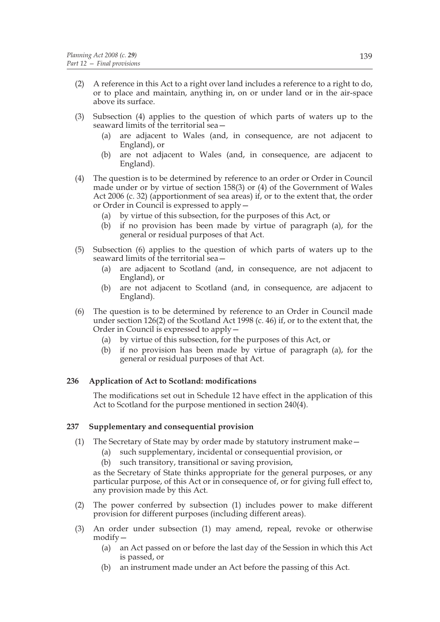- (2) A reference in this Act to a right over land includes a reference to a right to do, or to place and maintain, anything in, on or under land or in the air-space above its surface.
- (3) Subsection (4) applies to the question of which parts of waters up to the seaward limits of the territorial sea -
	- (a) are adjacent to Wales (and, in consequence, are not adjacent to England), or
	- (b) are not adjacent to Wales (and, in consequence, are adjacent to England).
- (4) The question is to be determined by reference to an order or Order in Council made under or by virtue of section 158(3) or (4) of the Government of Wales Act 2006 (c. 32) (apportionment of sea areas) if, or to the extent that, the order or Order in Council is expressed to apply—
	- (a) by virtue of this subsection, for the purposes of this Act, or
	- (b) if no provision has been made by virtue of paragraph (a), for the general or residual purposes of that Act.
- (5) Subsection (6) applies to the question of which parts of waters up to the seaward limits of the territorial sea—
	- (a) are adjacent to Scotland (and, in consequence, are not adjacent to England), or
	- (b) are not adjacent to Scotland (and, in consequence, are adjacent to England).
- (6) The question is to be determined by reference to an Order in Council made under section 126(2) of the Scotland Act 1998 (c. 46) if, or to the extent that, the Order in Council is expressed to apply—
	- (a) by virtue of this subsection, for the purposes of this Act, or
	- (b) if no provision has been made by virtue of paragraph (a), for the general or residual purposes of that Act.

# **236 Application of Act to Scotland: modifications**

The modifications set out in Schedule 12 have effect in the application of this Act to Scotland for the purpose mentioned in section 240(4).

# **237 Supplementary and consequential provision**

- (1) The Secretary of State may by order made by statutory instrument make—
	- (a) such supplementary, incidental or consequential provision, or
	- (b) such transitory, transitional or saving provision,

as the Secretary of State thinks appropriate for the general purposes, or any particular purpose, of this Act or in consequence of, or for giving full effect to, any provision made by this Act.

- (2) The power conferred by subsection (1) includes power to make different provision for different purposes (including different areas).
- (3) An order under subsection (1) may amend, repeal, revoke or otherwise modify—
	- (a) an Act passed on or before the last day of the Session in which this Act is passed, or
	- (b) an instrument made under an Act before the passing of this Act.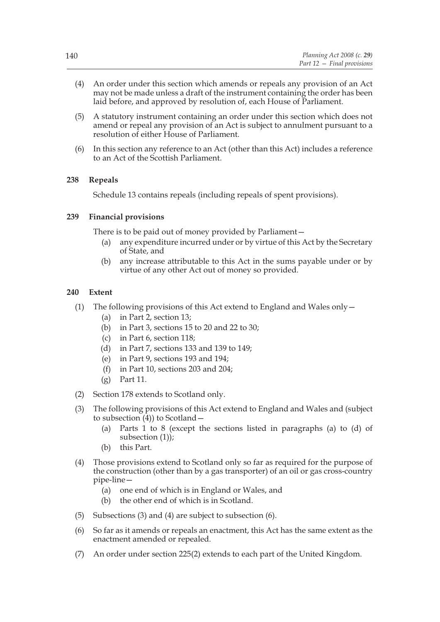- (4) An order under this section which amends or repeals any provision of an Act may not be made unless a draft of the instrument containing the order has been laid before, and approved by resolution of, each House of Parliament.
- (5) A statutory instrument containing an order under this section which does not amend or repeal any provision of an Act is subject to annulment pursuant to a resolution of either House of Parliament.
- (6) In this section any reference to an Act (other than this Act) includes a reference to an Act of the Scottish Parliament.

# **238 Repeals**

Schedule 13 contains repeals (including repeals of spent provisions).

# **239 Financial provisions**

There is to be paid out of money provided by Parliament—

- (a) any expenditure incurred under or by virtue of this Act by the Secretary of State, and
- (b) any increase attributable to this Act in the sums payable under or by virtue of any other Act out of money so provided.

# **240 Extent**

- (1) The following provisions of this Act extend to England and Wales only—
	- (a) in Part 2, section 13;
	- (b) in Part 3, sections 15 to 20 and 22 to 30;
	- (c) in Part 6, section 118;
	- (d) in Part 7, sections 133 and 139 to 149;
	- (e) in Part 9, sections 193 and 194;
	- (f) in Part 10, sections 203 and 204;
	- (g) Part 11.
- (2) Section 178 extends to Scotland only.
- (3) The following provisions of this Act extend to England and Wales and (subject to subsection  $(4)$ ) to Scotland –
	- (a) Parts 1 to 8 (except the sections listed in paragraphs (a) to (d) of subsection (1));
	- (b) this Part.
- (4) Those provisions extend to Scotland only so far as required for the purpose of the construction (other than by a gas transporter) of an oil or gas cross-country pipe-line—
	- (a) one end of which is in England or Wales, and
	- (b) the other end of which is in Scotland.
- (5) Subsections (3) and (4) are subject to subsection (6).
- (6) So far as it amends or repeals an enactment, this Act has the same extent as the enactment amended or repealed.
- (7) An order under section 225(2) extends to each part of the United Kingdom.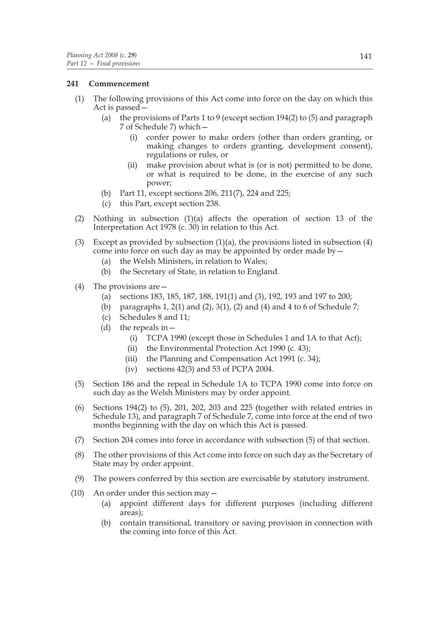# **241 Commencement**

- (1) The following provisions of this Act come into force on the day on which this Act is passed—
	- (a) the provisions of Parts 1 to 9 (except section 194(2) to (5) and paragraph 7 of Schedule 7) which—
		- (i) confer power to make orders (other than orders granting, or making changes to orders granting, development consent), regulations or rules, or
		- (ii) make provision about what is (or is not) permitted to be done, or what is required to be done, in the exercise of any such power;
	- (b) Part 11, except sections 206, 211(7), 224 and 225;
	- (c) this Part, except section 238.
- (2) Nothing in subsection  $(1)(a)$  affects the operation of section 13 of the Interpretation Act 1978 (c. 30) in relation to this Act.
- (3) Except as provided by subsection (1)(a), the provisions listed in subsection (4) come into force on such day as may be appointed by order made by—
	- (a) the Welsh Ministers, in relation to Wales;
	- (b) the Secretary of State, in relation to England.
- (4) The provisions are—
	- (a) sections 183, 185, 187, 188, 191(1) and (3), 192, 193 and 197 to 200;
	- (b) paragraphs 1, 2(1) and (2), 3(1), (2) and (4) and 4 to 6 of Schedule 7;
	- (c) Schedules 8 and 11;
	- (d) the repeals in  $-$ 
		- (i) TCPA 1990 (except those in Schedules 1 and 1A to that Act);
		- (ii) the Environmental Protection Act 1990 (c. 43);
		- (iii) the Planning and Compensation Act 1991 (c. 34);
		- (iv) sections  $42(3)$  and 53 of PCPA 2004.
- (5) Section 186 and the repeal in Schedule 1A to TCPA 1990 come into force on such day as the Welsh Ministers may by order appoint.
- (6) Sections 194(2) to (5), 201, 202, 203 and 225 (together with related entries in Schedule 13), and paragraph 7 of Schedule 7, come into force at the end of two months beginning with the day on which this Act is passed.
- (7) Section 204 comes into force in accordance with subsection (5) of that section.
- (8) The other provisions of this Act come into force on such day as the Secretary of State may by order appoint.
- (9) The powers conferred by this section are exercisable by statutory instrument.
- (10) An order under this section may—
	- (a) appoint different days for different purposes (including different areas);
	- (b) contain transitional, transitory or saving provision in connection with the coming into force of this Act.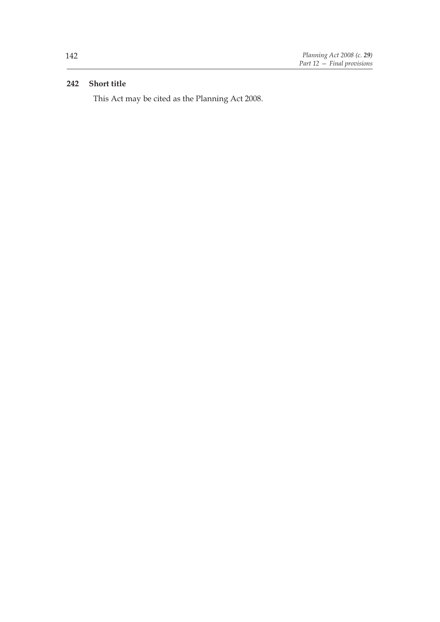# **242 Short title**

This Act may be cited as the Planning Act 2008.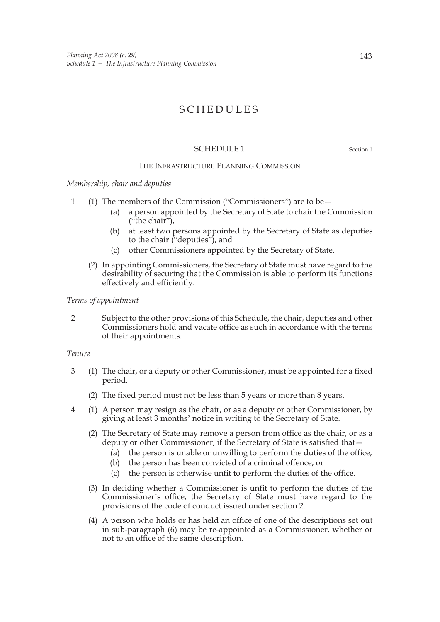# SCHEDULES

# SCHEDULE 1 Section 1

#### THE INFRASTRUCTURE PLANNING COMMISSION

*Membership, chair and deputies*

- 1 (1) The members of the Commission ("Commissioners") are to be—
	- (a) a person appointed by the Secretary of State to chair the Commission ("the chair"),
	- (b) at least two persons appointed by the Secretary of State as deputies to the chair ("deputies"), and
	- (c) other Commissioners appointed by the Secretary of State.
	- (2) In appointing Commissioners, the Secretary of State must have regard to the desirability of securing that the Commission is able to perform its functions effectively and efficiently.

### *Terms of appointment*

2 Subject to the other provisions of this Schedule, the chair, deputies and other Commissioners hold and vacate office as such in accordance with the terms of their appointments.

# *Tenure*

- 3 (1) The chair, or a deputy or other Commissioner, must be appointed for a fixed period.
	- (2) The fixed period must not be less than 5 years or more than 8 years.
- 4 (1) A person may resign as the chair, or as a deputy or other Commissioner, by giving at least 3 months' notice in writing to the Secretary of State.
	- (2) The Secretary of State may remove a person from office as the chair, or as a deputy or other Commissioner, if the Secretary of State is satisfied that—
		- (a) the person is unable or unwilling to perform the duties of the office,
		- (b) the person has been convicted of a criminal offence, or
		- (c) the person is otherwise unfit to perform the duties of the office.
	- (3) In deciding whether a Commissioner is unfit to perform the duties of the Commissioner's office, the Secretary of State must have regard to the provisions of the code of conduct issued under section 2.
	- (4) A person who holds or has held an office of one of the descriptions set out in sub-paragraph (6) may be re-appointed as a Commissioner, whether or not to an office of the same description.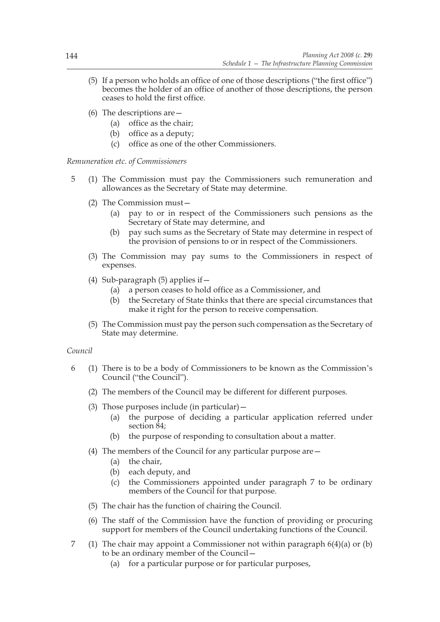- (5) If a person who holds an office of one of those descriptions ("the first office") becomes the holder of an office of another of those descriptions, the person ceases to hold the first office.
- (6) The descriptions are—
	- (a) office as the chair;
	- (b) office as a deputy;
	- (c) office as one of the other Commissioners.

*Remuneration etc. of Commissioners*

- 5 (1) The Commission must pay the Commissioners such remuneration and allowances as the Secretary of State may determine.
	- (2) The Commission must—
		- (a) pay to or in respect of the Commissioners such pensions as the Secretary of State may determine, and
		- (b) pay such sums as the Secretary of State may determine in respect of the provision of pensions to or in respect of the Commissioners.
	- (3) The Commission may pay sums to the Commissioners in respect of expenses.
	- (4) Sub-paragraph  $(5)$  applies if  $-$ 
		- (a) a person ceases to hold office as a Commissioner, and
		- (b) the Secretary of State thinks that there are special circumstances that make it right for the person to receive compensation.
	- (5) The Commission must pay the person such compensation as the Secretary of State may determine.

# *Council*

- 6 (1) There is to be a body of Commissioners to be known as the Commission's Council ("the Council").
	- (2) The members of the Council may be different for different purposes.
	- (3) Those purposes include (in particular)—
		- (a) the purpose of deciding a particular application referred under section 84:
		- (b) the purpose of responding to consultation about a matter.
	- (4) The members of the Council for any particular purpose are—
		- (a) the chair,
		- (b) each deputy, and
		- (c) the Commissioners appointed under paragraph 7 to be ordinary members of the Council for that purpose.
	- (5) The chair has the function of chairing the Council.
	- (6) The staff of the Commission have the function of providing or procuring support for members of the Council undertaking functions of the Council.
- 7 (1) The chair may appoint a Commissioner not within paragraph 6(4)(a) or (b) to be an ordinary member of the Council—
	- (a) for a particular purpose or for particular purposes,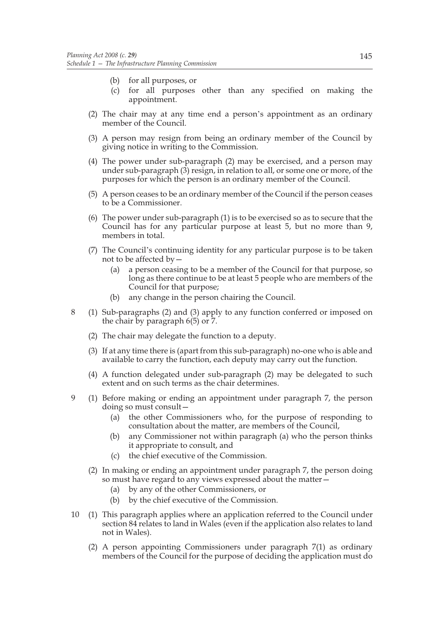- (b) for all purposes, or
- (c) for all purposes other than any specified on making the appointment.
- (2) The chair may at any time end a person's appointment as an ordinary member of the Council.
- (3) A person may resign from being an ordinary member of the Council by giving notice in writing to the Commission.
- (4) The power under sub-paragraph (2) may be exercised, and a person may under sub-paragraph (3) resign, in relation to all, or some one or more, of the purposes for which the person is an ordinary member of the Council.
- (5) A person ceases to be an ordinary member of the Council if the person ceases to be a Commissioner.
- (6) The power under sub-paragraph (1) is to be exercised so as to secure that the Council has for any particular purpose at least 5, but no more than 9, members in total.
- (7) The Council's continuing identity for any particular purpose is to be taken not to be affected by—
	- (a) a person ceasing to be a member of the Council for that purpose, so long as there continue to be at least 5 people who are members of the Council for that purpose;
	- (b) any change in the person chairing the Council.
- 8 (1) Sub-paragraphs (2) and (3) apply to any function conferred or imposed on the chair by paragraph 6(5) or 7.
	- (2) The chair may delegate the function to a deputy.
	- (3) If at any time there is (apart from this sub-paragraph) no-one who is able and available to carry the function, each deputy may carry out the function.
	- (4) A function delegated under sub-paragraph (2) may be delegated to such extent and on such terms as the chair determines.
- 9 (1) Before making or ending an appointment under paragraph 7, the person doing so must consult—
	- (a) the other Commissioners who, for the purpose of responding to consultation about the matter, are members of the Council,
	- (b) any Commissioner not within paragraph (a) who the person thinks it appropriate to consult, and
	- (c) the chief executive of the Commission.
	- (2) In making or ending an appointment under paragraph 7, the person doing so must have regard to any views expressed about the matter—
		- (a) by any of the other Commissioners, or
		- (b) by the chief executive of the Commission.
- 10 (1) This paragraph applies where an application referred to the Council under section 84 relates to land in Wales (even if the application also relates to land not in Wales).
	- (2) A person appointing Commissioners under paragraph 7(1) as ordinary members of the Council for the purpose of deciding the application must do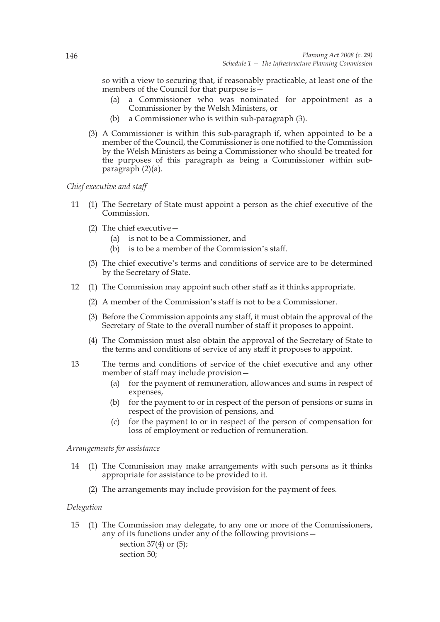so with a view to securing that, if reasonably practicable, at least one of the members of the Council for that purpose is—

- (a) a Commissioner who was nominated for appointment as a Commissioner by the Welsh Ministers, or
- (b) a Commissioner who is within sub-paragraph (3).
- (3) A Commissioner is within this sub-paragraph if, when appointed to be a member of the Council, the Commissioner is one notified to the Commission by the Welsh Ministers as being a Commissioner who should be treated for the purposes of this paragraph as being a Commissioner within subparagraph (2)(a).

*Chief executive and staff*

- 11 (1) The Secretary of State must appoint a person as the chief executive of the Commission.
	- (2) The chief executive—
		- (a) is not to be a Commissioner, and
		- (b) is to be a member of the Commission's staff.
	- (3) The chief executive's terms and conditions of service are to be determined by the Secretary of State.
- 12 (1) The Commission may appoint such other staff as it thinks appropriate.
	- (2) A member of the Commission's staff is not to be a Commissioner.
	- (3) Before the Commission appoints any staff, it must obtain the approval of the Secretary of State to the overall number of staff it proposes to appoint.
	- (4) The Commission must also obtain the approval of the Secretary of State to the terms and conditions of service of any staff it proposes to appoint.
- 13 The terms and conditions of service of the chief executive and any other member of staff may include provision—
	- (a) for the payment of remuneration, allowances and sums in respect of expenses,
	- (b) for the payment to or in respect of the person of pensions or sums in respect of the provision of pensions, and
	- (c) for the payment to or in respect of the person of compensation for loss of employment or reduction of remuneration.

# *Arrangements for assistance*

- 14 (1) The Commission may make arrangements with such persons as it thinks appropriate for assistance to be provided to it.
	- (2) The arrangements may include provision for the payment of fees.

### *Delegation*

15 (1) The Commission may delegate, to any one or more of the Commissioners, any of its functions under any of the following provisions section 37(4) or (5); section 50;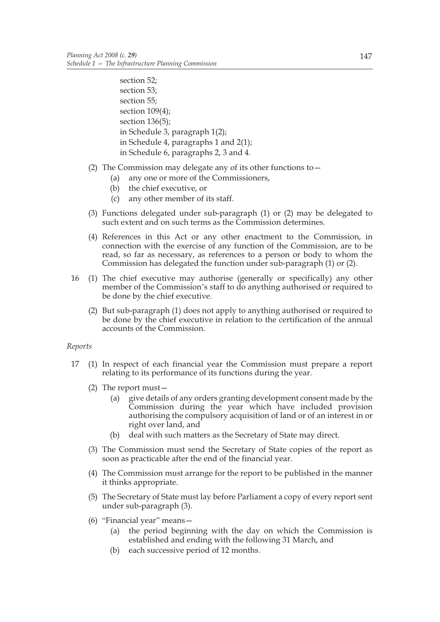section 52; section 53; section 55; section 109(4); section 136(5); in Schedule 3, paragraph 1(2); in Schedule 4, paragraphs 1 and 2(1); in Schedule 6, paragraphs 2, 3 and 4.

- (2) The Commission may delegate any of its other functions to  $-$ 
	- (a) any one or more of the Commissioners,
	- (b) the chief executive, or
	- (c) any other member of its staff.
- (3) Functions delegated under sub-paragraph (1) or (2) may be delegated to such extent and on such terms as the Commission determines.
- (4) References in this Act or any other enactment to the Commission, in connection with the exercise of any function of the Commission, are to be read, so far as necessary, as references to a person or body to whom the Commission has delegated the function under sub-paragraph (1) or (2).
- 16 (1) The chief executive may authorise (generally or specifically) any other member of the Commission's staff to do anything authorised or required to be done by the chief executive.
	- (2) But sub-paragraph (1) does not apply to anything authorised or required to be done by the chief executive in relation to the certification of the annual accounts of the Commission.

# *Reports*

- 17 (1) In respect of each financial year the Commission must prepare a report relating to its performance of its functions during the year.
	- (2) The report must—
		- (a) give details of any orders granting development consent made by the Commission during the year which have included provision authorising the compulsory acquisition of land or of an interest in or right over land, and
		- (b) deal with such matters as the Secretary of State may direct.
	- (3) The Commission must send the Secretary of State copies of the report as soon as practicable after the end of the financial year.
	- (4) The Commission must arrange for the report to be published in the manner it thinks appropriate.
	- (5) The Secretary of State must lay before Parliament a copy of every report sent under sub-paragraph (3).
	- (6) "Financial year" means—
		- (a) the period beginning with the day on which the Commission is established and ending with the following 31 March, and
		- (b) each successive period of 12 months.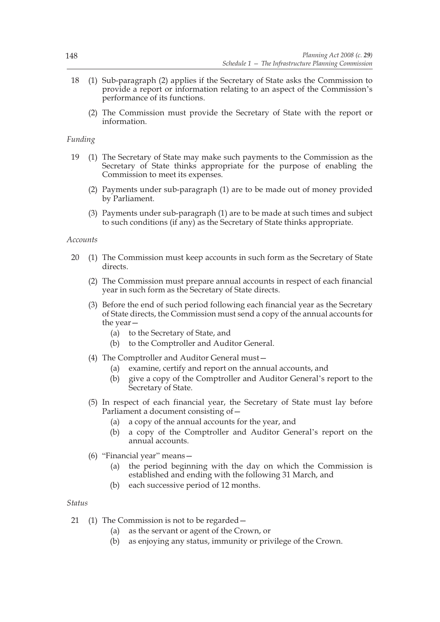- 18 (1) Sub-paragraph (2) applies if the Secretary of State asks the Commission to provide a report or information relating to an aspect of the Commission's performance of its functions.
	- (2) The Commission must provide the Secretary of State with the report or information.

### *Funding*

- 19 (1) The Secretary of State may make such payments to the Commission as the Secretary of State thinks appropriate for the purpose of enabling the Commission to meet its expenses.
	- (2) Payments under sub-paragraph (1) are to be made out of money provided by Parliament.
	- (3) Payments under sub-paragraph (1) are to be made at such times and subject to such conditions (if any) as the Secretary of State thinks appropriate.

#### *Accounts*

- 20 (1) The Commission must keep accounts in such form as the Secretary of State directs.
	- (2) The Commission must prepare annual accounts in respect of each financial year in such form as the Secretary of State directs.
	- (3) Before the end of such period following each financial year as the Secretary of State directs, the Commission must send a copy of the annual accounts for the year—
		- (a) to the Secretary of State, and
		- (b) to the Comptroller and Auditor General.
	- (4) The Comptroller and Auditor General must—
		- (a) examine, certify and report on the annual accounts, and
		- (b) give a copy of the Comptroller and Auditor General's report to the Secretary of State.
	- (5) In respect of each financial year, the Secretary of State must lay before Parliament a document consisting of—
		- (a) a copy of the annual accounts for the year, and
		- (b) a copy of the Comptroller and Auditor General's report on the annual accounts.
	- (6) "Financial year" means—
		- (a) the period beginning with the day on which the Commission is established and ending with the following 31 March, and
		- (b) each successive period of 12 months.

#### *Status*

- 21 (1) The Commission is not to be regarded—
	- (a) as the servant or agent of the Crown, or
	- (b) as enjoying any status, immunity or privilege of the Crown.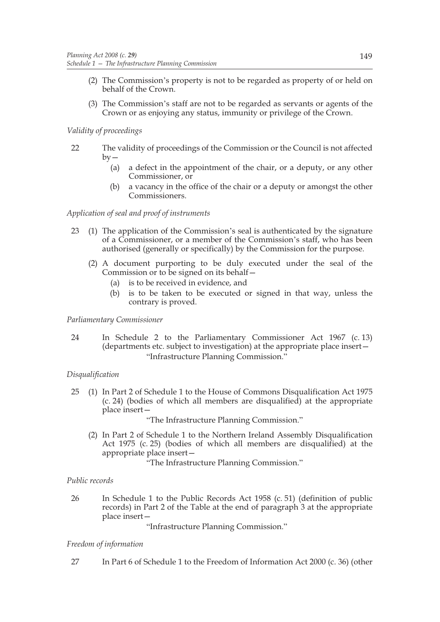- (2) The Commission's property is not to be regarded as property of or held on behalf of the Crown.
- (3) The Commission's staff are not to be regarded as servants or agents of the Crown or as enjoying any status, immunity or privilege of the Crown.

# *Validity of proceedings*

- 22 The validity of proceedings of the Commission or the Council is not affected  $bv -$ 
	- (a) a defect in the appointment of the chair, or a deputy, or any other Commissioner, or
	- (b) a vacancy in the office of the chair or a deputy or amongst the other Commissioners.

# *Application of seal and proof of instruments*

- 23 (1) The application of the Commission's seal is authenticated by the signature of a Commissioner, or a member of the Commission's staff, who has been authorised (generally or specifically) by the Commission for the purpose.
	- (2) A document purporting to be duly executed under the seal of the Commission or to be signed on its behalf-
		- (a) is to be received in evidence, and
		- (b) is to be taken to be executed or signed in that way, unless the contrary is proved.

# *Parliamentary Commissioner*

24 In Schedule 2 to the Parliamentary Commissioner Act 1967 (c. 13) (departments etc. subject to investigation) at the appropriate place insert— "Infrastructure Planning Commission."

# *Disqualification*

25 (1) In Part 2 of Schedule 1 to the House of Commons Disqualification Act 1975 (c. 24) (bodies of which all members are disqualified) at the appropriate place insert—

"The Infrastructure Planning Commission."

(2) In Part 2 of Schedule 1 to the Northern Ireland Assembly Disqualification Act 1975 (c. 25) (bodies of which all members are disqualified) at the appropriate place insert—

"The Infrastructure Planning Commission."

# *Public records*

26 In Schedule 1 to the Public Records Act 1958 (c. 51) (definition of public records) in Part 2 of the Table at the end of paragraph 3 at the appropriate place insert—

"Infrastructure Planning Commission."

# *Freedom of information*

27 In Part 6 of Schedule 1 to the Freedom of Information Act 2000 (c. 36) (other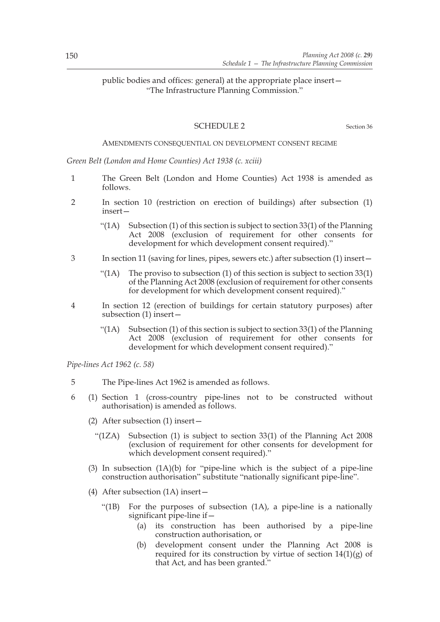# public bodies and offices: general) at the appropriate place insert— "The Infrastructure Planning Commission."

# SCHEDULE 2 Section 36

### AMENDMENTS CONSEQUENTIAL ON DEVELOPMENT CONSENT REGIME

*Green Belt (London and Home Counties) Act 1938 (c. xciii)*

- 1 The Green Belt (London and Home Counties) Act 1938 is amended as follows.
- 2 In section 10 (restriction on erection of buildings) after subsection (1) insert—
	- "(1A) Subsection (1) of this section is subject to section  $33(1)$  of the Planning Act 2008 (exclusion of requirement for other consents for development for which development consent required)."
- 3 In section 11 (saving for lines, pipes, sewers etc.) after subsection (1) insert—
	- "(1A) The proviso to subsection (1) of this section is subject to section  $33(1)$ of the Planning Act 2008 (exclusion of requirement for other consents for development for which development consent required)."
- 4 In section 12 (erection of buildings for certain statutory purposes) after subsection (1) insert—
	- "(1A) Subsection (1) of this section is subject to section 33(1) of the Planning Act 2008 (exclusion of requirement for other consents for development for which development consent required)."

*Pipe-lines Act 1962 (c. 58)*

- 5 The Pipe-lines Act 1962 is amended as follows.
- 6 (1) Section 1 (cross-country pipe-lines not to be constructed without authorisation) is amended as follows.
	- (2) After subsection (1) insert—
		- "(1ZA) Subsection (1) is subject to section 33(1) of the Planning Act 2008 (exclusion of requirement for other consents for development for which development consent required)."
	- (3) In subsection (1A)(b) for "pipe-line which is the subject of a pipe-line construction authorisation" substitute "nationally significant pipe-line".
	- (4) After subsection (1A) insert—
		- "(1B) For the purposes of subsection (1A), a pipe-line is a nationally significant pipe-line if—
			- (a) its construction has been authorised by a pipe-line construction authorisation, or
			- (b) development consent under the Planning Act 2008 is required for its construction by virtue of section  $14(1)(g)$  of that Act, and has been granted."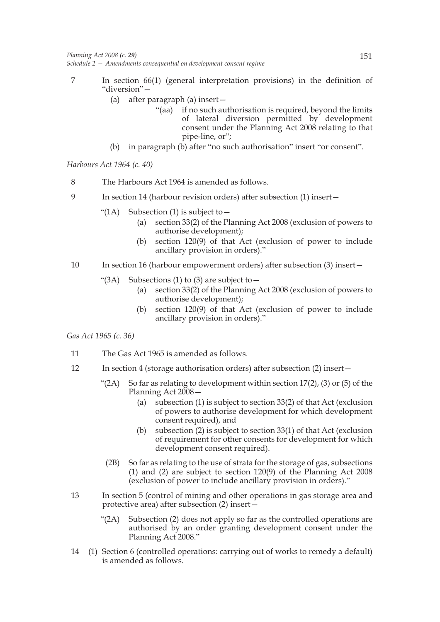- 7 In section 66(1) (general interpretation provisions) in the definition of "diversion"—
	- (a) after paragraph (a) insert—
		- "(aa) if no such authorisation is required, beyond the limits of lateral diversion permitted by development consent under the Planning Act 2008 relating to that pipe-line, or";
	- (b) in paragraph (b) after "no such authorisation" insert "or consent".

*Harbours Act 1964 (c. 40)*

- 8 The Harbours Act 1964 is amended as follows.
- 9 In section 14 (harbour revision orders) after subsection (1) insert—
	- "(1A) Subsection (1) is subject to  $-$ 
		- (a) section 33(2) of the Planning Act 2008 (exclusion of powers to authorise development);
		- (b) section 120(9) of that Act (exclusion of power to include ancillary provision in orders)."
- 10 In section 16 (harbour empowerment orders) after subsection (3) insert-
	- "(3A) Subsections (1) to (3) are subject to  $-$ 
		- (a) section 33(2) of the Planning Act 2008 (exclusion of powers to authorise development);
		- (b) section 120(9) of that Act (exclusion of power to include ancillary provision in orders)."

*Gas Act 1965 (c. 36)*

- 11 The Gas Act 1965 is amended as follows.
- 12 In section 4 (storage authorisation orders) after subsection (2) insert—
	- "(2A) So far as relating to development within section  $17(2)$ , (3) or (5) of the Planning Act 2008—
		- (a) subsection (1) is subject to section 33(2) of that Act (exclusion of powers to authorise development for which development consent required), and
		- (b) subsection (2) is subject to section 33(1) of that Act (exclusion of requirement for other consents for development for which development consent required).
		- (2B) So far as relating to the use of strata for the storage of gas, subsections (1) and (2) are subject to section 120(9) of the Planning Act 2008 (exclusion of power to include ancillary provision in orders)."
- 13 In section 5 (control of mining and other operations in gas storage area and protective area) after subsection (2) insert—
	- "( $2A$ ) Subsection (2) does not apply so far as the controlled operations are authorised by an order granting development consent under the Planning Act 2008."
- 14 (1) Section 6 (controlled operations: carrying out of works to remedy a default) is amended as follows.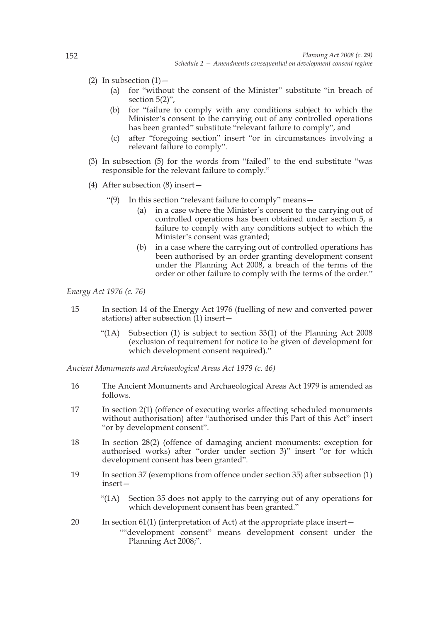- (2) In subsection  $(1)$ 
	- (a) for "without the consent of the Minister" substitute "in breach of section 5(2)",
	- (b) for "failure to comply with any conditions subject to which the Minister's consent to the carrying out of any controlled operations has been granted" substitute "relevant failure to comply", and
	- (c) after "foregoing section" insert "or in circumstances involving a relevant failure to comply".
- (3) In subsection (5) for the words from "failed" to the end substitute "was responsible for the relevant failure to comply."
- (4) After subsection (8) insert—
	- "(9) In this section "relevant failure to comply" means—
		- (a) in a case where the Minister's consent to the carrying out of controlled operations has been obtained under section 5, a failure to comply with any conditions subject to which the Minister's consent was granted;
		- (b) in a case where the carrying out of controlled operations has been authorised by an order granting development consent under the Planning Act 2008, a breach of the terms of the order or other failure to comply with the terms of the order."

*Energy Act 1976 (c. 76)*

- 15 In section 14 of the Energy Act 1976 (fuelling of new and converted power stations) after subsection (1) insert—
	- "(1A) Subsection (1) is subject to section 33(1) of the Planning Act 2008 (exclusion of requirement for notice to be given of development for which development consent required)."

*Ancient Monuments and Archaeological Areas Act 1979 (c. 46)*

- 16 The Ancient Monuments and Archaeological Areas Act 1979 is amended as follows.
- 17 In section 2(1) (offence of executing works affecting scheduled monuments without authorisation) after "authorised under this Part of this Act" insert "or by development consent".
- 18 In section 28(2) (offence of damaging ancient monuments: exception for authorised works) after "order under section 3)" insert "or for which development consent has been granted".
- 19 In section 37 (exemptions from offence under section 35) after subsection (1) insert—
	- "(1A) Section 35 does not apply to the carrying out of any operations for which development consent has been granted."
- 20 In section 61(1) (interpretation of Act) at the appropriate place insert— ""development consent" means development consent under the Planning Act 2008;".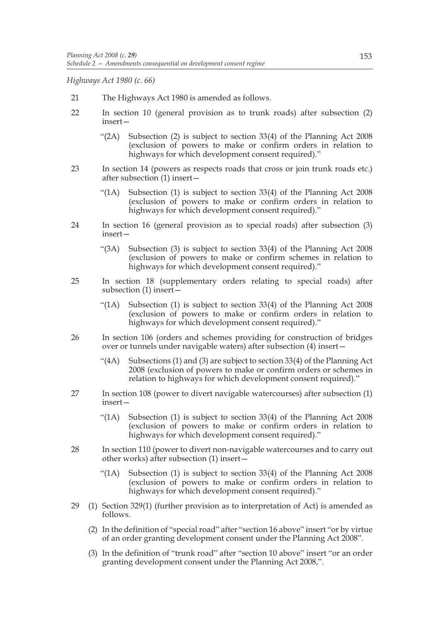*Highways Act 1980 (c. 66)*

- 21 The Highways Act 1980 is amended as follows.
- 22 In section 10 (general provision as to trunk roads) after subsection (2) insert—
	- "(2A) Subsection (2) is subject to section 33(4) of the Planning Act 2008 (exclusion of powers to make or confirm orders in relation to highways for which development consent required)."
- 23 In section 14 (powers as respects roads that cross or join trunk roads etc.) after subsection (1) insert—
	- "(1A) Subsection (1) is subject to section 33(4) of the Planning Act 2008 (exclusion of powers to make or confirm orders in relation to highways for which development consent required)."
- 24 In section 16 (general provision as to special roads) after subsection (3) insert—
	- "(3A) Subsection (3) is subject to section 33(4) of the Planning Act 2008 (exclusion of powers to make or confirm schemes in relation to highways for which development consent required)."
- 25 In section 18 (supplementary orders relating to special roads) after subsection (1) insert—
	- "(1A) Subsection (1) is subject to section 33(4) of the Planning Act 2008 (exclusion of powers to make or confirm orders in relation to highways for which development consent required)."
- 26 In section 106 (orders and schemes providing for construction of bridges over or tunnels under navigable waters) after subsection (4) insert—
	- "(4A) Subsections (1) and (3) are subject to section 33(4) of the Planning Act 2008 (exclusion of powers to make or confirm orders or schemes in relation to highways for which development consent required)."
- 27 In section 108 (power to divert navigable watercourses) after subsection (1) insert—
	- "(1A) Subsection (1) is subject to section 33(4) of the Planning Act 2008 (exclusion of powers to make or confirm orders in relation to highways for which development consent required)."
- 28 In section 110 (power to divert non-navigable watercourses and to carry out other works) after subsection (1) insert—
	- "(1A) Subsection (1) is subject to section 33(4) of the Planning Act 2008 (exclusion of powers to make or confirm orders in relation to highways for which development consent required)."
- 29 (1) Section 329(1) (further provision as to interpretation of Act) is amended as follows.
	- (2) In the definition of "special road" after "section 16 above" insert "or by virtue of an order granting development consent under the Planning Act 2008".
	- (3) In the definition of "trunk road" after "section 10 above" insert "or an order granting development consent under the Planning Act 2008,".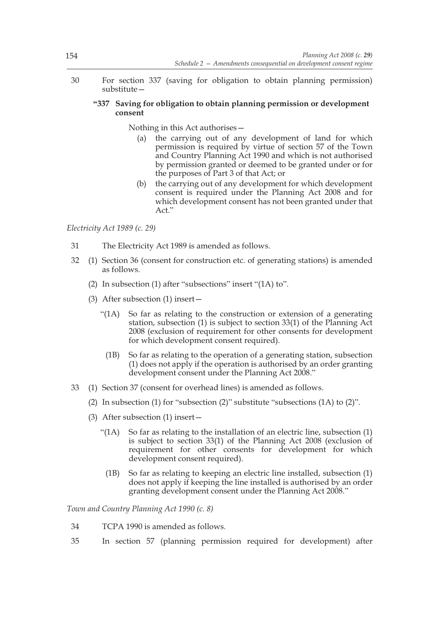30 For section 337 (saving for obligation to obtain planning permission) substitute—

# **"337 Saving for obligation to obtain planning permission or development consent**

Nothing in this Act authorises—

- (a) the carrying out of any development of land for which permission is required by virtue of section 57 of the Town and Country Planning Act 1990 and which is not authorised by permission granted or deemed to be granted under or for the purposes of Part 3 of that Act; or
- (b) the carrying out of any development for which development consent is required under the Planning Act 2008 and for which development consent has not been granted under that Act."

*Electricity Act 1989 (c. 29)*

- 31 The Electricity Act 1989 is amended as follows.
- 32 (1) Section 36 (consent for construction etc. of generating stations) is amended as follows.
	- (2) In subsection (1) after "subsections" insert "(1A) to".
	- (3) After subsection (1) insert—
		- "(1A) So far as relating to the construction or extension of a generating station, subsection (1) is subject to section 33(1) of the Planning Act 2008 (exclusion of requirement for other consents for development for which development consent required).
			- (1B) So far as relating to the operation of a generating station, subsection (1) does not apply if the operation is authorised by an order granting development consent under the Planning Act 2008."
- 33 (1) Section 37 (consent for overhead lines) is amended as follows.
	- (2) In subsection (1) for "subsection (2)" substitute "subsections (1A) to (2)".
	- (3) After subsection (1) insert—
		- "(1A) So far as relating to the installation of an electric line, subsection (1) is subject to section 33(1) of the Planning Act 2008 (exclusion of requirement for other consents for development for which development consent required).
			- (1B) So far as relating to keeping an electric line installed, subsection (1) does not apply if keeping the line installed is authorised by an order granting development consent under the Planning Act 2008."

*Town and Country Planning Act 1990 (c. 8)*

- 34 TCPA 1990 is amended as follows.
- 35 In section 57 (planning permission required for development) after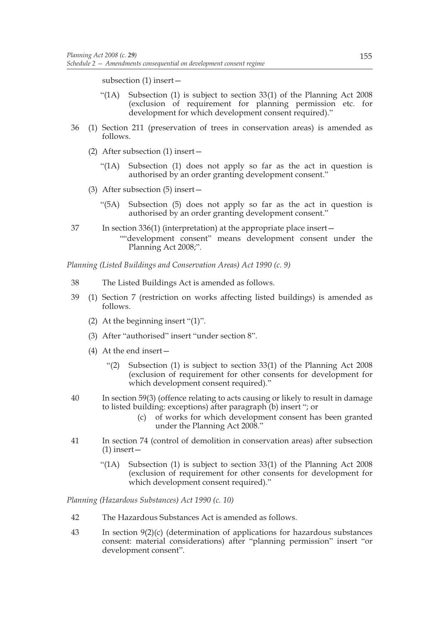subsection (1) insert—

- "(1A) Subsection (1) is subject to section 33(1) of the Planning Act 2008 (exclusion of requirement for planning permission etc. for development for which development consent required)."
- 36 (1) Section 211 (preservation of trees in conservation areas) is amended as follows.
	- (2) After subsection (1) insert—
		- "(1A) Subsection (1) does not apply so far as the act in question is authorised by an order granting development consent."
	- (3) After subsection (5) insert—
		- "(5A) Subsection (5) does not apply so far as the act in question is authorised by an order granting development consent."
- 37 In section 336(1) (interpretation) at the appropriate place insert— ""development consent" means development consent under the Planning Act 2008;".

*Planning (Listed Buildings and Conservation Areas) Act 1990 (c. 9)*

- 38 The Listed Buildings Act is amended as follows.
- 39 (1) Section 7 (restriction on works affecting listed buildings) is amended as follows.
	- (2) At the beginning insert "(1)".
	- (3) After "authorised" insert "under section 8".
	- (4) At the end insert—
		- "(2) Subsection (1) is subject to section 33(1) of the Planning Act 2008 (exclusion of requirement for other consents for development for which development consent required)."
- 40 In section 59(3) (offence relating to acts causing or likely to result in damage to listed building: exceptions) after paragraph (b) insert "; or
	- (c) of works for which development consent has been granted under the Planning Act 2008."
- 41 In section 74 (control of demolition in conservation areas) after subsection  $(1)$  insert –
	- "(1A) Subsection (1) is subject to section 33(1) of the Planning Act 2008 (exclusion of requirement for other consents for development for which development consent required)."

*Planning (Hazardous Substances) Act 1990 (c. 10)*

- 42 The Hazardous Substances Act is amended as follows.
- 43 In section 9(2)(c) (determination of applications for hazardous substances consent: material considerations) after "planning permission" insert "or development consent".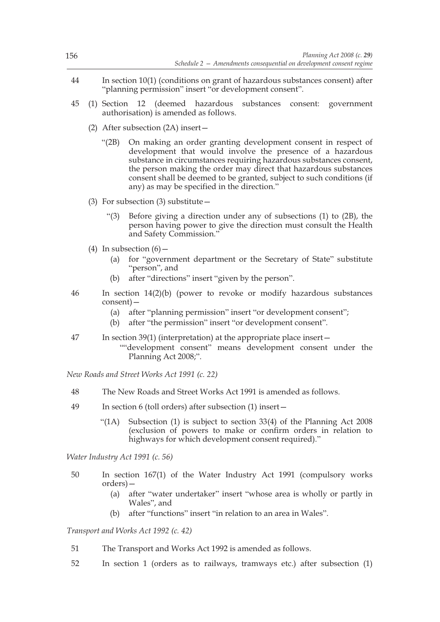- 44 In section 10(1) (conditions on grant of hazardous substances consent) after "planning permission" insert "or development consent".
- 45 (1) Section 12 (deemed hazardous substances consent: government authorisation) is amended as follows.
	- (2) After subsection (2A) insert—
		- "(2B) On making an order granting development consent in respect of development that would involve the presence of a hazardous substance in circumstances requiring hazardous substances consent, the person making the order may direct that hazardous substances consent shall be deemed to be granted, subject to such conditions (if any) as may be specified in the direction."
	- (3) For subsection (3) substitute—
		- "(3) Before giving a direction under any of subsections (1) to (2B), the person having power to give the direction must consult the Health and Safety Commission."
	- (4) In subsection  $(6)$ 
		- (a) for "government department or the Secretary of State" substitute "person", and
		- (b) after "directions" insert "given by the person".
- 46 In section 14(2)(b) (power to revoke or modify hazardous substances consent)—
	- (a) after "planning permission" insert "or development consent";
	- (b) after "the permission" insert "or development consent".
- 47 In section 39(1) (interpretation) at the appropriate place insert— ""development consent" means development consent under the Planning Act 2008;".

*New Roads and Street Works Act 1991 (c. 22)*

- 48 The New Roads and Street Works Act 1991 is amended as follows.
- 49 In section 6 (toll orders) after subsection (1) insert—
	- "(1A) Subsection (1) is subject to section 33(4) of the Planning Act 2008 (exclusion of powers to make or confirm orders in relation to highways for which development consent required)."

*Water Industry Act 1991 (c. 56)*

- 50 In section 167(1) of the Water Industry Act 1991 (compulsory works orders)—
	- (a) after "water undertaker" insert "whose area is wholly or partly in Wales", and
	- (b) after "functions" insert "in relation to an area in Wales".

*Transport and Works Act 1992 (c. 42)*

- 51 The Transport and Works Act 1992 is amended as follows.
- 52 In section 1 (orders as to railways, tramways etc.) after subsection (1)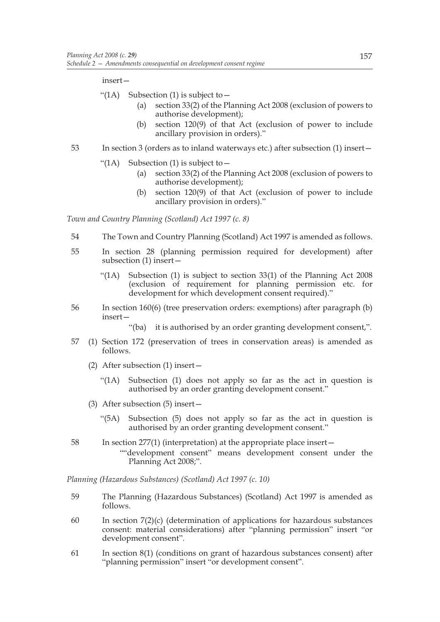insert—

- "(1A) Subsection (1) is subject to  $$ 
	- section 33(2) of the Planning Act 2008 (exclusion of powers to authorise development);
	- (b) section 120(9) of that Act (exclusion of power to include ancillary provision in orders)."
- 53 In section 3 (orders as to inland waterways etc.) after subsection (1) insert—
	- "(1A) Subsection (1) is subject to  $-$ 
		- (a) section 33(2) of the Planning Act 2008 (exclusion of powers to authorise development);
		- (b) section 120(9) of that Act (exclusion of power to include ancillary provision in orders)."

*Town and Country Planning (Scotland) Act 1997 (c. 8)*

- 54 The Town and Country Planning (Scotland) Act 1997 is amended as follows.
- 55 In section 28 (planning permission required for development) after subsection (1) insert—
	- "(1A) Subsection (1) is subject to section 33(1) of the Planning Act 2008 (exclusion of requirement for planning permission etc. for development for which development consent required)."
- 56 In section 160(6) (tree preservation orders: exemptions) after paragraph (b) insert—
	- "(ba) it is authorised by an order granting development consent,".
- 57 (1) Section 172 (preservation of trees in conservation areas) is amended as follows.
	- (2) After subsection (1) insert—
		- "(1A) Subsection (1) does not apply so far as the act in question is authorised by an order granting development consent."
	- (3) After subsection (5) insert—
		- "(5A) Subsection (5) does not apply so far as the act in question is authorised by an order granting development consent."
- 58 In section 277(1) (interpretation) at the appropriate place insert— ""development consent" means development consent under the Planning Act 2008;".

*Planning (Hazardous Substances) (Scotland) Act 1997 (c. 10)*

- 59 The Planning (Hazardous Substances) (Scotland) Act 1997 is amended as follows.
- 60 In section 7(2)(c) (determination of applications for hazardous substances consent: material considerations) after "planning permission" insert "or development consent".
- 61 In section 8(1) (conditions on grant of hazardous substances consent) after "planning permission" insert "or development consent".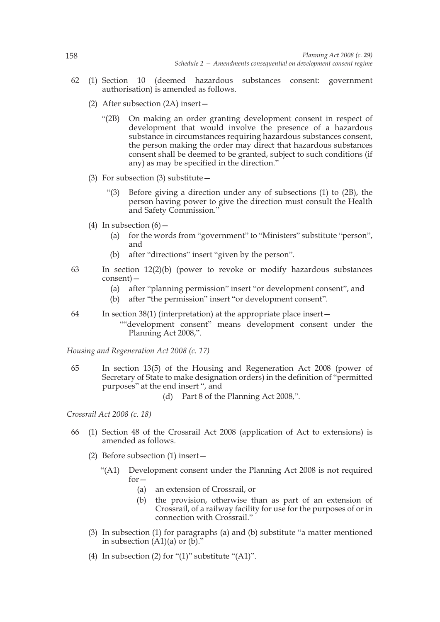- 62 (1) Section 10 (deemed hazardous substances consent: government authorisation) is amended as follows.
	- (2) After subsection (2A) insert—
		- "(2B) On making an order granting development consent in respect of development that would involve the presence of a hazardous substance in circumstances requiring hazardous substances consent, the person making the order may direct that hazardous substances consent shall be deemed to be granted, subject to such conditions (if any) as may be specified in the direction."
	- (3) For subsection (3) substitute  $-$ 
		- "(3) Before giving a direction under any of subsections (1) to (2B), the person having power to give the direction must consult the Health and Safety Commission."
	- (4) In subsection  $(6)$ 
		- (a) for the words from "government" to "Ministers" substitute "person", and
		- (b) after "directions" insert "given by the person".
- 63 In section 12(2)(b) (power to revoke or modify hazardous substances consent)—
	- (a) after "planning permission" insert "or development consent", and
	- (b) after "the permission" insert "or development consent".
- 64 In section 38(1) (interpretation) at the appropriate place insert— ""development consent" means development consent under the Planning Act 2008,".

*Housing and Regeneration Act 2008 (c. 17)*

- 65 In section 13(5) of the Housing and Regeneration Act 2008 (power of Secretary of State to make designation orders) in the definition of "permitted purposes" at the end insert ", and
	- (d) Part 8 of the Planning Act 2008,".

*Crossrail Act 2008 (c. 18)*

- 66 (1) Section 48 of the Crossrail Act 2008 (application of Act to extensions) is amended as follows.
	- (2) Before subsection (1) insert—
		- "(A1) Development consent under the Planning Act 2008 is not required for—
			- (a) an extension of Crossrail, or
			- (b) the provision, otherwise than as part of an extension of Crossrail, of a railway facility for use for the purposes of or in connection with Crossrail."
	- (3) In subsection (1) for paragraphs (a) and (b) substitute "a matter mentioned in subsection  $(A1)(a)$  or  $(b)$ ."
	- (4) In subsection (2) for "(1)" substitute "(A1)".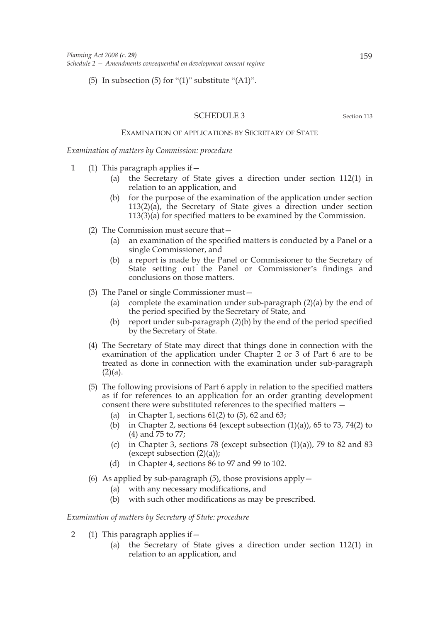(5) In subsection (5) for " $(1)$ " substitute " $(A1)$ ".

### SCHEDULE 3 Section 113

EXAMINATION OF APPLICATIONS BY SECRETARY OF STATE

*Examination of matters by Commission: procedure*

- 1 (1) This paragraph applies if—
	- (a) the Secretary of State gives a direction under section 112(1) in relation to an application, and
	- (b) for the purpose of the examination of the application under section 113(2)(a), the Secretary of State gives a direction under section  $113(3)(a)$  for specified matters to be examined by the Commission.
	- (2) The Commission must secure that—
		- (a) an examination of the specified matters is conducted by a Panel or a single Commissioner, and
		- (b) a report is made by the Panel or Commissioner to the Secretary of State setting out the Panel or Commissioner's findings and conclusions on those matters.
	- (3) The Panel or single Commissioner must—
		- (a) complete the examination under sub-paragraph (2)(a) by the end of the period specified by the Secretary of State, and
		- (b) report under sub-paragraph (2)(b) by the end of the period specified by the Secretary of State.
	- (4) The Secretary of State may direct that things done in connection with the examination of the application under Chapter 2 or 3 of Part 6 are to be treated as done in connection with the examination under sub-paragraph  $(2)(a)$ .
	- (5) The following provisions of Part 6 apply in relation to the specified matters as if for references to an application for an order granting development consent there were substituted references to the specified matters —
		- (a) in Chapter 1, sections  $61(2)$  to  $(5)$ ,  $62$  and  $63$ ;
		- (b) in Chapter 2, sections 64 (except subsection  $(1)(a)$ ), 65 to 73, 74(2) to (4) and 75 to 77;
		- (c) in Chapter 3, sections 78 (except subsection  $(1)(a)$ ), 79 to 82 and 83 (except subsection  $(2)(a)$ );
		- (d) in Chapter 4, sections 86 to 97 and 99 to 102.
	- (6) As applied by sub-paragraph  $(5)$ , those provisions apply  $-$ 
		- (a) with any necessary modifications, and
		- (b) with such other modifications as may be prescribed.

*Examination of matters by Secretary of State: procedure*

- 2 (1) This paragraph applies if—
	- (a) the Secretary of State gives a direction under section 112(1) in relation to an application, and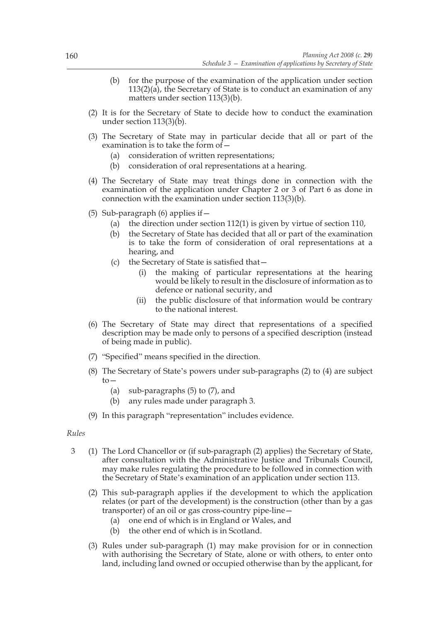- (b) for the purpose of the examination of the application under section 113(2)(a), the Secretary of State is to conduct an examination of any matters under section 113(3)(b).
- (2) It is for the Secretary of State to decide how to conduct the examination under section 113(3)(b).
- (3) The Secretary of State may in particular decide that all or part of the examination is to take the form of  $-$ 
	- (a) consideration of written representations;
	- (b) consideration of oral representations at a hearing.
- (4) The Secretary of State may treat things done in connection with the examination of the application under Chapter 2 or 3 of Part 6 as done in connection with the examination under section 113(3)(b).
- (5) Sub-paragraph (6) applies if—
	- (a) the direction under section 112(1) is given by virtue of section 110,
	- (b) the Secretary of State has decided that all or part of the examination is to take the form of consideration of oral representations at a hearing, and
	- (c) the Secretary of State is satisfied that—
		- (i) the making of particular representations at the hearing would be likely to result in the disclosure of information as to defence or national security, and
		- (ii) the public disclosure of that information would be contrary to the national interest.
- (6) The Secretary of State may direct that representations of a specified description may be made only to persons of a specified description (instead of being made in public).
- (7) "Specified" means specified in the direction.
- (8) The Secretary of State's powers under sub-paragraphs (2) to (4) are subject  $t_0$ 
	- (a) sub-paragraphs (5) to (7), and
	- (b) any rules made under paragraph 3.
- (9) In this paragraph "representation" includes evidence.

#### *Rules*

- 3 (1) The Lord Chancellor or (if sub-paragraph (2) applies) the Secretary of State, after consultation with the Administrative Justice and Tribunals Council, may make rules regulating the procedure to be followed in connection with the Secretary of State's examination of an application under section 113.
	- (2) This sub-paragraph applies if the development to which the application relates (or part of the development) is the construction (other than by a gas transporter) of an oil or gas cross-country pipe-line—
		- (a) one end of which is in England or Wales, and
		- (b) the other end of which is in Scotland.
	- (3) Rules under sub-paragraph (1) may make provision for or in connection with authorising the Secretary of State, alone or with others, to enter onto land, including land owned or occupied otherwise than by the applicant, for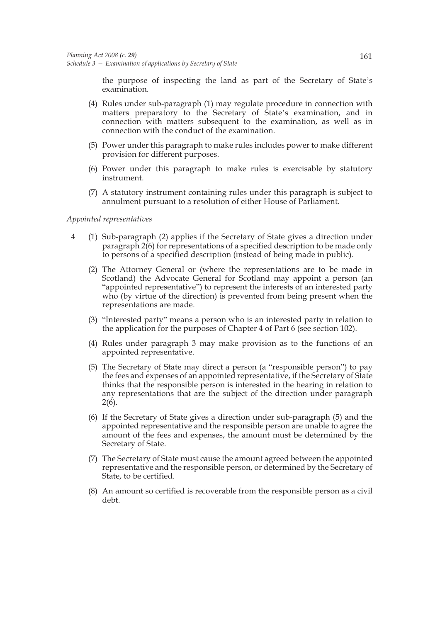the purpose of inspecting the land as part of the Secretary of State's examination.

- (4) Rules under sub-paragraph (1) may regulate procedure in connection with matters preparatory to the Secretary of State's examination, and in connection with matters subsequent to the examination, as well as in connection with the conduct of the examination.
- (5) Power under this paragraph to make rules includes power to make different provision for different purposes.
- (6) Power under this paragraph to make rules is exercisable by statutory instrument.
- (7) A statutory instrument containing rules under this paragraph is subject to annulment pursuant to a resolution of either House of Parliament.

### *Appointed representatives*

- 4 (1) Sub-paragraph (2) applies if the Secretary of State gives a direction under paragraph 2(6) for representations of a specified description to be made only to persons of a specified description (instead of being made in public).
	- (2) The Attorney General or (where the representations are to be made in Scotland) the Advocate General for Scotland may appoint a person (an "appointed representative") to represent the interests of an interested party who (by virtue of the direction) is prevented from being present when the representations are made.
	- (3) "Interested party" means a person who is an interested party in relation to the application for the purposes of Chapter 4 of Part 6 (see section 102).
	- (4) Rules under paragraph 3 may make provision as to the functions of an appointed representative.
	- (5) The Secretary of State may direct a person (a "responsible person") to pay the fees and expenses of an appointed representative, if the Secretary of State thinks that the responsible person is interested in the hearing in relation to any representations that are the subject of the direction under paragraph  $2(6)$ .
	- (6) If the Secretary of State gives a direction under sub-paragraph (5) and the appointed representative and the responsible person are unable to agree the amount of the fees and expenses, the amount must be determined by the Secretary of State.
	- (7) The Secretary of State must cause the amount agreed between the appointed representative and the responsible person, or determined by the Secretary of State, to be certified.
	- (8) An amount so certified is recoverable from the responsible person as a civil debt.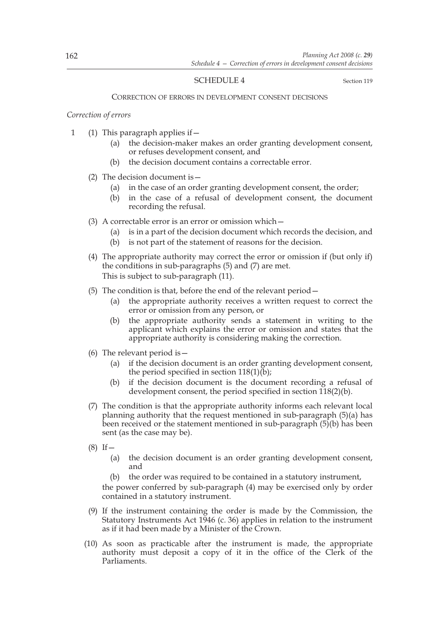# SCHEDULE 4 Section 119

#### CORRECTION OF ERRORS IN DEVELOPMENT CONSENT DECISIONS

### *Correction of errors*

- 1 (1) This paragraph applies if—
	- (a) the decision-maker makes an order granting development consent, or refuses development consent, and
	- (b) the decision document contains a correctable error.
	- (2) The decision document is—
		- (a) in the case of an order granting development consent, the order;
		- (b) in the case of a refusal of development consent, the document recording the refusal.
	- (3) A correctable error is an error or omission which—
		- (a) is in a part of the decision document which records the decision, and
		- (b) is not part of the statement of reasons for the decision.
	- (4) The appropriate authority may correct the error or omission if (but only if) the conditions in sub-paragraphs (5) and (7) are met. This is subject to sub-paragraph (11).
	- (5) The condition is that, before the end of the relevant period—
		- (a) the appropriate authority receives a written request to correct the error or omission from any person, or
		- (b) the appropriate authority sends a statement in writing to the applicant which explains the error or omission and states that the appropriate authority is considering making the correction.
	- (6) The relevant period is  $-$ 
		- (a) if the decision document is an order granting development consent, the period specified in section 118(1)(b);
		- (b) if the decision document is the document recording a refusal of development consent, the period specified in section  $\tilde{118}(2)(b)$ .
	- (7) The condition is that the appropriate authority informs each relevant local planning authority that the request mentioned in sub-paragraph (5)(a) has been received or the statement mentioned in sub-paragraph (5)(b) has been sent (as the case may be).
	- $(8)$  If  $-$ 
		- (a) the decision document is an order granting development consent, and
		- (b) the order was required to be contained in a statutory instrument,

the power conferred by sub-paragraph (4) may be exercised only by order contained in a statutory instrument.

- (9) If the instrument containing the order is made by the Commission, the Statutory Instruments Act 1946 (c. 36) applies in relation to the instrument as if it had been made by a Minister of the Crown.
- (10) As soon as practicable after the instrument is made, the appropriate authority must deposit a copy of it in the office of the Clerk of the Parliaments.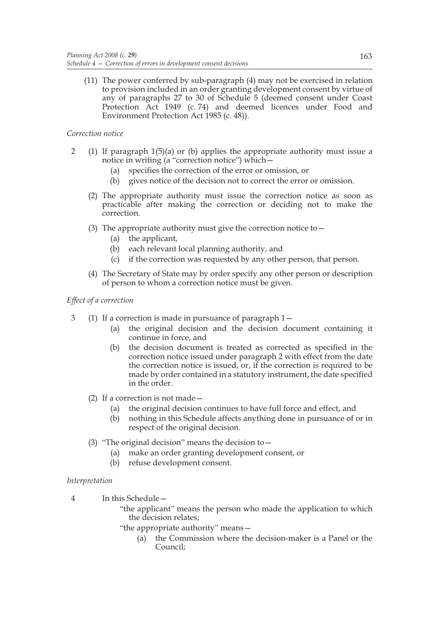(11) The power conferred by sub-paragraph (4) may not be exercised in relation to provision included in an order granting development consent by virtue of any of paragraphs 27 to 30 of Schedule 5 (deemed consent under Coast Protection Act 1949 (c. 74) and deemed licences under Food and Environment Protection Act 1985 (c. 48)).

# *Correction notice*

- 2 (1) If paragraph 1(5)(a) or (b) applies the appropriate authority must issue a notice in writing (a "correction notice") which—
	- (a) specifies the correction of the error or omission, or
	- (b) gives notice of the decision not to correct the error or omission.
	- (2) The appropriate authority must issue the correction notice as soon as practicable after making the correction or deciding not to make the correction.
	- (3) The appropriate authority must give the correction notice to  $-$ 
		- (a) the applicant,
		- (b) each relevant local planning authority, and
		- (c) if the correction was requested by any other person, that person.
	- (4) The Secretary of State may by order specify any other person or description of person to whom a correction notice must be given.

# *Effect of a correction*

- 3 (1) If a correction is made in pursuance of paragraph 1—
	- (a) the original decision and the decision document containing it continue in force, and
	- (b) the decision document is treated as corrected as specified in the correction notice issued under paragraph 2 with effect from the date the correction notice is issued, or, if the correction is required to be made by order contained in a statutory instrument, the date specified in the order.
	- (2) If a correction is not made—
		- (a) the original decision continues to have full force and effect, and
		- (b) nothing in this Schedule affects anything done in pursuance of or in respect of the original decision.
	- (3) "The original decision" means the decision to—
		- (a) make an order granting development consent, or
		- (b) refuse development consent.

# *Interpretation*

4 In this Schedule—

"the applicant" means the person who made the application to which the decision relates;

- "the appropriate authority" means—
	- (a) the Commission where the decision-maker is a Panel or the Council;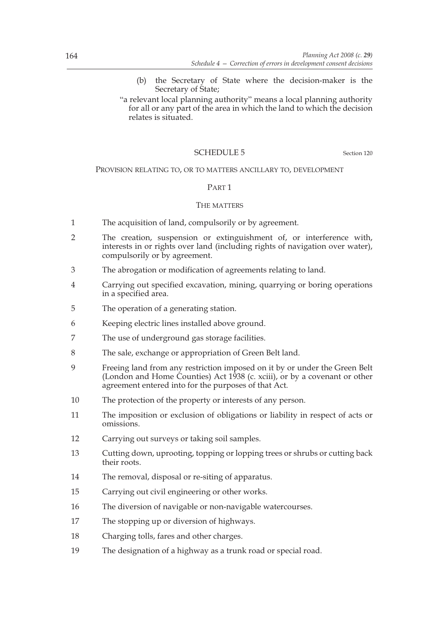- (b) the Secretary of State where the decision-maker is the Secretary of State;
- "a relevant local planning authority" means a local planning authority for all or any part of the area in which the land to which the decision relates is situated.

# SCHEDULE 5 Section 120

#### PROVISION RELATING TO, OR TO MATTERS ANCILLARY TO, DEVELOPMENT

#### PART 1

#### THE MATTERS

- 1 The acquisition of land, compulsorily or by agreement.
- 2 The creation, suspension or extinguishment of, or interference with, interests in or rights over land (including rights of navigation over water), compulsorily or by agreement.
- 3 The abrogation or modification of agreements relating to land.
- 4 Carrying out specified excavation, mining, quarrying or boring operations in a specified area.
- 5 The operation of a generating station.
- 6 Keeping electric lines installed above ground.
- 7 The use of underground gas storage facilities.
- 8 The sale, exchange or appropriation of Green Belt land.
- 9 Freeing land from any restriction imposed on it by or under the Green Belt (London and Home Counties) Act 1938 (c. xciii), or by a covenant or other agreement entered into for the purposes of that Act.
- 10 The protection of the property or interests of any person.
- 11 The imposition or exclusion of obligations or liability in respect of acts or omissions.
- 12 Carrying out surveys or taking soil samples.
- 13 Cutting down, uprooting, topping or lopping trees or shrubs or cutting back their roots.
- 14 The removal, disposal or re-siting of apparatus.
- 15 Carrying out civil engineering or other works.
- 16 The diversion of navigable or non-navigable watercourses.
- 17 The stopping up or diversion of highways.
- 18 Charging tolls, fares and other charges.
- 19 The designation of a highway as a trunk road or special road.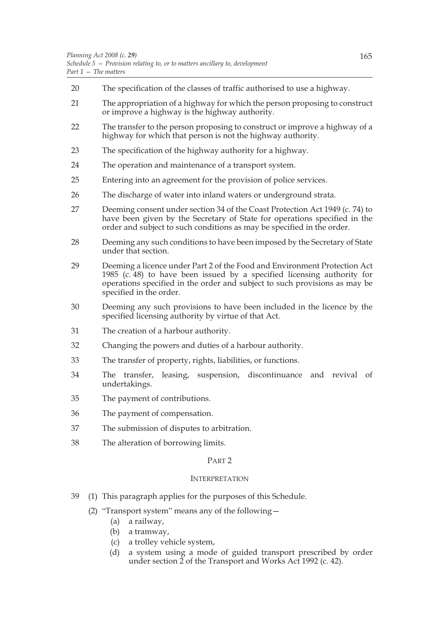- 20 The specification of the classes of traffic authorised to use a highway.
- 21 The appropriation of a highway for which the person proposing to construct or improve a highway is the highway authority.
- 22 The transfer to the person proposing to construct or improve a highway of a highway for which that person is not the highway authority.
- 23 The specification of the highway authority for a highway.
- 24 The operation and maintenance of a transport system.
- 25 Entering into an agreement for the provision of police services.
- 26 The discharge of water into inland waters or underground strata.
- 27 Deeming consent under section 34 of the Coast Protection Act 1949 (c. 74) to have been given by the Secretary of State for operations specified in the order and subject to such conditions as may be specified in the order.
- 28 Deeming any such conditions to have been imposed by the Secretary of State under that section.
- 29 Deeming a licence under Part 2 of the Food and Environment Protection Act 1985 (c. 48) to have been issued by a specified licensing authority for operations specified in the order and subject to such provisions as may be specified in the order.
- 30 Deeming any such provisions to have been included in the licence by the specified licensing authority by virtue of that Act.
- 31 The creation of a harbour authority.
- 32 Changing the powers and duties of a harbour authority.
- 33 The transfer of property, rights, liabilities, or functions.
- 34 The transfer, leasing, suspension, discontinuance and revival of undertakings.
- 35 The payment of contributions.
- 36 The payment of compensation.
- 37 The submission of disputes to arbitration.
- 38 The alteration of borrowing limits.

#### PART 2

### INTERPRETATION

- 39 (1) This paragraph applies for the purposes of this Schedule.
	- (2) "Transport system" means any of the following—
		- (a) a railway,
		- (b) a tramway,
		- (c) a trolley vehicle system,
		- (d) a system using a mode of guided transport prescribed by order under section  $2$  of the Transport and Works Act 1992 (c. 42).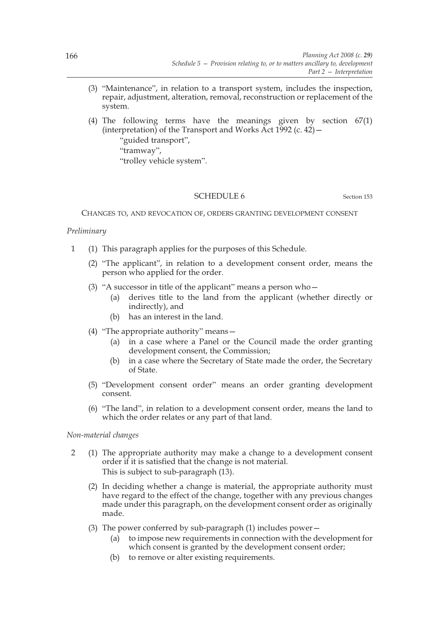- (3) "Maintenance", in relation to a transport system, includes the inspection, repair, adjustment, alteration, removal, reconstruction or replacement of the system.
- (4) The following terms have the meanings given by section 67(1) (interpretation) of the Transport and Works Act  $1992$  (c.  $42$ ) –
	- "guided transport", "tramway", "trolley vehicle system".

# SCHEDULE 6 Section 153

CHANGES TO, AND REVOCATION OF, ORDERS GRANTING DEVELOPMENT CONSENT

# *Preliminary*

- 1 (1) This paragraph applies for the purposes of this Schedule.
	- (2) "The applicant", in relation to a development consent order, means the person who applied for the order.
	- (3) "A successor in title of the applicant" means a person who—
		- (a) derives title to the land from the applicant (whether directly or indirectly), and
		- (b) has an interest in the land.
	- (4) "The appropriate authority" means—
		- (a) in a case where a Panel or the Council made the order granting development consent, the Commission;
		- (b) in a case where the Secretary of State made the order, the Secretary of State.
	- (5) "Development consent order" means an order granting development consent.
	- (6) "The land", in relation to a development consent order, means the land to which the order relates or any part of that land.

# *Non-material changes*

- 2 (1) The appropriate authority may make a change to a development consent order if it is satisfied that the change is not material. This is subject to sub-paragraph (13).
	- (2) In deciding whether a change is material, the appropriate authority must have regard to the effect of the change, together with any previous changes made under this paragraph, on the development consent order as originally made.
	- (3) The power conferred by sub-paragraph  $(1)$  includes power  $-$ 
		- (a) to impose new requirements in connection with the development for which consent is granted by the development consent order;
		- (b) to remove or alter existing requirements.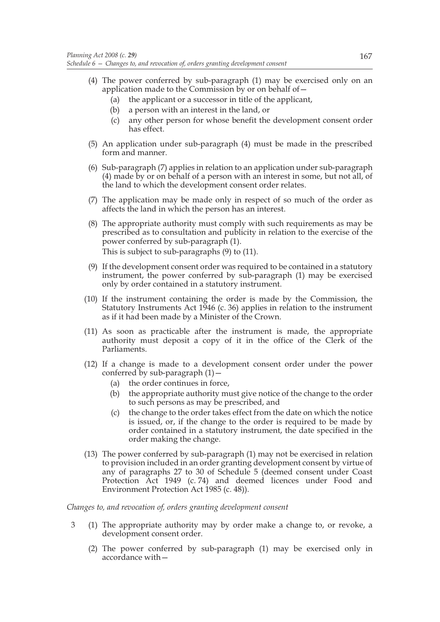- (4) The power conferred by sub-paragraph (1) may be exercised only on an application made to the Commission by or on behalf of—
	- (a) the applicant or a successor in title of the applicant,
	- (b) a person with an interest in the land, or
	- (c) any other person for whose benefit the development consent order has effect.
- (5) An application under sub-paragraph (4) must be made in the prescribed form and manner.
- (6) Sub-paragraph (7) applies in relation to an application under sub-paragraph (4) made by or on behalf of a person with an interest in some, but not all, of the land to which the development consent order relates.
- (7) The application may be made only in respect of so much of the order as affects the land in which the person has an interest.
- (8) The appropriate authority must comply with such requirements as may be prescribed as to consultation and publicity in relation to the exercise of the power conferred by sub-paragraph (1). This is subject to sub-paragraphs (9) to (11).
- (9) If the development consent order was required to be contained in a statutory instrument, the power conferred by sub-paragraph (1) may be exercised only by order contained in a statutory instrument.
- (10) If the instrument containing the order is made by the Commission, the Statutory Instruments Act 1946 (c. 36) applies in relation to the instrument as if it had been made by a Minister of the Crown.
- (11) As soon as practicable after the instrument is made, the appropriate authority must deposit a copy of it in the office of the Clerk of the Parliaments.
- (12) If a change is made to a development consent order under the power conferred by sub-paragraph  $(1)$  –
	- (a) the order continues in force,
	- (b) the appropriate authority must give notice of the change to the order to such persons as may be prescribed, and
	- (c) the change to the order takes effect from the date on which the notice is issued, or, if the change to the order is required to be made by order contained in a statutory instrument, the date specified in the order making the change.
- (13) The power conferred by sub-paragraph (1) may not be exercised in relation to provision included in an order granting development consent by virtue of any of paragraphs 27 to 30 of Schedule 5 (deemed consent under Coast Protection Act 1949 (c. 74) and deemed licences under Food and Environment Protection Act 1985 (c. 48)).

# *Changes to, and revocation of, orders granting development consent*

- 3 (1) The appropriate authority may by order make a change to, or revoke, a development consent order.
	- (2) The power conferred by sub-paragraph (1) may be exercised only in accordance with—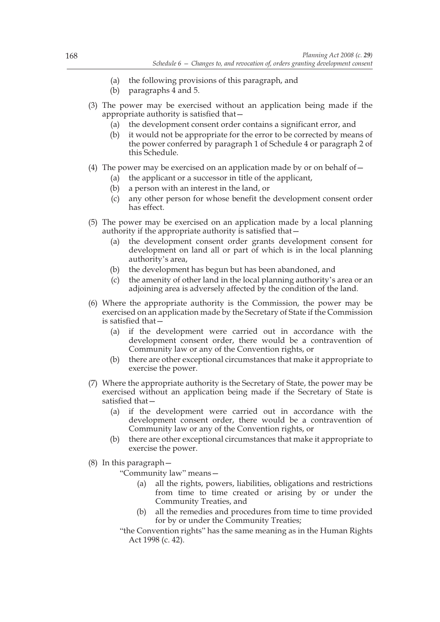- (a) the following provisions of this paragraph, and
- (b) paragraphs 4 and 5.
- (3) The power may be exercised without an application being made if the appropriate authority is satisfied that—
	- (a) the development consent order contains a significant error, and
	- (b) it would not be appropriate for the error to be corrected by means of the power conferred by paragraph 1 of Schedule 4 or paragraph 2 of this Schedule.
- (4) The power may be exercised on an application made by or on behalf of  $-$ 
	- (a) the applicant or a successor in title of the applicant,
		- (b) a person with an interest in the land, or
		- (c) any other person for whose benefit the development consent order has effect.
- (5) The power may be exercised on an application made by a local planning authority if the appropriate authority is satisfied that—
	- (a) the development consent order grants development consent for development on land all or part of which is in the local planning authority's area,
	- (b) the development has begun but has been abandoned, and
	- (c) the amenity of other land in the local planning authority's area or an adjoining area is adversely affected by the condition of the land.
- (6) Where the appropriate authority is the Commission, the power may be exercised on an application made by the Secretary of State if the Commission is satisfied that—
	- (a) if the development were carried out in accordance with the development consent order, there would be a contravention of Community law or any of the Convention rights, or
	- (b) there are other exceptional circumstances that make it appropriate to exercise the power.
- (7) Where the appropriate authority is the Secretary of State, the power may be exercised without an application being made if the Secretary of State is satisfied that—
	- (a) if the development were carried out in accordance with the development consent order, there would be a contravention of Community law or any of the Convention rights, or
	- (b) there are other exceptional circumstances that make it appropriate to exercise the power.
- (8) In this paragraph—
	- "Community law" means—
		- (a) all the rights, powers, liabilities, obligations and restrictions from time to time created or arising by or under the Community Treaties, and
		- (b) all the remedies and procedures from time to time provided for by or under the Community Treaties;
	- "the Convention rights" has the same meaning as in the Human Rights Act 1998 (c. 42).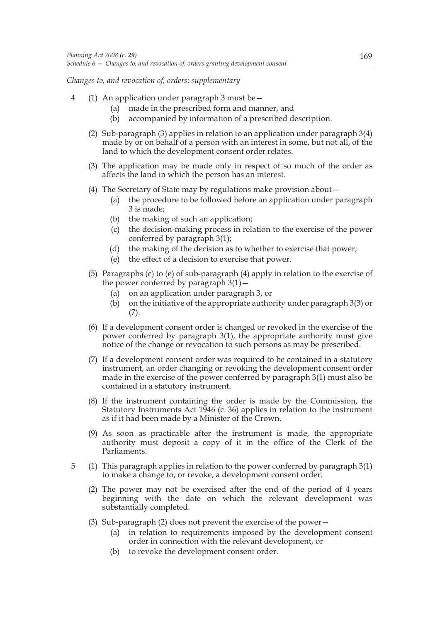*Changes to, and revocation of, orders: supplementary*

- 4 (1) An application under paragraph 3 must be—
	- (a) made in the prescribed form and manner, and
	- (b) accompanied by information of a prescribed description.
	- (2) Sub-paragraph (3) applies in relation to an application under paragraph 3(4) made by or on behalf of a person with an interest in some, but not all, of the land to which the development consent order relates.
	- (3) The application may be made only in respect of so much of the order as affects the land in which the person has an interest.
	- (4) The Secretary of State may by regulations make provision about—
		- (a) the procedure to be followed before an application under paragraph 3 is made;
		- (b) the making of such an application;
		- (c) the decision-making process in relation to the exercise of the power conferred by paragraph 3(1);
		- (d) the making of the decision as to whether to exercise that power;
		- (e) the effect of a decision to exercise that power.
	- (5) Paragraphs (c) to (e) of sub-paragraph (4) apply in relation to the exercise of the power conferred by paragraph  $3(1)$  –
		- (a) on an application under paragraph 3, or
		- (b) on the initiative of the appropriate authority under paragraph 3(3) or (7).
	- (6) If a development consent order is changed or revoked in the exercise of the power conferred by paragraph 3(1), the appropriate authority must give notice of the change or revocation to such persons as may be prescribed.
	- (7) If a development consent order was required to be contained in a statutory instrument, an order changing or revoking the development consent order made in the exercise of the power conferred by paragraph 3(1) must also be contained in a statutory instrument.
	- (8) If the instrument containing the order is made by the Commission, the Statutory Instruments Act 1946 (c. 36) applies in relation to the instrument as if it had been made by a Minister of the Crown.
	- (9) As soon as practicable after the instrument is made, the appropriate authority must deposit a copy of it in the office of the Clerk of the Parliaments.
- 5 (1) This paragraph applies in relation to the power conferred by paragraph 3(1) to make a change to, or revoke, a development consent order.
	- (2) The power may not be exercised after the end of the period of 4 years beginning with the date on which the relevant development was substantially completed.
	- (3) Sub-paragraph (2) does not prevent the exercise of the power—
		- (a) in relation to requirements imposed by the development consent order in connection with the relevant development, or
		- (b) to revoke the development consent order.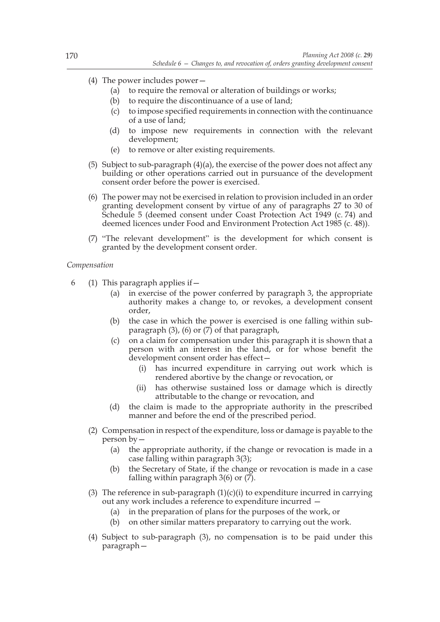- (4) The power includes power—
	- (a) to require the removal or alteration of buildings or works;
	- (b) to require the discontinuance of a use of land;
	- (c) to impose specified requirements in connection with the continuance of a use of land;
	- (d) to impose new requirements in connection with the relevant development;
	- (e) to remove or alter existing requirements.
- (5) Subject to sub-paragraph (4)(a), the exercise of the power does not affect any building or other operations carried out in pursuance of the development consent order before the power is exercised.
- (6) The power may not be exercised in relation to provision included in an order granting development consent by virtue of any of paragraphs 27 to 30 of Schedule 5 (deemed consent under Coast Protection Act 1949 (c. 74) and deemed licences under Food and Environment Protection Act 1985 (c. 48)).
- (7) "The relevant development" is the development for which consent is granted by the development consent order.

## *Compensation*

- 6 (1) This paragraph applies if  $-$ 
	- (a) in exercise of the power conferred by paragraph 3, the appropriate authority makes a change to, or revokes, a development consent order,
	- (b) the case in which the power is exercised is one falling within subparagraph (3), (6) or (7) of that paragraph,
	- (c) on a claim for compensation under this paragraph it is shown that a person with an interest in the land, or for whose benefit the development consent order has effect
		- has incurred expenditure in carrying out work which is rendered abortive by the change or revocation, or
		- (ii) has otherwise sustained loss or damage which is directly attributable to the change or revocation, and
	- (d) the claim is made to the appropriate authority in the prescribed manner and before the end of the prescribed period.
	- (2) Compensation in respect of the expenditure, loss or damage is payable to the person by—
		- (a) the appropriate authority, if the change or revocation is made in a case falling within paragraph 3(3);
		- (b) the Secretary of State, if the change or revocation is made in a case falling within paragraph  $3(6)$  or  $(7)$ .
	- (3) The reference in sub-paragraph  $(1)(c)(i)$  to expenditure incurred in carrying out any work includes a reference to expenditure incurred —
		- (a) in the preparation of plans for the purposes of the work, or
		- (b) on other similar matters preparatory to carrying out the work.
	- (4) Subject to sub-paragraph (3), no compensation is to be paid under this paragraph—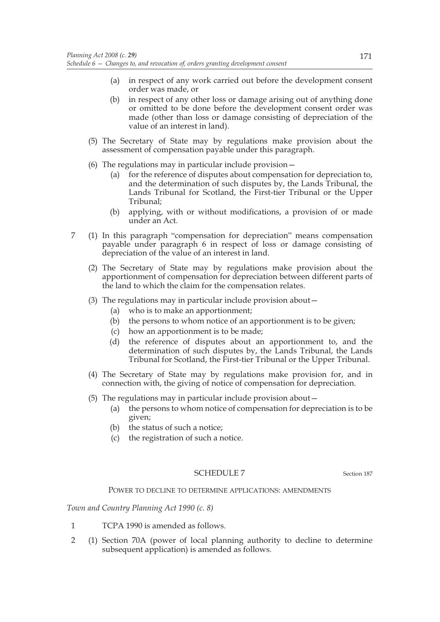- (a) in respect of any work carried out before the development consent order was made, or
- (b) in respect of any other loss or damage arising out of anything done or omitted to be done before the development consent order was made (other than loss or damage consisting of depreciation of the value of an interest in land).
- (5) The Secretary of State may by regulations make provision about the assessment of compensation payable under this paragraph.
- (6) The regulations may in particular include provision—
	- (a) for the reference of disputes about compensation for depreciation to, and the determination of such disputes by, the Lands Tribunal, the Lands Tribunal for Scotland, the First-tier Tribunal or the Upper Tribunal;
	- (b) applying, with or without modifications, a provision of or made under an Act.
- 7 (1) In this paragraph "compensation for depreciation" means compensation payable under paragraph 6 in respect of loss or damage consisting of depreciation of the value of an interest in land.
	- (2) The Secretary of State may by regulations make provision about the apportionment of compensation for depreciation between different parts of the land to which the claim for the compensation relates.
	- (3) The regulations may in particular include provision about—
		- (a) who is to make an apportionment;
		- (b) the persons to whom notice of an apportionment is to be given;
		- (c) how an apportionment is to be made;
		- (d) the reference of disputes about an apportionment to, and the determination of such disputes by, the Lands Tribunal, the Lands Tribunal for Scotland, the First-tier Tribunal or the Upper Tribunal.
	- (4) The Secretary of State may by regulations make provision for, and in connection with, the giving of notice of compensation for depreciation.
	- (5) The regulations may in particular include provision about—
		- (a) the persons to whom notice of compensation for depreciation is to be given;
		- (b) the status of such a notice;
		- (c) the registration of such a notice.

# SCHEDULE 7 Section 187

## POWER TO DECLINE TO DETERMINE APPLICATIONS: AMENDMENTS

*Town and Country Planning Act 1990 (c. 8)*

- 1 TCPA 1990 is amended as follows.
- 2 (1) Section 70A (power of local planning authority to decline to determine subsequent application) is amended as follows.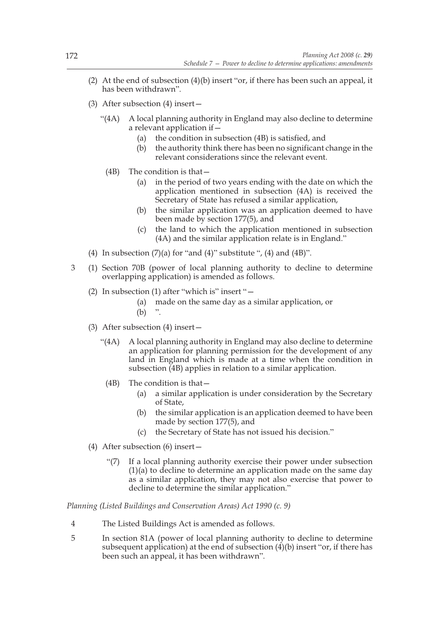- (2) At the end of subsection  $(4)(b)$  insert "or, if there has been such an appeal, it has been withdrawn".
- (3) After subsection (4) insert—
	- "(4A) A local planning authority in England may also decline to determine a relevant application if—
		- (a) the condition in subsection (4B) is satisfied, and
		- (b) the authority think there has been no significant change in the relevant considerations since the relevant event.
		- (4B) The condition is that—
			- (a) in the period of two years ending with the date on which the application mentioned in subsection (4A) is received the Secretary of State has refused a similar application,
			- (b) the similar application was an application deemed to have been made by section 177(5), and
			- (c) the land to which the application mentioned in subsection (4A) and the similar application relate is in England."
- (4) In subsection  $(7)(a)$  for "and  $(4)$ " substitute ",  $(4)$  and  $(4B)$ ".
- 3 (1) Section 70B (power of local planning authority to decline to determine overlapping application) is amended as follows.
	- (2) In subsection (1) after "which is" insert "—
		- (a) made on the same day as a similar application, or
		- $(b)$  ".
	- (3) After subsection (4) insert—
		- "(4A) A local planning authority in England may also decline to determine an application for planning permission for the development of any land in England which is made at a time when the condition in subsection  $(4B)$  applies in relation to a similar application.
			- (4B) The condition is that—
				- (a) a similar application is under consideration by the Secretary of State,
				- (b) the similar application is an application deemed to have been made by section 177(5), and
				- (c) the Secretary of State has not issued his decision."
	- (4) After subsection (6) insert—
		- "(7) If a local planning authority exercise their power under subsection (1)(a) to decline to determine an application made on the same day as a similar application, they may not also exercise that power to decline to determine the similar application."

*Planning (Listed Buildings and Conservation Areas) Act 1990 (c. 9)*

- 4 The Listed Buildings Act is amended as follows.
- 5 In section 81A (power of local planning authority to decline to determine subsequent application) at the end of subsection  $(4)(b)$  insert "or, if there has been such an appeal, it has been withdrawn".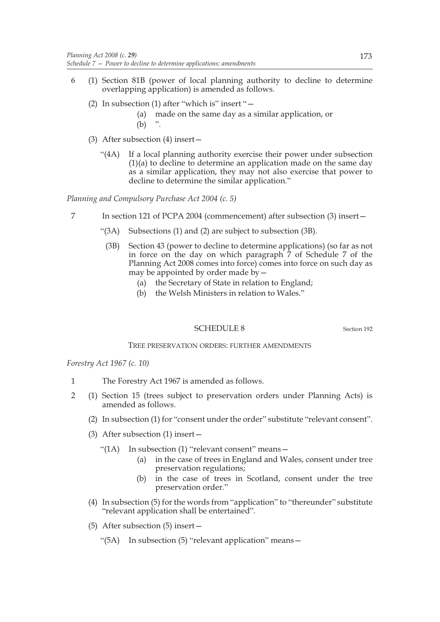- 6 (1) Section 81B (power of local planning authority to decline to determine overlapping application) is amended as follows.
	- (2) In subsection (1) after "which is" insert "—
		- (a) made on the same day as a similar application, or  $(b)$
	- (3) After subsection (4) insert—
		- "(4A) If a local planning authority exercise their power under subsection (1)(a) to decline to determine an application made on the same day as a similar application, they may not also exercise that power to decline to determine the similar application."

*Planning and Compulsory Purchase Act 2004 (c. 5)*

- 7 In section 121 of PCPA 2004 (commencement) after subsection (3) insert—
	- "(3A) Subsections (1) and (2) are subject to subsection (3B).
		- (3B) Section 43 (power to decline to determine applications) (so far as not in force on the day on which paragraph 7 of Schedule 7 of the Planning Act 2008 comes into force) comes into force on such day as may be appointed by order made by  $-$ 
			- (a) the Secretary of State in relation to England;
			- (b) the Welsh Ministers in relation to Wales."

## SCHEDULE 8 Section 192

## TREE PRESERVATION ORDERS: FURTHER AMENDMENTS

*Forestry Act 1967 (c. 10)*

- 1 The Forestry Act 1967 is amended as follows.
- 2 (1) Section 15 (trees subject to preservation orders under Planning Acts) is amended as follows.
	- (2) In subsection (1) for "consent under the order" substitute "relevant consent".
	- (3) After subsection (1) insert—
		- "(1A) In subsection (1) "relevant consent" means—
			- (a) in the case of trees in England and Wales, consent under tree preservation regulations;
			- (b) in the case of trees in Scotland, consent under the tree preservation order."
	- (4) In subsection (5) for the words from "application" to "thereunder" substitute "relevant application shall be entertained".
	- (5) After subsection (5) insert—
		- "(5A) In subsection (5) "relevant application" means—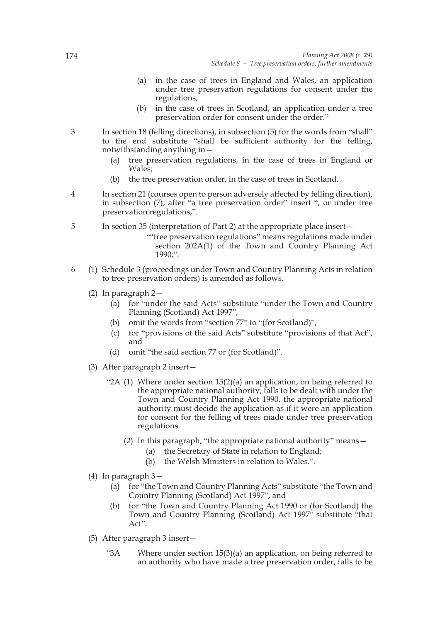- (a) in the case of trees in England and Wales, an application under tree preservation regulations for consent under the regulations;
- (b) in the case of trees in Scotland, an application under a tree preservation order for consent under the order."
- 3 In section 18 (felling directions), in subsection (5) for the words from "shall" to the end substitute "shall be sufficient authority for the felling, notwithstanding anything in—
	- (a) tree preservation regulations, in the case of trees in England or Wales;
	- (b) the tree preservation order, in the case of trees in Scotland.
- 4 In section 21 (courses open to person adversely affected by felling direction), in subsection (7), after "a tree preservation order" insert ", or under tree preservation regulations,".

5 In section 35 (interpretation of Part 2) at the appropriate place insert—

- ""tree preservation regulations" means regulations made under section 202A(1) of the Town and Country Planning Act 1990;".
- 6 (1) Schedule 3 (proceedings under Town and Country Planning Acts in relation to tree preservation orders) is amended as follows.
	- (2) In paragraph 2—
		- (a) for "under the said Acts" substitute "under the Town and Country Planning (Scotland) Act 1997",
		- (b) omit the words from "section 77" to "(for Scotland)",
		- (c) for "provisions of the said Acts" substitute "provisions of that Act", and
		- (d) omit "the said section 77 or (for Scotland)".
	- (3) After paragraph 2 insert—
		- "2A (1) Where under section 15(2)(a) an application, on being referred to the appropriate national authority, falls to be dealt with under the Town and Country Planning Act 1990, the appropriate national authority must decide the application as if it were an application for consent for the felling of trees made under tree preservation regulations.
			- (2) In this paragraph, "the appropriate national authority" means—
				- (a) the Secretary of State in relation to England;
				- (b) the Welsh Ministers in relation to Wales.".
	- (4) In paragraph 3—
		- (a) for "the Town and Country Planning Acts" substitute "the Town and Country Planning (Scotland) Act 1997", and
		- (b) for "the Town and Country Planning Act 1990 or (for Scotland) the Town and Country Planning (Scotland) Act 1997<sup>"</sup> substitute "that Act".
	- (5) After paragraph 3 insert—
		- "3A Where under section 15(3)(a) an application, on being referred to an authority who have made a tree preservation order, falls to be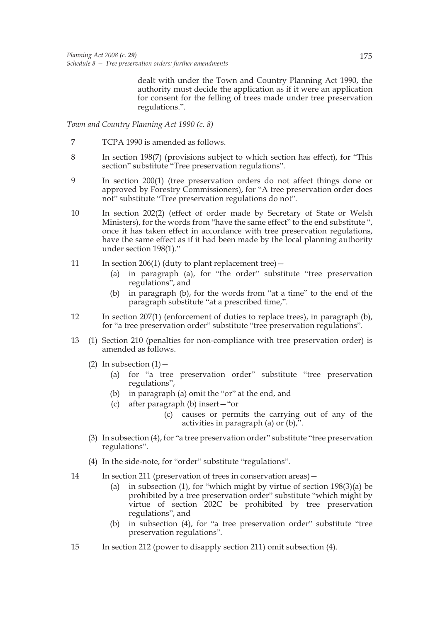dealt with under the Town and Country Planning Act 1990, the authority must decide the application as if it were an application for consent for the felling of trees made under tree preservation regulations.".

*Town and Country Planning Act 1990 (c. 8)*

- 7 TCPA 1990 is amended as follows.
- 8 In section 198(7) (provisions subject to which section has effect), for "This section" substitute "Tree preservation regulations".
- 9 In section 200(1) (tree preservation orders do not affect things done or approved by Forestry Commissioners), for "A tree preservation order does not" substitute "Tree preservation regulations do not".
- 10 In section 202(2) (effect of order made by Secretary of State or Welsh Ministers), for the words from "have the same effect" to the end substitute ", once it has taken effect in accordance with tree preservation regulations, have the same effect as if it had been made by the local planning authority under section 198(1)."
- 11 In section 206(1) (duty to plant replacement tree)
	- (a) in paragraph (a), for "the order" substitute "tree preservation regulations", and
	- (b) in paragraph (b), for the words from "at a time" to the end of the paragraph substitute "at a prescribed time,".
- 12 In section 207(1) (enforcement of duties to replace trees), in paragraph (b), for "a tree preservation order" substitute "tree preservation regulations".
- 13 (1) Section 210 (penalties for non-compliance with tree preservation order) is amended as follows.
	- (2) In subsection  $(1)$ 
		- (a) for "a tree preservation order" substitute "tree preservation regulations",
		- (b) in paragraph (a) omit the "or" at the end, and
		- (c) after paragraph (b) insert—"or
			- (c) causes or permits the carrying out of any of the activities in paragraph (a) or (b),".
	- (3) In subsection (4), for "a tree preservation order" substitute "tree preservation regulations".
	- (4) In the side-note, for "order" substitute "regulations".
- 14 In section 211 (preservation of trees in conservation areas)—
	- (a) in subsection (1), for "which might by virtue of section 198(3)(a) be prohibited by a tree preservation order" substitute "which might by virtue of section 202C be prohibited by tree preservation regulations", and
	- (b) in subsection (4), for "a tree preservation order" substitute "tree preservation regulations".
- 15 In section 212 (power to disapply section 211) omit subsection (4).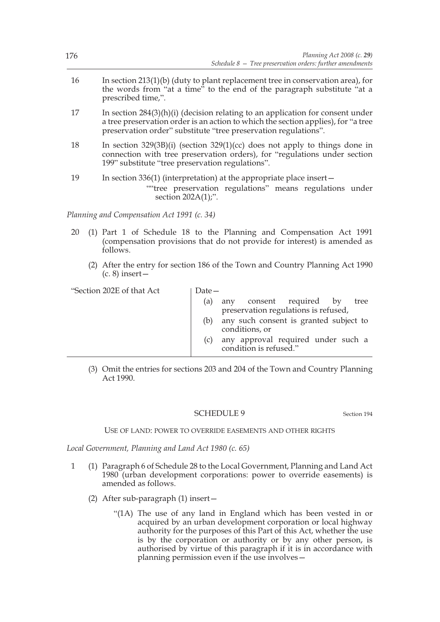| 176 | Planning Act 2008 (c. 29)<br>Schedule $8$ – Tree preservation orders: further amendments                                                                                                                                                 |
|-----|------------------------------------------------------------------------------------------------------------------------------------------------------------------------------------------------------------------------------------------|
| 16  | In section $213(1)(b)$ (duty to plant replacement tree in conservation area), for<br>the words from "at a time" to the end of the paragraph substitute "at a<br>prescribed time,".                                                       |
| 17  | In section $284(3)(h)(i)$ (decision relating to an application for consent under<br>a tree preservation order is an action to which the section applies), for "a tree<br>preservation order" substitute "tree preservation regulations". |
| 18  | In section $329(3B)(i)$ (section $329(1)(cc)$ does not apply to things done in<br>connection with tree preservation orders), for "regulations under section<br>199" substitute "tree preservation regulations".                          |
| 19  | In section $336(1)$ (interpretation) at the appropriate place insert –<br>""tree preservation regulations" means regulations under<br>section $202A(1)$ ;".                                                                              |
|     | Planning and Compensation Act 1991 (c. 34)                                                                                                                                                                                               |

- 20 (1) Part 1 of Schedule 18 to the Planning and Compensation Act 1991 (compensation provisions that do not provide for interest) is amended as follows.
	- (2) After the entry for section 186 of the Town and Country Planning Act 1990  $(c. 8)$  insert  $-$

| "Section 202E of that Act | $Date-$ |                                                                         |
|---------------------------|---------|-------------------------------------------------------------------------|
|                           | (a)     | any consent required by<br>tree<br>preservation regulations is refused, |
|                           | (b)     | any such consent is granted subject to<br>conditions, or                |
|                           | (C)     | any approval required under such a<br>condition is refused."            |
|                           |         |                                                                         |

(3) Omit the entries for sections 203 and 204 of the Town and Country Planning  $Act 1990$ 

## SCHEDULE 9 Section 194

## USE OF LAND: POWER TO OVERRIDE EASEMENTS AND OTHER RIGHTS

*Local Government, Planning and Land Act 1980 (c. 65)*

- 1 (1) Paragraph 6 of Schedule 28 to the Local Government, Planning and Land Act 1980 (urban development corporations: power to override easements) is amended as follows.
	- (2) After sub-paragraph (1) insert—
		- "(1A) The use of any land in England which has been vested in or acquired by an urban development corporation or local highway authority for the purposes of this Part of this Act, whether the use is by the corporation or authority or by any other person, is authorised by virtue of this paragraph if it is in accordance with planning permission even if the use involves—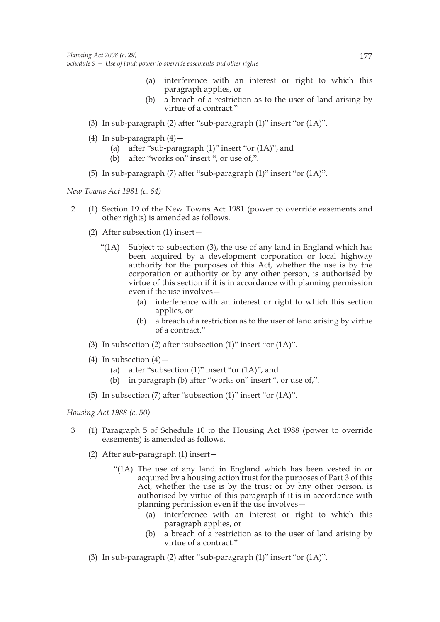- (a) interference with an interest or right to which this paragraph applies, or
- (b) a breach of a restriction as to the user of land arising by virtue of a contract."
- (3) In sub-paragraph (2) after "sub-paragraph (1)" insert "or (1A)".
- (4) In sub-paragraph  $(4)$  -
	- (a) after "sub-paragraph (1)" insert "or (1A)", and
	- (b) after "works on" insert ", or use of,".
- (5) In sub-paragraph (7) after "sub-paragraph (1)" insert "or (1A)".

*New Towns Act 1981 (c. 64)*

- 2 (1) Section 19 of the New Towns Act 1981 (power to override easements and other rights) is amended as follows.
	- (2) After subsection (1) insert—
		- "(1A) Subject to subsection (3), the use of any land in England which has been acquired by a development corporation or local highway authority for the purposes of this Act, whether the use is by the corporation or authority or by any other person, is authorised by virtue of this section if it is in accordance with planning permission even if the use involves—
			- (a) interference with an interest or right to which this section applies, or
			- (b) a breach of a restriction as to the user of land arising by virtue of a contract."
	- (3) In subsection (2) after "subsection (1)" insert "or (1A)".
	- (4) In subsection  $(4)$ 
		- (a) after "subsection (1)" insert "or (1A)", and
		- (b) in paragraph (b) after "works on" insert ", or use of,".
	- (5) In subsection (7) after "subsection (1)" insert "or (1A)".

*Housing Act 1988 (c. 50)*

- 3 (1) Paragraph 5 of Schedule 10 to the Housing Act 1988 (power to override easements) is amended as follows.
	- (2) After sub-paragraph (1) insert—
		- "(1A) The use of any land in England which has been vested in or acquired by a housing action trust for the purposes of Part 3 of this Act, whether the use is by the trust or by any other person, is authorised by virtue of this paragraph if it is in accordance with planning permission even if the use involves—
			- (a) interference with an interest or right to which this paragraph applies, or
			- (b) a breach of a restriction as to the user of land arising by virtue of a contract."
	- (3) In sub-paragraph (2) after "sub-paragraph (1)" insert "or (1A)".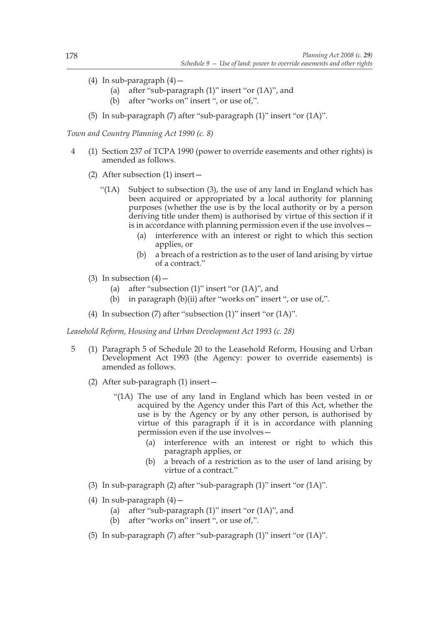- (4) In sub-paragraph  $(4)$  -
	- (a) after "sub-paragraph (1)" insert "or (1A)", and
	- (b) after "works on" insert ", or use of,".
- (5) In sub-paragraph (7) after "sub-paragraph (1)" insert "or (1A)".

*Town and Country Planning Act 1990 (c. 8)*

- 4 (1) Section 237 of TCPA 1990 (power to override easements and other rights) is amended as follows.
	- (2) After subsection (1) insert—
		- "(1A) Subject to subsection (3), the use of any land in England which has been acquired or appropriated by a local authority for planning purposes (whether the use is by the local authority or by a person deriving title under them) is authorised by virtue of this section if it is in accordance with planning permission even if the use involves—
			- (a) interference with an interest or right to which this section applies, or
			- (b) a breach of a restriction as to the user of land arising by virtue of a contract."
	- (3) In subsection  $(4)$ 
		- (a) after "subsection (1)" insert "or (1A)", and
		- (b) in paragraph (b)(ii) after "works on" insert ", or use of,".
	- (4) In subsection (7) after "subsection (1)" insert "or (1A)".

*Leasehold Reform, Housing and Urban Development Act 1993 (c. 28)*

- 5 (1) Paragraph 5 of Schedule 20 to the Leasehold Reform, Housing and Urban Development Act 1993 (the Agency: power to override easements) is amended as follows.
	- (2) After sub-paragraph (1) insert—
		- "(1A) The use of any land in England which has been vested in or acquired by the Agency under this Part of this Act, whether the use is by the Agency or by any other person, is authorised by virtue of this paragraph if it is in accordance with planning permission even if the use involves—
			- (a) interference with an interest or right to which this paragraph applies, or
			- (b) a breach of a restriction as to the user of land arising by virtue of a contract."
	- (3) In sub-paragraph (2) after "sub-paragraph (1)" insert "or (1A)".
	- (4) In sub-paragraph  $(4)$  -
		- (a) after "sub-paragraph (1)" insert "or (1A)", and
		- (b) after "works on" insert ", or use of,".
	- (5) In sub-paragraph (7) after "sub-paragraph (1)" insert "or (1A)".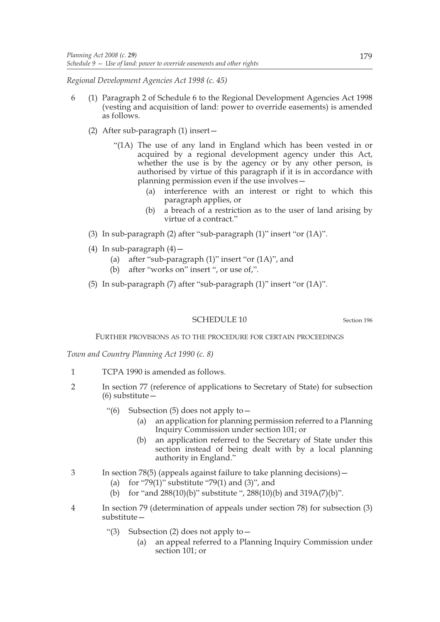*Regional Development Agencies Act 1998 (c. 45)*

- 6 (1) Paragraph 2 of Schedule 6 to the Regional Development Agencies Act 1998 (vesting and acquisition of land: power to override easements) is amended as follows.
	- (2) After sub-paragraph (1) insert—
		- "(1A) The use of any land in England which has been vested in or acquired by a regional development agency under this Act, whether the use is by the agency or by any other person, is authorised by virtue of this paragraph if it is in accordance with planning permission even if the use involves—
			- (a) interference with an interest or right to which this paragraph applies, or
			- (b) a breach of a restriction as to the user of land arising by virtue of a contract."
	- (3) In sub-paragraph (2) after "sub-paragraph (1)" insert "or (1A)".
	- (4) In sub-paragraph  $(4)$  -
		- (a) after "sub-paragraph (1)" insert "or (1A)", and
		- (b) after "works on" insert ", or use of,".
	- (5) In sub-paragraph (7) after "sub-paragraph (1)" insert "or (1A)".

SCHEDULE 10 Section 196

FURTHER PROVISIONS AS TO THE PROCEDURE FOR CERTAIN PROCEEDINGS

*Town and Country Planning Act 1990 (c. 8)*

- 1 TCPA 1990 is amended as follows.
- 2 In section 77 (reference of applications to Secretary of State) for subsection (6) substitute—
	- "(6) Subsection (5) does not apply to  $-$ 
		- (a) an application for planning permission referred to a Planning Inquiry Commission under section 101; or
		- (b) an application referred to the Secretary of State under this section instead of being dealt with by a local planning authority in England."
- 3 In section 78(5) (appeals against failure to take planning decisions)—
	- (a) for "79(1)" substitute "79(1) and  $(3)$ ", and
	- (b) for "and 288(10)(b)" substitute ", 288(10)(b) and 319A(7)(b)".
- 4 In section 79 (determination of appeals under section 78) for subsection (3) substitute—
	- "(3) Subsection (2) does not apply to—
		- (a) an appeal referred to a Planning Inquiry Commission under section 101; or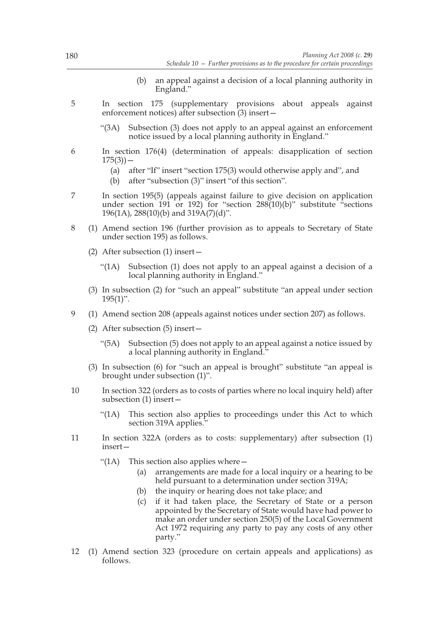- (b) an appeal against a decision of a local planning authority in England."
- 5 In section 175 (supplementary provisions about appeals against enforcement notices) after subsection (3) insert—
	- "(3A) Subsection (3) does not apply to an appeal against an enforcement notice issued by a local planning authority in England."
- 6 In section 176(4) (determination of appeals: disapplication of section  $175(3)$ ) –
	- (a) after "If" insert "section 175(3) would otherwise apply and", and
	- (b) after "subsection (3)" insert "of this section".
- 7 In section 195(5) (appeals against failure to give decision on application under section 191 or 192) for "section 288(10)(b)" substitute "sections 196(1A), 288(10)(b) and 319A(7)(d)".
- 8 (1) Amend section 196 (further provision as to appeals to Secretary of State under section 195) as follows.
	- (2) After subsection (1) insert—
		- "(1A) Subsection (1) does not apply to an appeal against a decision of a local planning authority in England."
	- (3) In subsection (2) for "such an appeal" substitute "an appeal under section  $195(1)$ ".
- 9 (1) Amend section 208 (appeals against notices under section 207) as follows.
	- (2) After subsection (5) insert—
		- "(5A) Subsection (5) does not apply to an appeal against a notice issued by a local planning authority in England."
	- (3) In subsection (6) for "such an appeal is brought" substitute "an appeal is brought under subsection (1)".
- 10 In section 322 (orders as to costs of parties where no local inquiry held) after subsection (1) insert—
	- "(1A) This section also applies to proceedings under this Act to which section 319A applies."
- 11 In section 322A (orders as to costs: supplementary) after subsection (1) insert—
	- "(1A) This section also applies where  $-$ 
		- (a) arrangements are made for a local inquiry or a hearing to be held pursuant to a determination under section 319A;
		- (b) the inquiry or hearing does not take place; and
		- (c) if it had taken place, the Secretary of State or a person appointed by the Secretary of State would have had power to make an order under section 250(5) of the Local Government Act 1972 requiring any party to pay any costs of any other party."
- 12 (1) Amend section 323 (procedure on certain appeals and applications) as follows.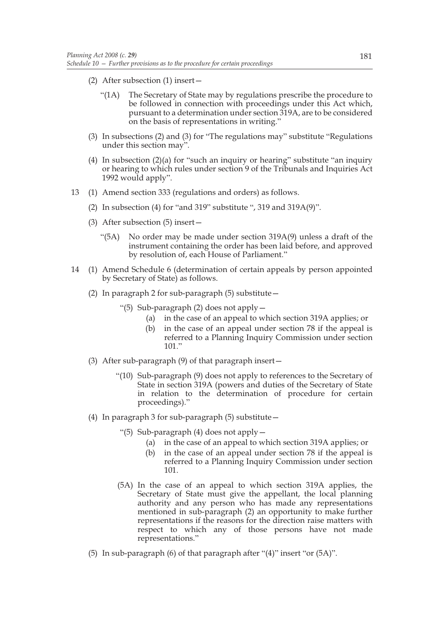- (2) After subsection (1) insert—
	- "(1A) The Secretary of State may by regulations prescribe the procedure to be followed in connection with proceedings under this Act which, pursuant to a determination under section 319A, are to be considered on the basis of representations in writing."
- (3) In subsections (2) and (3) for "The regulations may" substitute "Regulations under this section may".
- (4) In subsection  $(2)(a)$  for "such an inquiry or hearing" substitute "an inquiry or hearing to which rules under section 9 of the Tribunals and Inquiries Act 1992 would apply".
- 13 (1) Amend section 333 (regulations and orders) as follows.
	- (2) In subsection (4) for "and 319" substitute ", 319 and 319A(9)".
	- (3) After subsection (5) insert—
		- "(5A) No order may be made under section 319A(9) unless a draft of the instrument containing the order has been laid before, and approved by resolution of, each House of Parliament."
- 14 (1) Amend Schedule 6 (determination of certain appeals by person appointed by Secretary of State) as follows.
	- (2) In paragraph 2 for sub-paragraph (5) substitute—
		- "(5) Sub-paragraph (2) does not apply—
			- (a) in the case of an appeal to which section 319A applies; or
			- (b) in the case of an appeal under section 78 if the appeal is referred to a Planning Inquiry Commission under section 101."
	- (3) After sub-paragraph (9) of that paragraph insert—
		- "(10) Sub-paragraph (9) does not apply to references to the Secretary of State in section 319A (powers and duties of the Secretary of State in relation to the determination of procedure for certain proceedings)."
	- (4) In paragraph 3 for sub-paragraph (5) substitute—
		- "(5) Sub-paragraph (4) does not apply—
			- (a) in the case of an appeal to which section 319A applies; or
			- (b) in the case of an appeal under section 78 if the appeal is referred to a Planning Inquiry Commission under section 101.
		- (5A) In the case of an appeal to which section 319A applies, the Secretary of State must give the appellant, the local planning authority and any person who has made any representations mentioned in sub-paragraph (2) an opportunity to make further representations if the reasons for the direction raise matters with respect to which any of those persons have not made representations."
	- (5) In sub-paragraph (6) of that paragraph after "(4)" insert "or (5A)".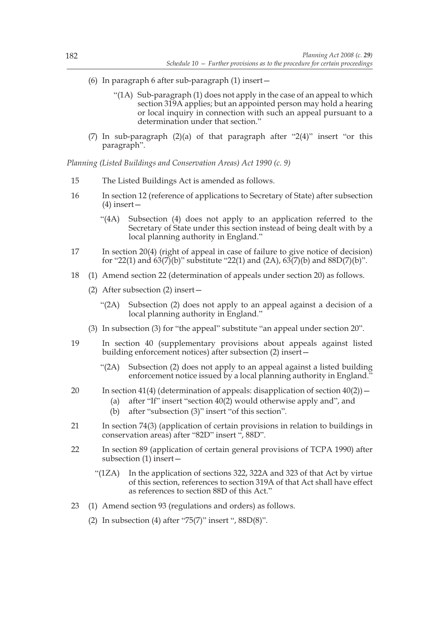- (6) In paragraph 6 after sub-paragraph (1) insert—
	- "(1A) Sub-paragraph (1) does not apply in the case of an appeal to which section 319A applies; but an appointed person may hold a hearing or local inquiry in connection with such an appeal pursuant to a determination under that section."
- (7) In sub-paragraph (2)(a) of that paragraph after "2(4)" insert "or this paragraph".

*Planning (Listed Buildings and Conservation Areas) Act 1990 (c. 9)*

- 15 The Listed Buildings Act is amended as follows.
- 16 In section 12 (reference of applications to Secretary of State) after subsection (4) insert—
	- "(4A) Subsection (4) does not apply to an application referred to the Secretary of State under this section instead of being dealt with by a local planning authority in England."
- 17 In section 20(4) (right of appeal in case of failure to give notice of decision) for "22(1) and  $\frac{63(7)}{b}$ " substitute "22(1) and (2A),  $\frac{63(7)}{b}$  and  $\frac{88D(7)}{b}$ ".
- 18 (1) Amend section 22 (determination of appeals under section 20) as follows.
	- (2) After subsection (2) insert—
		- "(2A) Subsection (2) does not apply to an appeal against a decision of a local planning authority in England."
	- (3) In subsection (3) for "the appeal" substitute "an appeal under section 20".
- 19 In section 40 (supplementary provisions about appeals against listed building enforcement notices) after subsection (2) insert—
	- "(2A) Subsection (2) does not apply to an appeal against a listed building enforcement notice issued by a local planning authority in England."
- 20 In section 41(4) (determination of appeals: disapplication of section  $40(2)$ )
	- (a) after "If" insert "section 40(2) would otherwise apply and", and
	- (b) after "subsection (3)" insert "of this section".
- 21 In section 74(3) (application of certain provisions in relation to buildings in conservation areas) after "82D" insert ", 88D".
- 22 In section 89 (application of certain general provisions of TCPA 1990) after subsection (1) insert—
	- "(1ZA) In the application of sections 322, 322A and 323 of that Act by virtue of this section, references to section 319A of that Act shall have effect as references to section 88D of this Act."
- 23 (1) Amend section 93 (regulations and orders) as follows.
	- (2) In subsection (4) after "75(7)" insert ", 88D(8)".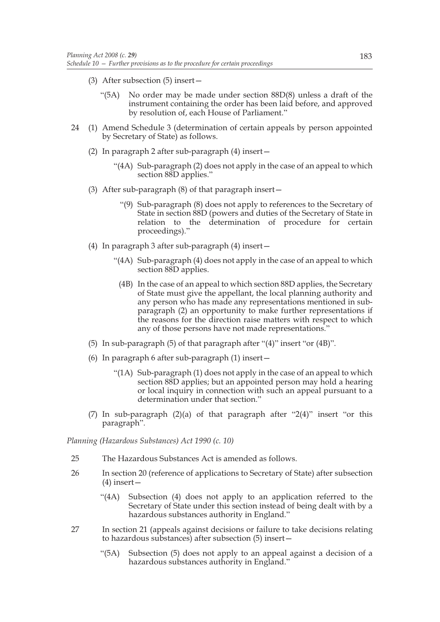- (3) After subsection (5) insert—
	- "(5A) No order may be made under section 88D(8) unless a draft of the instrument containing the order has been laid before, and approved by resolution of, each House of Parliament."
- 24 (1) Amend Schedule 3 (determination of certain appeals by person appointed by Secretary of State) as follows.
	- (2) In paragraph 2 after sub-paragraph (4) insert—
		- "(4A) Sub-paragraph (2) does not apply in the case of an appeal to which section 88D applies."
	- (3) After sub-paragraph (8) of that paragraph insert—
		- "(9) Sub-paragraph (8) does not apply to references to the Secretary of State in section 88D (powers and duties of the Secretary of State in relation to the determination of procedure for certain proceedings)."
	- (4) In paragraph 3 after sub-paragraph (4) insert—
		- "(4A) Sub-paragraph (4) does not apply in the case of an appeal to which section 88D applies.
			- (4B) In the case of an appeal to which section 88D applies, the Secretary of State must give the appellant, the local planning authority and any person who has made any representations mentioned in subparagraph (2) an opportunity to make further representations if the reasons for the direction raise matters with respect to which any of those persons have not made representations."
	- (5) In sub-paragraph (5) of that paragraph after "(4)" insert "or (4B)".
	- (6) In paragraph 6 after sub-paragraph (1) insert—
		- "(1A) Sub-paragraph (1) does not apply in the case of an appeal to which section 88D applies; but an appointed person may hold a hearing or local inquiry in connection with such an appeal pursuant to a determination under that section."
	- (7) In sub-paragraph (2)(a) of that paragraph after "2(4)" insert "or this paragraph".

*Planning (Hazardous Substances) Act 1990 (c. 10)*

- 25 The Hazardous Substances Act is amended as follows.
- 26 In section 20 (reference of applications to Secretary of State) after subsection (4) insert—
	- "(4A) Subsection (4) does not apply to an application referred to the Secretary of State under this section instead of being dealt with by a hazardous substances authority in England."
- 27 In section 21 (appeals against decisions or failure to take decisions relating to hazardous substances) after subsection (5) insert—
	- "(5A) Subsection (5) does not apply to an appeal against a decision of a hazardous substances authority in England."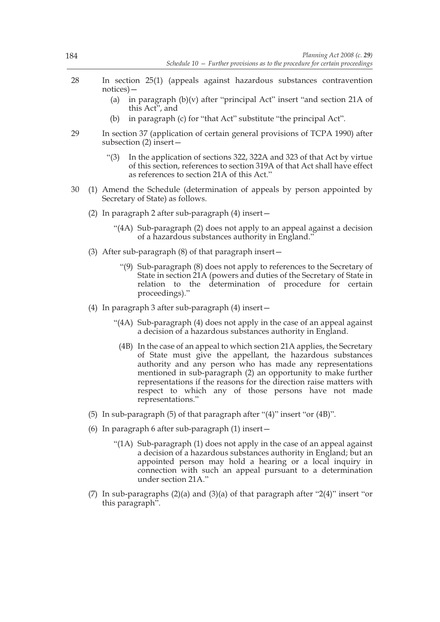- 28 In section 25(1) (appeals against hazardous substances contravention notices)—
	- (a) in paragraph  $(b)(v)$  after "principal Act" insert "and section 21A of this Act", and
	- (b) in paragraph (c) for "that Act" substitute "the principal Act".
- 29 In section 37 (application of certain general provisions of TCPA 1990) after subsection (2) insert—
	- "(3) In the application of sections 322, 322A and 323 of that Act by virtue of this section, references to section 319A of that Act shall have effect as references to section 21A of this Act."
- 30 (1) Amend the Schedule (determination of appeals by person appointed by Secretary of State) as follows.
	- (2) In paragraph 2 after sub-paragraph (4) insert—
		- "(4A) Sub-paragraph (2) does not apply to an appeal against a decision of a hazardous substances authority in England."
	- (3) After sub-paragraph (8) of that paragraph insert—
		- "(9) Sub-paragraph (8) does not apply to references to the Secretary of State in section 21A (powers and duties of the Secretary of State in relation to the determination of procedure for certain proceedings)."
	- (4) In paragraph 3 after sub-paragraph (4) insert—
		- "(4A) Sub-paragraph (4) does not apply in the case of an appeal against a decision of a hazardous substances authority in England.
			- (4B) In the case of an appeal to which section 21A applies, the Secretary of State must give the appellant, the hazardous substances authority and any person who has made any representations mentioned in sub-paragraph (2) an opportunity to make further representations if the reasons for the direction raise matters with respect to which any of those persons have not made representations."
	- (5) In sub-paragraph (5) of that paragraph after "(4)" insert "or (4B)".
	- (6) In paragraph 6 after sub-paragraph (1) insert—
		- "(1A) Sub-paragraph (1) does not apply in the case of an appeal against a decision of a hazardous substances authority in England; but an appointed person may hold a hearing or a local inquiry in connection with such an appeal pursuant to a determination under section 21A."
	- (7) In sub-paragraphs (2)(a) and (3)(a) of that paragraph after "2(4)" insert "or this paragraph".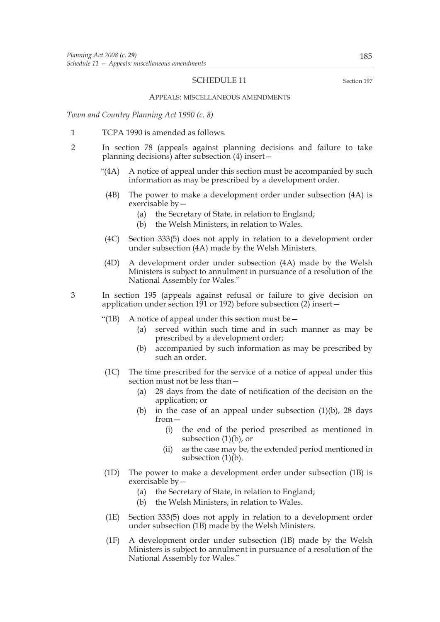## SCHEDULE 11 Section 197

#### APPEALS: MISCELLANEOUS AMENDMENTS

*Town and Country Planning Act 1990 (c. 8)*

- 1 TCPA 1990 is amended as follows.
- 2 In section 78 (appeals against planning decisions and failure to take planning decisions) after subsection (4) insert—
	- "(4A) A notice of appeal under this section must be accompanied by such information as may be prescribed by a development order.
		- (4B) The power to make a development order under subsection (4A) is exercisable by—
			- (a) the Secretary of State, in relation to England;
			- (b) the Welsh Ministers, in relation to Wales.
	- (4C) Section 333(5) does not apply in relation to a development order under subsection (4A) made by the Welsh Ministers.
	- (4D) A development order under subsection (4A) made by the Welsh Ministers is subject to annulment in pursuance of a resolution of the National Assembly for Wales."

3 In section 195 (appeals against refusal or failure to give decision on application under section 191 or 192) before subsection (2) insert—

- "(1B) A notice of appeal under this section must be  $-$ 
	- (a) served within such time and in such manner as may be prescribed by a development order;
	- (b) accompanied by such information as may be prescribed by such an order.
- (1C) The time prescribed for the service of a notice of appeal under this section must not be less than—
	- (a) 28 days from the date of notification of the decision on the application; or
	- (b) in the case of an appeal under subsection  $(1)(b)$ , 28 days from—
		- (i) the end of the period prescribed as mentioned in subsection  $(1)(b)$ , or
		- (ii) as the case may be, the extended period mentioned in subsection  $(1)(b)$ .
- (1D) The power to make a development order under subsection (1B) is exercisable by—
	- (a) the Secretary of State, in relation to England;
	- (b) the Welsh Ministers, in relation to Wales.
- (1E) Section 333(5) does not apply in relation to a development order under subsection (1B) made by the Welsh Ministers.
- (1F) A development order under subsection (1B) made by the Welsh Ministers is subject to annulment in pursuance of a resolution of the National Assembly for Wales."

185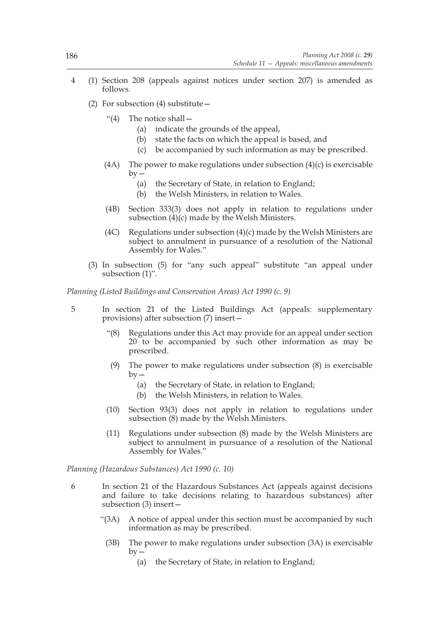- 4 (1) Section 208 (appeals against notices under section 207) is amended as follows.
	- (2) For subsection (4) substitute—
		- "(4) The notice shall—
			- (a) indicate the grounds of the appeal,
			- (b) state the facts on which the appeal is based, and
			- (c) be accompanied by such information as may be prescribed.
		- (4A) The power to make regulations under subsection  $(4)(c)$  is exercisable  $by -$ 
			- (a) the Secretary of State, in relation to England;
			- (b) the Welsh Ministers, in relation to Wales.
		- (4B) Section 333(3) does not apply in relation to regulations under subsection (4)(c) made by the Welsh Ministers.
		- (4C) Regulations under subsection (4)(c) made by the Welsh Ministers are subject to annulment in pursuance of a resolution of the National Assembly for Wales."
	- (3) In subsection (5) for "any such appeal" substitute "an appeal under subsection (1)".

*Planning (Listed Buildings and Conservation Areas) Act 1990 (c. 9)*

- 5 In section 21 of the Listed Buildings Act (appeals: supplementary provisions) after subsection (7) insert—
	- "(8) Regulations under this Act may provide for an appeal under section 20 to be accompanied by such other information as may be prescribed.
	- (9) The power to make regulations under subsection (8) is exercisable  $by -$ 
		- (a) the Secretary of State, in relation to England;
		- (b) the Welsh Ministers, in relation to Wales.
	- (10) Section 93(3) does not apply in relation to regulations under subsection (8) made by the Welsh Ministers.
	- (11) Regulations under subsection (8) made by the Welsh Ministers are subject to annulment in pursuance of a resolution of the National Assembly for Wales."

*Planning (Hazardous Substances) Act 1990 (c. 10)*

- 6 In section 21 of the Hazardous Substances Act (appeals against decisions and failure to take decisions relating to hazardous substances) after subsection (3) insert—
	- "(3A) A notice of appeal under this section must be accompanied by such information as may be prescribed.
		- (3B) The power to make regulations under subsection (3A) is exercisable  $by -$ 
			- (a) the Secretary of State, in relation to England;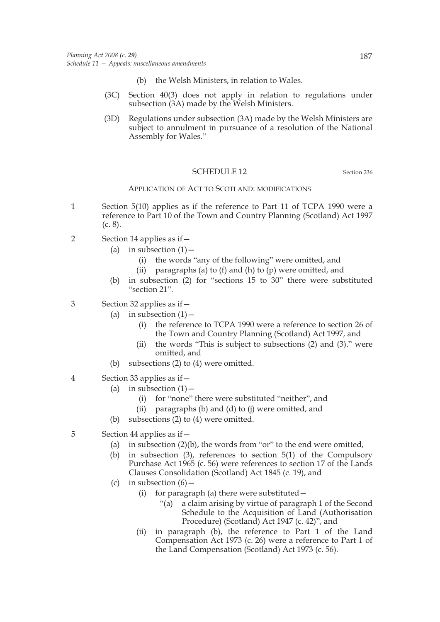- (b) the Welsh Ministers, in relation to Wales.
- (3C) Section 40(3) does not apply in relation to regulations under subsection (3A) made by the Welsh Ministers.
- (3D) Regulations under subsection (3A) made by the Welsh Ministers are subject to annulment in pursuance of a resolution of the National Assembly for Wales."

## SCHEDULE 12 Section 236

## APPLICATION OF ACT TO SCOTLAND: MODIFICATIONS

- 1 Section 5(10) applies as if the reference to Part 11 of TCPA 1990 were a reference to Part 10 of the Town and Country Planning (Scotland) Act 1997 (c. 8).
- 2 Section 14 applies as if—
	- (a) in subsection  $(1)$  -
		- (i) the words "any of the following" were omitted, and
		- (ii) paragraphs (a) to  $(f)$  and  $(h)$  to  $(p)$  were omitted, and
	- (b) in subsection (2) for "sections 15 to 30" there were substituted "section 21".
- 3 Section 32 applies as if—
	- (a) in subsection  $(1)$ 
		- (i) the reference to TCPA 1990 were a reference to section 26 of the Town and Country Planning (Scotland) Act 1997, and
		- (ii) the words "This is subject to subsections (2) and (3)." were omitted, and
	- (b) subsections  $(2)$  to  $(4)$  were omitted.
- 4 Section 33 applies as if—
	- (a) in subsection  $(1)$  -
		- (i) for "none" there were substituted "neither", and
		- (ii) paragraphs (b) and (d) to (j) were omitted, and
	- (b) subsections (2) to (4) were omitted.
- 5 Section 44 applies as if—
	- (a) in subsection  $(2)(b)$ , the words from "or" to the end were omitted,
	- (b) in subsection (3), references to section 5(1) of the Compulsory Purchase Act 1965 (c. 56) were references to section 17 of the Lands Clauses Consolidation (Scotland) Act 1845 (c. 19), and
	- (c) in subsection  $(6)$  -
		- (i) for paragraph (a) there were substituted—
			- "(a) a claim arising by virtue of paragraph 1 of the Second Schedule to the Acquisition of Land (Authorisation Procedure) (Scotland) Act 1947 (c. 42)", and
		- (ii) in paragraph (b), the reference to Part 1 of the Land Compensation Act 1973 (c. 26) were a reference to Part 1 of the Land Compensation (Scotland) Act 1973 (c. 56).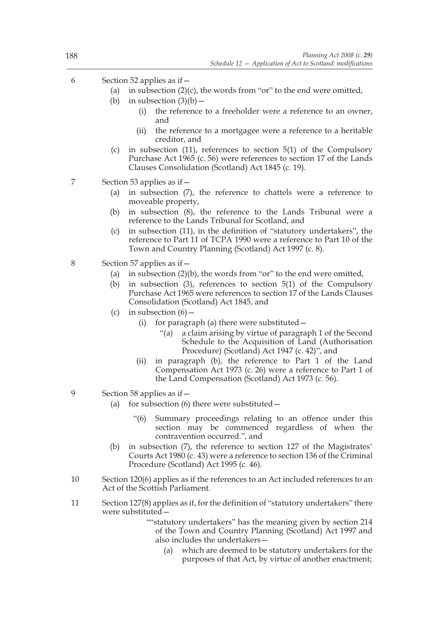- 6 Section 52 applies as if—
	- (a) in subsection  $(2)(c)$ , the words from "or" to the end were omitted,
	- (b) in subsection  $(3)(b)$ 
		- (i) the reference to a freeholder were a reference to an owner, and
		- (ii) the reference to a mortgagee were a reference to a heritable creditor, and
	- (c) in subsection (11), references to section 5(1) of the Compulsory Purchase Act 1965 (c. 56) were references to section 17 of the Lands Clauses Consolidation (Scotland) Act 1845 (c. 19).
- 7 Section 53 applies as if—
	- (a) in subsection (7), the reference to chattels were a reference to moveable property,
	- (b) in subsection (8), the reference to the Lands Tribunal were a reference to the Lands Tribunal for Scotland, and
	- (c) in subsection (11), in the definition of "statutory undertakers", the reference to Part 11 of TCPA 1990 were a reference to Part 10 of the Town and Country Planning (Scotland) Act 1997 (c. 8).
- 8 Section 57 applies as if—
	- (a) in subsection  $(2)(b)$ , the words from "or" to the end were omitted,
	- (b) in subsection (3), references to section 5(1) of the Compulsory Purchase Act 1965 were references to section 17 of the Lands Clauses Consolidation (Scotland) Act 1845, and
	- (c) in subsection  $(6)$ 
		- (i) for paragraph (a) there were substituted  $-$ 
			- "(a) a claim arising by virtue of paragraph 1 of the Second Schedule to the Acquisition of Land (Authorisation Procedure) (Scotland) Act 1947 (c. 42)", and
		- (ii) in paragraph (b), the reference to Part 1 of the Land Compensation Act 1973 (c. 26) were a reference to Part 1 of the Land Compensation (Scotland) Act 1973 (c. 56).
- 9 Section 58 applies as if—
	- (a) for subsection (6) there were substituted  $-$ 
		- "(6) Summary proceedings relating to an offence under this section may be commenced regardless of when the contravention occurred.", and
	- (b) in subsection (7), the reference to section 127 of the Magistrates' Courts Act 1980 (c. 43) were a reference to section 136 of the Criminal Procedure (Scotland) Act 1995 (c. 46).
- 10 Section 120(6) applies as if the references to an Act included references to an Act of the Scottish Parliament.
- 11 Section 127(8) applies as if, for the definition of "statutory undertakers" there were substituted—

""statutory undertakers" has the meaning given by section 214 of the Town and Country Planning (Scotland) Act 1997 and also includes the undertakers—

(a) which are deemed to be statutory undertakers for the purposes of that Act, by virtue of another enactment;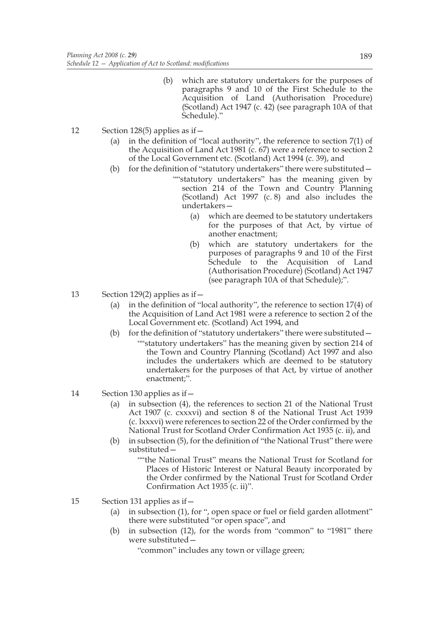- (b) which are statutory undertakers for the purposes of paragraphs 9 and 10 of the First Schedule to the Acquisition of Land (Authorisation Procedure) (Scotland) Act 1947 (c. 42) (see paragraph 10A of that Schedule)."
- 12 Section 128(5) applies as if—
	- (a) in the definition of "local authority", the reference to section 7(1) of the Acquisition of Land Act 1981 (c. 67) were a reference to section 2 of the Local Government etc. (Scotland) Act 1994 (c. 39), and
	- (b) for the definition of "statutory undertakers" there were substituted— ""statutory undertakers" has the meaning given by section 214 of the Town and Country Planning (Scotland) Act 1997 (c. 8) and also includes the undertakers—
		- (a) which are deemed to be statutory undertakers for the purposes of that Act, by virtue of another enactment;
		- (b) which are statutory undertakers for the purposes of paragraphs 9 and 10 of the First Schedule to the Acquisition of Land (Authorisation Procedure) (Scotland) Act 1947 (see paragraph 10A of that Schedule);".
- 13 Section 129(2) applies as if—
	- (a) in the definition of "local authority", the reference to section 17(4) of the Acquisition of Land Act 1981 were a reference to section 2 of the Local Government etc. (Scotland) Act 1994, and
	- (b) for the definition of "statutory undertakers" there were substituted— ""statutory undertakers" has the meaning given by section 214 of the Town and Country Planning (Scotland) Act 1997 and also includes the undertakers which are deemed to be statutory undertakers for the purposes of that Act, by virtue of another enactment;".
- 14 Section 130 applies as if—
	- (a) in subsection (4), the references to section 21 of the National Trust Act 1907 (c. cxxxvi) and section 8 of the National Trust Act 1939 (c. lxxxvi) were references to section 22 of the Order confirmed by the National Trust for Scotland Order Confirmation Act 1935 (c. ii), and
	- (b) in subsection (5), for the definition of "the National Trust" there were substituted—

""the National Trust" means the National Trust for Scotland for Places of Historic Interest or Natural Beauty incorporated by the Order confirmed by the National Trust for Scotland Order Confirmation Act 1935 (c. ii)".

- 15 Section 131 applies as if—
	- (a) in subsection (1), for ", open space or fuel or field garden allotment" there were substituted "or open space", and
	- (b) in subsection (12), for the words from "common" to "1981" there were substituted—

"common" includes any town or village green;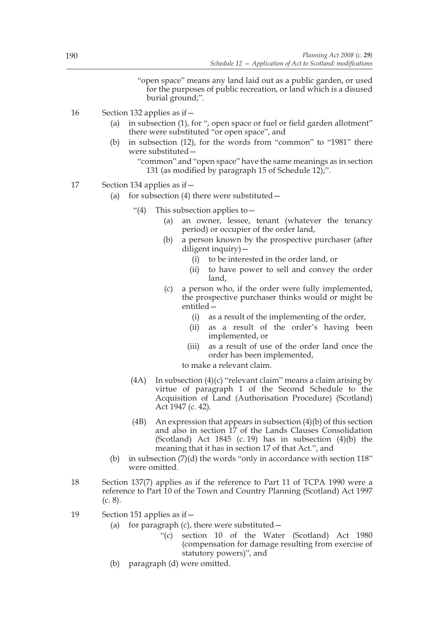"open space" means any land laid out as a public garden, or used for the purposes of public recreation, or land which is a disused burial ground;".

- 16 Section 132 applies as if—
	- (a) in subsection (1), for ", open space or fuel or field garden allotment" there were substituted "or open space", and
	- (b) in subsection (12), for the words from "common" to "1981" there were substituted—

```
"common" and "open space" have the same meanings as in section
131 (as modified by paragraph 15 of Schedule 12);".
```
- 17 Section 134 applies as if—
	- (a) for subsection (4) there were substituted  $-$ 
		- "(4) This subsection applies to  $-$ 
			- (a) an owner, lessee, tenant (whatever the tenancy period) or occupier of the order land,
			- (b) a person known by the prospective purchaser (after diligent inquiry)—
				- (i) to be interested in the order land, or
				- (ii) to have power to sell and convey the order land,
			- (c) a person who, if the order were fully implemented, the prospective purchaser thinks would or might be entitled—
				- (i) as a result of the implementing of the order,
				- (ii) as a result of the order's having been implemented, or
				- (iii) as a result of use of the order land once the order has been implemented,

to make a relevant claim.

- (4A) In subsection  $(4)(c)$  "relevant claim" means a claim arising by virtue of paragraph 1 of the Second Schedule to the Acquisition of Land (Authorisation Procedure) (Scotland) Act 1947 (c. 42).
- (4B) An expression that appears in subsection  $(4)(b)$  of this section and also in section 17 of the Lands Clauses Consolidation (Scotland) Act  $1845$  (c. 19) has in subsection  $(4)(b)$  the meaning that it has in section 17 of that Act.", and
- (b) in subsection  $(7)(d)$  the words "only in accordance with section 118" were omitted.
- 18 Section 137(7) applies as if the reference to Part 11 of TCPA 1990 were a reference to Part 10 of the Town and Country Planning (Scotland) Act 1997 (c. 8).
- 19 Section 151 applies as if—
	- (a) for paragraph (c), there were substituted  $-$ 
		- "(c) section 10 of the Water (Scotland) Act 1980 (compensation for damage resulting from exercise of statutory powers)", and
	- (b) paragraph (d) were omitted.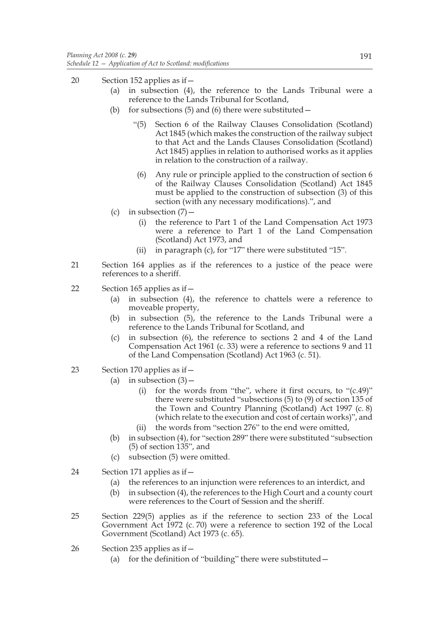- 20 Section 152 applies as if—
	- (a) in subsection (4), the reference to the Lands Tribunal were a reference to the Lands Tribunal for Scotland,
	- (b) for subsections (5) and (6) there were substituted  $-$ 
		- "(5) Section 6 of the Railway Clauses Consolidation (Scotland) Act 1845 (which makes the construction of the railway subject to that Act and the Lands Clauses Consolidation (Scotland) Act 1845) applies in relation to authorised works as it applies in relation to the construction of a railway.
		- (6) Any rule or principle applied to the construction of section 6 of the Railway Clauses Consolidation (Scotland) Act 1845 must be applied to the construction of subsection (3) of this section (with any necessary modifications).", and
	- (c) in subsection  $(7)$ 
		- (i) the reference to Part 1 of the Land Compensation Act 1973 were a reference to Part 1 of the Land Compensation (Scotland) Act 1973, and
		- (ii) in paragraph (c), for "17" there were substituted "15".
- 21 Section 164 applies as if the references to a justice of the peace were references to a sheriff.
- 22 Section 165 applies as if—
	- (a) in subsection (4), the reference to chattels were a reference to moveable property,
	- (b) in subsection (5), the reference to the Lands Tribunal were a reference to the Lands Tribunal for Scotland, and
	- (c) in subsection (6), the reference to sections 2 and 4 of the Land Compensation Act 1961 (c. 33) were a reference to sections 9 and 11 of the Land Compensation (Scotland) Act 1963 (c. 51).
- 23 Section 170 applies as if—
	- (a) in subsection  $(3)$  -
		- (i) for the words from "the", where it first occurs, to "(c.49)" there were substituted "subsections (5) to (9) of section 135 of the Town and Country Planning (Scotland) Act 1997 (c. 8) (which relate to the execution and cost of certain works)", and
		- (ii) the words from "section 276" to the end were omitted,
	- (b) in subsection (4), for "section 289" there were substituted "subsection  $(5)$  of section  $135$ ", and
	- (c) subsection (5) were omitted.
- 24 Section 171 applies as if—
	- (a) the references to an injunction were references to an interdict, and
	- (b) in subsection (4), the references to the High Court and a county court were references to the Court of Session and the sheriff.
- 25 Section 229(5) applies as if the reference to section 233 of the Local Government Act 1972 (c. 70) were a reference to section 192 of the Local Government (Scotland) Act 1973 (c. 65).
- 26 Section 235 applies as if—
	- (a) for the definition of "building" there were substituted  $-$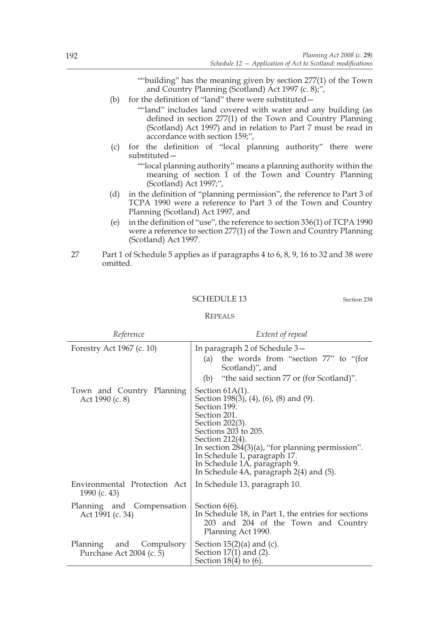""building" has the meaning given by section 277(1) of the Town and Country Planning (Scotland) Act 1997 (c. 8);",

- (b) for the definition of "land" there were substituted—
	- ""land" includes land covered with water and any building (as defined in section 277(1) of the Town and Country Planning (Scotland) Act 1997) and in relation to Part 7 must be read in accordance with section 159;",
- (c) for the definition of "local planning authority" there were substituted—
	- ""local planning authority" means a planning authority within the meaning of section 1 of the Town and Country Planning (Scotland) Act 1997;",
- (d) in the definition of "planning permission", the reference to Part 3 of TCPA 1990 were a reference to Part 3 of the Town and Country Planning (Scotland) Act 1997, and
- (e) in the definition of "use", the reference to section 336(1) of TCPA 1990 were a reference to section 277(1) of the Town and Country Planning (Scotland) Act 1997.
- 27 Part 1 of Schedule 5 applies as if paragraphs 4 to 6, 8, 9, 16 to 32 and 38 were omitted.

## SCHEDULE 13 Section 238

#### REPEALS

| Reference                                                     | Extent of repeal                                                                                                                                                                                                                                                                                                             |
|---------------------------------------------------------------|------------------------------------------------------------------------------------------------------------------------------------------------------------------------------------------------------------------------------------------------------------------------------------------------------------------------------|
| Forestry Act 1967 (c. 10)                                     | In paragraph 2 of Schedule 3-<br>the words from "section 77" to "(for<br>(a)<br>Scotland)", and<br>(b) "the said section 77 or (for Scotland)".                                                                                                                                                                              |
| Town and Country Planning<br>Act 1990 (c. 8)                  | Section $61A(1)$ .<br>Section 198(3), (4), (6), (8) and (9).<br>Section 199.<br>Section 201.<br>Section 202(3).<br>Sections 203 to 205.<br>Section 212(4).<br>In section $284(3)(a)$ , "for planning permission".<br>In Schedule 1, paragraph 17.<br>In Schedule 1A, paragraph 9.<br>In Schedule 4A, paragraph 2(4) and (5). |
| Environmental Protection Act<br>1990 (c. 43)                  | In Schedule 13, paragraph 10.                                                                                                                                                                                                                                                                                                |
| Planning and Compensation<br>Act 1991 (c. 34)                 | Section $6(6)$ .<br>In Schedule 18, in Part 1, the entries for sections<br>203 and 204 of the Town and Country<br>Planning Act 1990.                                                                                                                                                                                         |
| and Compulsory<br><b>Planning</b><br>Purchase Act 2004 (c. 5) | Section $15(2)(a)$ and (c).<br>Section $17(1)$ and $(2)$ .<br>Section $18(4)$ to $(6)$ .                                                                                                                                                                                                                                     |